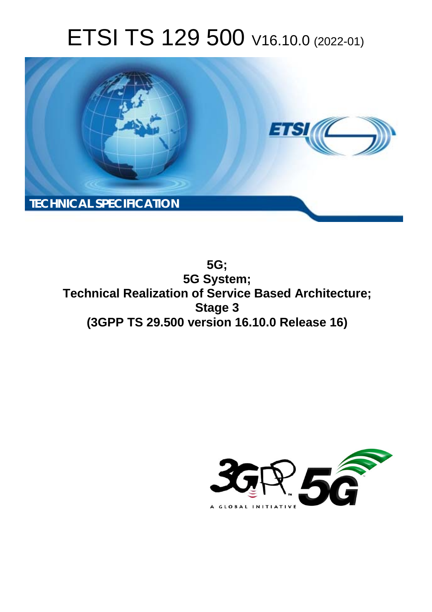# ETSI TS 129 500 V16.10.0 (2022-01)



**5G; 5G System; Technical Realization of Service Based Architecture; Stage 3 (3GPP TS 29.500 version 16.10.0 Release 16)** 

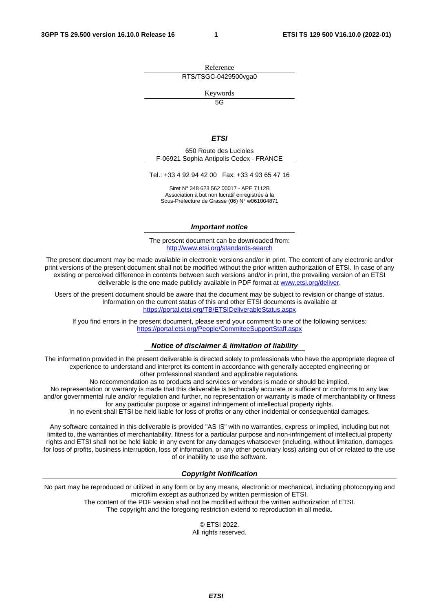Reference RTS/TSGC-0429500vga0

Keywords

 $\overline{5G}$ 

#### *ETSI*

650 Route des Lucioles F-06921 Sophia Antipolis Cedex - FRANCE

Tel.: +33 4 92 94 42 00 Fax: +33 4 93 65 47 16

Siret N° 348 623 562 00017 - APE 7112B Association à but non lucratif enregistrée à la Sous-Préfecture de Grasse (06) N° w061004871

#### *Important notice*

The present document can be downloaded from: <http://www.etsi.org/standards-search>

The present document may be made available in electronic versions and/or in print. The content of any electronic and/or print versions of the present document shall not be modified without the prior written authorization of ETSI. In case of any existing or perceived difference in contents between such versions and/or in print, the prevailing version of an ETSI deliverable is the one made publicly available in PDF format at [www.etsi.org/deliver](http://www.etsi.org/deliver).

Users of the present document should be aware that the document may be subject to revision or change of status. Information on the current status of this and other ETSI documents is available at <https://portal.etsi.org/TB/ETSIDeliverableStatus.aspx>

If you find errors in the present document, please send your comment to one of the following services: <https://portal.etsi.org/People/CommiteeSupportStaff.aspx>

#### *Notice of disclaimer & limitation of liability*

The information provided in the present deliverable is directed solely to professionals who have the appropriate degree of experience to understand and interpret its content in accordance with generally accepted engineering or other professional standard and applicable regulations.

No recommendation as to products and services or vendors is made or should be implied.

No representation or warranty is made that this deliverable is technically accurate or sufficient or conforms to any law and/or governmental rule and/or regulation and further, no representation or warranty is made of merchantability or fitness for any particular purpose or against infringement of intellectual property rights.

In no event shall ETSI be held liable for loss of profits or any other incidental or consequential damages.

Any software contained in this deliverable is provided "AS IS" with no warranties, express or implied, including but not limited to, the warranties of merchantability, fitness for a particular purpose and non-infringement of intellectual property rights and ETSI shall not be held liable in any event for any damages whatsoever (including, without limitation, damages for loss of profits, business interruption, loss of information, or any other pecuniary loss) arising out of or related to the use of or inability to use the software.

### *Copyright Notification*

No part may be reproduced or utilized in any form or by any means, electronic or mechanical, including photocopying and microfilm except as authorized by written permission of ETSI. The content of the PDF version shall not be modified without the written authorization of ETSI.

The copyright and the foregoing restriction extend to reproduction in all media.

© ETSI 2022. All rights reserved.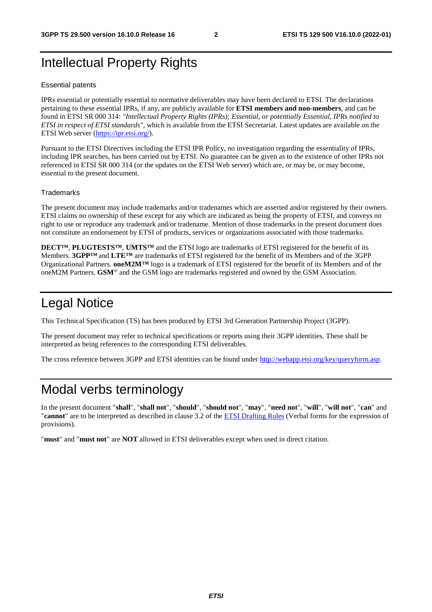# Intellectual Property Rights

#### Essential patents

IPRs essential or potentially essential to normative deliverables may have been declared to ETSI. The declarations pertaining to these essential IPRs, if any, are publicly available for **ETSI members and non-members**, and can be found in ETSI SR 000 314: *"Intellectual Property Rights (IPRs); Essential, or potentially Essential, IPRs notified to ETSI in respect of ETSI standards"*, which is available from the ETSI Secretariat. Latest updates are available on the ETSI Web server [\(https://ipr.etsi.org/](https://ipr.etsi.org/)).

Pursuant to the ETSI Directives including the ETSI IPR Policy, no investigation regarding the essentiality of IPRs, including IPR searches, has been carried out by ETSI. No guarantee can be given as to the existence of other IPRs not referenced in ETSI SR 000 314 (or the updates on the ETSI Web server) which are, or may be, or may become, essential to the present document.

#### **Trademarks**

The present document may include trademarks and/or tradenames which are asserted and/or registered by their owners. ETSI claims no ownership of these except for any which are indicated as being the property of ETSI, and conveys no right to use or reproduce any trademark and/or tradename. Mention of those trademarks in the present document does not constitute an endorsement by ETSI of products, services or organizations associated with those trademarks.

**DECT™**, **PLUGTESTS™**, **UMTS™** and the ETSI logo are trademarks of ETSI registered for the benefit of its Members. **3GPP™** and **LTE™** are trademarks of ETSI registered for the benefit of its Members and of the 3GPP Organizational Partners. **oneM2M™** logo is a trademark of ETSI registered for the benefit of its Members and of the oneM2M Partners. **GSM**® and the GSM logo are trademarks registered and owned by the GSM Association.

# Legal Notice

This Technical Specification (TS) has been produced by ETSI 3rd Generation Partnership Project (3GPP).

The present document may refer to technical specifications or reports using their 3GPP identities. These shall be interpreted as being references to the corresponding ETSI deliverables.

The cross reference between 3GPP and ETSI identities can be found under<http://webapp.etsi.org/key/queryform.asp>.

# Modal verbs terminology

In the present document "**shall**", "**shall not**", "**should**", "**should not**", "**may**", "**need not**", "**will**", "**will not**", "**can**" and "**cannot**" are to be interpreted as described in clause 3.2 of the [ETSI Drafting Rules](https://portal.etsi.org/Services/editHelp!/Howtostart/ETSIDraftingRules.aspx) (Verbal forms for the expression of provisions).

"**must**" and "**must not**" are **NOT** allowed in ETSI deliverables except when used in direct citation.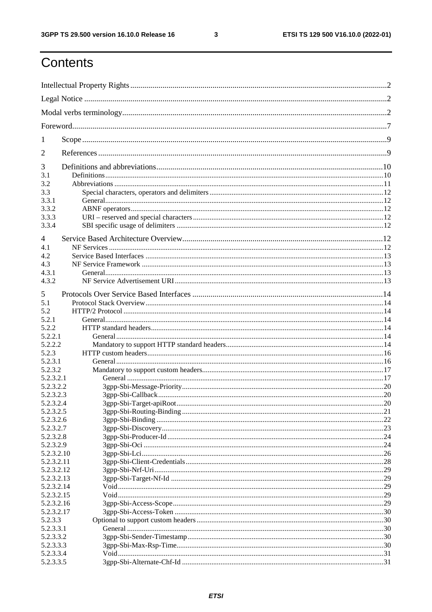$\mathbf{3}$ 

# Contents

| 1          |           |    |  |
|------------|-----------|----|--|
| 2          |           |    |  |
| 3          |           |    |  |
| 3.1        |           |    |  |
| 3.2        |           |    |  |
| 3.3        |           |    |  |
| 3.3.1      |           |    |  |
| 3.3.2      |           |    |  |
| 3.3.3      |           |    |  |
| 3.3.4      |           |    |  |
|            |           |    |  |
| 4          |           |    |  |
| 4.1        |           |    |  |
| 4.2        |           |    |  |
| 4.3        |           |    |  |
| 4.3.1      |           |    |  |
| 4.3.2      |           |    |  |
|            |           |    |  |
| 5          |           |    |  |
| 5.1        |           |    |  |
| 5.2        |           |    |  |
| 5.2.1      |           |    |  |
| 5.2.2      |           |    |  |
| 5.2.2.1    |           |    |  |
| 5.2.2.2    |           |    |  |
| 5.2.3      |           |    |  |
| 5.2.3.1    |           |    |  |
| 5.2.3.2    |           |    |  |
| 5.2.3.2.1  |           |    |  |
| 5.2.3.2.2  |           |    |  |
| 5.2.3.2.3  |           |    |  |
| 5.2.3.2.4  |           | 20 |  |
| 5.2.3.2.5  |           |    |  |
| 5.2.3.2.6  |           |    |  |
| 5.2.3.2.7  |           |    |  |
|            |           |    |  |
| 5.2.3.2.8  |           |    |  |
| 5.2.3.2.9  |           |    |  |
| 5.2.3.2.10 |           |    |  |
| 5.2.3.2.11 |           |    |  |
| 5.2.3.2.12 |           |    |  |
| 5.2.3.2.13 |           |    |  |
| 5.2.3.2.14 |           |    |  |
| 5.2.3.2.15 |           |    |  |
| 5.2.3.2.16 |           |    |  |
| 5.2.3.2.17 |           |    |  |
| 5.2.3.3    |           |    |  |
| 5.2.3.3.1  |           |    |  |
| 5.2.3.3.2  |           |    |  |
| 5.2.3.3.3  |           |    |  |
|            | 5.2.3.3.4 |    |  |
|            | 5.2.3.3.5 |    |  |
|            |           |    |  |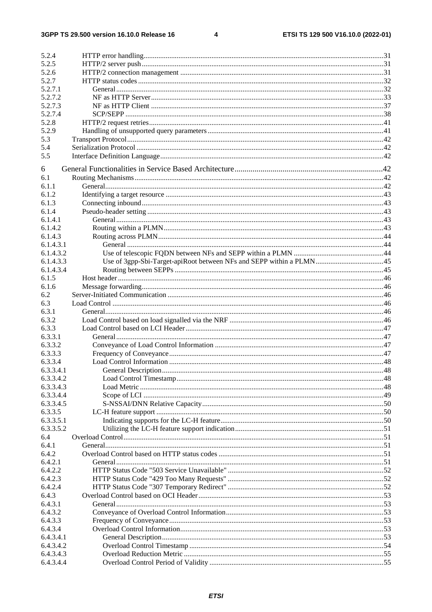$\overline{\mathbf{4}}$ 

| 5.2.4        |  |
|--------------|--|
| 5.2.5        |  |
| 5.2.6        |  |
| 5.2.7        |  |
| 5.2.7.1      |  |
| 5.2.7.2      |  |
| 5.2.7.3      |  |
| 5.2.7.4      |  |
| 5.2.8        |  |
| 5.2.9        |  |
| 5.3          |  |
| 5.4          |  |
| 5.5          |  |
|              |  |
| 6            |  |
| 6.1<br>6.1.1 |  |
|              |  |
| 6.1.2        |  |
| 6.1.3        |  |
| 6.1.4        |  |
| 6.1.4.1      |  |
| 6.1.4.2      |  |
| 6.1.4.3      |  |
| 6.1.4.3.1    |  |
| 6.1.4.3.2    |  |
| 6.1.4.3.3    |  |
| 6.1.4.3.4    |  |
| 6.1.5        |  |
| 6.1.6        |  |
| 6.2          |  |
| 6.3          |  |
| 6.3.1        |  |
| 6.3.2        |  |
| 6.3.3        |  |
| 6.3.3.1      |  |
| 6.3.3.2      |  |
| 6.3.3.3      |  |
| 6.3.3.4      |  |
| 6.3.3.4.1    |  |
| 6.3.3.4.2    |  |
| 6.3.3.4.3    |  |
| 6.3.3.4.4    |  |
| 6.3.3.4.5    |  |
| 6.3.3.5      |  |
| 6.3.3.5.1    |  |
| 6.3.3.5.2    |  |
| 6.4          |  |
| 6.4.1        |  |
| 6.4.2        |  |
| 6.4.2.1      |  |
| 6.4.2.2      |  |
| 6.4.2.3      |  |
| 6.4.2.4      |  |
| 6.4.3        |  |
| 6.4.3.1      |  |
| 6.4.3.2      |  |
| 6.4.3.3      |  |
| 6.4.3.4      |  |
| 6.4.3.4.1    |  |
|              |  |
| 6.4.3.4.2    |  |
| 6.4.3.4.3    |  |
| 6.4.3.4.4    |  |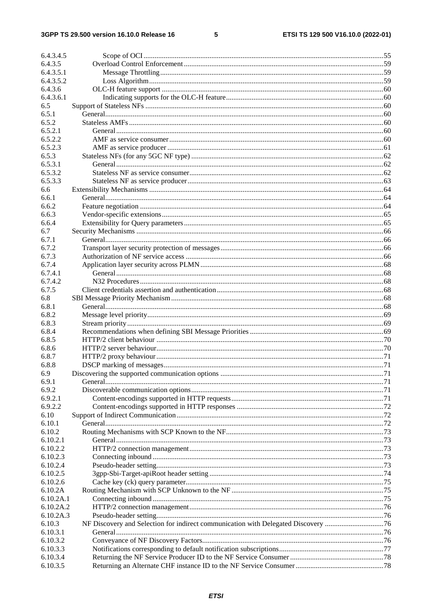### $5\phantom{a}$

| 6.4.3.4.5 |                                                                                   |  |
|-----------|-----------------------------------------------------------------------------------|--|
| 6.4.3.5   |                                                                                   |  |
| 6.4.3.5.1 |                                                                                   |  |
| 6.4.3.5.2 |                                                                                   |  |
| 6.4.3.6   |                                                                                   |  |
| 6.4.3.6.1 |                                                                                   |  |
| 6.5       |                                                                                   |  |
| 6.5.1     |                                                                                   |  |
| 6.5.2     |                                                                                   |  |
| 6.5.2.1   |                                                                                   |  |
| 6.5.2.2   |                                                                                   |  |
| 6.5.2.3   |                                                                                   |  |
| 6.5.3     |                                                                                   |  |
| 6.5.3.1   |                                                                                   |  |
| 6.5.3.2   |                                                                                   |  |
| 6.5.3.3   |                                                                                   |  |
| 6.6       |                                                                                   |  |
| 6.6.1     |                                                                                   |  |
| 6.6.2     |                                                                                   |  |
| 6.6.3     |                                                                                   |  |
| 6.6.4     |                                                                                   |  |
| 6.7       |                                                                                   |  |
| 6.7.1     |                                                                                   |  |
| 6.7.2     |                                                                                   |  |
| 6.7.3     |                                                                                   |  |
| 6.7.4     |                                                                                   |  |
| 6.7.4.1   |                                                                                   |  |
| 6.7.4.2   |                                                                                   |  |
| 6.7.5     |                                                                                   |  |
| 6.8       |                                                                                   |  |
| 6.8.1     |                                                                                   |  |
| 6.8.2     |                                                                                   |  |
| 6.8.3     |                                                                                   |  |
| 6.8.4     |                                                                                   |  |
| 6.8.5     |                                                                                   |  |
| 6.8.6     |                                                                                   |  |
| 6.8.7     |                                                                                   |  |
| 6.8.8     |                                                                                   |  |
| 6.9       |                                                                                   |  |
| 6.9.1     |                                                                                   |  |
| 6.9.2     |                                                                                   |  |
| 6.9.2.1   |                                                                                   |  |
| 6.9.2.2   |                                                                                   |  |
| 6.10      |                                                                                   |  |
| 6.10.1    |                                                                                   |  |
| 6.10.2    |                                                                                   |  |
| 6.10.2.1  |                                                                                   |  |
| 6.10.2.2  |                                                                                   |  |
| 6.10.2.3  |                                                                                   |  |
| 6.10.2.4  |                                                                                   |  |
| 6.10.2.5  |                                                                                   |  |
| 6.10.2.6  |                                                                                   |  |
| 6.10.2A   |                                                                                   |  |
| 6.10.2A.1 |                                                                                   |  |
| 6.10.2A.2 |                                                                                   |  |
| 6.10.2A.3 |                                                                                   |  |
| 6.10.3    | NF Discovery and Selection for indirect communication with Delegated Discovery 76 |  |
| 6.10.3.1  |                                                                                   |  |
| 6.10.3.2  |                                                                                   |  |
| 6.10.3.3  |                                                                                   |  |
| 6.10.3.4  |                                                                                   |  |
| 6.10.3.5  |                                                                                   |  |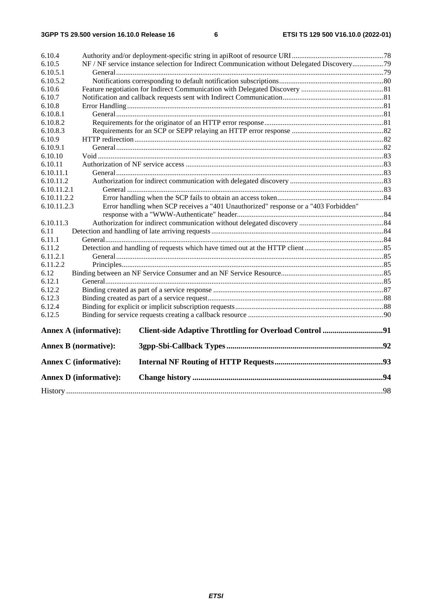| 6.10.4                      |                                                                                             |                                                                                     |  |
|-----------------------------|---------------------------------------------------------------------------------------------|-------------------------------------------------------------------------------------|--|
| 6.10.5                      | NF / NF service instance selection for Indirect Communication without Delegated Discovery79 |                                                                                     |  |
| 6.10.5.1                    |                                                                                             |                                                                                     |  |
| 6.10.5.2                    |                                                                                             |                                                                                     |  |
| 6.10.6                      |                                                                                             |                                                                                     |  |
| 6.10.7                      |                                                                                             |                                                                                     |  |
| 6.10.8                      |                                                                                             |                                                                                     |  |
| 6.10.8.1                    |                                                                                             |                                                                                     |  |
| 6.10.8.2                    |                                                                                             |                                                                                     |  |
| 6.10.8.3                    |                                                                                             |                                                                                     |  |
| 6.10.9                      |                                                                                             |                                                                                     |  |
| 6.10.9.1                    |                                                                                             |                                                                                     |  |
| 6.10.10                     |                                                                                             |                                                                                     |  |
| 6.10.11                     |                                                                                             |                                                                                     |  |
| 6.10.11.1                   |                                                                                             |                                                                                     |  |
| 6.10.11.2                   |                                                                                             |                                                                                     |  |
| 6.10.11.2.1                 |                                                                                             |                                                                                     |  |
| 6.10.11.2.2                 |                                                                                             |                                                                                     |  |
| 6.10.11.2.3                 |                                                                                             | Error handling when SCP receives a "401 Unauthorized" response or a "403 Forbidden" |  |
|                             |                                                                                             |                                                                                     |  |
| 6.10.11.3                   |                                                                                             |                                                                                     |  |
| 6.11                        |                                                                                             |                                                                                     |  |
| 6.11.1                      |                                                                                             |                                                                                     |  |
| 6.11.2                      |                                                                                             |                                                                                     |  |
| 6.11.2.1                    |                                                                                             |                                                                                     |  |
| 6.11.2.2                    |                                                                                             |                                                                                     |  |
| 6.12                        |                                                                                             |                                                                                     |  |
| 6.12.1                      |                                                                                             |                                                                                     |  |
| 6.12.2                      |                                                                                             |                                                                                     |  |
| 6.12.3                      |                                                                                             |                                                                                     |  |
| 6.12.4                      |                                                                                             |                                                                                     |  |
| 6.12.5                      |                                                                                             |                                                                                     |  |
|                             | <b>Annex A (informative):</b>                                                               |                                                                                     |  |
| <b>Annex B</b> (normative): |                                                                                             |                                                                                     |  |
|                             | <b>Annex C</b> (informative):                                                               |                                                                                     |  |
|                             | <b>Annex D</b> (informative):                                                               |                                                                                     |  |
|                             |                                                                                             |                                                                                     |  |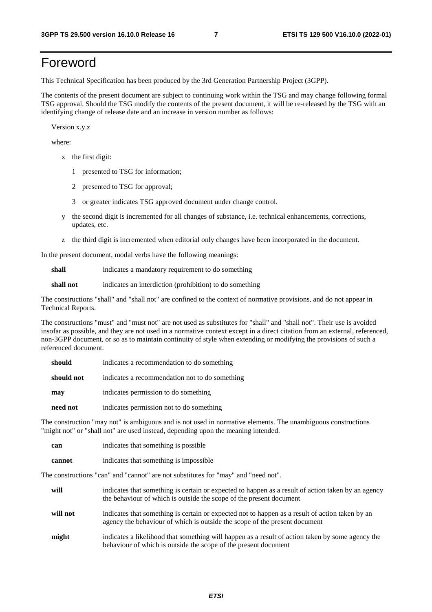# Foreword

This Technical Specification has been produced by the 3rd Generation Partnership Project (3GPP).

The contents of the present document are subject to continuing work within the TSG and may change following formal TSG approval. Should the TSG modify the contents of the present document, it will be re-released by the TSG with an identifying change of release date and an increase in version number as follows:

Version x.y.z

where:

- x the first digit:
	- 1 presented to TSG for information;
	- 2 presented to TSG for approval;
	- 3 or greater indicates TSG approved document under change control.
- y the second digit is incremented for all changes of substance, i.e. technical enhancements, corrections, updates, etc.
- z the third digit is incremented when editorial only changes have been incorporated in the document.

In the present document, modal verbs have the following meanings:

**shall** indicates a mandatory requirement to do something

**shall not** indicates an interdiction (prohibition) to do something

The constructions "shall" and "shall not" are confined to the context of normative provisions, and do not appear in Technical Reports.

The constructions "must" and "must not" are not used as substitutes for "shall" and "shall not". Their use is avoided insofar as possible, and they are not used in a normative context except in a direct citation from an external, referenced, non-3GPP document, or so as to maintain continuity of style when extending or modifying the provisions of such a referenced document.

| should     | indicates a recommendation to do something     |
|------------|------------------------------------------------|
| should not | indicates a recommendation not to do something |
| may        | indicates permission to do something           |
| need not   | indicates permission not to do something       |

The construction "may not" is ambiguous and is not used in normative elements. The unambiguous constructions "might not" or "shall not" are used instead, depending upon the meaning intended.

| can    | indicates that something is possible   |
|--------|----------------------------------------|
| cannot | indicates that something is impossible |

The constructions "can" and "cannot" are not substitutes for "may" and "need not".

| will     | indicates that something is certain or expected to happen as a result of action taken by an agency<br>the behaviour of which is outside the scope of the present document     |
|----------|-------------------------------------------------------------------------------------------------------------------------------------------------------------------------------|
| will not | indicates that something is certain or expected not to happen as a result of action taken by an<br>agency the behaviour of which is outside the scope of the present document |
| might    | indicates a likelihood that something will happen as a result of action taken by some agency the<br>behaviour of which is outside the scope of the present document           |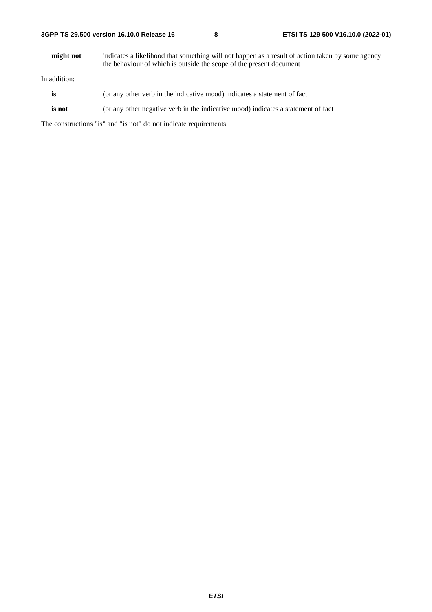**might not** indicates a likelihood that something will not happen as a result of action taken by some agency the behaviour of which is outside the scope of the present document

In addition:

- **is** (or any other verb in the indicative mood) indicates a statement of fact
- **is not** (or any other negative verb in the indicative mood) indicates a statement of fact

The constructions "is" and "is not" do not indicate requirements.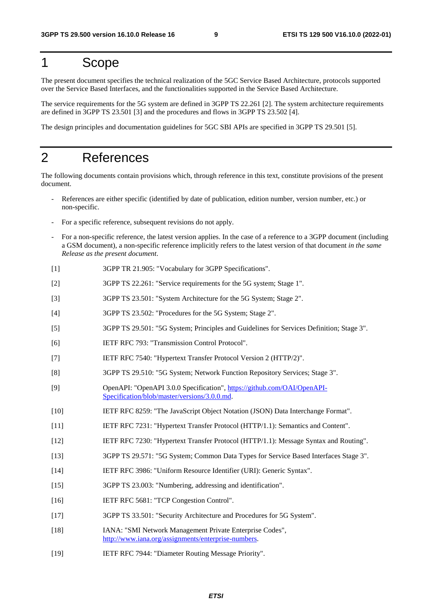# 1 Scope

The present document specifies the technical realization of the 5GC Service Based Architecture, protocols supported over the Service Based Interfaces, and the functionalities supported in the Service Based Architecture.

The service requirements for the 5G system are defined in 3GPP TS 22.261 [2]. The system architecture requirements are defined in 3GPP TS 23.501 [3] and the procedures and flows in 3GPP TS 23.502 [4].

The design principles and documentation guidelines for 5GC SBI APIs are specified in 3GPP TS 29.501 [5].

# 2 References

The following documents contain provisions which, through reference in this text, constitute provisions of the present document.

- References are either specific (identified by date of publication, edition number, version number, etc.) or non-specific.
- For a specific reference, subsequent revisions do not apply.
- For a non-specific reference, the latest version applies. In the case of a reference to a 3GPP document (including a GSM document), a non-specific reference implicitly refers to the latest version of that document *in the same Release as the present document*.
- [1] 3GPP TR 21.905: "Vocabulary for 3GPP Specifications".
- [2] 3GPP TS 22.261: "Service requirements for the 5G system; Stage 1".
- [3] 3GPP TS 23.501: "System Architecture for the 5G System; Stage 2".
- [4] 3GPP TS 23.502: "Procedures for the 5G System; Stage 2".
- [5] 3GPP TS 29.501: "5G System; Principles and Guidelines for Services Definition; Stage 3".
- [6] IETF RFC 793: "Transmission Control Protocol".
- [7] IETF RFC 7540: "Hypertext Transfer Protocol Version 2 (HTTP/2)".
- [8] 3GPP TS 29.510: "5G System; Network Function Repository Services; Stage 3".
- [9] OpenAPI: "OpenAPI 3.0.0 Specification", [https://github.com/OAI/OpenAPI](https://github.com/OAI/OpenAPI-Specification/blob/master/versions/3.0.0.md)-[Specification/blob/master/versions/3.0.0.md](https://github.com/OAI/OpenAPI-Specification/blob/master/versions/3.0.0.md).
- [10] IETF RFC 8259: "The JavaScript Object Notation (JSON) Data Interchange Format".
- [11] IETF RFC 7231: "Hypertext Transfer Protocol (HTTP/1.1): Semantics and Content".
- [12] IETF RFC 7230: "Hypertext Transfer Protocol (HTTP/1.1): Message Syntax and Routing".
- [13] 3GPP TS 29.571: "5G System; Common Data Types for Service Based Interfaces Stage 3".
- [14] IETF RFC 3986: "Uniform Resource Identifier (URI): Generic Syntax".
- [15] 3GPP TS 23.003: "Numbering, addressing and identification".
- [16] IETF RFC 5681: "TCP Congestion Control".
- [17] 3GPP TS 33.501: "Security Architecture and Procedures for 5G System".
- [18] IANA: "SMI Network Management Private Enterprise Codes", <http://www.iana.org/assignments/enterprise-numbers>.
- [19] IETF RFC 7944: "Diameter Routing Message Priority".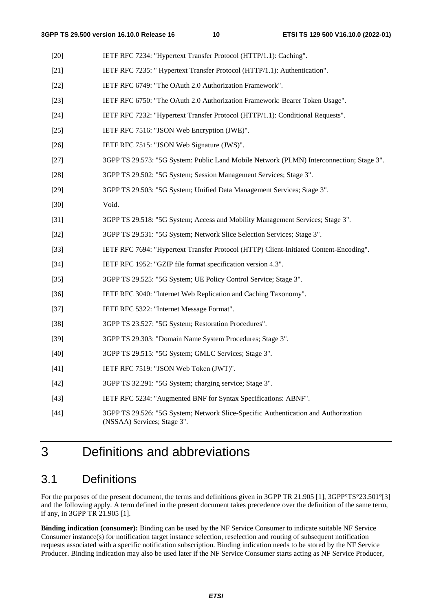| $[20]$ | IETF RFC 7234: "Hypertext Transfer Protocol (HTTP/1.1): Caching".                                                  |
|--------|--------------------------------------------------------------------------------------------------------------------|
| $[21]$ | IETF RFC 7235: "Hypertext Transfer Protocol (HTTP/1.1): Authentication".                                           |
| $[22]$ | IETF RFC 6749: "The OAuth 2.0 Authorization Framework".                                                            |
| $[23]$ | IETF RFC 6750: "The OAuth 2.0 Authorization Framework: Bearer Token Usage".                                        |
| $[24]$ | IETF RFC 7232: "Hypertext Transfer Protocol (HTTP/1.1): Conditional Requests".                                     |
| $[25]$ | IETF RFC 7516: "JSON Web Encryption (JWE)".                                                                        |
| $[26]$ | IETF RFC 7515: "JSON Web Signature (JWS)".                                                                         |
| $[27]$ | 3GPP TS 29.573: "5G System: Public Land Mobile Network (PLMN) Interconnection; Stage 3".                           |
| $[28]$ | 3GPP TS 29.502: "5G System; Session Management Services; Stage 3".                                                 |
| $[29]$ | 3GPP TS 29.503: "5G System; Unified Data Management Services; Stage 3".                                            |
| $[30]$ | Void.                                                                                                              |
| $[31]$ | 3GPP TS 29.518: "5G System; Access and Mobility Management Services; Stage 3".                                     |
| $[32]$ | 3GPP TS 29.531: "5G System; Network Slice Selection Services; Stage 3".                                            |
| $[33]$ | IETF RFC 7694: "Hypertext Transfer Protocol (HTTP) Client-Initiated Content-Encoding".                             |
| $[34]$ | IETF RFC 1952: "GZIP file format specification version 4.3".                                                       |
| $[35]$ | 3GPP TS 29.525: "5G System; UE Policy Control Service; Stage 3".                                                   |
| $[36]$ | IETF RFC 3040: "Internet Web Replication and Caching Taxonomy".                                                    |
| $[37]$ | IETF RFC 5322: "Internet Message Format".                                                                          |
| $[38]$ | 3GPP TS 23.527: "5G System; Restoration Procedures".                                                               |
| $[39]$ | 3GPP TS 29.303: "Domain Name System Procedures; Stage 3".                                                          |
| $[40]$ | 3GPP TS 29.515: "5G System; GMLC Services; Stage 3".                                                               |
| $[41]$ | IETF RFC 7519: "JSON Web Token (JWT)".                                                                             |
| $[42]$ | 3GPP TS 32.291: "5G System; charging service; Stage 3".                                                            |
| $[43]$ | IETF RFC 5234: "Augmented BNF for Syntax Specifications: ABNF".                                                    |
| $[44]$ | 3GPP TS 29.526: "5G System; Network Slice-Specific Authentication and Authorization<br>(NSSAA) Services; Stage 3". |

# 3 Definitions and abbreviations

# 3.1 Definitions

For the purposes of the present document, the terms and definitions given in 3GPP TR 21.905 [1], 3GPP°TS°23.501°[3] and the following apply. A term defined in the present document takes precedence over the definition of the same term, if any, in 3GPP TR 21.905 [1].

**Binding indication (consumer):** Binding can be used by the NF Service Consumer to indicate suitable NF Service Consumer instance(s) for notification target instance selection, reselection and routing of subsequent notification requests associated with a specific notification subscription. Binding indication needs to be stored by the NF Service Producer. Binding indication may also be used later if the NF Service Consumer starts acting as NF Service Producer,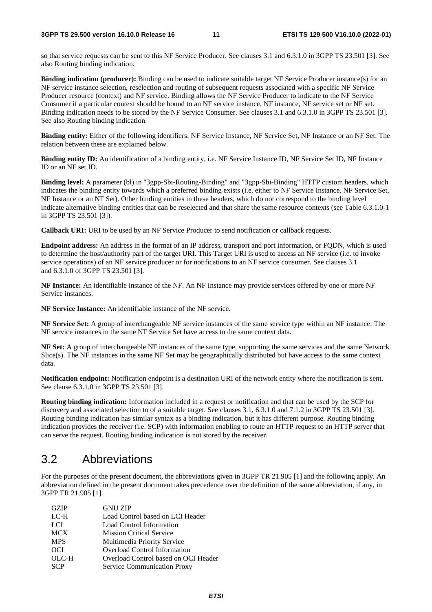so that service requests can be sent to this NF Service Producer. See clauses 3.1 and 6.3.1.0 in 3GPP TS 23.501 [3]. See also Routing binding indication.

**Binding indication (producer):** Binding can be used to indicate suitable target NF Service Producer instance(s) for an NF service instance selection, reselection and routing of subsequent requests associated with a specific NF Service Producer resource (context) and NF service. Binding allows the NF Service Producer to indicate to the NF Service Consumer if a particular context should be bound to an NF service instance, NF instance, NF service set or NF set. Binding indication needs to be stored by the NF Service Consumer. See clauses 3.1 and 6.3.1.0 in 3GPP TS 23.501 [3]. See also Routing binding indication.

**Binding entity:** Either of the following identifiers: NF Service Instance, NF Service Set, NF Instance or an NF Set. The relation between these are explained below.

**Binding entity ID:** An identification of a binding entity, i.e. NF Service Instance ID, NF Service Set ID, NF Instance ID or an NF set ID.

**Binding level:** A parameter (bl) in "3gpp-Sbi-Routing-Binding" and "3gpp-Sbi-Binding" HTTP custom headers, which indicates the binding entity towards which a preferred binding exists (i.e. either to NF Service Instance, NF Service Set, NF Instance or an NF Set). Other binding entities in these headers, which do not correspond to the binding level indicate alternative binding entities that can be reselected and that share the same resource contexts (see Table 6.3.1.0-1 in 3GPP TS 23.501 [3]).

**Callback URI:** URI to be used by an NF Service Producer to send notification or callback requests.

**Endpoint address:** An address in the format of an IP address, transport and port information, or FQDN, which is used to determine the host/authority part of the target URI. This Target URI is used to access an NF service (i.e. to invoke service operations) of an NF service producer or for notifications to an NF service consumer. See clauses 3.1 and 6.3.1.0 of 3GPP TS 23.501 [3].

**NF Instance:** An identifiable instance of the NF. An NF Instance may provide services offered by one or more NF Service instances.

**NF Service Instance:** An identifiable instance of the NF service.

**NF Service Set:** A group of interchangeable NF service instances of the same service type within an NF instance. The NF service instances in the same NF Service Set have access to the same context data.

**NF Set:** A group of interchangeable NF instances of the same type, supporting the same services and the same Network Slice(s). The NF instances in the same NF Set may be geographically distributed but have access to the same context data.

**Notification endpoint:** Notification endpoint is a destination URI of the network entity where the notification is sent. See clause 6.3.1.0 in 3GPP TS 23.501 [3].

**Routing binding indication:** Information included in a request or notification and that can be used by the SCP for discovery and associated selection to of a suitable target. See clauses 3.1, 6.3.1.0 and 7.1.2 in 3GPP TS 23.501 [3]. Routing binding indication has similar syntax as a binding indication, but it has different purpose. Routing binding indication provides the receiver (i.e. SCP) with information enabling to route an HTTP request to an HTTP server that can serve the request. Routing binding indication is not stored by the receiver.

# 3.2 Abbreviations

For the purposes of the present document, the abbreviations given in 3GPP TR 21.905 [1] and the following apply. An abbreviation defined in the present document takes precedence over the definition of the same abbreviation, if any, in 3GPP TR 21.905 [1].

| <b>GZIP</b> | <b>GNU ZIP</b>                       |
|-------------|--------------------------------------|
| LC-H        | Load Control based on LCI Header     |
| <b>LCI</b>  | Load Control Information             |
| <b>MCX</b>  | <b>Mission Critical Service</b>      |
| <b>MPS</b>  | Multimedia Priority Service          |
| <b>OCI</b>  | <b>Overload Control Information</b>  |
| OLC-H       | Overload Control based on OCI Header |
| <b>SCP</b>  | Service Communication Proxy          |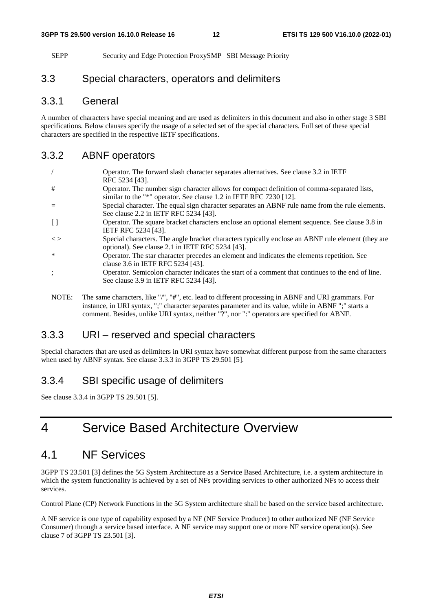SEPP Security and Edge Protection ProxySMP SBI Message Priority

# 3.3 Special characters, operators and delimiters

### 3.3.1 General

A number of characters have special meaning and are used as delimiters in this document and also in other stage 3 SBI specifications. Below clauses specify the usage of a selected set of the special characters. Full set of these special characters are specified in the respective IETF specifications.

### 3.3.2 ABNF operators

|               | Operator. The forward slash character separates alternatives. See clause 3.2 in IETF<br>RFC 5234 [43].                                                            |
|---------------|-------------------------------------------------------------------------------------------------------------------------------------------------------------------|
| #             | Operator. The number sign character allows for compact definition of comma-separated lists,<br>similar to the "*" operator. See clause 1.2 in IETF RFC 7230 [12]. |
|               | Special character. The equal sign character separates an ABNF rule name from the rule elements.                                                                   |
| $\perp$       | See clause 2.2 in IETF RFC 5234 [43].<br>Operator. The square bracket characters enclose an optional element sequence. See clause 3.8 in                          |
| $\langle$ $>$ | IETF RFC 5234 [43].<br>Special characters. The angle bracket characters typically enclose an ABNF rule element (they are                                          |
| *             | optional). See clause 2.1 in IETF RFC 5234 [43].                                                                                                                  |
|               | Operator. The star character precedes an element and indicates the elements repetition. See<br>clause 3.6 in IETF RFC 5234 [43].                                  |
|               | Operator. Semicolon character indicates the start of a comment that continues to the end of line.<br>See clause 3.9 in IETF RFC 5234 [43].                        |

NOTE: The same characters, like "/", "#", etc. lead to different processing in ABNF and URI grammars. For instance, in URI syntax, ";" character separates parameter and its value, while in ABNF ";" starts a comment. Besides, unlike URI syntax, neither "?", nor ":" operators are specified for ABNF.

# 3.3.3 URI – reserved and special characters

Special characters that are used as delimiters in URI syntax have somewhat different purpose from the same characters when used by ABNF syntax. See clause 3.3.3 in 3GPP TS 29.501 [5].

### 3.3.4 SBI specific usage of delimiters

See clause 3.3.4 in 3GPP TS 29.501 [5].

# 4 Service Based Architecture Overview

# 4.1 NF Services

3GPP TS 23.501 [3] defines the 5G System Architecture as a Service Based Architecture, i.e. a system architecture in which the system functionality is achieved by a set of NFs providing services to other authorized NFs to access their services.

Control Plane (CP) Network Functions in the 5G System architecture shall be based on the service based architecture.

A NF service is one type of capability exposed by a NF (NF Service Producer) to other authorized NF (NF Service Consumer) through a service based interface. A NF service may support one or more NF service operation(s). See clause 7 of 3GPP TS 23.501 [3].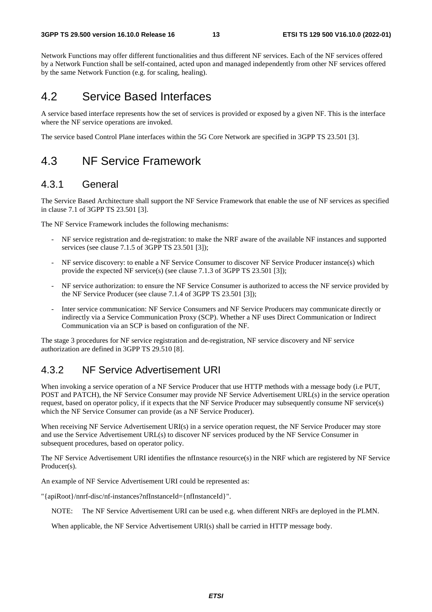Network Functions may offer different functionalities and thus different NF services. Each of the NF services offered by a Network Function shall be self-contained, acted upon and managed independently from other NF services offered by the same Network Function (e.g. for scaling, healing).

# 4.2 Service Based Interfaces

A service based interface represents how the set of services is provided or exposed by a given NF. This is the interface where the NF service operations are invoked.

The service based Control Plane interfaces within the 5G Core Network are specified in 3GPP TS 23.501 [3].

# 4.3 NF Service Framework

### 4.3.1 General

The Service Based Architecture shall support the NF Service Framework that enable the use of NF services as specified in clause 7.1 of 3GPP TS 23.501 [3].

The NF Service Framework includes the following mechanisms:

- NF service registration and de-registration: to make the NRF aware of the available NF instances and supported services (see clause 7.1.5 of 3GPP TS 23.501 [3]);
- NF service discovery: to enable a NF Service Consumer to discover NF Service Producer instance(s) which provide the expected NF service(s) (see clause 7.1.3 of 3GPP TS 23.501 [3]);
- NF service authorization: to ensure the NF Service Consumer is authorized to access the NF service provided by the NF Service Producer (see clause 7.1.4 of 3GPP TS 23.501 [3]);
- Inter service communication: NF Service Consumers and NF Service Producers may communicate directly or indirectly via a Service Communication Proxy (SCP). Whether a NF uses Direct Communication or Indirect Communication via an SCP is based on configuration of the NF.

The stage 3 procedures for NF service registration and de-registration, NF service discovery and NF service authorization are defined in 3GPP TS 29.510 [8].

# 4.3.2 NF Service Advertisement URI

When invoking a service operation of a NF Service Producer that use HTTP methods with a message body (i.e PUT, POST and PATCH), the NF Service Consumer may provide NF Service Advertisement URL(s) in the service operation request, based on operator policy, if it expects that the NF Service Producer may subsequently consume NF service(s) which the NF Service Consumer can provide (as a NF Service Producer).

When receiving NF Service Advertisement URI(s) in a service operation request, the NF Service Producer may store and use the Service Advertisement URL(s) to discover NF services produced by the NF Service Consumer in subsequent procedures, based on operator policy.

The NF Service Advertisement URI identifies the nfInstance resource(s) in the NRF which are registered by NF Service Producer(s).

An example of NF Service Advertisement URI could be represented as:

"{apiRoot}/nnrf-disc/nf-instances?nfInstanceId={nfInstanceId}".

NOTE: The NF Service Advertisement URI can be used e.g. when different NRFs are deployed in the PLMN.

When applicable, the NF Service Advertisement URI(s) shall be carried in HTTP message body.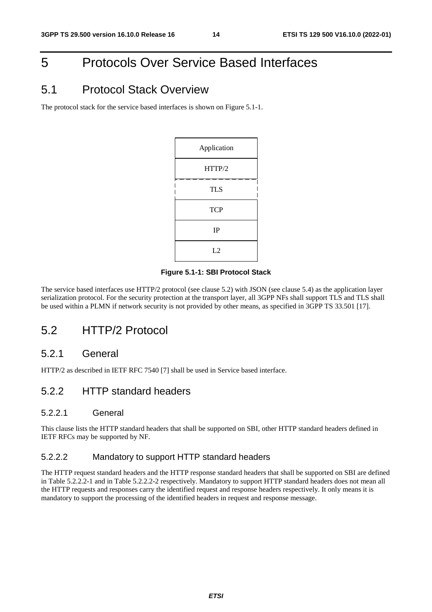# 5 Protocols Over Service Based Interfaces

# 5.1 Protocol Stack Overview

The protocol stack for the service based interfaces is shown on Figure 5.1-1.

| Application |  |  |
|-------------|--|--|
| HTTP/2      |  |  |
| <b>TLS</b>  |  |  |
| <b>TCP</b>  |  |  |
| IP          |  |  |
| L2          |  |  |

### **Figure 5.1-1: SBI Protocol Stack**

The service based interfaces use HTTP/2 protocol (see clause 5.2) with JSON (see clause 5.4) as the application layer serialization protocol. For the security protection at the transport layer, all 3GPP NFs shall support TLS and TLS shall be used within a PLMN if network security is not provided by other means, as specified in 3GPP TS 33.501 [17].

# 5.2 HTTP/2 Protocol

### 5.2.1 General

HTTP/2 as described in IETF RFC 7540 [7] shall be used in Service based interface.

### 5.2.2 HTTP standard headers

### 5.2.2.1 General

This clause lists the HTTP standard headers that shall be supported on SBI, other HTTP standard headers defined in IETF RFCs may be supported by NF.

### 5.2.2.2 Mandatory to support HTTP standard headers

The HTTP request standard headers and the HTTP response standard headers that shall be supported on SBI are defined in Table 5.2.2.2-1 and in Table 5.2.2.2-2 respectively. Mandatory to support HTTP standard headers does not mean all the HTTP requests and responses carry the identified request and response headers respectively. It only means it is mandatory to support the processing of the identified headers in request and response message.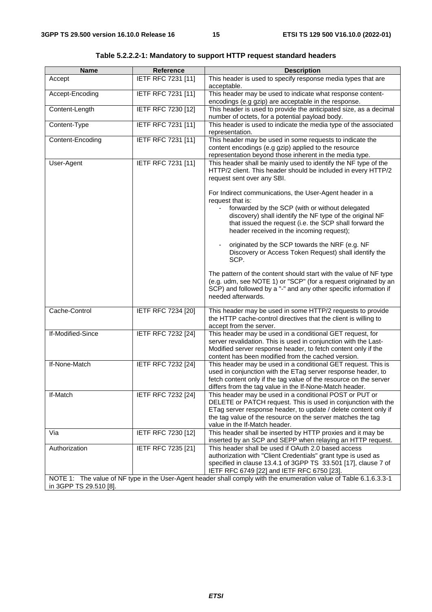| <b>Name</b>                                                                                                                                  | <b>Reference</b>   | <b>Description</b>                                                                                                                                                                                                                                                                                 |  |
|----------------------------------------------------------------------------------------------------------------------------------------------|--------------------|----------------------------------------------------------------------------------------------------------------------------------------------------------------------------------------------------------------------------------------------------------------------------------------------------|--|
| Accept                                                                                                                                       | IETF RFC 7231 [11] | This header is used to specify response media types that are<br>acceptable.                                                                                                                                                                                                                        |  |
| Accept-Encoding                                                                                                                              | IETF RFC 7231 [11] | This header may be used to indicate what response content-<br>encodings (e.g gzip) are acceptable in the response.                                                                                                                                                                                 |  |
| Content-Length                                                                                                                               | IETF RFC 7230 [12] | This header is used to provide the anticipated size, as a decimal<br>number of octets, for a potential payload body.                                                                                                                                                                               |  |
| Content-Type                                                                                                                                 | IETF RFC 7231 [11] | This header is used to indicate the media type of the associated<br>representation.                                                                                                                                                                                                                |  |
| Content-Encoding                                                                                                                             | IETF RFC 7231 [11] | This header may be used in some requests to indicate the<br>content encodings (e.g gzip) applied to the resource<br>representation beyond those inherent in the media type.                                                                                                                        |  |
| User-Agent                                                                                                                                   | IETF RFC 7231 [11] | This header shall be mainly used to identify the NF type of the<br>HTTP/2 client. This header should be included in every HTTP/2<br>request sent over any SBI.                                                                                                                                     |  |
|                                                                                                                                              |                    | For Indirect communications, the User-Agent header in a<br>request that is:<br>forwarded by the SCP (with or without delegated<br>discovery) shall identify the NF type of the original NF<br>that issued the request (i.e. the SCP shall forward the<br>header received in the incoming request); |  |
|                                                                                                                                              |                    | originated by the SCP towards the NRF (e.g. NF<br>Discovery or Access Token Request) shall identify the<br>SCP.                                                                                                                                                                                    |  |
|                                                                                                                                              |                    | The pattern of the content should start with the value of NF type<br>(e.g. udm, see NOTE 1) or "SCP" (for a request originated by an<br>SCP) and followed by a "-" and any other specific information if<br>needed afterwards.                                                                     |  |
| Cache-Control                                                                                                                                | IETF RFC 7234 [20] | This header may be used in some HTTP/2 requests to provide<br>the HTTP cache-control directives that the client is willing to<br>accept from the server.                                                                                                                                           |  |
| If-Modified-Since                                                                                                                            | IETF RFC 7232 [24] | This header may be used in a conditional GET request, for<br>server revalidation. This is used in conjunction with the Last-<br>Modified server response header, to fetch content only if the<br>content has been modified from the cached version.                                                |  |
| If-None-Match                                                                                                                                | IETF RFC 7232 [24] | This header may be used in a conditional GET request. This is<br>used in conjunction with the ETag server response header, to<br>fetch content only if the tag value of the resource on the server<br>differs from the tag value in the If-None-Match header.                                      |  |
| If-Match                                                                                                                                     | IETF RFC 7232 [24] | This header may be used in a conditional POST or PUT or<br>DELETE or PATCH request. This is used in conjunction with the<br>ETag server response header, to update / delete content only if<br>the tag value of the resource on the server matches the tag<br>value in the If-Match header.        |  |
| Via                                                                                                                                          | IETF RFC 7230 [12] | This header shall be inserted by HTTP proxies and it may be<br>inserted by an SCP and SEPP when relaying an HTTP request.                                                                                                                                                                          |  |
| Authorization                                                                                                                                | IETF RFC 7235 [21] | This header shall be used if OAuth 2.0 based access<br>authorization with "Client Credentials" grant type is used as<br>specified in clause 13.4.1 of 3GPP TS 33.501 [17], clause 7 of<br>IETF RFC 6749 [22] and IETF RFC 6750 [23].                                                               |  |
| NOTE 1: The value of NF type in the User-Agent header shall comply with the enumeration value of Table 6.1.6.3.3-1<br>in 3GPP TS 29.510 [8]. |                    |                                                                                                                                                                                                                                                                                                    |  |

**Table 5.2.2.2-1: Mandatory to support HTTP request standard headers**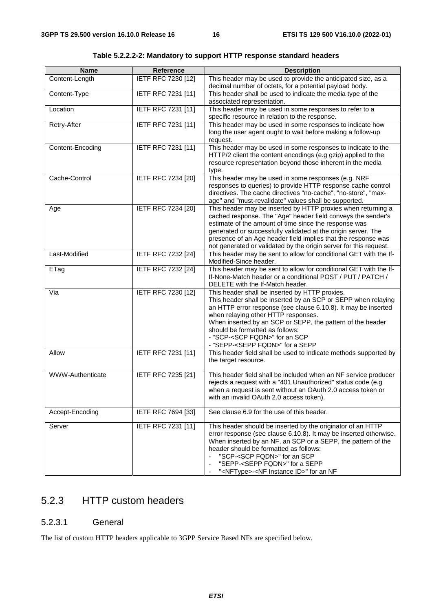| <b>Name</b>      | <b>Reference</b>          | <b>Description</b>                                                                                                                                                                                                                                                                                                                                                                                                 |  |  |  |
|------------------|---------------------------|--------------------------------------------------------------------------------------------------------------------------------------------------------------------------------------------------------------------------------------------------------------------------------------------------------------------------------------------------------------------------------------------------------------------|--|--|--|
| Content-Length   | IETF RFC 7230 [12]        | This header may be used to provide the anticipated size, as a<br>decimal number of octets, for a potential payload body.                                                                                                                                                                                                                                                                                           |  |  |  |
| Content-Type     | <b>IETF RFC 7231 [11]</b> | This header shall be used to indicate the media type of the<br>associated representation.                                                                                                                                                                                                                                                                                                                          |  |  |  |
| Location         | IETF RFC 7231 [11]        | This header may be used in some responses to refer to a<br>specific resource in relation to the response.                                                                                                                                                                                                                                                                                                          |  |  |  |
| Retry-After      | IETF RFC 7231 [11]        | This header may be used in some responses to indicate how<br>long the user agent ought to wait before making a follow-up<br>request.                                                                                                                                                                                                                                                                               |  |  |  |
| Content-Encoding | IETF RFC 7231 [11]        | This header may be used in some responses to indicate to the<br>HTTP/2 client the content encodings (e.g gzip) applied to the<br>resource representation beyond those inherent in the media<br>type.                                                                                                                                                                                                               |  |  |  |
| Cache-Control    | <b>IETF RFC 7234 [20]</b> | This header may be used in some responses (e.g. NRF<br>responses to queries) to provide HTTP response cache control<br>directives. The cache directives "no-cache", "no-store", "max-<br>age" and "must-revalidate" values shall be supported.                                                                                                                                                                     |  |  |  |
| Age              | <b>IETF RFC 7234 [20]</b> | This header may be inserted by HTTP proxies when returning a<br>cached response. The "Age" header field conveys the sender's<br>estimate of the amount of time since the response was<br>generated or successfully validated at the origin server. The<br>presence of an Age header field implies that the response was<br>not generated or validated by the origin server for this request.                       |  |  |  |
| Last-Modified    | IETF RFC 7232 [24]        | This header may be sent to allow for conditional GET with the If-<br>Modified-Since header.                                                                                                                                                                                                                                                                                                                        |  |  |  |
| ETag             | IETF RFC 7232 [24]        | This header may be sent to allow for conditional GET with the If-<br>If-None-Match header or a conditional POST / PUT / PATCH /<br>DELETE with the If-Match header.                                                                                                                                                                                                                                                |  |  |  |
| Via              | IETF RFC 7230 [12]        | This header shall be inserted by HTTP proxies.<br>This header shall be inserted by an SCP or SEPP when relaying<br>an HTTP error response (see clause 6.10.8). It may be inserted<br>when relaying other HTTP responses.<br>When inserted by an SCP or SEPP, the pattern of the header<br>should be formatted as follows:<br>- "SCP- <scp fqdn="">" for an SCP<br/>- "SEPP-<sepp fqdn="">" for a SEPP</sepp></scp> |  |  |  |
| Allow            | IETF RFC 7231 [11]        | This header field shall be used to indicate methods supported by<br>the target resource.                                                                                                                                                                                                                                                                                                                           |  |  |  |
| WWW-Authenticate | IETF RFC 7235 [21]        | This header field shall be included when an NF service producer<br>rejects a request with a "401 Unauthorized" status code (e.g<br>when a request is sent without an OAuth 2.0 access token or<br>with an invalid OAuth 2.0 access token).                                                                                                                                                                         |  |  |  |
| Accept-Encoding  | IETF RFC 7694 [33]        | See clause 6.9 for the use of this header.                                                                                                                                                                                                                                                                                                                                                                         |  |  |  |
| Server           | IETF RFC 7231 [11]        | This header should be inserted by the originator of an HTTP<br>error response (see clause 6.10.8). It may be inserted otherwise.<br>When inserted by an NF, an SCP or a SEPP, the pattern of the<br>header should be formatted as follows:<br>"SCP- <scp fqdn="">" for an SCP<br/>"SEPP-<sepp fqdn="">" for a SEPP<br/>"<nftype>-<nf id="" instance="">" for an NF</nf></nftype></sepp></scp>                      |  |  |  |

**Table 5.2.2.2-2: Mandatory to support HTTP response standard headers** 

# 5.2.3 HTTP custom headers

### 5.2.3.1 General

The list of custom HTTP headers applicable to 3GPP Service Based NFs are specified below.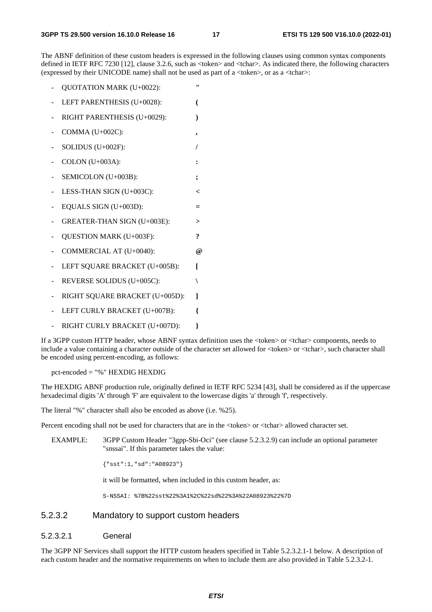The ABNF definition of these custom headers is expressed in the following clauses using common syntax components defined in IETF RFC 7230 [12], clause 3.2.6, such as <token> and <tchar>. As indicated there, the following characters (expressed by their UNICODE name) shall not be used as part of a  $\langle \text{token} \rangle$ , or as a  $\langle \text{tchar} \rangle$ :

- QUOTATION MARK (U+0022): **"**
- LEFT PARENTHESIS (U+0028): **(**
- RIGHT PARENTHESIS (U+0029): **)**
- COMMA (U+002C): **,**
- SOLIDUS (U+002F): **/**
- COLON (U+003A): **:**
- SEMICOLON (U+003B): **;**
- LESS-THAN SIGN (U+003C): **<**
- EQUALS SIGN (U+003D): **=**
- GREATER-THAN SIGN (U+003E): **>**
- OUESTION MARK (U+003F): **?**
- COMMERCIAL AT (U+0040): **@**
- LEFT SQUARE BRACKET (U+005B): **[**
- REVERSE SOLIDUS (U+005C): **\**
- RIGHT SQUARE BRACKET (U+005D): **]**
- LEFT CURLY BRACKET (U+007B): **{**
- RIGHT CURLY BRACKET (U+007D):  ${}$ }

If a 3GPP custom HTTP header, whose ABNF syntax definition uses the <token> or <tchar> components, needs to include a value containing a character outside of the character set allowed for  $\langle$ token> or  $\langle$ tchar>, such character shall be encoded using percent-encoding, as follows:

pct-encoded = "%" HEXDIG HEXDIG

The HEXDIG ABNF production rule, originally defined in IETF RFC 5234 [43], shall be considered as if the uppercase hexadecimal digits 'A' through 'F' are equivalent to the lowercase digits 'a' through 'f', respectively.

The literal "%" character shall also be encoded as above (i.e. %25).

Percent encoding shall not be used for characters that are in the <token> or <tchar> allowed character set.

EXAMPLE: 3GPP Custom Header "3gpp-Sbi-Oci" (see clause 5.2.3.2.9) can include an optional parameter "snssai". If this parameter takes the value:

{"sst":1,"sd":"A08923"}

it will be formatted, when included in this custom header, as:

S-NSSAI: %7B%22sst%22%3A1%2C%22sd%22%3A%22A08923%22%7D

### 5.2.3.2 Mandatory to support custom headers

#### 5.2.3.2.1 General

The 3GPP NF Services shall support the HTTP custom headers specified in Table 5.2.3.2.1-1 below. A description of each custom header and the normative requirements on when to include them are also provided in Table 5.2.3.2-1.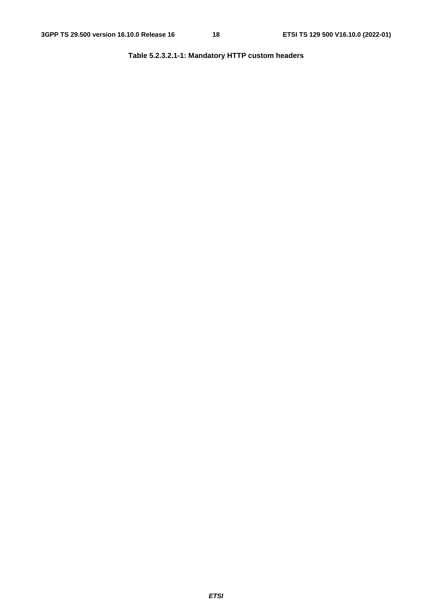### **Table 5.2.3.2.1-1: Mandatory HTTP custom headers**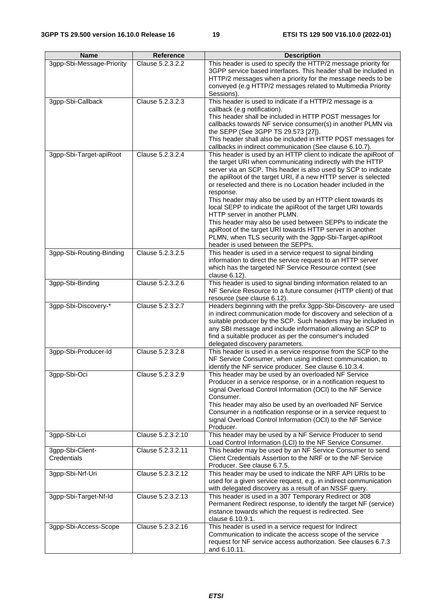| <b>Name</b>                     | Reference         | <b>Description</b>                                                                                                                                                                                                                                                                                                                                                                                                                                                                                                                                                                                                                                                                                                                         |
|---------------------------------|-------------------|--------------------------------------------------------------------------------------------------------------------------------------------------------------------------------------------------------------------------------------------------------------------------------------------------------------------------------------------------------------------------------------------------------------------------------------------------------------------------------------------------------------------------------------------------------------------------------------------------------------------------------------------------------------------------------------------------------------------------------------------|
| 3gpp-Sbi-Message-Priority       | Clause 5.2.3.2.2  | This header is used to specify the HTTP/2 message priority for<br>3GPP service based interfaces. This header shall be included in<br>HTTP/2 messages when a priority for the message needs to be<br>conveyed (e.g HTTP/2 messages related to Multimedia Priority<br>Sessions).                                                                                                                                                                                                                                                                                                                                                                                                                                                             |
| 3gpp-Sbi-Callback               | Clause 5.2.3.2.3  | This header is used to indicate if a HTTP/2 message is a<br>callback (e.g notification).<br>This header shall be included in HTTP POST messages for<br>callbacks towards NF service consumer(s) in another PLMN via<br>the SEPP (See 3GPP TS 29.573 [27]).<br>This header shall also be included in HTTP POST messages for<br>callbacks in indirect communication (See clause 6.10.7).                                                                                                                                                                                                                                                                                                                                                     |
| 3gpp-Sbi-Target-apiRoot         | Clause 5.2.3.2.4  | This header is used by an HTTP client to indicate the apiRoot of<br>the target URI when communicating indirectly with the HTTP<br>server via an SCP. This header is also used by SCP to indicate<br>the apiRoot of the target URI, if a new HTTP server is selected<br>or reselected and there is no Location header included in the<br>response.<br>This header may also be used by an HTTP client towards its<br>local SEPP to indicate the apiRoot of the target URI towards<br>HTTP server in another PLMN.<br>This header may also be used between SEPPs to indicate the<br>apiRoot of the target URI towards HTTP server in another<br>PLMN, when TLS security with the 3gpp-Sbi-Target-apiRoot<br>header is used between the SEPPs. |
| 3gpp-Sbi-Routing-Binding        | Clause 5.2.3.2.5  | This header is used in a service request to signal binding<br>information to direct the service request to an HTTP server<br>which has the targeted NF Service Resource context (see<br>clause 6.12).                                                                                                                                                                                                                                                                                                                                                                                                                                                                                                                                      |
| 3gpp-Sbi-Binding                | Clause 5.2.3.2.6  | This header is used to signal binding information related to an<br>NF Service Resource to a future consumer (HTTP client) of that<br>resource (see clause 6.12).                                                                                                                                                                                                                                                                                                                                                                                                                                                                                                                                                                           |
| 3gpp-Sbi-Discovery-*            | Clause 5.2.3.2.7  | Headers beginning with the prefix 3gpp-Sbi-Discovery- are used<br>in indirect communication mode for discovery and selection of a<br>suitable producer by the SCP. Such headers may be included in<br>any SBI message and include information allowing an SCP to<br>find a suitable producer as per the consumer's included<br>delegated discovery parameters.                                                                                                                                                                                                                                                                                                                                                                             |
| 3gpp-Sbi-Producer-Id            | Clause 5.2.3.2.8  | This header is used in a service response from the SCP to the<br>NF Service Consumer, when using indirect communication, to<br>identify the NF service producer. See clause 6.10.3.4.                                                                                                                                                                                                                                                                                                                                                                                                                                                                                                                                                      |
| 3gpp-Sbi-Oci                    | Clause 5.2.3.2.9  | This header may be used by an overloaded NF Service<br>Producer in a service response, or in a notification request to<br>signal Overload Control Information (OCI) to the NF Service<br>Consumer.<br>This header may also be used by an overloaded NF Service<br>Consumer in a notification response or in a service request to<br>signal Overload Control Information (OCI) to the NF Service<br>Producer.                                                                                                                                                                                                                                                                                                                               |
| 3gpp-Sbi-Lci                    | Clause 5.2.3.2.10 | This header may be used by a NF Service Producer to send<br>Load Control Information (LCI) to the NF Service Consumer.                                                                                                                                                                                                                                                                                                                                                                                                                                                                                                                                                                                                                     |
| 3gpp-Sbi-Client-<br>Credentials | Clause 5.2.3.2.11 | This header may be used by an NF Service Consumer to send<br>Client Credentials Assertion to the NRF or to the NF Service<br>Producer. See clause 6.7.5.                                                                                                                                                                                                                                                                                                                                                                                                                                                                                                                                                                                   |
| 3gpp-Sbi-Nrf-Uri                | Clause 5.2.3.2.12 | This header may be used to indicate the NRF API URIs to be<br>used for a given service request, e.g. in indirect communication<br>with delegated discovery as a result of an NSSF query.                                                                                                                                                                                                                                                                                                                                                                                                                                                                                                                                                   |
| 3gpp-Sbi-Target-Nf-Id           | Clause 5.2.3.2.13 | This header is used in a 307 Temporary Redirect or 308<br>Permanent Redirect response, to identify the target NF (service)<br>instance towards which the request is redirected. See<br>clause 6.10.9.1.                                                                                                                                                                                                                                                                                                                                                                                                                                                                                                                                    |
| 3gpp-Sbi-Access-Scope           | Clause 5.2.3.2.16 | This header is used in a service request for Indirect<br>Communication to indicate the access scope of the service<br>request for NF service access authorization. See clauses 6.7.3<br>and 6.10.11.                                                                                                                                                                                                                                                                                                                                                                                                                                                                                                                                       |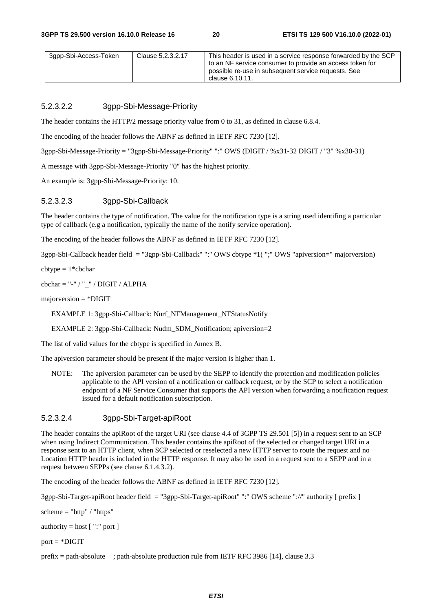| 3gpp-Sbi-Access-Token | Clause 5.2.3.2.17 | This header is used in a service response forwarded by the SCP                                                  |
|-----------------------|-------------------|-----------------------------------------------------------------------------------------------------------------|
|                       |                   | to an NF service consumer to provide an access token for<br>possible re-use in subsequent service requests. See |
|                       |                   | clause 6.10.11.                                                                                                 |

### 5.2.3.2.2 3gpp-Sbi-Message-Priority

The header contains the HTTP/2 message priority value from 0 to 31, as defined in clause 6.8.4.

The encoding of the header follows the ABNF as defined in IETF RFC 7230 [12].

3gpp-Sbi-Message-Priority = "3gpp-Sbi-Message-Priority" ":" OWS (DIGIT / %x31-32 DIGIT / "3" %x30-31)

A message with 3gpp-Sbi-Message-Priority "0" has the highest priority.

An example is: 3gpp-Sbi-Message-Priority: 10.

#### 5.2.3.2.3 3gpp-Sbi-Callback

The header contains the type of notification. The value for the notification type is a string used identifing a particular type of callback (e.g a notification, typically the name of the notify service operation).

The encoding of the header follows the ABNF as defined in IETF RFC 7230 [12].

3gpp-Sbi-Callback header field = "3gpp-Sbi-Callback" ":" OWS cbtype \*1( ";" OWS "apiversion=" majorversion)

 $cbtype = 1 *cbchar$ 

cbchar = "-" / " $'$  / DIGIT / ALPHA

majorversion = \*DIGIT

EXAMPLE 1: 3gpp-Sbi-Callback: Nnrf\_NFManagement\_NFStatusNotify

EXAMPLE 2: 3gpp-Sbi-Callback: Nudm\_SDM\_Notification; apiversion=2

The list of valid values for the cbtype is specified in Annex B.

The apiversion parameter should be present if the major version is higher than 1.

NOTE: The apiversion parameter can be used by the SEPP to identify the protection and modification policies applicable to the API version of a notification or callback request, or by the SCP to select a notification endpoint of a NF Service Consumer that supports the API version when forwarding a notification request issued for a default notification subscription.

### 5.2.3.2.4 3gpp-Sbi-Target-apiRoot

The header contains the apiRoot of the target URI (see clause 4.4 of 3GPP TS 29.501 [5]) in a request sent to an SCP when using Indirect Communication. This header contains the apiRoot of the selected or changed target URI in a response sent to an HTTP client, when SCP selected or reselected a new HTTP server to route the request and no Location HTTP header is included in the HTTP response. It may also be used in a request sent to a SEPP and in a request between SEPPs (see clause 6.1.4.3.2).

The encoding of the header follows the ABNF as defined in IETF RFC 7230 [12].

3gpp-Sbi-Target-apiRoot header field = "3gpp-Sbi-Target-apiRoot" ":" OWS scheme "://" authority [ prefix ]

scheme  $=$  "http" / "https"

authority  $=$  host  $[$  ":" port  $]$ 

 $port = *DIGHT$ 

prefix = path-absolute ; path-absolute production rule from IETF RFC 3986 [14], clause 3.3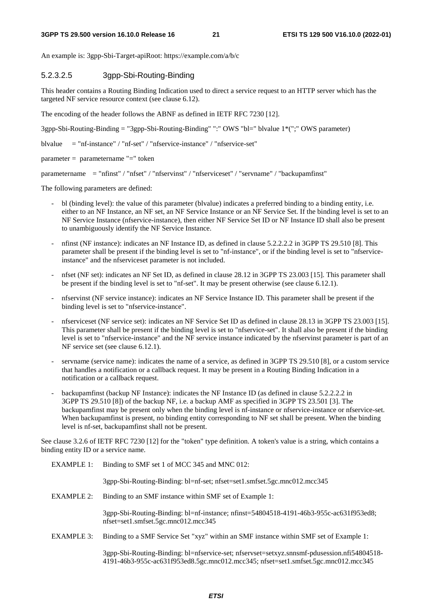An example is: 3gpp-Sbi-Target-apiRoot: https://example.com/a/b/c

### 5.2.3.2.5 3gpp-Sbi-Routing-Binding

This header contains a Routing Binding Indication used to direct a service request to an HTTP server which has the targeted NF service resource context (see clause 6.12).

The encoding of the header follows the ABNF as defined in IETF RFC 7230 [12].

3gpp-Sbi-Routing-Binding = "3gpp-Sbi-Routing-Binding" ":" OWS "bl=" blvalue 1\*(";" OWS parameter)

blvalue  $=$  "nf-instance" / "nf-set" / "nfservice-instance" / "nfservice-set"

parameter = parametername "=" token

parametername = "nfinst" / "nfset" / "nfservinst" / "nfserviceset" / "servname" / "backupamfinst"

The following parameters are defined:

- bl (binding level): the value of this parameter (blvalue) indicates a preferred binding to a binding entity, i.e. either to an NF Instance, an NF set, an NF Service Instance or an NF Service Set. If the binding level is set to an NF Service Instance (nfservice-instance), then either NF Service Set ID or NF Instance ID shall also be present to unambiguously identify the NF Service Instance.
- nfinst (NF instance): indicates an NF Instance ID, as defined in clause 5.2.2.2.2 in 3GPP TS 29.510 [8]. This parameter shall be present if the binding level is set to "nf-instance", or if the binding level is set to "nfserviceinstance" and the nfserviceset parameter is not included.
- nfset (NF set): indicates an NF Set ID, as defined in clause 28.12 in 3GPP TS 23.003 [15]. This parameter shall be present if the binding level is set to "nf-set". It may be present otherwise (see clause 6.12.1).
- nfservinst (NF service instance): indicates an NF Service Instance ID. This parameter shall be present if the binding level is set to "nfservice-instance".
- nfserviceset (NF service set): indicates an NF Service Set ID as defined in clause 28.13 in 3GPP TS 23.003 [15]. This parameter shall be present if the binding level is set to "nfservice-set". It shall also be present if the binding level is set to "nfservice-instance" and the NF service instance indicated by the nfservinst parameter is part of an NF service set (see clause 6.12.1).
- servname (service name): indicates the name of a service, as defined in 3GPP TS 29.510 [8], or a custom service that handles a notification or a callback request. It may be present in a Routing Binding Indication in a notification or a callback request.
- backupamfinst (backup NF Instance): indicates the NF Instance ID (as defined in clause 5.2.2.2.2 in 3GPP TS 29.510 [8]) of the backup NF, i.e. a backup AMF as specified in 3GPP TS 23.501 [3]. The backupamfinst may be present only when the binding level is nf-instance or nfservice-instance or nfservice-set. When backupamfinst is present, no binding entity corresponding to NF set shall be present. When the binding level is nf-set, backupamfinst shall not be present.

See clause 3.2.6 of IETF RFC 7230 [12] for the "token" type definition. A token's value is a string, which contains a binding entity ID or a service name.

EXAMPLE 1: Binding to SMF set 1 of MCC 345 and MNC 012:

3gpp-Sbi-Routing-Binding: bl=nf-set; nfset=set1.smfset.5gc.mnc012.mcc345

EXAMPLE 2: Binding to an SMF instance within SMF set of Example 1:

3gpp-Sbi-Routing-Binding: bl=nf-instance; nfinst=54804518-4191-46b3-955c-ac631f953ed8; nfset=set1.smfset.5gc.mnc012.mcc345

EXAMPLE 3: Binding to a SMF Service Set "xyz" within an SMF instance within SMF set of Example 1:

3gpp-Sbi-Routing-Binding: bl=nfservice-set; nfservset=setxyz.snnsmf-pdusession.nfi54804518- 4191-46b3-955c-ac631f953ed8.5gc.mnc012.mcc345; nfset=set1.smfset.5gc.mnc012.mcc345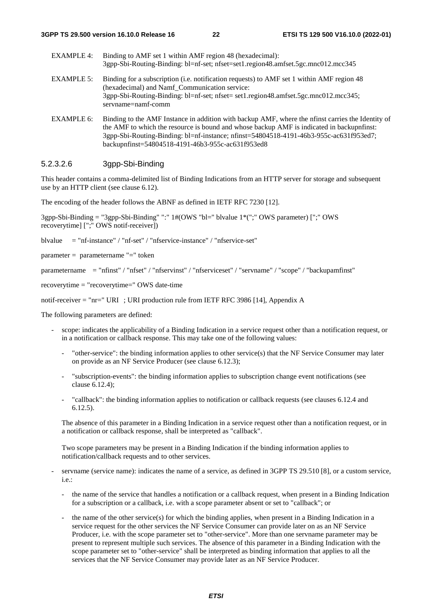| EXAMPLE 4: | Binding to AMF set 1 within AMF region 48 (hexadecimal):<br>3gpp-Sbi-Routing-Binding: bl=nf-set; nfset=set1.region48.amfset.5gc.mnc012.mcc345 |
|------------|-----------------------------------------------------------------------------------------------------------------------------------------------|
| EXAMPLE 5: | Binding for a subscription (i.e. notification requests) to AMF set 1 within AMF region 48<br>(hexadecimal) and Namf Communication service:    |

3gpp-Sbi-Routing-Binding: bl=nf-set; nfset= set1.region48.amfset.5gc.mnc012.mcc345; servname=namf-comm

EXAMPLE 6: Binding to the AMF Instance in addition with backup AMF, where the nfinst carries the Identity of the AMF to which the resource is bound and whose backup AMF is indicated in backupnfinst: 3gpp-Sbi-Routing-Binding: bl=nf-instance; nfinst=54804518-4191-46b3-955c-ac631f953ed7; backupnfinst=54804518-4191-46b3-955c-ac631f953ed8

### 5.2.3.2.6 3gpp-Sbi-Binding

This header contains a comma-delimited list of Binding Indications from an HTTP server for storage and subsequent use by an HTTP client (see clause 6.12).

The encoding of the header follows the ABNF as defined in IETF RFC 7230 [12].

3gpp-Sbi-Binding = "3gpp-Sbi-Binding" ":" 1#(OWS "bl=" blvalue 1\*(";" OWS parameter) [";" OWS recoverytime] [";" OWS notif-receiver])

blvalue = "nf-instance" / "nf-set" / "nfservice-instance" / "nfservice-set"

parameter = parametername "=" token

parametername = "nfinst" / "nfset" / "nfservinst" / "nfserviceset" / "servname" / "scope" / "backupamfinst"

recoverytime = "recoverytime=" OWS date-time

notif-receiver = "nr=" URI ; URI production rule from IETF RFC 3986 [14], Appendix A

The following parameters are defined:

- scope: indicates the applicability of a Binding Indication in a service request other than a notification request, or in a notification or callback response. This may take one of the following values:
	- "other-service": the binding information applies to other service(s) that the NF Service Consumer may later on provide as an NF Service Producer (see clause 6.12.3);
	- "subscription-events": the binding information applies to subscription change event notifications (see clause 6.12.4);
	- "callback": the binding information applies to notification or callback requests (see clauses 6.12.4 and 6.12.5).

The absence of this parameter in a Binding Indication in a service request other than a notification request, or in a notification or callback response, shall be interpreted as "callback".

Two scope parameters may be present in a Binding Indication if the binding information applies to notification/callback requests and to other services.

- servname (service name): indicates the name of a service, as defined in 3GPP TS 29.510 [8], or a custom service, i.e.:
	- the name of the service that handles a notification or a callback request, when present in a Binding Indication for a subscription or a callback, i.e. with a scope parameter absent or set to "callback"; or
	- the name of the other service(s) for which the binding applies, when present in a Binding Indication in a service request for the other services the NF Service Consumer can provide later on as an NF Service Producer, i.e. with the scope parameter set to "other-service". More than one servname parameter may be present to represent multiple such services. The absence of this parameter in a Binding Indication with the scope parameter set to "other-service" shall be interpreted as binding information that applies to all the services that the NF Service Consumer may provide later as an NF Service Producer.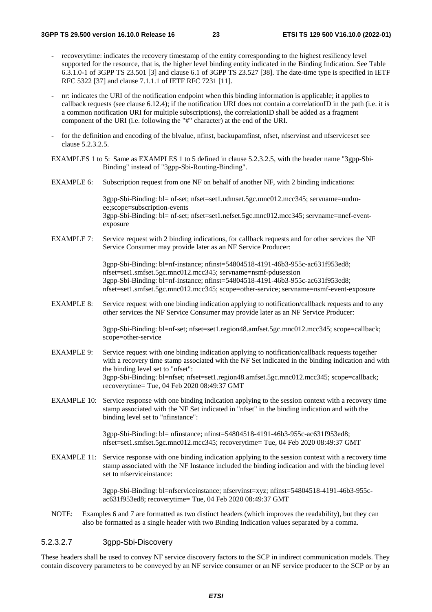- recoverytime: indicates the recovery timestamp of the entity corresponding to the highest resiliency level supported for the resource, that is, the higher level binding entity indicated in the Binding Indication. See Table 6.3.1.0-1 of 3GPP TS 23.501 [3] and clause 6.1 of 3GPP TS 23.527 [38]. The date-time type is specified in IETF RFC 5322 [37] and clause 7.1.1.1 of IETF RFC 7231 [11].
- nr: indicates the URI of the notification endpoint when this binding information is applicable; it applies to callback requests (see clause 6.12.4); if the notification URI does not contain a correlationID in the path (i.e. it is a common notification URI for multiple subscriptions), the correlationID shall be added as a fragment component of the URI (i.e. following the "#" character) at the end of the URI.
- for the definition and encoding of the blvalue, nfinst, backupamfinst, nfset, nfservinst and nfserviceset see clause 5.2.3.2.5.
- EXAMPLES 1 to 5: Same as EXAMPLES 1 to 5 defined in clause 5.2.3.2.5, with the header name "3gpp-Sbi-Binding" instead of "3gpp-Sbi-Routing-Binding".
- EXAMPLE 6: Subscription request from one NF on behalf of another NF, with 2 binding indications:

3gpp-Sbi-Binding: bl= nf-set; nfset=set1.udmset.5gc.mnc012.mcc345; servname=nudmee;scope=subscription-events 3gpp-Sbi-Binding: bl= nf-set; nfset=set1.nefset.5gc.mnc012.mcc345; servname=nnef-eventexposure

EXAMPLE 7: Service request with 2 binding indications, for callback requests and for other services the NF Service Consumer may provide later as an NF Service Producer:

> 3gpp-Sbi-Binding: bl=nf-instance; nfinst=54804518-4191-46b3-955c-ac631f953ed8; nfset=set1.smfset.5gc.mnc012.mcc345; servname=nsmf-pdusession 3gpp-Sbi-Binding: bl=nf-instance; nfinst=54804518-4191-46b3-955c-ac631f953ed8; nfset=set1.smfset.5gc.mnc012.mcc345; scope=other-service; servname=nsmf-event-exposure

EXAMPLE 8: Service request with one binding indication applying to notification/callback requests and to any other services the NF Service Consumer may provide later as an NF Service Producer:

> 3gpp-Sbi-Binding: bl=nf-set; nfset=set1.region48.amfset.5gc.mnc012.mcc345; scope=callback; scope=other-service

- EXAMPLE 9: Service request with one binding indication applying to notification/callback requests together with a recovery time stamp associated with the NF Set indicated in the binding indication and with the binding level set to "nfset": 3gpp-Sbi-Binding: bl=nfset; nfset=set1.region48.amfset.5gc.mnc012.mcc345; scope=callback; recoverytime= Tue, 04 Feb 2020 08:49:37 GMT
- EXAMPLE 10: Service response with one binding indication applying to the session context with a recovery time stamp associated with the NF Set indicated in "nfset" in the binding indication and with the binding level set to "nfinstance":

3gpp-Sbi-Binding: bl= nfinstance; nfinst=54804518-4191-46b3-955c-ac631f953ed8; nfset=set1.smfset.5gc.mnc012.mcc345; recoverytime= Tue, 04 Feb 2020 08:49:37 GMT

EXAMPLE 11: Service response with one binding indication applying to the session context with a recovery time stamp associated with the NF Instance included the binding indication and with the binding level set to nfserviceinstance:

> 3gpp-Sbi-Binding: bl=nfserviceinstance; nfservinst=xyz; nfinst=54804518-4191-46b3-955cac631f953ed8; recoverytime= Tue, 04 Feb 2020 08:49:37 GMT

NOTE: Examples 6 and 7 are formatted as two distinct headers (which improves the readability), but they can also be formatted as a single header with two Binding Indication values separated by a comma.

### 5.2.3.2.7 3gpp-Sbi-Discovery

These headers shall be used to convey NF service discovery factors to the SCP in indirect communication models. They contain discovery parameters to be conveyed by an NF service consumer or an NF service producer to the SCP or by an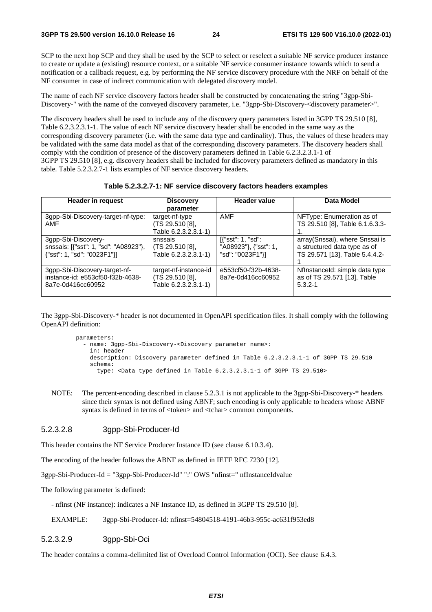SCP to the next hop SCP and they shall be used by the SCP to select or reselect a suitable NF service producer instance to create or update a (existing) resource context, or a suitable NF service consumer instance towards which to send a notification or a callback request, e.g. by performing the NF service discovery procedure with the NRF on behalf of the NF consumer in case of indirect communication with delegated discovery model.

The name of each NF service discovery factors header shall be constructed by concatenating the string "3gpp-Sbi-Discovery-" with the name of the conveyed discovery parameter, i.e. "3gpp-Sbi-Discovery-<discovery parameter>".

The discovery headers shall be used to include any of the discovery query parameters listed in 3GPP TS 29.510 [8], Table 6.2.3.2.3.1-1. The value of each NF service discovery header shall be encoded in the same way as the corresponding discovery parameter (i.e. with the same data type and cardinality). Thus, the values of these headers may be validated with the same data model as that of the corresponding discovery parameters. The discovery headers shall comply with the condition of presence of the discovery parameters defined in Table 6.2.3.2.3.1-1 of 3GPP TS 29.510 [8], e.g. discovery headers shall be included for discovery parameters defined as mandatory in this table. Table 5.2.3.2.7-1 lists examples of NF service discovery headers.

**Table 5.2.3.2.7-1: NF service discovery factors headers examples** 

| <b>Header in request</b><br><b>Discovery</b><br>parameter                                   |                                                                  | <b>Header value</b>                                            | Data Model                                                                                       |  |  |
|---------------------------------------------------------------------------------------------|------------------------------------------------------------------|----------------------------------------------------------------|--------------------------------------------------------------------------------------------------|--|--|
| 3gpp-Sbi-Discovery-target-nf-type:<br>AMF                                                   | target-nf-type<br>(TS 29.510 [8],<br>Fable 6.2.3.2.3.1-1)        | <b>AMF</b>                                                     | NFType: Enumeration as of<br>TS 29.510 [8], Table 6.1.6.3.3-                                     |  |  |
| 3gpp-Sbi-Discovery-<br>snssais: [{"sst": 1, "sd": "A08923"},<br>{"sst": 1, "sd": "0023F1"}] | snssais<br>(TS 29.510 [8],<br>Fable 6.2.3.2.3.1-1)               | [{"sst": 1, "sd":<br>"A08923"}, {"sst": 1,<br>"sd": "0023F1"}] | array(Snssai), where Snssai is<br>a structured data type as of<br>TS 29.571 [13], Table 5.4.4.2- |  |  |
| 3gpp-Sbi-Discovery-target-nf-<br>instance-id: e553cf50-f32b-4638-<br>8a7e-0d416cc60952      | target-nf-instance-id<br>(TS 29.510 [8],<br>Table 6.2.3.2.3.1-1) | e553cf50-f32b-4638-<br>8a7e-0d416cc60952                       | Nflnstanceld: simple data type<br>as of TS 29.571 [13], Table<br>$5.3.2 - 1$                     |  |  |

The 3gpp-Sbi-Discovery-\* header is not documented in OpenAPI specification files. It shall comply with the following OpenAPI definition:

 parameters: - name: 3gpp-Sbi-Discovery-<Discovery parameter name>: in: header description: Discovery parameter defined in Table 6.2.3.2.3.1-1 of 3GPP TS 29.510 schema: type: <Data type defined in Table 6.2.3.2.3.1-1 of 3GPP TS 29.510>

NOTE: The percent-encoding described in clause 5.2.3.1 is not applicable to the 3gpp-Sbi-Discovery-\* headers since their syntax is not defined using ABNF; such encoding is only applicable to headers whose ABNF syntax is defined in terms of **token> and**  $$ **tchar> common components.** 

#### 5.2.3.2.8 3gpp-Sbi-Producer-Id

This header contains the NF Service Producer Instance ID (see clause 6.10.3.4).

The encoding of the header follows the ABNF as defined in IETF RFC 7230 [12].

3gpp-Sbi-Producer-Id = "3gpp-Sbi-Producer-Id" ":" OWS "nfinst=" nfInstanceIdvalue

The following parameter is defined:

- nfinst (NF instance): indicates a NF Instance ID, as defined in 3GPP TS 29.510 [8].

EXAMPLE: 3gpp-Sbi-Producer-Id: nfinst=54804518-4191-46b3-955c-ac631f953ed8

5.2.3.2.9 3gpp-Sbi-Oci

The header contains a comma-delimited list of Overload Control Information (OCI). See clause 6.4.3.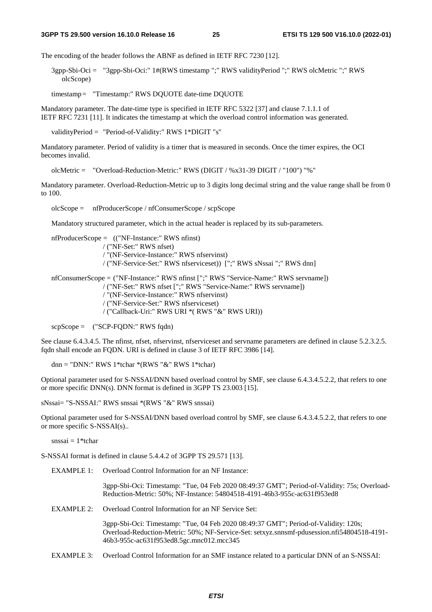The encoding of the header follows the ABNF as defined in IETF RFC 7230 [12].

3gpp-Sbi-Oci = "3gpp-Sbi-Oci:" 1#(RWS timestamp ";" RWS validityPeriod ";" RWS olcMetric ";" RWS olcScope)

timestamp = "Timestamp:" RWS DQUOTE date-time DQUOTE

Mandatory parameter. The date-time type is specified in IETF RFC 5322 [37] and clause 7.1.1.1 of IETF RFC 7231 [11]. It indicates the timestamp at which the overload control information was generated.

validityPeriod = "Period-of-Validity:" RWS 1\*DIGIT "s"

Mandatory parameter. Period of validity is a timer that is measured in seconds. Once the timer expires, the OCI becomes invalid.

olcMetric = "Overload-Reduction-Metric:" RWS (DIGIT / %x31-39 DIGIT / "100") "%"

Mandatory parameter. Overload-Reduction-Metric up to 3 digits long decimal string and the value range shall be from 0 to 100.

olcScope = nfProducerScope / nfConsumerScope / scpScope

Mandatory structured parameter, which in the actual header is replaced by its sub-parameters.

```
nfProducerScope = (("NF-Instance:" RWS nfinst) 
                / ("NF-Set:" RWS nfset) 
                / "(NF-Service-Instance:" RWS nfservinst) 
                / ("NF-Service-Set:" RWS nfserviceset)) [";" RWS sNssai ";" RWS dnn] 
nfConsumerScope = ("NF-Instance:" RWS nfinst [";" RWS "Service-Name:" RWS servname]) 
                / ("NF-Set:" RWS nfset [";" RWS "Service-Name:" RWS servname]) 
                / "(NF-Service-Instance:" RWS nfservinst) 
                / ("NF-Service-Set:" RWS nfserviceset) 
                / ("Callback-Uri:" RWS URI *( RWS "&" RWS URI)) 
scpScope = ("SCP-FQDN:" RWS fqdn)
```
See clause 6.4.3.4.5. The nfinst, nfset, nfservinst, nfserviceset and servname parameters are defined in clause 5.2.3.2.5. fqdn shall encode an FQDN. URI is defined in clause 3 of IETF RFC 3986 [14].

dnn = "DNN:" RWS 1\*tchar \*(RWS "&" RWS 1\*tchar)

Optional parameter used for S-NSSAI/DNN based overload control by SMF, see clause 6.4.3.4.5.2.2, that refers to one or more specific DNN(s). DNN format is defined in 3GPP TS 23.003 [15].

sNssai= "S-NSSAI:" RWS snssai \*(RWS "&" RWS snssai)

Optional parameter used for S-NSSAI/DNN based overload control by SMF, see clause 6.4.3.4.5.2.2, that refers to one or more specific S-NSSAI(s)..

 $s$ nssai = 1\*tchar

S-NSSAI format is defined in clause 5.4.4.2 of 3GPP TS 29.571 [13].

EXAMPLE 1: Overload Control Information for an NF Instance:

3gpp-Sbi-Oci: Timestamp: "Tue, 04 Feb 2020 08:49:37 GMT"; Period-of-Validity: 75s; Overload-Reduction-Metric: 50%; NF-Instance: 54804518-4191-46b3-955c-ac631f953ed8

EXAMPLE 2: Overload Control Information for an NF Service Set:

3gpp-Sbi-Oci: Timestamp: "Tue, 04 Feb 2020 08:49:37 GMT"; Period-of-Validity: 120s; Overload-Reduction-Metric: 50%; NF-Service-Set: setxyz.snnsmf-pdusession.nfi54804518-4191- 46b3-955c-ac631f953ed8.5gc.mnc012.mcc345

EXAMPLE 3: Overload Control Information for an SMF instance related to a particular DNN of an S-NSSAI: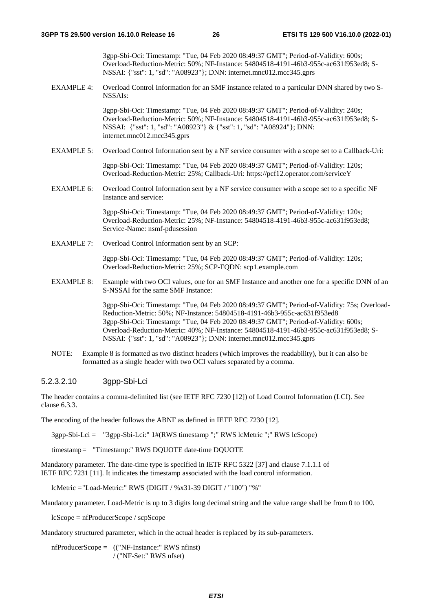3gpp-Sbi-Oci: Timestamp: "Tue, 04 Feb 2020 08:49:37 GMT"; Period-of-Validity: 600s; Overload-Reduction-Metric: 50%; NF-Instance: 54804518-4191-46b3-955c-ac631f953ed8; S-NSSAI: {"sst": 1, "sd": "A08923"}; DNN: internet.mnc012.mcc345.gprs

EXAMPLE 4: Overload Control Information for an SMF instance related to a particular DNN shared by two S-NSSAIs:

> 3gpp-Sbi-Oci: Timestamp: "Tue, 04 Feb 2020 08:49:37 GMT"; Period-of-Validity: 240s; Overload-Reduction-Metric: 50%; NF-Instance: 54804518-4191-46b3-955c-ac631f953ed8; S-NSSAI: {"sst": 1, "sd": "A08923"} & {"sst": 1, "sd": "A08924"}; DNN: internet.mnc012.mcc345.gprs

EXAMPLE 5: Overload Control Information sent by a NF service consumer with a scope set to a Callback-Uri:

3gpp-Sbi-Oci: Timestamp: "Tue, 04 Feb 2020 08:49:37 GMT"; Period-of-Validity: 120s; Overload-Reduction-Metric: 25%; Callback-Uri: https://pcf12.operator.com/serviceY

EXAMPLE 6: Overload Control Information sent by a NF service consumer with a scope set to a specific NF Instance and service:

> 3gpp-Sbi-Oci: Timestamp: "Tue, 04 Feb 2020 08:49:37 GMT"; Period-of-Validity: 120s; Overload-Reduction-Metric: 25%; NF-Instance: 54804518-4191-46b3-955c-ac631f953ed8; Service-Name: nsmf-pdusession

EXAMPLE 7: Overload Control Information sent by an SCP:

3gpp-Sbi-Oci: Timestamp: "Tue, 04 Feb 2020 08:49:37 GMT"; Period-of-Validity: 120s; Overload-Reduction-Metric: 25%; SCP-FQDN: scp1.example.com

EXAMPLE 8: Example with two OCI values, one for an SMF Instance and another one for a specific DNN of an S-NSSAI for the same SMF Instance:

> 3gpp-Sbi-Oci: Timestamp: "Tue, 04 Feb 2020 08:49:37 GMT"; Period-of-Validity: 75s; Overload-Reduction-Metric: 50%; NF-Instance: 54804518-4191-46b3-955c-ac631f953ed8 3gpp-Sbi-Oci: Timestamp: "Tue, 04 Feb 2020 08:49:37 GMT"; Period-of-Validity: 600s; Overload-Reduction-Metric: 40%; NF-Instance: 54804518-4191-46b3-955c-ac631f953ed8; S-NSSAI: {"sst": 1, "sd": "A08923"}; DNN: internet.mnc012.mcc345.gprs

NOTE: Example 8 is formatted as two distinct headers (which improves the readability), but it can also be formatted as a single header with two OCI values separated by a comma.

### 5.2.3.2.10 3gpp-Sbi-Lci

The header contains a comma-delimited list (see IETF RFC 7230 [12]) of Load Control Information (LCI). See clause 6.3.3.

The encoding of the header follows the ABNF as defined in IETF RFC 7230 [12].

3gpp-Sbi-Lci = "3gpp-Sbi-Lci:" 1#(RWS timestamp ";" RWS lcMetric ";" RWS lcScope)

timestamp = "Timestamp:" RWS DQUOTE date-time DQUOTE

Mandatory parameter. The date-time type is specified in IETF RFC 5322 [37] and clause 7.1.1.1 of IETF RFC 7231 [11]. It indicates the timestamp associated with the load control information.

lcMetric = "Load-Metric:" RWS (DIGIT / %x31-39 DIGIT / "100") "%"

Mandatory parameter. Load-Metric is up to 3 digits long decimal string and the value range shall be from 0 to 100.

lcScope = nfProducerScope / scpScope

Mandatory structured parameter, which in the actual header is replaced by its sub-parameters.

nfProducerScope = (("NF-Instance:" RWS nfinst) / ("NF-Set:" RWS nfset)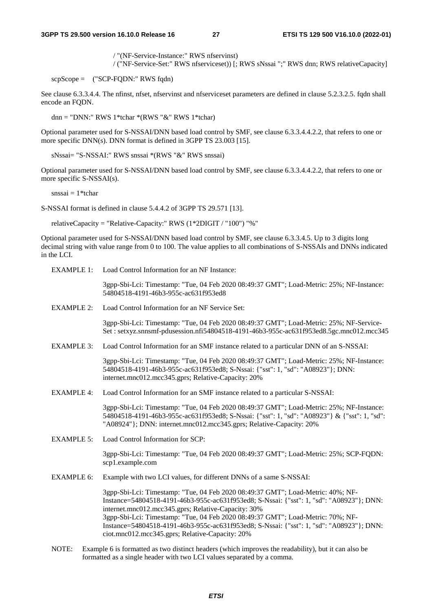/ "(NF-Service-Instance:" RWS nfservinst)

/ ("NF-Service-Set:" RWS nfserviceset)) [; RWS sNssai ";" RWS dnn; RWS relativeCapacity]

 $scpScore =$  ("SCP-FODN:" RWS fadn)

See clause 6.3.3.4.4. The nfinst, nfset, nfservinst and nfserviceset parameters are defined in clause 5.2.3.2.5. fqdn shall encode an FODN.

dnn = "DNN:" RWS 1\*tchar \*(RWS " $&$ " RWS 1\*tchar)

Optional parameter used for S-NSSAI/DNN based load control by SMF, see clause 6.3.3.4.4.2.2, that refers to one or more specific DNN(s). DNN format is defined in 3GPP TS 23.003 [15].

sNssai= "S-NSSAI:" RWS snssai \*(RWS "&" RWS snssai)

Optional parameter used for S-NSSAI/DNN based load control by SMF, see clause 6.3.3.4.4.2.2, that refers to one or more specific S-NSSAI(s).

 $s$ nssai = 1\*tchar

S-NSSAI format is defined in clause 5.4.4.2 of 3GPP TS 29.571 [13].

relativeCapacity = "Relative-Capacity:" RWS (1\*2DIGIT / "100") "%"

Optional parameter used for S-NSSAI/DNN based load control by SMF, see clause 6.3.3.4.5. Up to 3 digits long decimal string with value range from 0 to 100. The value applies to all combinations of S-NSSAIs and DNNs indicated in the LCI.

EXAMPLE 1: Load Control Information for an NF Instance:

3gpp-Sbi-Lci: Timestamp: "Tue, 04 Feb 2020 08:49:37 GMT"; Load-Metric: 25%; NF-Instance: 54804518-4191-46b3-955c-ac631f953ed8

EXAMPLE 2: Load Control Information for an NF Service Set:

3gpp-Sbi-Lci: Timestamp: "Tue, 04 Feb 2020 08:49:37 GMT"; Load-Metric: 25%; NF-Service-Set : setxyz.snnsmf-pdusession.nfi54804518-4191-46b3-955c-ac631f953ed8.5gc.mnc012.mcc345

EXAMPLE 3: Load Control Information for an SMF instance related to a particular DNN of an S-NSSAI:

3gpp-Sbi-Lci: Timestamp: "Tue, 04 Feb 2020 08:49:37 GMT"; Load-Metric: 25%; NF-Instance: 54804518-4191-46b3-955c-ac631f953ed8; S-Nssai: {"sst": 1, "sd": "A08923"}; DNN: internet.mnc012.mcc345.gprs; Relative-Capacity: 20%

EXAMPLE 4: Load Control Information for an SMF instance related to a particular S-NSSAI:

3gpp-Sbi-Lci: Timestamp: "Tue, 04 Feb 2020 08:49:37 GMT"; Load-Metric: 25%; NF-Instance: 54804518-4191-46b3-955c-ac631f953ed8; S-Nssai: {"sst": 1, "sd": "A08923"} & {"sst": 1, "sd": "A08924"}; DNN: internet.mnc012.mcc345.gprs; Relative-Capacity: 20%

EXAMPLE 5: Load Control Information for SCP:

3gpp-Sbi-Lci: Timestamp: "Tue, 04 Feb 2020 08:49:37 GMT"; Load-Metric: 25%; SCP-FQDN: scp1.example.com

EXAMPLE 6: Example with two LCI values, for different DNNs of a same S-NSSAI:

3gpp-Sbi-Lci: Timestamp: "Tue, 04 Feb 2020 08:49:37 GMT"; Load-Metric: 40%; NF-Instance=54804518-4191-46b3-955c-ac631f953ed8; S-Nssai: {"sst": 1, "sd": "A08923"}; DNN: internet.mnc012.mcc345.gprs; Relative-Capacity: 30% 3gpp-Sbi-Lci: Timestamp: "Tue, 04 Feb 2020 08:49:37 GMT"; Load-Metric: 70%; NF-Instance=54804518-4191-46b3-955c-ac631f953ed8; S-Nssai: {"sst": 1, "sd": "A08923"}; DNN: ciot.mnc012.mcc345.gprs; Relative-Capacity: 20%

NOTE: Example 6 is formatted as two distinct headers (which improves the readability), but it can also be formatted as a single header with two LCI values separated by a comma.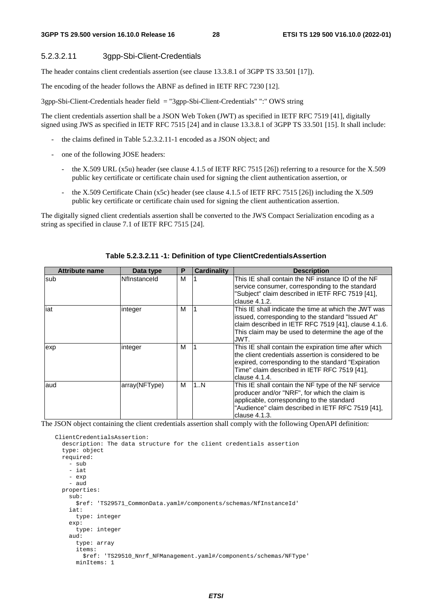### 5.2.3.2.11 3gpp-Sbi-Client-Credentials

The header contains client credentials assertion (see clause 13.3.8.1 of 3GPP TS 33.501 [17]).

The encoding of the header follows the ABNF as defined in IETF RFC 7230 [12].

3gpp-Sbi-Client-Credentials header field = "3gpp-Sbi-Client-Credentials" ":" OWS string

The client credentials assertion shall be a JSON Web Token (JWT) as specified in IETF RFC 7519 [41], digitally signed using JWS as specified in IETF RFC 7515 [24] and in clause 13.3.8.1 of 3GPP TS 33.501 [15]. It shall include:

- the claims defined in Table 5.2.3.2.11-1 encoded as a JSON object; and
- one of the following JOSE headers:
	- the X.509 URL (x5u) header (see clause 4.1.5 of IETF RFC 7515 [26]) referring to a resource for the X.509 public key certificate or certificate chain used for signing the client authentication assertion, or
	- the X.509 Certificate Chain (x5c) header (see clause 4.1.5 of IETF RFC 7515 [26]) including the X.509 public key certificate or certificate chain used for signing the client authentication assertion.

The digitally signed client credentials assertion shall be converted to the JWS Compact Serialization encoding as a string as specified in clause 7.1 of IETF RFC 7515 [24].

| <b>Attribute name</b> | Data type     | P | <b>Cardinality</b> | <b>Description</b>                                                                                                                                                                                                                    |
|-----------------------|---------------|---|--------------------|---------------------------------------------------------------------------------------------------------------------------------------------------------------------------------------------------------------------------------------|
| lsub                  | Nflnstanceld  | М |                    | This IE shall contain the NF instance ID of the NF<br>service consumer, corresponding to the standard<br>"Subject" claim described in IETF RFC 7519 [41],<br>clause 4.1.2.                                                            |
| iat                   | integer       | М |                    | This IE shall indicate the time at which the JWT was<br>issued, corresponding to the standard "Issued At"<br>claim described in IETF RFC 7519 [41], clause 4.1.6.<br>This claim may be used to determine the age of the<br>JWT.       |
| exp                   | integer       | М |                    | This IE shall contain the expiration time after which<br>the client credentials assertion is considered to be<br>expired, corresponding to the standard "Expiration"<br>Time" claim described in IETF RFC 7519 [41],<br>clause 4.1.4. |
| aud                   | array(NFType) | м | 1N                 | This IE shall contain the NF type of the NF service<br>producer and/or "NRF", for which the claim is<br>applicable, corresponding to the standard<br>"Audience" claim described in IETF RFC 7519 [41],<br>clause 4.1.3.               |

#### **Table 5.2.3.2.11 -1: Definition of type ClientCredentialsAssertion**

The JSON object containing the client credentials assertion shall comply with the following OpenAPI definition:

```
 ClientCredentialsAssertion: 
   description: The data structure for the client credentials assertion 
   type: object 
   required: 
     - sub 
     - iat 
     - exp 
     - aud 
   properties: 
     sub: 
       $ref: 'TS29571_CommonData.yaml#/components/schemas/NfInstanceId' 
     iat: 
       type: integer 
     exp: 
       type: integer 
     aud: 
       type: array 
       items: 
          $ref: 'TS29510_Nnrf_NFManagement.yaml#/components/schemas/NFType' 
       minItems: 1
```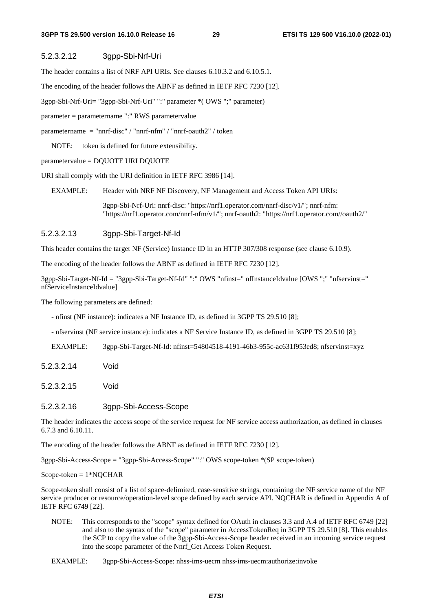### 5.2.3.2.12 3gpp-Sbi-Nrf-Uri

The header contains a list of NRF API URIs. See clauses 6.10.3.2 and 6.10.5.1.

The encoding of the header follows the ABNF as defined in IETF RFC 7230 [12].

3gpp-Sbi-Nrf-Uri= "3gpp-Sbi-Nrf-Uri" ":" parameter \*( OWS ";" parameter)

parameter = parametername ":" RWS parametervalue

parametername = "nnrf-disc" / "nnrf-nfm" / "nnrf-oauth2" / token

NOTE: token is defined for future extensibility.

parametervalue = DQUOTE URI DQUOTE

URI shall comply with the URI definition in IETF RFC 3986 [14].

EXAMPLE: Header with NRF NF Discovery, NF Management and Access Token API URIs:

3gpp-Sbi-Nrf-Uri: nnrf-disc: "https://nrf1.operator.com/nnrf-disc/v1/"; nnrf-nfm: "https://nrf1.operator.com/nnrf-nfm/v1/"; nnrf-oauth2: "https://nrf1.operator.com//oauth2/"

### 5.2.3.2.13 3gpp-Sbi-Target-Nf-Id

This header contains the target NF (Service) Instance ID in an HTTP 307/308 response (see clause 6.10.9).

The encoding of the header follows the ABNF as defined in IETF RFC 7230 [12].

3gpp-Sbi-Target-Nf-Id = "3gpp-Sbi-Target-Nf-Id" ":" OWS "nfinst=" nfInstanceIdvalue [OWS ";" "nfservinst=" nfServiceInstanceIdvalue]

The following parameters are defined:

- nfinst (NF instance): indicates a NF Instance ID, as defined in 3GPP TS 29.510 [8];
- nfservinst (NF service instance): indicates a NF Service Instance ID, as defined in 3GPP TS 29.510 [8];

EXAMPLE: 3gpp-Sbi-Target-Nf-Id: nfinst=54804518-4191-46b3-955c-ac631f953ed8; nfservinst=xyz

- 5.2.3.2.14 Void
- 5.2.3.2.15 Void

#### 5.2.3.2.16 3gpp-Sbi-Access-Scope

The header indicates the access scope of the service request for NF service access authorization, as defined in clauses 6.7.3 and 6.10.11.

The encoding of the header follows the ABNF as defined in IETF RFC 7230 [12].

3gpp-Sbi-Access-Scope = "3gpp-Sbi-Access-Scope" ":" OWS scope-token \*(SP scope-token)

 $Scope-token = 1*NQCHAR$ 

Scope-token shall consist of a list of space-delimited, case-sensitive strings, containing the NF service name of the NF service producer or resource/operation-level scope defined by each service API. NQCHAR is defined in Appendix A of IETF RFC 6749 [22].

- NOTE: This corresponds to the "scope" syntax defined for OAuth in clauses 3.3 and A.4 of IETF RFC 6749 [22] and also to the syntax of the "scope" parameter in AccessTokenReq in 3GPP TS 29.510 [8]. This enables the SCP to copy the value of the 3gpp-Sbi-Access-Scope header received in an incoming service request into the scope parameter of the Nnrf\_Get Access Token Request.
- EXAMPLE: 3gpp-Sbi-Access-Scope: nhss-ims-uecm nhss-ims-uecm:authorize:invoke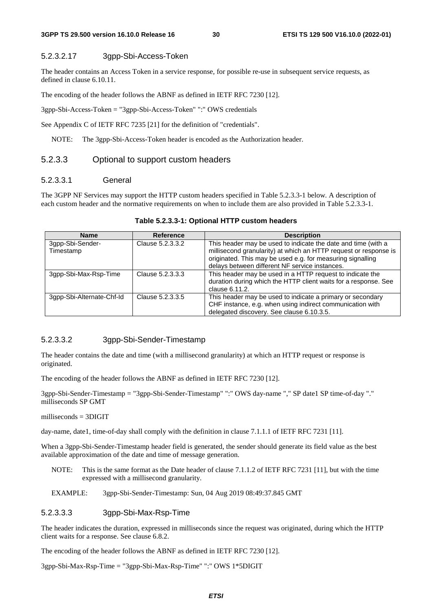### 5.2.3.2.17 3gpp-Sbi-Access-Token

The header contains an Access Token in a service response, for possible re-use in subsequent service requests, as defined in clause 6.10.11.

The encoding of the header follows the ABNF as defined in IETF RFC 7230 [12].

3gpp-Sbi-Access-Token = "3gpp-Sbi-Access-Token" ":" OWS credentials

See Appendix C of IETF RFC 7235 [21] for the definition of "credentials".

NOTE: The 3gpp-Sbi-Access-Token header is encoded as the Authorization header.

### 5.2.3.3 Optional to support custom headers

### 5.2.3.3.1 General

The 3GPP NF Services may support the HTTP custom headers specified in Table 5.2.3.3-1 below. A description of each custom header and the normative requirements on when to include them are also provided in Table 5.2.3.3-1.

| <b>Name</b>                   | <b>Reference</b> | <b>Description</b>                                                                                                                                                                                                                                |
|-------------------------------|------------------|---------------------------------------------------------------------------------------------------------------------------------------------------------------------------------------------------------------------------------------------------|
| 3gpp-Sbi-Sender-<br>Timestamp | Clause 5.2.3.3.2 | This header may be used to indicate the date and time (with a<br>millisecond granularity) at which an HTTP request or response is<br>originated. This may be used e.g. for measuring signalling<br>delays between different NF service instances. |
| 3qpp-Sbi-Max-Rsp-Time         | Clause 5.2.3.3.3 | This header may be used in a HTTP request to indicate the<br>duration during which the HTTP client waits for a response. See<br>clause 6.11.2.                                                                                                    |
| 3qpp-Sbi-Alternate-Chf-Id     | Clause 5.2.3.3.5 | This header may be used to indicate a primary or secondary<br>CHF instance, e.g. when using indirect communication with<br>delegated discovery. See clause 6.10.3.5.                                                                              |

### **Table 5.2.3.3-1: Optional HTTP custom headers**

### 5.2.3.3.2 3gpp-Sbi-Sender-Timestamp

The header contains the date and time (with a millisecond granularity) at which an HTTP request or response is originated.

The encoding of the header follows the ABNF as defined in IETF RFC 7230 [12].

3gpp-Sbi-Sender-Timestamp = "3gpp-Sbi-Sender-Timestamp" ":" OWS day-name "," SP date1 SP time-of-day "." milliseconds SP GMT

milliseconds  $=$  3DIGIT

day-name, date1, time-of-day shall comply with the definition in clause 7.1.1.1 of IETF RFC 7231 [11].

When a 3gpp-Sbi-Sender-Timestamp header field is generated, the sender should generate its field value as the best available approximation of the date and time of message generation.

- NOTE: This is the same format as the Date header of clause 7.1.1.2 of IETF RFC 7231 [11], but with the time expressed with a millisecond granularity.
- EXAMPLE: 3gpp-Sbi-Sender-Timestamp: Sun, 04 Aug 2019 08:49:37.845 GMT

### 5.2.3.3.3 3gpp-Sbi-Max-Rsp-Time

The header indicates the duration, expressed in milliseconds since the request was originated, during which the HTTP client waits for a response. See clause 6.8.2.

The encoding of the header follows the ABNF as defined in IETF RFC 7230 [12].

3gpp-Sbi-Max-Rsp-Time = "3gpp-Sbi-Max-Rsp-Time" ":" OWS 1\*5DIGIT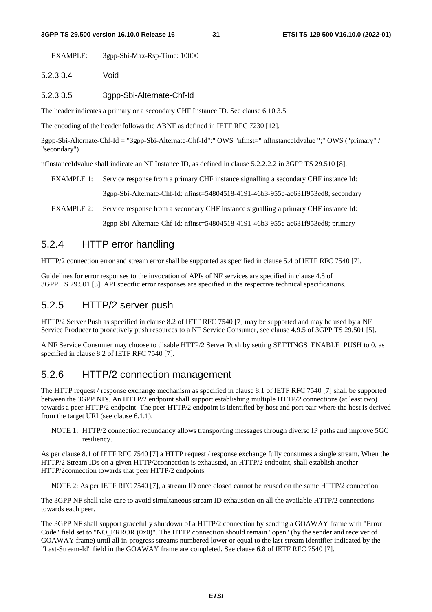EXAMPLE: 3gpp-Sbi-Max-Rsp-Time: 10000

### 5.2.3.3.4 Void

5.2.3.3.5 3gpp-Sbi-Alternate-Chf-Id

The header indicates a primary or a secondary CHF Instance ID. See clause 6.10.3.5.

The encoding of the header follows the ABNF as defined in IETF RFC 7230 [12].

3gpp-Sbi-Alternate-Chf-Id = "3gpp-Sbi-Alternate-Chf-Id":" OWS "nfinst=" nfInstanceIdvalue ";" OWS ("primary" / "secondary")

nfInstanceIdvalue shall indicate an NF Instance ID, as defined in clause 5.2.2.2.2 in 3GPP TS 29.510 [8].

EXAMPLE 1: Service response from a primary CHF instance signalling a secondary CHF instance Id:

3gpp-Sbi-Alternate-Chf-Id: nfinst=54804518-4191-46b3-955c-ac631f953ed8; secondary

EXAMPLE 2: Service response from a secondary CHF instance signalling a primary CHF instance Id:

3gpp-Sbi-Alternate-Chf-Id: nfinst=54804518-4191-46b3-955c-ac631f953ed8; primary

# 5.2.4 HTTP error handling

HTTP/2 connection error and stream error shall be supported as specified in clause 5.4 of IETF RFC 7540 [7].

Guidelines for error responses to the invocation of APIs of NF services are specified in clause 4.8 of 3GPP TS 29.501 [3]. API specific error responses are specified in the respective technical specifications.

### 5.2.5 HTTP/2 server push

HTTP/2 Server Push as specified in clause 8.2 of IETF RFC 7540 [7] may be supported and may be used by a NF Service Producer to proactively push resources to a NF Service Consumer, see clause 4.9.5 of 3GPP TS 29.501 [5].

A NF Service Consumer may choose to disable HTTP/2 Server Push by setting SETTINGS\_ENABLE\_PUSH to 0, as specified in clause 8.2 of IETF RFC 7540 [7].

### 5.2.6 HTTP/2 connection management

The HTTP request / response exchange mechanism as specified in clause 8.1 of IETF RFC 7540 [7] shall be supported between the 3GPP NFs. An HTTP/2 endpoint shall support establishing multiple HTTP/2 connections (at least two) towards a peer HTTP/2 endpoint. The peer HTTP/2 endpoint is identified by host and port pair where the host is derived from the target URI (see clause 6.1.1).

NOTE 1: HTTP/2 connection redundancy allows transporting messages through diverse IP paths and improve 5GC resiliency.

As per clause 8.1 of IETF RFC 7540 [7] a HTTP request / response exchange fully consumes a single stream. When the HTTP/2 Stream IDs on a given HTTP/2connection is exhausted, an HTTP/2 endpoint, shall establish another HTTP/2connection towards that peer HTTP/2 endpoints.

NOTE 2: As per IETF RFC 7540 [7], a stream ID once closed cannot be reused on the same HTTP/2 connection.

The 3GPP NF shall take care to avoid simultaneous stream ID exhaustion on all the available HTTP/2 connections towards each peer.

The 3GPP NF shall support gracefully shutdown of a HTTP/2 connection by sending a GOAWAY frame with "Error Code" field set to "NO\_ERROR  $(0x0)$ ". The HTTP connection should remain "open" (by the sender and receiver of GOAWAY frame) until all in-progress streams numbered lower or equal to the last stream identifier indicated by the "Last-Stream-Id" field in the GOAWAY frame are completed. See clause 6.8 of IETF RFC 7540 [7].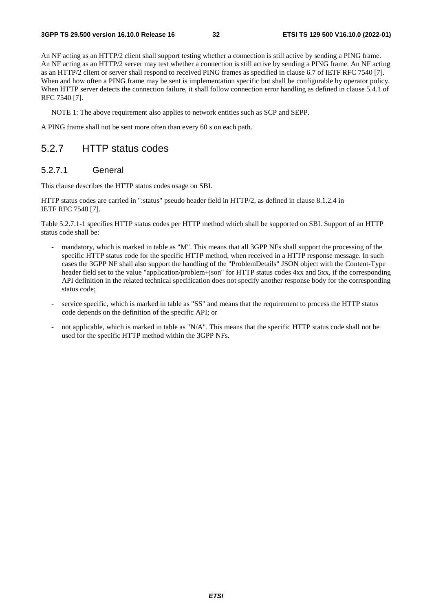An NF acting as an HTTP/2 client shall support testing whether a connection is still active by sending a PING frame. An NF acting as an HTTP/2 server may test whether a connection is still active by sending a PING frame. An NF acting as an HTTP/2 client or server shall respond to received PING frames as specified in clause 6.7 of IETF RFC 7540 [7]. When and how often a PING frame may be sent is implementation specific but shall be configurable by operator policy. When HTTP server detects the connection failure, it shall follow connection error handling as defined in clause 5.4.1 of RFC 7540 [7].

NOTE 1: The above requirement also applies to network entities such as SCP and SEPP.

A PING frame shall not be sent more often than every 60 s on each path.

### 5.2.7 HTTP status codes

### 5.2.7.1 General

This clause describes the HTTP status codes usage on SBI.

HTTP status codes are carried in ":status" pseudo header field in HTTP/2, as defined in clause 8.1.2.4 in IETF RFC 7540 [7].

Table 5.2.7.1-1 specifies HTTP status codes per HTTP method which shall be supported on SBI. Support of an HTTP status code shall be:

- mandatory, which is marked in table as "M". This means that all 3GPP NFs shall support the processing of the specific HTTP status code for the specific HTTP method, when received in a HTTP response message. In such cases the 3GPP NF shall also support the handling of the "ProblemDetails" JSON object with the Content-Type header field set to the value "application/problem+json" for HTTP status codes 4xx and 5xx, if the corresponding API definition in the related technical specification does not specify another response body for the corresponding status code;
- service specific, which is marked in table as "SS" and means that the requirement to process the HTTP status code depends on the definition of the specific API; or
- not applicable, which is marked in table as "N/A". This means that the specific HTTP status code shall not be used for the specific HTTP method within the 3GPP NFs.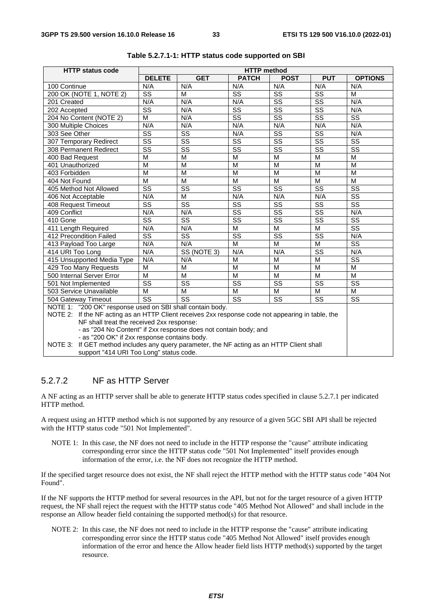| <b>HTTP status code</b>                                                                                                                                        | <b>HTTP</b> method                                                                                                                                    |                        |                         |                        |                        |                             |  |
|----------------------------------------------------------------------------------------------------------------------------------------------------------------|-------------------------------------------------------------------------------------------------------------------------------------------------------|------------------------|-------------------------|------------------------|------------------------|-----------------------------|--|
|                                                                                                                                                                | <b>DELETE</b>                                                                                                                                         | <b>GET</b>             | <b>PATCH</b>            | <b>POST</b>            | <b>PUT</b>             | <b>OPTIONS</b>              |  |
| 100 Continue                                                                                                                                                   | N/A                                                                                                                                                   | N/A                    | N/A                     | N/A                    | N/A                    | N/A                         |  |
| 200 OK (NOTE 1, NOTE 2)                                                                                                                                        | $\overline{\text{ss}}$                                                                                                                                | М                      | $\overline{\text{ss}}$  | SS                     | $\overline{\text{ss}}$ | M                           |  |
| 201 Created                                                                                                                                                    | N/A                                                                                                                                                   | N/A                    | N/A                     | $\overline{\text{ss}}$ | $\overline{\text{ss}}$ | N/A                         |  |
| 202 Accepted                                                                                                                                                   | SS                                                                                                                                                    | N/A                    | SS                      | SS                     | $\overline{\text{ss}}$ | N/A                         |  |
| 204 No Content (NOTE 2)                                                                                                                                        | М                                                                                                                                                     | N/A                    | SS                      | SS                     | SS                     | <b>SS</b>                   |  |
| 300 Multiple Choices                                                                                                                                           | N/A                                                                                                                                                   | N/A                    | N/A                     | N/A                    | N/A                    | N/A                         |  |
| 303 See Other                                                                                                                                                  | $\overline{\text{ss}}$                                                                                                                                | $\overline{\text{ss}}$ | N/A                     | $\overline{\text{ss}}$ | $\overline{\text{ss}}$ | N/A                         |  |
| 307 Temporary Redirect                                                                                                                                         | SS                                                                                                                                                    | SS                     | $\overline{\text{ss}}$  | $\overline{\text{ss}}$ | SS                     | SS                          |  |
| 308 Permanent Redirect                                                                                                                                         | $\overline{\text{ss}}$                                                                                                                                | $\overline{\text{ss}}$ | $\overline{\text{ss}}$  | $\overline{\text{ss}}$ | $\overline{\text{ss}}$ | $\overline{\text{ss}}$      |  |
| 400 Bad Request                                                                                                                                                | M                                                                                                                                                     | M                      | M                       | M                      | M                      | M                           |  |
| 401 Unauthorized                                                                                                                                               | M                                                                                                                                                     | M                      | M                       | M                      | M                      | M                           |  |
| 403 Forbidden                                                                                                                                                  | $\overline{M}$                                                                                                                                        | M                      | $\overline{\mathsf{M}}$ | $\overline{M}$         | M                      | M                           |  |
| 404 Not Found                                                                                                                                                  | M                                                                                                                                                     | M                      | M                       | M                      | M                      | M                           |  |
| 405 Method Not Allowed                                                                                                                                         | $\overline{\text{ss}}$                                                                                                                                | SS                     | $\overline{\text{ss}}$  | $\overline{\text{ss}}$ | $\overline{\text{ss}}$ | SS                          |  |
| 406 Not Acceptable                                                                                                                                             | N/A                                                                                                                                                   | M                      | N/A                     | N/A                    | N/A                    | $\overline{\text{ss}}$      |  |
| 408 Request Timeout                                                                                                                                            | $\overline{\text{ss}}$                                                                                                                                | $\overline{\text{ss}}$ | $\overline{\text{ss}}$  | $\overline{\text{ss}}$ | $\overline{\text{ss}}$ | $\overline{\text{ss}}$      |  |
| 409 Conflict                                                                                                                                                   | N/A                                                                                                                                                   | N/A                    | $\overline{\text{ss}}$  | $\overline{\text{ss}}$ | $\overline{\text{ss}}$ | N/A                         |  |
| 410 Gone                                                                                                                                                       | $\overline{\text{ss}}$                                                                                                                                | $\overline{\text{ss}}$ | $\overline{\text{ss}}$  | $\overline{\text{ss}}$ | $\overline{\text{ss}}$ | $\overline{\text{ss}}$      |  |
| 411 Length Required                                                                                                                                            | N/A                                                                                                                                                   | N/A                    | M                       | M                      | M                      | $\overline{\text{ss}}$      |  |
| 412 Precondition Failed                                                                                                                                        | $\overline{\text{ss}}$                                                                                                                                | $\overline{\text{ss}}$ | $\overline{\text{ss}}$  | $\overline{\text{ss}}$ | $\overline{\text{ss}}$ | N/A                         |  |
| 413 Payload Too Large                                                                                                                                          | N/A                                                                                                                                                   | N/A                    | $\overline{\mathsf{M}}$ | $\overline{M}$         | M                      | $\overline{\text{ss}}$      |  |
| 414 URI Too Long                                                                                                                                               | N/A                                                                                                                                                   | SS (NOTE 3)            | N/A                     | N/A                    | SS                     | N/A                         |  |
| 415 Unsupported Media Type                                                                                                                                     | N/A                                                                                                                                                   | N/A                    | M                       | M                      | $\overline{M}$         | $\overline{\text{ss}}$      |  |
| 429 Too Many Requests                                                                                                                                          | M                                                                                                                                                     | M                      | M                       | M                      | M                      | M                           |  |
| 500 Internal Server Error                                                                                                                                      | M                                                                                                                                                     | M                      | M                       | M                      | M                      | M                           |  |
| 501 Not Implemented                                                                                                                                            | $\overline{\text{ss}}$                                                                                                                                | $\overline{\text{ss}}$ | $\overline{\text{ss}}$  | $\overline{\text{ss}}$ | $\overline{\text{ss}}$ | $\overline{\text{ss}}$      |  |
| 503 Service Unavailable                                                                                                                                        | M                                                                                                                                                     | M                      | M                       | M                      | M                      | М<br>$\overline{\text{ss}}$ |  |
|                                                                                                                                                                | $\overline{\text{ss}}$<br>$\overline{\text{ss}}$<br>$\overline{\text{ss}}$<br>$\overline{\text{ss}}$<br>$\overline{\text{ss}}$<br>504 Gateway Timeout |                        |                         |                        |                        |                             |  |
| NOTE 1: "200 OK" response used on SBI shall contain body.<br>NOTE 2: If the NF acting as an HTTP Client receives 2xx response code not appearing in table, the |                                                                                                                                                       |                        |                         |                        |                        |                             |  |
| NF shall treat the received 2xx response:                                                                                                                      |                                                                                                                                                       |                        |                         |                        |                        |                             |  |
| - as "204 No Content" if 2xx response does not contain body; and                                                                                               |                                                                                                                                                       |                        |                         |                        |                        |                             |  |
| - as "200 OK" if 2xx response contains body.                                                                                                                   |                                                                                                                                                       |                        |                         |                        |                        |                             |  |
| If GET method includes any query parameter, the NF acting as an HTTP Client shall<br>NOTE 3:                                                                   |                                                                                                                                                       |                        |                         |                        |                        |                             |  |
| support "414 URI Too Long" status code.                                                                                                                        |                                                                                                                                                       |                        |                         |                        |                        |                             |  |

**Table 5.2.7.1-1: HTTP status code supported on SBI** 

### 5.2.7.2 NF as HTTP Server

A NF acting as an HTTP server shall be able to generate HTTP status codes specified in clause 5.2.7.1 per indicated HTTP method.

A request using an HTTP method which is not supported by any resource of a given 5GC SBI API shall be rejected with the HTTP status code "501 Not Implemented".

NOTE 1: In this case, the NF does not need to include in the HTTP response the "cause" attribute indicating corresponding error since the HTTP status code "501 Not Implemented" itself provides enough information of the error, i.e. the NF does not recognize the HTTP method.

If the specified target resource does not exist, the NF shall reject the HTTP method with the HTTP status code "404 Not Found".

If the NF supports the HTTP method for several resources in the API, but not for the target resource of a given HTTP request, the NF shall reject the request with the HTTP status code "405 Method Not Allowed" and shall include in the response an Allow header field containing the supported method(s) for that resource.

NOTE 2: In this case, the NF does not need to include in the HTTP response the "cause" attribute indicating corresponding error since the HTTP status code "405 Method Not Allowed" itself provides enough information of the error and hence the Allow header field lists HTTP method(s) supported by the target resource.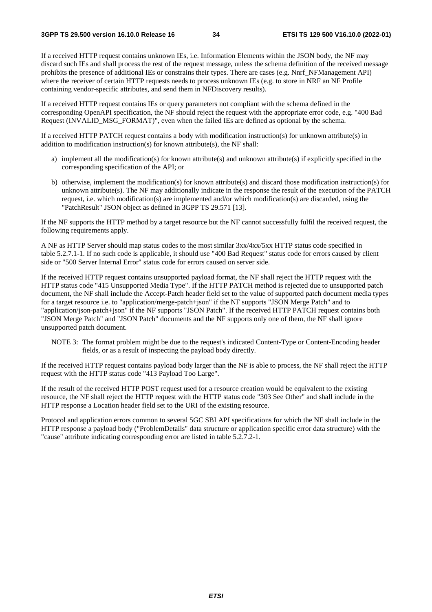If a received HTTP request contains unknown IEs, i.e. Information Elements within the JSON body, the NF may discard such IEs and shall process the rest of the request message, unless the schema definition of the received message prohibits the presence of additional IEs or constrains their types. There are cases (e.g. Nnrf\_NFManagement API) where the receiver of certain HTTP requests needs to process unknown IEs (e.g. to store in NRF an NF Profile containing vendor-specific attributes, and send them in NFDiscovery results).

If a received HTTP request contains IEs or query parameters not compliant with the schema defined in the corresponding OpenAPI specification, the NF should reject the request with the appropriate error code, e.g. "400 Bad Request (INVALID\_MSG\_FORMAT)", even when the failed IEs are defined as optional by the schema.

If a received HTTP PATCH request contains a body with modification instruction(s) for unknown attribute(s) in addition to modification instruction(s) for known attribute(s), the NF shall:

- a) implement all the modification(s) for known attribute(s) and unknown attribute(s) if explicitly specified in the corresponding specification of the API; or
- b) otherwise, implement the modification(s) for known attribute(s) and discard those modification instruction(s) for unknown attribute(s). The NF may additionally indicate in the response the result of the execution of the PATCH request, i.e. which modification(s) are implemented and/or which modification(s) are discarded, using the "PatchResult" JSON object as defined in 3GPP TS 29.571 [13].

If the NF supports the HTTP method by a target resource but the NF cannot successfully fulfil the received request, the following requirements apply.

A NF as HTTP Server should map status codes to the most similar 3xx/4xx/5xx HTTP status code specified in table 5.2.7.1-1. If no such code is applicable, it should use "400 Bad Request" status code for errors caused by client side or "500 Server Internal Error" status code for errors caused on server side.

If the received HTTP request contains unsupported payload format, the NF shall reject the HTTP request with the HTTP status code "415 Unsupported Media Type". If the HTTP PATCH method is rejected due to unsupported patch document, the NF shall include the Accept-Patch header field set to the value of supported patch document media types for a target resource i.e. to "application/merge-patch+json" if the NF supports "JSON Merge Patch" and to "application/json-patch+json" if the NF supports "JSON Patch". If the received HTTP PATCH request contains both "JSON Merge Patch" and "JSON Patch" documents and the NF supports only one of them, the NF shall ignore unsupported patch document.

NOTE 3: The format problem might be due to the request's indicated Content-Type or Content-Encoding header fields, or as a result of inspecting the payload body directly.

If the received HTTP request contains payload body larger than the NF is able to process, the NF shall reject the HTTP request with the HTTP status code "413 Payload Too Large".

If the result of the received HTTP POST request used for a resource creation would be equivalent to the existing resource, the NF shall reject the HTTP request with the HTTP status code "303 See Other" and shall include in the HTTP response a Location header field set to the URI of the existing resource.

Protocol and application errors common to several 5GC SBI API specifications for which the NF shall include in the HTTP response a payload body ("ProblemDetails" data structure or application specific error data structure) with the "cause" attribute indicating corresponding error are listed in table 5.2.7.2-1.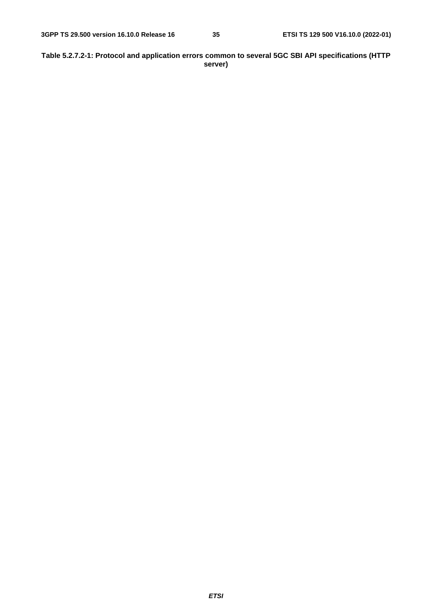#### **Table 5.2.7.2-1: Protocol and application errors common to several 5GC SBI API specifications (HTTP server)**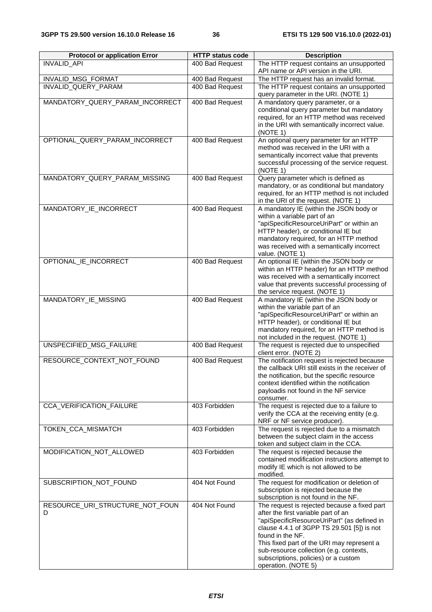| <b>Protocol or application Error</b> | <b>HTTP status code</b> | <b>Description</b>                                                                          |
|--------------------------------------|-------------------------|---------------------------------------------------------------------------------------------|
| INVALID_API                          | 400 Bad Request         | The HTTP request contains an unsupported<br>API name or API version in the URI.             |
| <b>INVALID MSG FORMAT</b>            | 400 Bad Request         | The HTTP request has an invalid format.                                                     |
| INVALID_QUERY_PARAM                  | 400 Bad Request         | The HTTP request contains an unsupported<br>query parameter in the URI. (NOTE 1)            |
| MANDATORY_QUERY_PARAM_INCORRECT      | 400 Bad Request         | A mandatory query parameter, or a                                                           |
|                                      |                         | conditional query parameter but mandatory                                                   |
|                                      |                         | required, for an HTTP method was received                                                   |
|                                      |                         | in the URI with semantically incorrect value.<br>(NOTE 1)                                   |
| OPTIONAL QUERY PARAM INCORRECT       | 400 Bad Request         | An optional query parameter for an HTTP                                                     |
|                                      |                         | method was received in the URI with a                                                       |
|                                      |                         | semantically incorrect value that prevents<br>successful processing of the service request. |
|                                      |                         | (NOTE 1)                                                                                    |
| MANDATORY_QUERY_PARAM_MISSING        | 400 Bad Request         | Query parameter which is defined as                                                         |
|                                      |                         | mandatory, or as conditional but mandatory                                                  |
|                                      |                         | required, for an HTTP method is not included                                                |
|                                      |                         | in the URI of the request. (NOTE 1)                                                         |
| MANDATORY_IE_INCORRECT               | 400 Bad Request         | A mandatory IE (within the JSON body or<br>within a variable part of an                     |
|                                      |                         | "apiSpecificResourceUriPart" or within an                                                   |
|                                      |                         | HTTP header), or conditional IE but                                                         |
|                                      |                         | mandatory required, for an HTTP method                                                      |
|                                      |                         | was received with a semantically incorrect                                                  |
|                                      |                         | value. (NOTE 1)                                                                             |
| OPTIONAL_IE_INCORRECT                | 400 Bad Request         | An optional IE (within the JSON body or                                                     |
|                                      |                         | within an HTTP header) for an HTTP method                                                   |
|                                      |                         | was received with a semantically incorrect                                                  |
|                                      |                         | value that prevents successful processing of                                                |
| MANDATORY_IE_MISSING                 | 400 Bad Request         | the service request. (NOTE 1)<br>A mandatory IE (within the JSON body or                    |
|                                      |                         | within the variable part of an                                                              |
|                                      |                         | "apiSpecificResourceUriPart" or within an                                                   |
|                                      |                         | HTTP header), or conditional IE but                                                         |
|                                      |                         | mandatory required, for an HTTP method is                                                   |
|                                      |                         | not included in the request. (NOTE 1)                                                       |
| UNSPECIFIED MSG FAILURE              | 400 Bad Request         | The request is rejected due to unspecified<br>client error. (NOTE 2)                        |
| RESOURCE CONTEXT NOT FOUND           | 400 Bad Request         | The notification request is rejected because                                                |
|                                      |                         | the callback URI still exists in the receiver of                                            |
|                                      |                         | the notification, but the specific resource<br>context identified within the notification   |
|                                      |                         | payloadis not found in the NF service                                                       |
|                                      |                         | consumer.                                                                                   |
| CCA_VERIFICATION_FAILURE             | 403 Forbidden           | The request is rejected due to a failure to                                                 |
|                                      |                         | verify the CCA at the receiving entity (e.g.                                                |
|                                      |                         | NRF or NF service producer).                                                                |
| <b>TOKEN CCA MISMATCH</b>            | 403 Forbidden           | The request is rejected due to a mismatch                                                   |
|                                      |                         | between the subject claim in the access<br>token and subject claim in the CCA.              |
| MODIFICATION_NOT_ALLOWED             | 403 Forbidden           | The request is rejected because the                                                         |
|                                      |                         | contained modification instructions attempt to                                              |
|                                      |                         | modify IE which is not allowed to be                                                        |
|                                      |                         | modified.                                                                                   |
| SUBSCRIPTION_NOT_FOUND               | 404 Not Found           | The request for modification or deletion of                                                 |
|                                      |                         | subscription is rejected because the                                                        |
|                                      |                         | subscription is not found in the NF.                                                        |
| RESOURCE_URI_STRUCTURE_NOT_FOUN      | 404 Not Found           | The request is rejected because a fixed part                                                |
| D                                    |                         | after the first variable part of an<br>"apiSpecificResourceUriPart" (as defined in          |
|                                      |                         | clause 4.4.1 of 3GPP TS 29.501 [5]) is not                                                  |
|                                      |                         | found in the NF.                                                                            |
|                                      |                         | This fixed part of the URI may represent a                                                  |
|                                      |                         | sub-resource collection (e.g. contexts,                                                     |
|                                      |                         | subscriptions, policies) or a custom                                                        |
|                                      |                         | operation. (NOTE 5)                                                                         |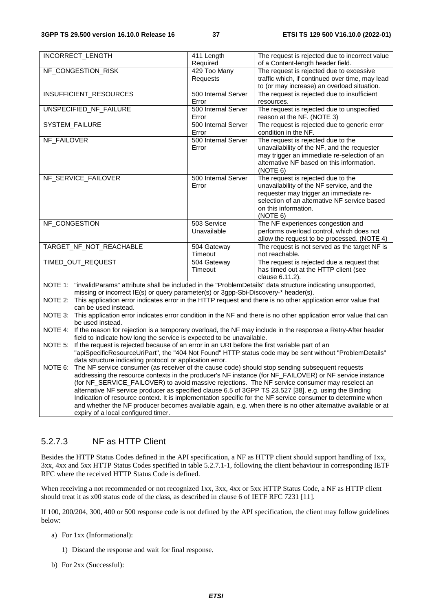| <b>INCORRECT_LENGTH</b>                                                                                               | 411 Length                                                                                                                                                                                                | The request is rejected due to incorrect value        |  |  |
|-----------------------------------------------------------------------------------------------------------------------|-----------------------------------------------------------------------------------------------------------------------------------------------------------------------------------------------------------|-------------------------------------------------------|--|--|
|                                                                                                                       | Required                                                                                                                                                                                                  | of a Content-length header field.                     |  |  |
| NF_CONGESTION_RISK                                                                                                    | 429 Too Many                                                                                                                                                                                              | The request is rejected due to excessive              |  |  |
|                                                                                                                       | Requests                                                                                                                                                                                                  | traffic which, if continued over time, may lead       |  |  |
|                                                                                                                       |                                                                                                                                                                                                           | to (or may increase) an overload situation.           |  |  |
| INSUFFICIENT_RESOURCES                                                                                                | 500 Internal Server                                                                                                                                                                                       | The request is rejected due to insufficient           |  |  |
|                                                                                                                       | Error                                                                                                                                                                                                     | resources.                                            |  |  |
| UNSPECIFIED_NF_FAILURE                                                                                                | 500 Internal Server                                                                                                                                                                                       | The request is rejected due to unspecified            |  |  |
|                                                                                                                       | Error                                                                                                                                                                                                     | reason at the NF. (NOTE 3)                            |  |  |
| <b>SYSTEM_FAILURE</b>                                                                                                 | 500 Internal Server                                                                                                                                                                                       | The request is rejected due to generic error          |  |  |
|                                                                                                                       | Error                                                                                                                                                                                                     | condition in the NF.                                  |  |  |
| NF_FAILOVER                                                                                                           | 500 Internal Server                                                                                                                                                                                       | The request is rejected due to the                    |  |  |
|                                                                                                                       | Error                                                                                                                                                                                                     | unavailability of the NF, and the requester           |  |  |
|                                                                                                                       |                                                                                                                                                                                                           | may trigger an immediate re-selection of an           |  |  |
|                                                                                                                       |                                                                                                                                                                                                           | alternative NF based on this information.<br>(NOTE 6) |  |  |
| NF_SERVICE_FAILOVER                                                                                                   | 500 Internal Server                                                                                                                                                                                       | The request is rejected due to the                    |  |  |
|                                                                                                                       | Error                                                                                                                                                                                                     | unavailability of the NF service, and the             |  |  |
|                                                                                                                       |                                                                                                                                                                                                           | requester may trigger an immediate re-                |  |  |
|                                                                                                                       |                                                                                                                                                                                                           | selection of an alternative NF service based          |  |  |
|                                                                                                                       |                                                                                                                                                                                                           | on this information.                                  |  |  |
|                                                                                                                       |                                                                                                                                                                                                           | (NOTE 6)                                              |  |  |
| NF_CONGESTION                                                                                                         | 503 Service                                                                                                                                                                                               | The NF experiences congestion and                     |  |  |
|                                                                                                                       | Unavailable                                                                                                                                                                                               | performs overload control, which does not             |  |  |
|                                                                                                                       |                                                                                                                                                                                                           | allow the request to be processed. (NOTE 4)           |  |  |
| TARGET NF NOT REACHABLE                                                                                               | 504 Gateway                                                                                                                                                                                               | The request is not served as the target NF is         |  |  |
|                                                                                                                       | Timeout                                                                                                                                                                                                   | not reachable.                                        |  |  |
| TIMED OUT REQUEST                                                                                                     | 504 Gateway                                                                                                                                                                                               | The request is rejected due a request that            |  |  |
|                                                                                                                       | Timeout                                                                                                                                                                                                   | has timed out at the HTTP client (see                 |  |  |
|                                                                                                                       |                                                                                                                                                                                                           | clause 6.11.2).                                       |  |  |
| NOTE 1: "invalidParams" attribute shall be included in the "ProblemDetails" data structure indicating unsupported,    |                                                                                                                                                                                                           |                                                       |  |  |
| missing or incorrect IE(s) or query parameter(s) or 3gpp-Sbi-Discovery-* header(s).                                   |                                                                                                                                                                                                           |                                                       |  |  |
| NOTE 2: This application error indicates error in the HTTP request and there is no other application error value that |                                                                                                                                                                                                           |                                                       |  |  |
|                                                                                                                       | can be used instead.                                                                                                                                                                                      |                                                       |  |  |
|                                                                                                                       | NOTE 3: This application error indicates error condition in the NF and there is no other application error value that can                                                                                 |                                                       |  |  |
|                                                                                                                       | be used instead.                                                                                                                                                                                          |                                                       |  |  |
|                                                                                                                       | NOTE 4: If the reason for rejection is a temporary overload, the NF may include in the response a Retry-After header<br>field to indicate how long the service is expected to be unavailable.             |                                                       |  |  |
|                                                                                                                       | NOTE 5: If the request is rejected because of an error in an URI before the first variable part of an                                                                                                     |                                                       |  |  |
|                                                                                                                       | "apiSpecificResourceUriPart", the "404 Not Found" HTTP status code may be sent without "ProblemDetails"                                                                                                   |                                                       |  |  |
|                                                                                                                       | data structure indicating protocol or application error.                                                                                                                                                  |                                                       |  |  |
| NOTE 6:                                                                                                               | The NF service consumer (as receiver of the cause code) should stop sending subsequent requests                                                                                                           |                                                       |  |  |
|                                                                                                                       |                                                                                                                                                                                                           |                                                       |  |  |
|                                                                                                                       | addressing the resource contexts in the producer's NF instance (for NF_FAILOVER) or NF service instance<br>(for NF_SERVICE_FAILOVER) to avoid massive rejections. The NF service consumer may reselect an |                                                       |  |  |
|                                                                                                                       | alternative NF service producer as specified clause 6.5 of 3GPP TS 23.527 [38], e.g. using the Binding                                                                                                    |                                                       |  |  |

Indication of resource context. It is implementation specific for the NF service consumer to determine when and whether the NF producer becomes available again, e.g. when there is no other alternative available or at expiry of a local configured timer.

## 5.2.7.3 NF as HTTP Client

Besides the HTTP Status Codes defined in the API specification, a NF as HTTP client should support handling of 1xx, 3xx, 4xx and 5xx HTTP Status Codes specified in table 5.2.7.1-1, following the client behaviour in corresponding IETF RFC where the received HTTP Status Code is defined.

When receiving a not recommended or not recognized 1xx, 3xx, 4xx or 5xx HTTP Status Code, a NF as HTTP client should treat it as x00 status code of the class, as described in clause 6 of IETF RFC 7231 [11].

If 100, 200/204, 300, 400 or 500 response code is not defined by the API specification, the client may follow guidelines below:

- a) For 1xx (Informational):
	- 1) Discard the response and wait for final response.
- b) For 2xx (Successful):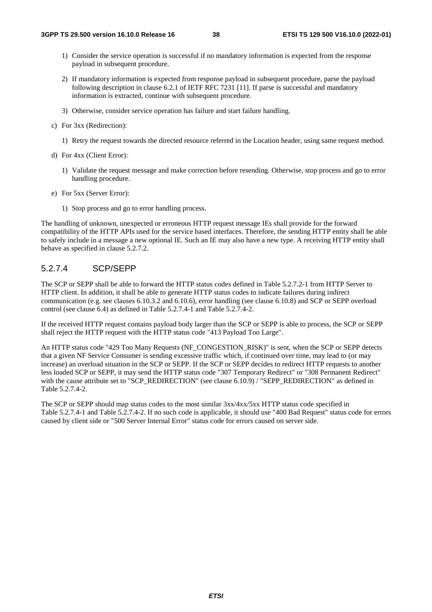- 1) Consider the service operation is successful if no mandatory information is expected from the response payload in subsequent procedure.
- 2) If mandatory information is expected from response payload in subsequent procedure, parse the payload following description in clause 6.2.1 of IETF RFC 7231 [11]. If parse is successful and mandatory information is extracted, continue with subsequent procedure.
- 3) Otherwise, consider service operation has failure and start failure handling.
- c) For 3xx (Redirection):
	- 1) Retry the request towards the directed resource referred in the Location header, using same request method.
- d) For 4xx (Client Error):
	- 1) Validate the request message and make correction before resending. Otherwise, stop process and go to error handling procedure.
- e) For 5xx (Server Error):
	- 1) Stop process and go to error handling process.

The handling of unknown, unexpected or erroneous HTTP request message IEs shall provide for the forward compatibility of the HTTP APIs used for the service based interfaces. Therefore, the sending HTTP entity shall be able to safely include in a message a new optional IE. Such an IE may also have a new type. A receiving HTTP entity shall behave as specified in clause 5.2.7.2.

#### 5.2.7.4 SCP/SEPP

The SCP or SEPP shall be able to forward the HTTP status codes defined in Table 5.2.7.2-1 from HTTP Server to HTTP client. In addition, it shall be able to generate HTTP status codes to indicate failures during indirect communication (e.g. see clauses 6.10.3.2 and 6.10.6), error handling (see clause 6.10.8) and SCP or SEPP overload control (see clause 6.4) as defined in Table 5.2.7.4-1 and Table 5.2.7.4-2.

If the received HTTP request contains payload body larger than the SCP or SEPP is able to process, the SCP or SEPP shall reject the HTTP request with the HTTP status code "413 Payload Too Large".

An HTTP status code "429 Too Many Requests (NF\_CONGESTION\_RISK)" is sent, when the SCP or SEPP detects that a given NF Service Consumer is sending excessive traffic which, if continued over time, may lead to (or may increase) an overload situation in the SCP or SEPP. If the SCP or SEPP decides to redirect HTTP requests to another less loaded SCP or SEPP, it may send the HTTP status code "307 Temporary Redirect" or "308 Permanent Redirect" with the cause attribute set to "SCP\_REDIRECTION" (see clause 6.10.9) / "SEPP\_REDIRECTION" as defined in Table 5.2.7.4-2.

The SCP or SEPP should map status codes to the most similar 3xx/4xx/5xx HTTP status code specified in Table 5.2.7.4-1 and Table 5.2.7.4-2. If no such code is applicable, it should use "400 Bad Request" status code for errors caused by client side or "500 Server Internal Error" status code for errors caused on server side.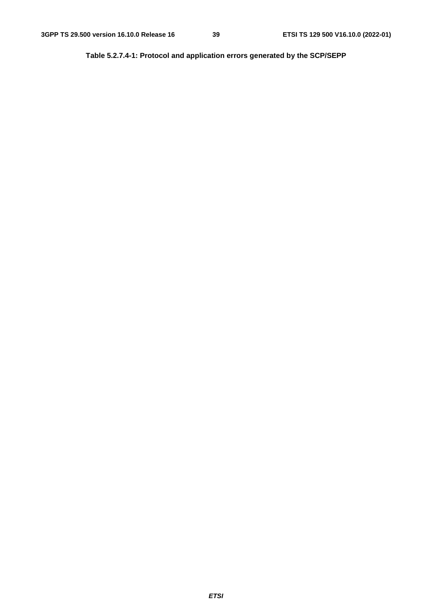**Table 5.2.7.4-1: Protocol and application errors generated by the SCP/SEPP**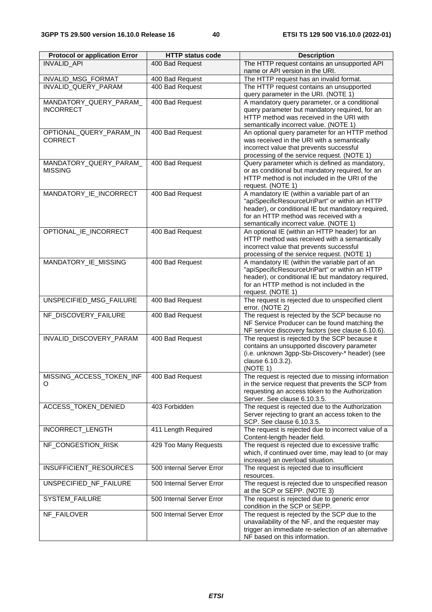| <b>Protocol or application Error</b>      | <b>HTTP status code</b>            | <b>Description</b>                                                                                     |
|-------------------------------------------|------------------------------------|--------------------------------------------------------------------------------------------------------|
| <b>INVALID API</b>                        | 400 Bad Request                    | The HTTP request contains an unsupported API                                                           |
|                                           |                                    | name or API version in the URI.                                                                        |
| INVALID_MSG_FORMAT<br>INVALID QUERY PARAM | 400 Bad Request<br>400 Bad Request | The HTTP request has an invalid format.<br>The HTTP request contains an unsupported                    |
|                                           |                                    | query parameter in the URI. (NOTE 1)                                                                   |
| MANDATORY QUERY PARAM                     | 400 Bad Request                    | A mandatory query parameter, or a conditional                                                          |
| <b>INCORRECT</b>                          |                                    | query parameter but mandatory required, for an                                                         |
|                                           |                                    | HTTP method was received in the URI with                                                               |
| OPTIONAL_QUERY_PARAM_IN                   | 400 Bad Request                    | semantically incorrect value. (NOTE 1)<br>An optional query parameter for an HTTP method               |
| <b>CORRECT</b>                            |                                    | was received in the URI with a semantically                                                            |
|                                           |                                    | incorrect value that prevents successful                                                               |
|                                           |                                    | processing of the service request. (NOTE 1)                                                            |
| MANDATORY_QUERY_PARAM_                    | 400 Bad Request                    | Query parameter which is defined as mandatory,                                                         |
| <b>MISSING</b>                            |                                    | or as conditional but mandatory required, for an<br>HTTP method is not included in the URI of the      |
|                                           |                                    | request. (NOTE 1)                                                                                      |
| MANDATORY_IE_INCORRECT                    | 400 Bad Request                    | A mandatory IE (within a variable part of an                                                           |
|                                           |                                    | "apiSpecificResourceUriPart" or within an HTTP                                                         |
|                                           |                                    | header), or conditional IE but mandatory required,                                                     |
|                                           |                                    | for an HTTP method was received with a<br>semantically incorrect value. (NOTE 1)                       |
| OPTIONAL IE INCORRECT                     | 400 Bad Request                    | An optional IE (within an HTTP header) for an                                                          |
|                                           |                                    | HTTP method was received with a semantically                                                           |
|                                           |                                    | incorrect value that prevents successful                                                               |
|                                           |                                    | processing of the service request. (NOTE 1)                                                            |
| MANDATORY_IE_MISSING                      | 400 Bad Request                    | A mandatory IE (within the variable part of an                                                         |
|                                           |                                    | "apiSpecificResourceUriPart" or within an HTTP<br>header), or conditional IE but mandatory required,   |
|                                           |                                    | for an HTTP method is not included in the                                                              |
|                                           |                                    | request. (NOTE 1)                                                                                      |
| UNSPECIFIED_MSG_FAILURE                   | 400 Bad Request                    | The request is rejected due to unspecified client                                                      |
|                                           |                                    | error. (NOTE 2)                                                                                        |
| NF_DISCOVERY_FAILURE                      | 400 Bad Request                    | The request is rejected by the SCP because no<br>NF Service Producer can be found matching the         |
|                                           |                                    | NF service discovery factors (see clause 6.10.6).                                                      |
| INVALID_DISCOVERY_PARAM                   | 400 Bad Request                    | The request is rejected by the SCP because it                                                          |
|                                           |                                    | contains an unsupported discovery parameter                                                            |
|                                           |                                    | (i.e. unknown 3gpp-Sbi-Discovery-* header) (see<br>clause 6.10.3.2).                                   |
|                                           |                                    | (NOTE 1)                                                                                               |
| MISSING_ACCESS_TOKEN_INF                  | 400 Bad Request                    | The request is rejected due to missing information                                                     |
| O                                         |                                    | in the service request that prevents the SCP from                                                      |
|                                           |                                    | requesting an access token to the Authorization                                                        |
|                                           | 403 Forbidden                      | Server. See clause 6.10.3.5.<br>The request is rejected due to the Authorization                       |
| ACCESS_TOKEN_DENIED                       |                                    | Server rejecting to grant an access token to the                                                       |
|                                           |                                    | SCP. See clause 6.10.3.5.                                                                              |
| INCORRECT_LENGTH                          | 411 Length Required                | The request is rejected due to incorrect value of a                                                    |
|                                           |                                    | Content-length header field.                                                                           |
| NF_CONGESTION_RISK                        | 429 Too Many Requests              | The request is rejected due to excessive traffic<br>which, if continued over time, may lead to (or may |
|                                           |                                    | increase) an overload situation.                                                                       |
| INSUFFICIENT_RESOURCES                    | 500 Internal Server Error          | The request is rejected due to insufficient                                                            |
|                                           |                                    | resources.                                                                                             |
| UNSPECIFIED_NF_FAILURE                    | 500 Internal Server Error          | The request is rejected due to unspecified reason                                                      |
|                                           |                                    | at the SCP or SEPP. (NOTE 3)                                                                           |
| SYSTEM_FAILURE                            | 500 Internal Server Error          | The request is rejected due to generic error<br>condition in the SCP or SEPP.                          |
| NF_FAILOVER                               | 500 Internal Server Error          | The request is rejected by the SCP due to the                                                          |
|                                           |                                    | unavailability of the NF, and the requester may                                                        |
|                                           |                                    | trigger an immediate re-selection of an alternative                                                    |
|                                           |                                    | NF based on this information.                                                                          |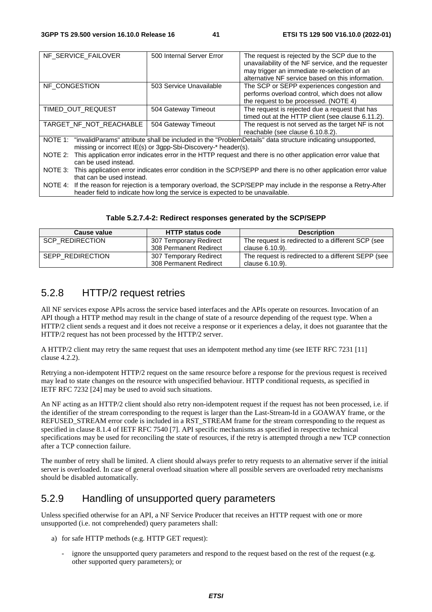| NF_SERVICE_FAILOVER                                                                                                       | 500 Internal Server Error                                                                                   | The request is rejected by the SCP due to the       |  |
|---------------------------------------------------------------------------------------------------------------------------|-------------------------------------------------------------------------------------------------------------|-----------------------------------------------------|--|
|                                                                                                                           |                                                                                                             | unavailability of the NF service, and the requester |  |
|                                                                                                                           |                                                                                                             | may trigger an immediate re-selection of an         |  |
|                                                                                                                           |                                                                                                             | alternative NF service based on this information.   |  |
| NF CONGESTION                                                                                                             | 503 Service Unavailable                                                                                     | The SCP or SEPP experiences congestion and          |  |
|                                                                                                                           |                                                                                                             | performs overload control, which does not allow     |  |
|                                                                                                                           |                                                                                                             | the request to be processed. (NOTE 4)               |  |
| TIMED OUT REQUEST                                                                                                         | 504 Gateway Timeout                                                                                         | The request is rejected due a request that has      |  |
|                                                                                                                           |                                                                                                             | timed out at the HTTP client (see clause 6.11.2).   |  |
| TARGET_NF_NOT_REACHABLE<br>504 Gateway Timeout                                                                            |                                                                                                             | The request is not served as the target NF is not   |  |
|                                                                                                                           |                                                                                                             | reachable (see clause 6.10.8.2).                    |  |
| "invalidParams" attribute shall be included in the "ProblemDetails" data structure indicating unsupported,<br>NOTE 1:     |                                                                                                             |                                                     |  |
| missing or incorrect IE(s) or 3gpp-Sbi-Discovery-* header(s).                                                             |                                                                                                             |                                                     |  |
| This application error indicates error in the HTTP request and there is no other application error value that<br>NOTE 2:  |                                                                                                             |                                                     |  |
| can be used instead.                                                                                                      |                                                                                                             |                                                     |  |
| This application error indicates error condition in the SCP/SEPP and there is no other application error value<br>NOTE 3: |                                                                                                             |                                                     |  |
| that can be used instead.                                                                                                 |                                                                                                             |                                                     |  |
| NOTE 4:                                                                                                                   | If the reason for rejection is a temporary overload, the SCP/SEPP may include in the response a Retry-After |                                                     |  |

NOTE 4: If the reason for rejection is a temporary overload, the SCP/SEPP may include in the response a Retry-After header field to indicate how long the service is expected to be unavailable.

| Table 5.2.7.4-2: Redirect responses generated by the SCP/SEPP |  |  |  |
|---------------------------------------------------------------|--|--|--|
|---------------------------------------------------------------|--|--|--|

| Cause value      | <b>HTTP status code</b> | <b>Description</b>                                 |
|------------------|-------------------------|----------------------------------------------------|
| SCP REDIRECTION  | 307 Temporary Redirect  | The request is redirected to a different SCP (see  |
|                  | 308 Permanent Redirect  | clause 6.10.9).                                    |
| SEPP REDIRECTION | 307 Temporary Redirect  | The request is redirected to a different SEPP (see |
|                  | 308 Permanent Redirect  | clause 6.10.9).                                    |

# 5.2.8 HTTP/2 request retries

All NF services expose APIs across the service based interfaces and the APIs operate on resources. Invocation of an API though a HTTP method may result in the change of state of a resource depending of the request type. When a HTTP/2 client sends a request and it does not receive a response or it experiences a delay, it does not guarantee that the HTTP/2 request has not been processed by the HTTP/2 server.

A HTTP/2 client may retry the same request that uses an idempotent method any time (see IETF RFC 7231 [11] clause 4.2.2).

Retrying a non-idempotent HTTP/2 request on the same resource before a response for the previous request is received may lead to state changes on the resource with unspecified behaviour. HTTP conditional requests, as specified in IETF RFC 7232 [24] may be used to avoid such situations.

An NF acting as an HTTP/2 client should also retry non-idempotent request if the request has not been processed, i.e. if the identifier of the stream corresponding to the request is larger than the Last-Stream-Id in a GOAWAY frame, or the REFUSED\_STREAM error code is included in a RST\_STREAM frame for the stream corresponding to the request as specified in clause 8.1.4 of IETF RFC 7540 [7]. API specific mechanisms as specified in respective technical specifications may be used for reconciling the state of resources, if the retry is attempted through a new TCP connection after a TCP connection failure.

The number of retry shall be limited. A client should always prefer to retry requests to an alternative server if the initial server is overloaded. In case of general overload situation where all possible servers are overloaded retry mechanisms should be disabled automatically.

## 5.2.9 Handling of unsupported query parameters

Unless specified otherwise for an API, a NF Service Producer that receives an HTTP request with one or more unsupported (i.e. not comprehended) query parameters shall:

- a) for safe HTTP methods (e.g. HTTP GET request):
	- ignore the unsupported query parameters and respond to the request based on the rest of the request (e.g. other supported query parameters); or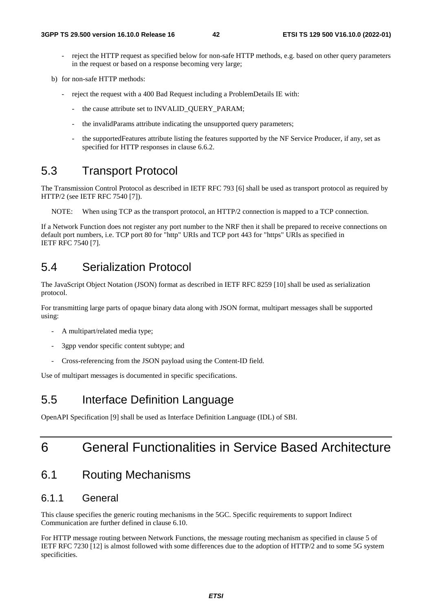- reject the HTTP request as specified below for non-safe HTTP methods, e.g. based on other query parameters in the request or based on a response becoming very large;
- b) for non-safe HTTP methods:
	- reject the request with a 400 Bad Request including a ProblemDetails IE with:
		- the cause attribute set to INVALID\_QUERY\_PARAM;
		- the invalidParams attribute indicating the unsupported query parameters;
		- the supportedFeatures attribute listing the features supported by the NF Service Producer, if any, set as specified for HTTP responses in clause 6.6.2.

# 5.3 Transport Protocol

The Transmission Control Protocol as described in IETF RFC 793 [6] shall be used as transport protocol as required by HTTP/2 (see IETF RFC 7540 [7]).

NOTE: When using TCP as the transport protocol, an HTTP/2 connection is mapped to a TCP connection.

If a Network Function does not register any port number to the NRF then it shall be prepared to receive connections on default port numbers, i.e. TCP port 80 for "http" URIs and TCP port 443 for "https" URIs as specified in IETF RFC 7540 [7].

# 5.4 Serialization Protocol

The JavaScript Object Notation (JSON) format as described in IETF RFC 8259 [10] shall be used as serialization protocol.

For transmitting large parts of opaque binary data along with JSON format, multipart messages shall be supported using:

- A multipart/related media type;
- 3gpp vendor specific content subtype; and
- Cross-referencing from the JSON payload using the Content-ID field.

Use of multipart messages is documented in specific specifications.

# 5.5 Interface Definition Language

OpenAPI Specification [9] shall be used as Interface Definition Language (IDL) of SBI.

# 6 General Functionalities in Service Based Architecture

# 6.1 Routing Mechanisms

## 6.1.1 General

This clause specifies the generic routing mechanisms in the 5GC. Specific requirements to support Indirect Communication are further defined in clause 6.10.

For HTTP message routing between Network Functions, the message routing mechanism as specified in clause 5 of IETF RFC 7230 [12] is almost followed with some differences due to the adoption of HTTP/2 and to some 5G system specificities.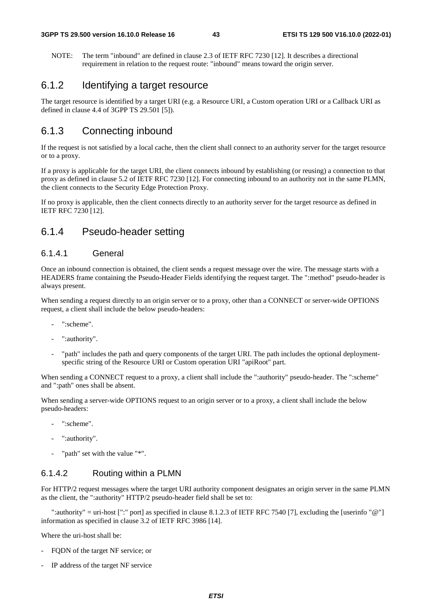NOTE: The term "inbound" are defined in clause 2.3 of IETF RFC 7230 [12]. It describes a directional requirement in relation to the request route: "inbound" means toward the origin server.

## 6.1.2 Identifying a target resource

The target resource is identified by a target URI (e.g. a Resource URI, a Custom operation URI or a Callback URI as defined in clause 4.4 of 3GPP TS 29.501 [5]).

# 6.1.3 Connecting inbound

If the request is not satisfied by a local cache, then the client shall connect to an authority server for the target resource or to a proxy.

If a proxy is applicable for the target URI, the client connects inbound by establishing (or reusing) a connection to that proxy as defined in clause 5.2 of IETF RFC 7230 [12]. For connecting inbound to an authority not in the same PLMN, the client connects to the Security Edge Protection Proxy.

If no proxy is applicable, then the client connects directly to an authority server for the target resource as defined in IETF RFC 7230 [12].

## 6.1.4 Pseudo-header setting

#### 6.1.4.1 General

Once an inbound connection is obtained, the client sends a request message over the wire. The message starts with a HEADERS frame containing the Pseudo-Header Fields identifying the request target. The ":method" pseudo-header is always present.

When sending a request directly to an origin server or to a proxy, other than a CONNECT or server-wide OPTIONS request, a client shall include the below pseudo-headers:

- ":scheme".
- ":authority".
- "path" includes the path and query components of the target URI. The path includes the optional deploymentspecific string of the Resource URI or Custom operation URI "apiRoot" part.

When sending a CONNECT request to a proxy, a client shall include the ":authority" pseudo-header. The ":scheme" and ":path" ones shall be absent.

When sending a server-wide OPTIONS request to an origin server or to a proxy, a client shall include the below pseudo-headers:

- ":scheme".
- ":authority".
- "path" set with the value "\*".

### 6.1.4.2 Routing within a PLMN

For HTTP/2 request messages where the target URI authority component designates an origin server in the same PLMN as the client, the ":authority" HTTP/2 pseudo-header field shall be set to:

 ":authority" = uri-host [":" port] as specified in clause 8.1.2.3 of IETF RFC 7540 [7], excluding the [userinfo "@"] information as specified in clause 3.2 of IETF RFC 3986 [14].

Where the uri-host shall be:

- FODN of the target NF service; or
- IP address of the target NF service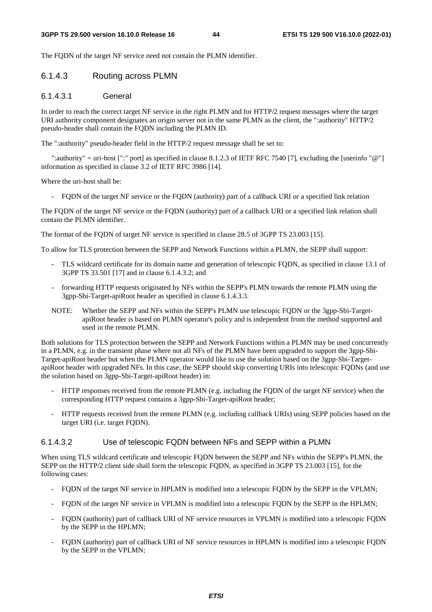The FQDN of the target NF service need not contain the PLMN identifier.

#### 6.1.4.3 Routing across PLMN

#### 6.1.4.3.1 General

In order to reach the correct target NF service in the right PLMN and for HTTP/2 request messages where the target URI authority component designates an origin server not in the same PLMN as the client, the ":authority" HTTP/2 pseudo-header shall contain the FQDN including the PLMN ID.

The ":authority" pseudo-header field in the HTTP/2 request message shall be set to:

 ":authority" = uri-host [":" port] as specified in clause 8.1.2.3 of IETF RFC 7540 [7], excluding the [userinfo "@"] information as specified in clause 3.2 of IETF RFC 3986 [14].

Where the uri-host shall be:

- FQDN of the target NF service or the FQDN (authority) part of a callback URI or a specified link relation

The FQDN of the target NF service or the FQDN (authority) part of a callback URI or a specified link relation shall contain the PLMN identifier.

The format of the FQDN of target NF service is specified in clause 28.5 of 3GPP TS 23.003 [15].

To allow for TLS protection between the SEPP and Network Functions within a PLMN, the SEPP shall support:

- TLS wildcard certificate for its domain name and generation of telescopic FQDN, as specified in clause 13.1 of 3GPP TS 33.501 [17] and in clause 6.1.4.3.2; and
- forwarding HTTP requests originated by NFs within the SEPP's PLMN towards the remote PLMN using the 3gpp-Sbi-Target-apiRoot header as specified in clause 6.1.4.3.3.
- NOTE: Whether the SEPP and NFs within the SEPP's PLMN use telescopic FQDN or the 3gpp-Sbi-TargetapiRoot header is based on PLMN operator's policy and is independent from the method supported and used in the remote PLMN.

Both solutions for TLS protection between the SEPP and Network Functions within a PLMN may be used concurrently in a PLMN, e.g. in the transient phase where not all NFs of the PLMN have been upgraded to support the 3gpp-Sbi-Target-apiRoot header but when the PLMN operator would like to use the solution based on the 3gpp-Sbi-TargetapiRoot header with upgraded NFs. In this case, the SEPP should skip converting URIs into telescopic FQDNs (and use the solution based on 3gpp-Sbi-Target-apiRoot header) in:

- HTTP responses received from the remote PLMN (e.g. including the FQDN of the target NF service) when the corresponding HTTP request contains a 3gpp-Sbi-Target-apiRoot header;
- HTTP requests received from the remote PLMN (e.g. including callback URIs) using SEPP policies based on the target URI (i.e. target FQDN).

#### 6.1.4.3.2 Use of telescopic FQDN between NFs and SEPP within a PLMN

When using TLS wildcard certificate and telescopic FQDN between the SEPP and NFs within the SEPP's PLMN, the SEPP on the HTTP/2 client side shall form the telescopic FQDN, as specified in 3GPP TS 23.003 [15], for the following cases:

- FQDN of the target NF service in HPLMN is modified into a telescopic FQDN by the SEPP in the VPLMN;
- FQDN of the target NF service in VPLMN is modified into a telescopic FQDN by the SEPP in the HPLMN;
- FQDN (authority) part of callback URI of NF service resources in VPLMN is modified into a telescopic FQDN by the SEPP in the HPLMN;
- FQDN (authority) part of callback URI of NF service resources in HPLMN is modified into a telescopic FQDN by the SEPP in the VPLMN;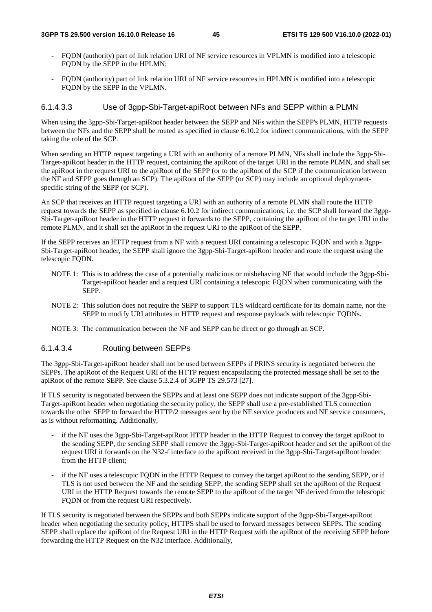- FQDN (authority) part of link relation URI of NF service resources in VPLMN is modified into a telescopic FQDN by the SEPP in the HPLMN;
- FQDN (authority) part of link relation URI of NF service resources in HPLMN is modified into a telescopic FQDN by the SEPP in the VPLMN.

### 6.1.4.3.3 Use of 3gpp-Sbi-Target-apiRoot between NFs and SEPP within a PLMN

When using the 3gpp-Sbi-Target-apiRoot header between the SEPP and NFs within the SEPP's PLMN, HTTP requests between the NFs and the SEPP shall be routed as specified in clause 6.10.2 for indirect communications, with the SEPP taking the role of the SCP.

When sending an HTTP request targeting a URI with an authority of a remote PLMN, NFs shall include the 3gpp-Sbi-Target-apiRoot header in the HTTP request, containing the apiRoot of the target URI in the remote PLMN, and shall set the apiRoot in the request URI to the apiRoot of the SEPP (or to the apiRoot of the SCP if the communication between the NF and SEPP goes through an SCP). The apiRoot of the SEPP (or SCP) may include an optional deploymentspecific string of the SEPP (or SCP).

An SCP that receives an HTTP request targeting a URI with an authority of a remote PLMN shall route the HTTP request towards the SEPP as specified in clause 6.10.2 for indirect communications, i.e. the SCP shall forward the 3gpp-Sbi-Target-apiRoot header in the HTTP request it forwards to the SEPP, containing the apiRoot of the target URI in the remote PLMN, and it shall set the apiRoot in the request URI to the apiRoot of the SEPP.

If the SEPP receives an HTTP request from a NF with a request URI containing a telescopic FQDN and with a 3gpp-Sbi-Target-apiRoot header, the SEPP shall ignore the 3gpp-Sbi-Target-apiRoot header and route the request using the telescopic FQDN.

- NOTE 1: This is to address the case of a potentially malicious or misbehaving NF that would include the 3gpp-Sbi-Target-apiRoot header and a request URI containing a telescopic FQDN when communicating with the SEPP.
- NOTE 2: This solution does not require the SEPP to support TLS wildcard certificate for its domain name, nor the SEPP to modify URI attributes in HTTP request and response payloads with telescopic FQDNs.
- NOTE 3: The communication between the NF and SEPP can be direct or go through an SCP.

### 6.1.4.3.4 Routing between SEPPs

The 3gpp-Sbi-Target-apiRoot header shall not be used between SEPPs if PRINS security is negotiated between the SEPPs. The apiRoot of the Request URI of the HTTP request encapsulating the protected message shall be set to the apiRoot of the remote SEPP. See clause 5.3.2.4 of 3GPP TS 29.573 [27].

If TLS security is negotiated between the SEPPs and at least one SEPP does not indicate support of the 3gpp-Sbi-Target-apiRoot header when negotiating the security policy, the SEPP shall use a pre-established TLS connection towards the other SEPP to forward the HTTP/2 messages sent by the NF service producers and NF service consumers, as is without reformatting. Additionally,

- if the NF uses the 3gpp-Sbi-Target-apiRoot HTTP header in the HTTP Request to convey the target apiRoot to the sending SEPP, the sending SEPP shall remove the 3gpp-Sbi-Target-apiRoot header and set the apiRoot of the request URI it forwards on the N32-f interface to the apiRoot received in the 3gpp-Sbi-Target-apiRoot header from the HTTP client;
- if the NF uses a telescopic FODN in the HTTP Request to convey the target apiRoot to the sending SEPP, or if TLS is not used between the NF and the sending SEPP, the sending SEPP shall set the apiRoot of the Request URI in the HTTP Request towards the remote SEPP to the apiRoot of the target NF derived from the telescopic FQDN or from the request URI respectively.

If TLS security is negotiated between the SEPPs and both SEPPs indicate support of the 3gpp-Sbi-Target-apiRoot header when negotiating the security policy, HTTPS shall be used to forward messages between SEPPs. The sending SEPP shall replace the apiRoot of the Request URI in the HTTP Request with the apiRoot of the receiving SEPP before forwarding the HTTP Request on the N32 interface. Additionally,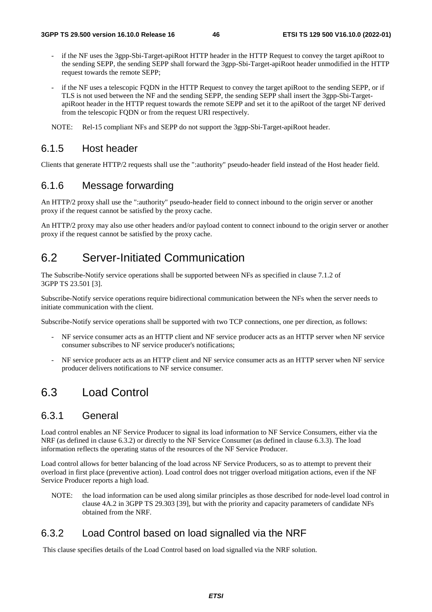- if the NF uses the 3gpp-Sbi-Target-apiRoot HTTP header in the HTTP Request to convey the target apiRoot to the sending SEPP, the sending SEPP shall forward the 3gpp-Sbi-Target-apiRoot header unmodified in the HTTP request towards the remote SEPP;
- if the NF uses a telescopic FQDN in the HTTP Request to convey the target apiRoot to the sending SEPP, or if TLS is not used between the NF and the sending SEPP, the sending SEPP shall insert the 3gpp-Sbi-TargetapiRoot header in the HTTP request towards the remote SEPP and set it to the apiRoot of the target NF derived from the telescopic FQDN or from the request URI respectively.

NOTE: Rel-15 compliant NFs and SEPP do not support the 3gpp-Sbi-Target-apiRoot header.

## 6.1.5 Host header

Clients that generate HTTP/2 requests shall use the ":authority" pseudo-header field instead of the Host header field.

## 6.1.6 Message forwarding

An HTTP/2 proxy shall use the ":authority" pseudo-header field to connect inbound to the origin server or another proxy if the request cannot be satisfied by the proxy cache.

An HTTP/2 proxy may also use other headers and/or payload content to connect inbound to the origin server or another proxy if the request cannot be satisfied by the proxy cache.

# 6.2 Server-Initiated Communication

The Subscribe-Notify service operations shall be supported between NFs as specified in clause 7.1.2 of 3GPP TS 23.501 [3].

Subscribe-Notify service operations require bidirectional communication between the NFs when the server needs to initiate communication with the client.

Subscribe-Notify service operations shall be supported with two TCP connections, one per direction, as follows:

- NF service consumer acts as an HTTP client and NF service producer acts as an HTTP server when NF service consumer subscribes to NF service producer's notifications;
- NF service producer acts as an HTTP client and NF service consumer acts as an HTTP server when NF service producer delivers notifications to NF service consumer.

# 6.3 Load Control

### 6.3.1 General

Load control enables an NF Service Producer to signal its load information to NF Service Consumers, either via the NRF (as defined in clause 6.3.2) or directly to the NF Service Consumer (as defined in clause 6.3.3). The load information reflects the operating status of the resources of the NF Service Producer.

Load control allows for better balancing of the load across NF Service Producers, so as to attempt to prevent their overload in first place (preventive action). Load control does not trigger overload mitigation actions, even if the NF Service Producer reports a high load.

NOTE: the load information can be used along similar principles as those described for node-level load control in clause 4A.2 in 3GPP TS 29.303 [39], but with the priority and capacity parameters of candidate NFs obtained from the NRF.

## 6.3.2 Load Control based on load signalled via the NRF

This clause specifies details of the Load Control based on load signalled via the NRF solution.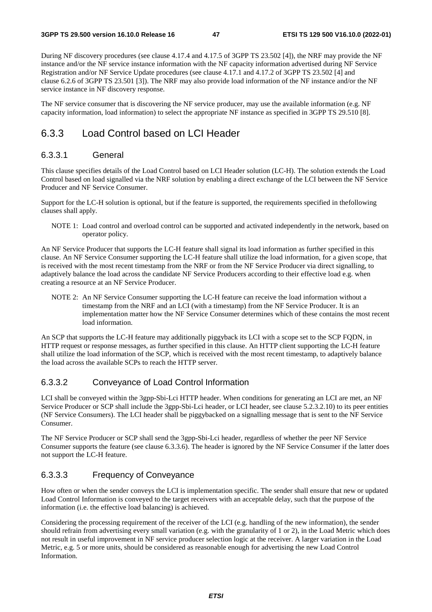During NF discovery procedures (see clause 4.17.4 and 4.17.5 of 3GPP TS 23.502 [4]), the NRF may provide the NF instance and/or the NF service instance information with the NF capacity information advertised during NF Service Registration and/or NF Service Update procedures (see clause 4.17.1 and 4.17.2 of 3GPP TS 23.502 [4] and clause 6.2.6 of 3GPP TS 23.501 [3]). The NRF may also provide load information of the NF instance and/or the NF service instance in NF discovery response.

The NF service consumer that is discovering the NF service producer, may use the available information (e.g. NF capacity information, load information) to select the appropriate NF instance as specified in 3GPP TS 29.510 [8].

# 6.3.3 Load Control based on LCI Header

#### 6.3.3.1 General

This clause specifies details of the Load Control based on LCI Header solution (LC-H). The solution extends the Load Control based on load signalled via the NRF solution by enabling a direct exchange of the LCI between the NF Service Producer and NF Service Consumer.

Support for the LC-H solution is optional, but if the feature is supported, the requirements specified in thefollowing clauses shall apply.

NOTE 1: Load control and overload control can be supported and activated independently in the network, based on operator policy.

An NF Service Producer that supports the LC-H feature shall signal its load information as further specified in this clause. An NF Service Consumer supporting the LC-H feature shall utilize the load information, for a given scope, that is received with the most recent timestamp from the NRF or from the NF Service Producer via direct signalling, to adaptively balance the load across the candidate NF Service Producers according to their effective load e.g. when creating a resource at an NF Service Producer.

NOTE 2: An NF Service Consumer supporting the LC-H feature can receive the load information without a timestamp from the NRF and an LCI (with a timestamp) from the NF Service Producer. It is an implementation matter how the NF Service Consumer determines which of these contains the most recent load information.

An SCP that supports the LC-H feature may additionally piggyback its LCI with a scope set to the SCP FQDN, in HTTP request or response messages, as further specified in this clause. An HTTP client supporting the LC-H feature shall utilize the load information of the SCP, which is received with the most recent timestamp, to adaptively balance the load across the available SCPs to reach the HTTP server.

#### 6.3.3.2 Conveyance of Load Control Information

LCI shall be conveyed within the 3gpp-Sbi-Lci HTTP header. When conditions for generating an LCI are met, an NF Service Producer or SCP shall include the 3gpp-Sbi-Lci header, or LCI header, see clause 5.2.3.2.10) to its peer entities (NF Service Consumers). The LCI header shall be piggybacked on a signalling message that is sent to the NF Service Consumer.

The NF Service Producer or SCP shall send the 3gpp-Sbi-Lci header, regardless of whether the peer NF Service Consumer supports the feature (see clause 6.3.3.6). The header is ignored by the NF Service Consumer if the latter does not support the LC-H feature.

### 6.3.3.3 Frequency of Conveyance

How often or when the sender conveys the LCI is implementation specific. The sender shall ensure that new or updated Load Control Information is conveyed to the target receivers with an acceptable delay, such that the purpose of the information (i.e. the effective load balancing) is achieved.

Considering the processing requirement of the receiver of the LCI (e.g. handling of the new information), the sender should refrain from advertising every small variation (e.g. with the granularity of 1 or 2), in the Load Metric which does not result in useful improvement in NF service producer selection logic at the receiver. A larger variation in the Load Metric, e.g. 5 or more units, should be considered as reasonable enough for advertising the new Load Control Information.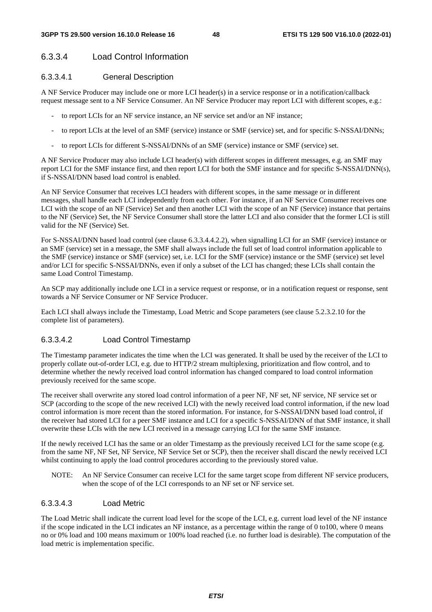#### 6.3.3.4 Load Control Information

#### 6.3.3.4.1 General Description

A NF Service Producer may include one or more LCI header(s) in a service response or in a notification/callback request message sent to a NF Service Consumer. An NF Service Producer may report LCI with different scopes, e.g.:

- to report LCIs for an NF service instance, an NF service set and/or an NF instance;
- to report LCIs at the level of an SMF (service) instance or SMF (service) set, and for specific S-NSSAI/DNNs;
- to report LCIs for different S-NSSAI/DNNs of an SMF (service) instance or SMF (service) set.

A NF Service Producer may also include LCI header(s) with different scopes in different messages, e.g. an SMF may report LCI for the SMF instance first, and then report LCI for both the SMF instance and for specific S-NSSAI/DNN(s), if S-NSSAI/DNN based load control is enabled.

An NF Service Consumer that receives LCI headers with different scopes, in the same message or in different messages, shall handle each LCI independently from each other. For instance, if an NF Service Consumer receives one LCI with the scope of an NF (Service) Set and then another LCI with the scope of an NF (Service) instance that pertains to the NF (Service) Set, the NF Service Consumer shall store the latter LCI and also consider that the former LCI is still valid for the NF (Service) Set.

For S-NSSAI/DNN based load control (see clause 6.3.3.4.4.2.2), when signalling LCI for an SMF (service) instance or an SMF (service) set in a message, the SMF shall always include the full set of load control information applicable to the SMF (service) instance or SMF (service) set, i.e. LCI for the SMF (service) instance or the SMF (service) set level and/or LCI for specific S-NSSAI/DNNs, even if only a subset of the LCI has changed; these LCIs shall contain the same Load Control Timestamp.

An SCP may additionally include one LCI in a service request or response, or in a notification request or response, sent towards a NF Service Consumer or NF Service Producer.

Each LCI shall always include the Timestamp, Load Metric and Scope parameters (see clause 5.2.3.2.10 for the complete list of parameters).

#### 6.3.3.4.2 Load Control Timestamp

The Timestamp parameter indicates the time when the LCI was generated. It shall be used by the receiver of the LCI to properly collate out-of-order LCI, e.g. due to HTTP/2 stream multiplexing, prioritization and flow control, and to determine whether the newly received load control information has changed compared to load control information previously received for the same scope.

The receiver shall overwrite any stored load control information of a peer NF, NF set, NF service, NF service set or SCP (according to the scope of the new received LCI) with the newly received load control information, if the new load control information is more recent than the stored information. For instance, for S-NSSAI/DNN based load control, if the receiver had stored LCI for a peer SMF instance and LCI for a specific S-NSSAI/DNN of that SMF instance, it shall overwrite these LCIs with the new LCI received in a message carrying LCI for the same SMF instance.

If the newly received LCI has the same or an older Timestamp as the previously received LCI for the same scope (e.g. from the same NF, NF Set, NF Service, NF Service Set or SCP), then the receiver shall discard the newly received LCI whilst continuing to apply the load control procedures according to the previously stored value.

NOTE: An NF Service Consumer can receive LCI for the same target scope from different NF service producers, when the scope of of the LCI corresponds to an NF set or NF service set.

#### 6.3.3.4.3 Load Metric

The Load Metric shall indicate the current load level for the scope of the LCI, e.g. current load level of the NF instance if the scope indicated in the LCI indicates an NF instance, as a percentage within the range of 0 to100, where 0 means no or 0% load and 100 means maximum or 100% load reached (i.e. no further load is desirable). The computation of the load metric is implementation specific.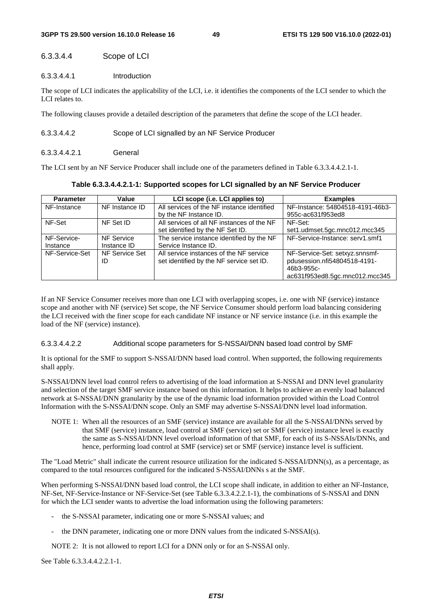#### 6.3.3.4.4 Scope of LCI

#### 6.3.3.4.4.1 Introduction

The scope of LCI indicates the applicability of the LCI, i.e. it identifies the components of the LCI sender to which the LCI relates to.

The following clauses provide a detailed description of the parameters that define the scope of the LCI header.

#### 6.3.3.4.4.2 Scope of LCI signalled by an NF Service Producer

#### 6.3.3.4.4.2.1 General

The LCI sent by an NF Service Producer shall include one of the parameters defined in Table 6.3.3.4.4.2.1-1.

**Table 6.3.3.4.4.2.1-1: Supported scopes for LCI signalled by an NF Service Producer** 

| <b>Parameter</b> | Value          | LCI scope (i.e. LCI applies to)            | <b>Examples</b>                  |
|------------------|----------------|--------------------------------------------|----------------------------------|
| NF-Instance      | NF Instance ID | All services of the NF instance identified | NF-Instance: 54804518-4191-46b3- |
|                  |                | by the NF Instance ID.                     | 955c-ac631f953ed8                |
| NF-Set           | NF Set ID      | All services of all NF instances of the NF | NF-Set:                          |
|                  |                | set identified by the NF Set ID.           | set1.udmset.5gc.mnc012.mcc345    |
| NF-Service-      | NF Service     | The service instance identified by the NF  | NF-Service-Instance: serv1.smf1  |
| Instance         | Instance ID    | Service Instance ID.                       |                                  |
| NF-Service-Set   | NF Service Set | All service instances of the NF service    | NF-Service-Set: setxyz.snnsmf-   |
|                  | ID             | set identified by the NF service set ID.   | pdusession.nfi54804518-4191-     |
|                  |                |                                            | 46b3-955c-                       |
|                  |                |                                            | ac631f953ed8.5gc.mnc012.mcc345   |

If an NF Service Consumer receives more than one LCI with overlapping scopes, i.e. one with NF (service) instance scope and another with NF (service) Set scope, the NF Service Consumer should perform load balancing considering the LCI received with the finer scope for each candidate NF instance or NF service instance (i.e. in this example the load of the NF (service) instance).

#### 6.3.3.4.4.2.2 Additional scope parameters for S-NSSAI/DNN based load control by SMF

It is optional for the SMF to support S-NSSAI/DNN based load control. When supported, the following requirements shall apply.

S-NSSAI/DNN level load control refers to advertising of the load information at S-NSSAI and DNN level granularity and selection of the target SMF service instance based on this information. It helps to achieve an evenly load balanced network at S-NSSAI/DNN granularity by the use of the dynamic load information provided within the Load Control Information with the S-NSSAI/DNN scope. Only an SMF may advertise S-NSSAI/DNN level load information.

NOTE 1: When all the resources of an SMF (service) instance are available for all the S-NSSAI/DNNs served by that SMF (service) instance, load control at SMF (service) set or SMF (service) instance level is exactly the same as S-NSSAI/DNN level overload information of that SMF, for each of its S-NSSAIs/DNNs, and hence, performing load control at SMF (service) set or SMF (service) instance level is sufficient.

The "Load Metric" shall indicate the current resource utilization for the indicated S-NSSAI/DNN(s), as a percentage, as compared to the total resources configured for the indicated S-NSSAI/DNNs s at the SMF.

When performing S-NSSAI/DNN based load control, the LCI scope shall indicate, in addition to either an NF-Instance, NF-Set, NF-Service-Instance or NF-Service-Set (see Table 6.3.3.4.2.2.1-1), the combinations of S-NSSAI and DNN for which the LCI sender wants to advertise the load information using the following parameters:

- the S-NSSAI parameter, indicating one or more S-NSSAI values; and
- the DNN parameter, indicating one or more DNN values from the indicated S-NSSAI(s).

NOTE 2: It is not allowed to report LCI for a DNN only or for an S-NSSAI only.

See Table 6.3.3.4.4.2.2.1-1.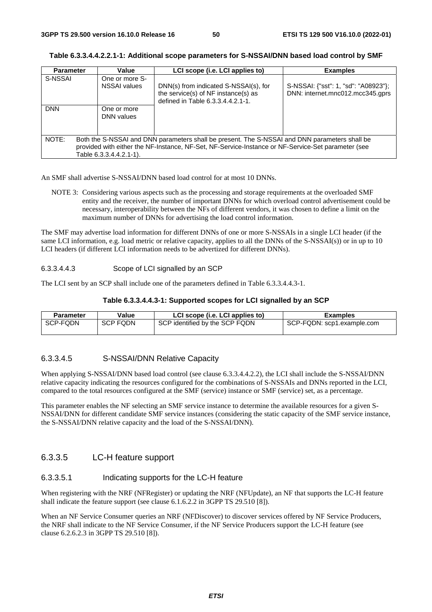| <b>Parameter</b>                                                                                                                                                                                                                        | Value                                 | LCI scope (i.e. LCI applies to)                                                                                   | <b>Examples</b>                                                          |
|-----------------------------------------------------------------------------------------------------------------------------------------------------------------------------------------------------------------------------------------|---------------------------------------|-------------------------------------------------------------------------------------------------------------------|--------------------------------------------------------------------------|
| S-NSSAI                                                                                                                                                                                                                                 | One or more S-<br><b>NSSAI</b> values | DNN(s) from indicated S-NSSAI(s), for<br>the service(s) of NF instance(s) as<br>defined in Table 6.3.3.4.4.2.1-1. | S-NSSAI: {"sst": 1, "sd": "A08923"};<br>DNN: internet.mnc012.mcc345.gprs |
| <b>DNN</b>                                                                                                                                                                                                                              | One or more<br>DNN values             |                                                                                                                   |                                                                          |
| NOTE:<br>Both the S-NSSAI and DNN parameters shall be present. The S-NSSAI and DNN parameters shall be<br>provided with either the NF-Instance, NF-Set, NF-Service-Instance or NF-Service-Set parameter (see<br>Table 6.3.3.4.4.2.1-1). |                                       |                                                                                                                   |                                                                          |

**Table 6.3.3.4.4.2.2.1-1: Additional scope parameters for S-NSSAI/DNN based load control by SMF** 

An SMF shall advertise S-NSSAI/DNN based load control for at most 10 DNNs.

NOTE 3: Considering various aspects such as the processing and storage requirements at the overloaded SMF entity and the receiver, the number of important DNNs for which overload control advertisement could be necessary, interoperability between the NFs of different vendors, it was chosen to define a limit on the maximum number of DNNs for advertising the load control information.

The SMF may advertise load information for different DNNs of one or more S-NSSAIs in a single LCI header (if the same LCI information, e.g. load metric or relative capacity, applies to all the DNNs of the S-NSSAI(s)) or in up to 10 LCI headers (if different LCI information needs to be advertized for different DNNs).

#### 6.3.3.4.4.3 Scope of LCI signalled by an SCP

The LCI sent by an SCP shall include one of the parameters defined in Table 6.3.3.4.4.3-1.

#### **Table 6.3.3.4.4.3-1: Supported scopes for LCI signalled by an SCP**

| <b>Parameter</b> | Value    | LCI scope (i.e. LCI applies to) | <b>Examples</b>            |
|------------------|----------|---------------------------------|----------------------------|
| SCP-FQDN         | SCP FQDN | SCP identified by the SCP FQDN  | SCP-FQDN: scp1.example.com |

#### 6.3.3.4.5 S-NSSAI/DNN Relative Capacity

When applying S-NSSAI/DNN based load control (see clause 6.3.3.4.4.2.2), the LCI shall include the S-NSSAI/DNN relative capacity indicating the resources configured for the combinations of S-NSSAIs and DNNs reported in the LCI, compared to the total resources configured at the SMF (service) instance or SMF (service) set, as a percentage.

This parameter enables the NF selecting an SMF service instance to determine the available resources for a given S-NSSAI/DNN for different candidate SMF service instances (considering the static capacity of the SMF service instance, the S-NSSAI/DNN relative capacity and the load of the S-NSSAI/DNN).

### 6.3.3.5 LC-H feature support

### 6.3.3.5.1 Indicating supports for the LC-H feature

When registering with the NRF (NFRegister) or updating the NRF (NFUpdate), an NF that supports the LC-H feature shall indicate the feature support (see clause 6.1.6.2.2 in 3GPP TS 29.510 [8]).

When an NF Service Consumer queries an NRF (NFDiscover) to discover services offered by NF Service Producers, the NRF shall indicate to the NF Service Consumer, if the NF Service Producers support the LC-H feature (see clause 6.2.6.2.3 in 3GPP TS 29.510 [8]).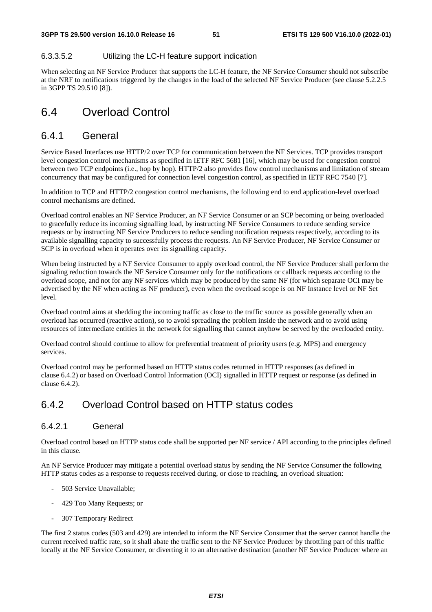#### 6.3.3.5.2 Utilizing the LC-H feature support indication

When selecting an NF Service Producer that supports the LC-H feature, the NF Service Consumer should not subscribe at the NRF to notifications triggered by the changes in the load of the selected NF Service Producer (see clause 5.2.2.5 in 3GPP TS 29.510 [8]).

# 6.4 Overload Control

### 6.4.1 General

Service Based Interfaces use HTTP/2 over TCP for communication between the NF Services. TCP provides transport level congestion control mechanisms as specified in IETF RFC 5681 [16], which may be used for congestion control between two TCP endpoints (i.e., hop by hop). HTTP/2 also provides flow control mechanisms and limitation of stream concurrency that may be configured for connection level congestion control, as specified in IETF RFC 7540 [7].

In addition to TCP and HTTP/2 congestion control mechanisms, the following end to end application-level overload control mechanisms are defined.

Overload control enables an NF Service Producer, an NF Service Consumer or an SCP becoming or being overloaded to gracefully reduce its incoming signalling load, by instructing NF Service Consumers to reduce sending service requests or by instructing NF Service Producers to reduce sending notification requests respectively, according to its available signalling capacity to successfully process the requests. An NF Service Producer, NF Service Consumer or SCP is in overload when it operates over its signalling capacity.

When being instructed by a NF Service Consumer to apply overload control, the NF Service Producer shall perform the signaling reduction towards the NF Service Consumer only for the notifications or callback requests according to the overload scope, and not for any NF services which may be produced by the same NF (for which separate OCI may be advertised by the NF when acting as NF producer), even when the overload scope is on NF Instance level or NF Set level.

Overload control aims at shedding the incoming traffic as close to the traffic source as possible generally when an overload has occurred (reactive action), so to avoid spreading the problem inside the network and to avoid using resources of intermediate entities in the network for signalling that cannot anyhow be served by the overloaded entity.

Overload control should continue to allow for preferential treatment of priority users (e.g. MPS) and emergency services.

Overload control may be performed based on HTTP status codes returned in HTTP responses (as defined in clause 6.4.2) or based on Overload Control Information (OCI) signalled in HTTP request or response (as defined in clause 6.4.2).

## 6.4.2 Overload Control based on HTTP status codes

### 6.4.2.1 General

Overload control based on HTTP status code shall be supported per NF service / API according to the principles defined in this clause.

An NF Service Producer may mitigate a potential overload status by sending the NF Service Consumer the following HTTP status codes as a response to requests received during, or close to reaching, an overload situation:

- 503 Service Unavailable;
- 429 Too Many Requests; or
- 307 Temporary Redirect

The first 2 status codes (503 and 429) are intended to inform the NF Service Consumer that the server cannot handle the current received traffic rate, so it shall abate the traffic sent to the NF Service Producer by throttling part of this traffic locally at the NF Service Consumer, or diverting it to an alternative destination (another NF Service Producer where an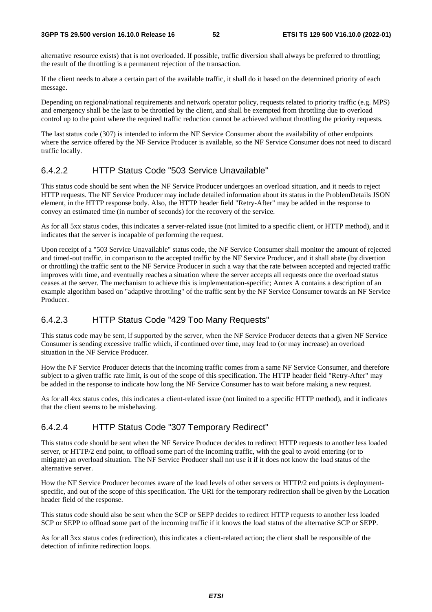alternative resource exists) that is not overloaded. If possible, traffic diversion shall always be preferred to throttling; the result of the throttling is a permanent rejection of the transaction.

If the client needs to abate a certain part of the available traffic, it shall do it based on the determined priority of each message.

Depending on regional/national requirements and network operator policy, requests related to priority traffic (e.g. MPS) and emergency shall be the last to be throttled by the client, and shall be exempted from throttling due to overload control up to the point where the required traffic reduction cannot be achieved without throttling the priority requests.

The last status code (307) is intended to inform the NF Service Consumer about the availability of other endpoints where the service offered by the NF Service Producer is available, so the NF Service Consumer does not need to discard traffic locally.

### 6.4.2.2 HTTP Status Code "503 Service Unavailable"

This status code should be sent when the NF Service Producer undergoes an overload situation, and it needs to reject HTTP requests. The NF Service Producer may include detailed information about its status in the ProblemDetails JSON element, in the HTTP response body. Also, the HTTP header field "Retry-After" may be added in the response to convey an estimated time (in number of seconds) for the recovery of the service.

As for all 5xx status codes, this indicates a server-related issue (not limited to a specific client, or HTTP method), and it indicates that the server is incapable of performing the request.

Upon receipt of a "503 Service Unavailable" status code, the NF Service Consumer shall monitor the amount of rejected and timed-out traffic, in comparison to the accepted traffic by the NF Service Producer, and it shall abate (by divertion or throttling) the traffic sent to the NF Service Producer in such a way that the rate between accepted and rejected traffic improves with time, and eventually reaches a situation where the server accepts all requests once the overload status ceases at the server. The mechanism to achieve this is implementation-specific; Annex A contains a description of an example algorithm based on "adaptive throttling" of the traffic sent by the NF Service Consumer towards an NF Service Producer.

### 6.4.2.3 HTTP Status Code "429 Too Many Requests"

This status code may be sent, if supported by the server, when the NF Service Producer detects that a given NF Service Consumer is sending excessive traffic which, if continued over time, may lead to (or may increase) an overload situation in the NF Service Producer.

How the NF Service Producer detects that the incoming traffic comes from a same NF Service Consumer, and therefore subject to a given traffic rate limit, is out of the scope of this specification. The HTTP header field "Retry-After" may be added in the response to indicate how long the NF Service Consumer has to wait before making a new request.

As for all 4xx status codes, this indicates a client-related issue (not limited to a specific HTTP method), and it indicates that the client seems to be misbehaving.

#### 6.4.2.4 HTTP Status Code "307 Temporary Redirect"

This status code should be sent when the NF Service Producer decides to redirect HTTP requests to another less loaded server, or HTTP/2 end point, to offload some part of the incoming traffic, with the goal to avoid entering (or to mitigate) an overload situation. The NF Service Producer shall not use it if it does not know the load status of the alternative server.

How the NF Service Producer becomes aware of the load levels of other servers or HTTP/2 end points is deploymentspecific, and out of the scope of this specification. The URI for the temporary redirection shall be given by the Location header field of the response.

This status code should also be sent when the SCP or SEPP decides to redirect HTTP requests to another less loaded SCP or SEPP to offload some part of the incoming traffic if it knows the load status of the alternative SCP or SEPP.

As for all 3xx status codes (redirection), this indicates a client-related action; the client shall be responsible of the detection of infinite redirection loops.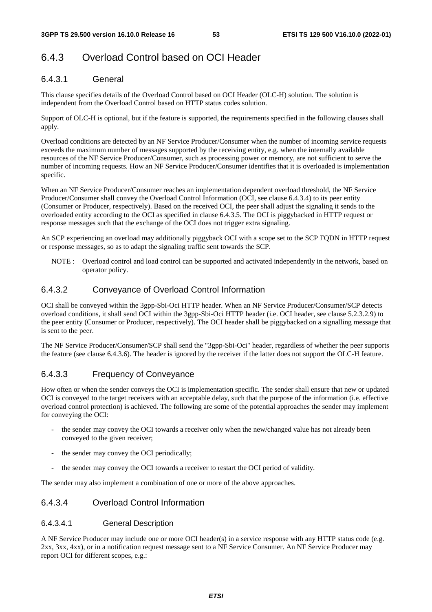# 6.4.3 Overload Control based on OCI Header

### 6.4.3.1 General

This clause specifies details of the Overload Control based on OCI Header (OLC-H) solution. The solution is independent from the Overload Control based on HTTP status codes solution.

Support of OLC-H is optional, but if the feature is supported, the requirements specified in the following clauses shall apply.

Overload conditions are detected by an NF Service Producer/Consumer when the number of incoming service requests exceeds the maximum number of messages supported by the receiving entity, e.g. when the internally available resources of the NF Service Producer/Consumer, such as processing power or memory, are not sufficient to serve the number of incoming requests. How an NF Service Producer/Consumer identifies that it is overloaded is implementation specific.

When an NF Service Producer/Consumer reaches an implementation dependent overload threshold, the NF Service Producer/Consumer shall convey the Overload Control Information (OCI, see clause 6.4.3.4) to its peer entity (Consumer or Producer, respectively). Based on the received OCI, the peer shall adjust the signaling it sends to the overloaded entity according to the OCI as specified in clause 6.4.3.5. The OCI is piggybacked in HTTP request or response messages such that the exchange of the OCI does not trigger extra signaling.

An SCP experiencing an overload may additionally piggyback OCI with a scope set to the SCP FQDN in HTTP request or response messages, so as to adapt the signaling traffic sent towards the SCP.

NOTE : Overload control and load control can be supported and activated independently in the network, based on operator policy.

#### 6.4.3.2 Conveyance of Overload Control Information

OCI shall be conveyed within the 3gpp-Sbi-Oci HTTP header. When an NF Service Producer/Consumer/SCP detects overload conditions, it shall send OCI within the 3gpp-Sbi-Oci HTTP header (i.e. OCI header, see clause 5.2.3.2.9) to the peer entity (Consumer or Producer, respectively). The OCI header shall be piggybacked on a signalling message that is sent to the peer.

The NF Service Producer/Consumer/SCP shall send the "3gpp-Sbi-Oci" header, regardless of whether the peer supports the feature (see clause 6.4.3.6). The header is ignored by the receiver if the latter does not support the OLC-H feature.

### 6.4.3.3 Frequency of Conveyance

How often or when the sender conveys the OCI is implementation specific. The sender shall ensure that new or updated OCI is conveyed to the target receivers with an acceptable delay, such that the purpose of the information (i.e. effective overload control protection) is achieved. The following are some of the potential approaches the sender may implement for conveying the OCI:

- the sender may convey the OCI towards a receiver only when the new/changed value has not already been conveyed to the given receiver;
- the sender may convey the OCI periodically;
- the sender may convey the OCI towards a receiver to restart the OCI period of validity.

The sender may also implement a combination of one or more of the above approaches.

### 6.4.3.4 Overload Control Information

#### 6.4.3.4.1 General Description

A NF Service Producer may include one or more OCI header(s) in a service response with any HTTP status code (e.g. 2xx, 3xx, 4xx), or in a notification request message sent to a NF Service Consumer. An NF Service Producer may report OCI for different scopes, e.g.: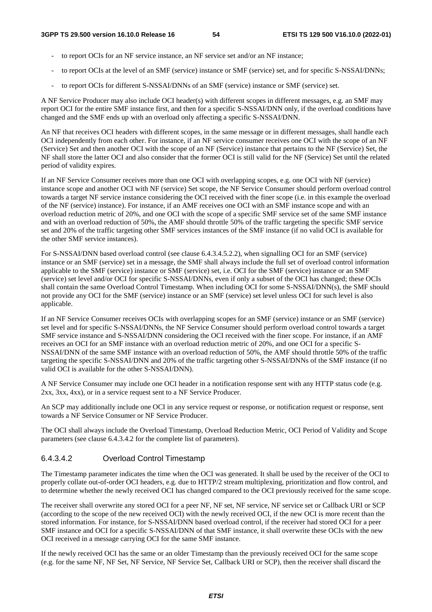- to report OCIs for an NF service instance, an NF service set and/or an NF instance;
- to report OCIs at the level of an SMF (service) instance or SMF (service) set, and for specific S-NSSAI/DNNs;
- to report OCIs for different S-NSSAI/DNNs of an SMF (service) instance or SMF (service) set.

A NF Service Producer may also include OCI header(s) with different scopes in different messages, e.g. an SMF may report OCI for the entire SMF instance first, and then for a specific S-NSSAI/DNN only, if the overload conditions have changed and the SMF ends up with an overload only affecting a specific S-NSSAI/DNN.

An NF that receives OCI headers with different scopes, in the same message or in different messages, shall handle each OCI independently from each other. For instance, if an NF service consumer receives one OCI with the scope of an NF (Service) Set and then another OCI with the scope of an NF (Service) instance that pertains to the NF (Service) Set, the NF shall store the latter OCI and also consider that the former OCI is still valid for the NF (Service) Set until the related period of validity expires.

If an NF Service Consumer receives more than one OCI with overlapping scopes, e.g. one OCI with NF (service) instance scope and another OCI with NF (service) Set scope, the NF Service Consumer should perform overload control towards a target NF service instance considering the OCI received with the finer scope (i.e. in this example the overload of the NF (service) instance). For instance, if an AMF receives one OCI with an SMF instance scope and with an overload reduction metric of 20%, and one OCI with the scope of a specific SMF service set of the same SMF instance and with an overload reduction of 50%, the AMF should throttle 50% of the traffic targeting the specific SMF service set and 20% of the traffic targeting other SMF services instances of the SMF instance (if no valid OCI is available for the other SMF service instances).

For S-NSSAI/DNN based overload control (see clause 6.4.3.4.5.2.2), when signalling OCI for an SMF (service) instance or an SMF (service) set in a message, the SMF shall always include the full set of overload control information applicable to the SMF (service) instance or SMF (service) set, i.e. OCI for the SMF (service) instance or an SMF (service) set level and/or OCI for specific S-NSSAI/DNNs, even if only a subset of the OCI has changed; these OCIs shall contain the same Overload Control Timestamp. When including OCI for some S-NSSAI/DNN(s), the SMF should not provide any OCI for the SMF (service) instance or an SMF (service) set level unless OCI for such level is also applicable.

If an NF Service Consumer receives OCIs with overlapping scopes for an SMF (service) instance or an SMF (service) set level and for specific S-NSSAI/DNNs, the NF Service Consumer should perform overload control towards a target SMF service instance and S-NSSAI/DNN considering the OCI received with the finer scope. For instance, if an AMF receives an OCI for an SMF instance with an overload reduction metric of 20%, and one OCI for a specific S-NSSAI/DNN of the same SMF instance with an overload reduction of 50%, the AMF should throttle 50% of the traffic targeting the specific S-NSSAI/DNN and 20% of the traffic targeting other S-NSSAI/DNNs of the SMF instance (if no valid OCI is available for the other S-NSSAI/DNN).

A NF Service Consumer may include one OCI header in a notification response sent with any HTTP status code (e.g. 2xx, 3xx, 4xx), or in a service request sent to a NF Service Producer.

An SCP may additionally include one OCI in any service request or response, or notification request or response, sent towards a NF Service Consumer or NF Service Producer.

The OCI shall always include the Overload Timestamp, Overload Reduction Metric, OCI Period of Validity and Scope parameters (see clause 6.4.3.4.2 for the complete list of parameters).

## 6.4.3.4.2 Overload Control Timestamp

The Timestamp parameter indicates the time when the OCI was generated. It shall be used by the receiver of the OCI to properly collate out-of-order OCI headers, e.g. due to HTTP/2 stream multiplexing, prioritization and flow control, and to determine whether the newly received OCI has changed compared to the OCI previously received for the same scope.

The receiver shall overwrite any stored OCI for a peer NF, NF set, NF service, NF service set or Callback URI or SCP (according to the scope of the new received OCI) with the newly received OCI, if the new OCI is more recent than the stored information. For instance, for S-NSSAI/DNN based overload control, if the receiver had stored OCI for a peer SMF instance and OCI for a specific S-NSSAI/DNN of that SMF instance, it shall overwrite these OCIs with the new OCI received in a message carrying OCI for the same SMF instance.

If the newly received OCI has the same or an older Timestamp than the previously received OCI for the same scope (e.g. for the same NF, NF Set, NF Service, NF Service Set, Callback URI or SCP), then the receiver shall discard the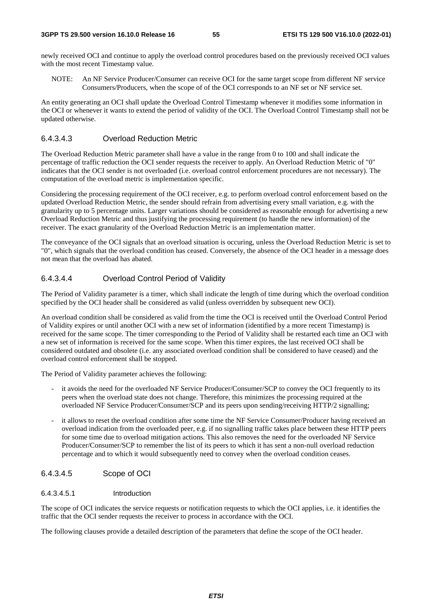newly received OCI and continue to apply the overload control procedures based on the previously received OCI values with the most recent Timestamp value.

NOTE: An NF Service Producer/Consumer can receive OCI for the same target scope from different NF service Consumers/Producers, when the scope of of the OCI corresponds to an NF set or NF service set.

An entity generating an OCI shall update the Overload Control Timestamp whenever it modifies some information in the OCI or whenever it wants to extend the period of validity of the OCI. The Overload Control Timestamp shall not be updated otherwise.

#### 6.4.3.4.3 Overload Reduction Metric

The Overload Reduction Metric parameter shall have a value in the range from 0 to 100 and shall indicate the percentage of traffic reduction the OCI sender requests the receiver to apply. An Overload Reduction Metric of "0" indicates that the OCI sender is not overloaded (i.e. overload control enforcement procedures are not necessary). The computation of the overload metric is implementation specific.

Considering the processing requirement of the OCI receiver, e.g. to perform overload control enforcement based on the updated Overload Reduction Metric, the sender should refrain from advertising every small variation, e.g. with the granularity up to 5 percentage units. Larger variations should be considered as reasonable enough for advertising a new Overload Reduction Metric and thus justifying the processing requirement (to handle the new information) of the receiver. The exact granularity of the Overload Reduction Metric is an implementation matter.

The conveyance of the OCI signals that an overload situation is occuring, unless the Overload Reduction Metric is set to "0", which signals that the overload condition has ceased. Conversely, the absence of the OCI header in a message does not mean that the overload has abated.

#### 6.4.3.4.4 Overload Control Period of Validity

The Period of Validity parameter is a timer, which shall indicate the length of time during which the overload condition specified by the OCI header shall be considered as valid (unless overridden by subsequent new OCI).

An overload condition shall be considered as valid from the time the OCI is received until the Overload Control Period of Validity expires or until another OCI with a new set of information (identified by a more recent Timestamp) is received for the same scope. The timer corresponding to the Period of Validity shall be restarted each time an OCI with a new set of information is received for the same scope. When this timer expires, the last received OCI shall be considered outdated and obsolete (i.e. any associated overload condition shall be considered to have ceased) and the overload control enforcement shall be stopped.

The Period of Validity parameter achieves the following:

- it avoids the need for the overloaded NF Service Producer/Consumer/SCP to convey the OCI frequently to its peers when the overload state does not change. Therefore, this minimizes the processing required at the overloaded NF Service Producer/Consumer/SCP and its peers upon sending/receiving HTTP/2 signalling;
- it allows to reset the overload condition after some time the NF Service Consumer/Producer having received an overload indication from the overloaded peer, e.g. if no signalling traffic takes place between these HTTP peers for some time due to overload mitigation actions. This also removes the need for the overloaded NF Service Producer/Consumer/SCP to remember the list of its peers to which it has sent a non-null overload reduction percentage and to which it would subsequently need to convey when the overload condition ceases.

#### 6.4.3.4.5 Scope of OCI

#### 6.4.3.4.5.1 Introduction

The scope of OCI indicates the service requests or notification requests to which the OCI applies, i.e. it identifies the traffic that the OCI sender requests the receiver to process in accordance with the OCI.

The following clauses provide a detailed description of the parameters that define the scope of the OCI header.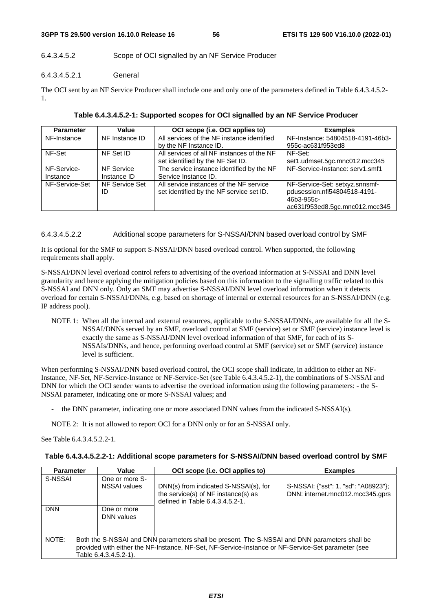### 6.4.3.4.5.2 Scope of OCI signalled by an NF Service Producer

### 6.4.3.4.5.2.1 General

The OCI sent by an NF Service Producer shall include one and only one of the parameters defined in Table 6.4.3.4.5.2- 1.

| <b>Parameter</b> | Value                | OCI scope (i.e. OCI applies to)                                                     | <b>Examples</b>                                                                                                |
|------------------|----------------------|-------------------------------------------------------------------------------------|----------------------------------------------------------------------------------------------------------------|
| NF-Instance      | NF Instance ID       | All services of the NF instance identified                                          | NF-Instance: 54804518-4191-46b3-                                                                               |
|                  |                      | by the NF Instance ID.                                                              | 955c-ac631f953ed8                                                                                              |
| NF-Set           | NF Set ID            | All services of all NF instances of the NF                                          | NF-Set:                                                                                                        |
|                  |                      | set identified by the NF Set ID.                                                    | set1.udmset.5gc.mnc012.mcc345                                                                                  |
| NF-Service-      | NF Service           | The service instance identified by the NF                                           | NF-Service-Instance: serv1.smf1                                                                                |
| Instance         | Instance ID          | Service Instance ID.                                                                |                                                                                                                |
| NF-Service-Set   | NF Service Set<br>ID | All service instances of the NF service<br>set identified by the NF service set ID. | NF-Service-Set: setxyz.snnsmf-<br>pdusession.nfi54804518-4191-<br>46b3-955c-<br>ac631f953ed8.5gc.mnc012.mcc345 |

#### 6.4.3.4.5.2.2 Additional scope parameters for S-NSSAI/DNN based overload control by SMF

It is optional for the SMF to support S-NSSAI/DNN based overload control. When supported, the following requirements shall apply.

S-NSSAI/DNN level overload control refers to advertising of the overload information at S-NSSAI and DNN level granularity and hence applying the mitigation policies based on this information to the signalling traffic related to this S-NSSAI and DNN only. Only an SMF may advertise S-NSSAI/DNN level overload information when it detects overload for certain S-NSSAI/DNNs, e.g. based on shortage of internal or external resources for an S-NSSAI/DNN (e.g. IP address pool).

NOTE 1: When all the internal and external resources, applicable to the S-NSSAI/DNNs, are available for all the S-NSSAI/DNNs served by an SMF, overload control at SMF (service) set or SMF (service) instance level is exactly the same as S-NSSAI/DNN level overload information of that SMF, for each of its S-NSSAIs/DNNs, and hence, performing overload control at SMF (service) set or SMF (service) instance level is sufficient.

When performing S-NSSAI/DNN based overload control, the OCI scope shall indicate, in addition to either an NF-Instance, NF-Set, NF-Service-Instance or NF-Service-Set (see Table 6.4.3.4.5.2-1), the combinations of S-NSSAI and DNN for which the OCI sender wants to advertise the overload information using the following parameters: - the S-NSSAI parameter, indicating one or more S-NSSAI values; and

the DNN parameter, indicating one or more associated DNN values from the indicated S-NSSAI(s).

NOTE 2: It is not allowed to report OCI for a DNN only or for an S-NSSAI only.

See Table 6.4.3.4.5.2.2-1.

| <b>Parameter</b>                                                                                                                                                                                                                      | Value                                 | OCI scope (i.e. OCI applies to)                                                                                 | <b>Examples</b>                                                          |  |  |
|---------------------------------------------------------------------------------------------------------------------------------------------------------------------------------------------------------------------------------------|---------------------------------------|-----------------------------------------------------------------------------------------------------------------|--------------------------------------------------------------------------|--|--|
| S-NSSAI                                                                                                                                                                                                                               | One or more S-<br><b>NSSAI</b> values | DNN(s) from indicated S-NSSAI(s), for<br>the service(s) of NF instance(s) as<br>defined in Table 6.4.3.4.5.2-1. | S-NSSAI: {"sst": 1, "sd": "A08923"};<br>DNN: internet.mnc012.mcc345.gprs |  |  |
| <b>DNN</b>                                                                                                                                                                                                                            | One or more<br>DNN values             |                                                                                                                 |                                                                          |  |  |
| NOTE:<br>Both the S-NSSAI and DNN parameters shall be present. The S-NSSAI and DNN parameters shall be<br>provided with either the NF-Instance, NF-Set, NF-Service-Instance or NF-Service-Set parameter (see<br>Table 6.4.3.4.5.2-1). |                                       |                                                                                                                 |                                                                          |  |  |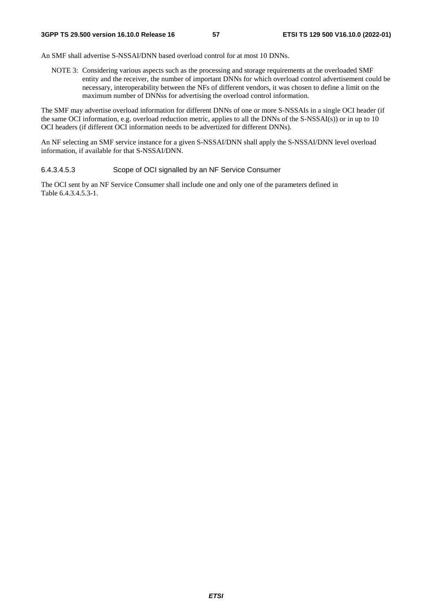An SMF shall advertise S-NSSAI/DNN based overload control for at most 10 DNNs.

NOTE 3: Considering various aspects such as the processing and storage requirements at the overloaded SMF entity and the receiver, the number of important DNNs for which overload control advertisement could be necessary, interoperability between the NFs of different vendors, it was chosen to define a limit on the maximum number of DNNss for advertising the overload control information.

The SMF may advertise overload information for different DNNs of one or more S-NSSAIs in a single OCI header (if the same OCI information, e.g. overload reduction metric, applies to all the DNNs of the S-NSSAI(s)) or in up to 10 OCI headers (if different OCI information needs to be advertized for different DNNs).

An NF selecting an SMF service instance for a given S-NSSAI/DNN shall apply the S-NSSAI/DNN level overload information, if available for that S-NSSAI/DNN.

#### 6.4.3.4.5.3 Scope of OCI signalled by an NF Service Consumer

The OCI sent by an NF Service Consumer shall include one and only one of the parameters defined in Table 6.4.3.4.5.3-1.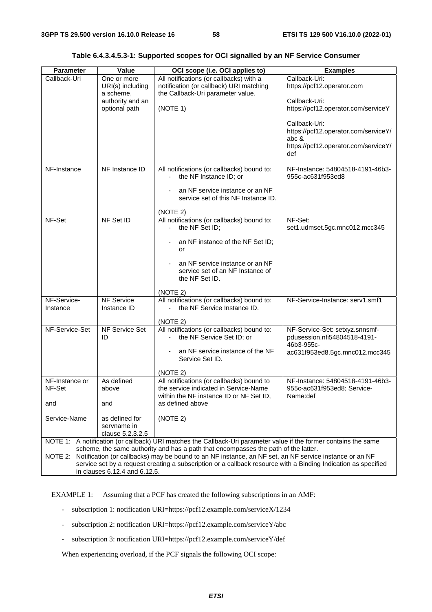| <b>Parameter</b>                                                                                                                                                                                                                                                                                                                                        | Value                                                                             | OCI scope (i.e. OCI applies to)                                                                                                                                                                             | <b>Examples</b>                                                                                                                                                                                                      |  |  |
|---------------------------------------------------------------------------------------------------------------------------------------------------------------------------------------------------------------------------------------------------------------------------------------------------------------------------------------------------------|-----------------------------------------------------------------------------------|-------------------------------------------------------------------------------------------------------------------------------------------------------------------------------------------------------------|----------------------------------------------------------------------------------------------------------------------------------------------------------------------------------------------------------------------|--|--|
| Callback-Uri                                                                                                                                                                                                                                                                                                                                            | One or more<br>URI(s) including<br>a scheme,<br>authority and an<br>optional path | All notifications (or callbacks) with a<br>notification (or callback) URI matching<br>the Callback-Uri parameter value.<br>(NOTE 1)                                                                         | Callback-Uri:<br>https://pcf12.operator.com<br>Callback-Uri:<br>https://pcf12.operator.com/serviceY<br>Callback-Uri:<br>https://pcf12.operator.com/serviceY/<br>abc &<br>https://pcf12.operator.com/serviceY/<br>def |  |  |
| NF-Instance                                                                                                                                                                                                                                                                                                                                             | NF Instance ID                                                                    | All notifications (or callbacks) bound to:<br>the NF Instance ID; or<br>an NF service instance or an NF<br>service set of this NF Instance ID.<br>(NOTE 2)                                                  | NF-Instance: 54804518-4191-46b3-<br>955c-ac631f953ed8                                                                                                                                                                |  |  |
| NF-Set                                                                                                                                                                                                                                                                                                                                                  | NF Set ID                                                                         | All notifications (or callbacks) bound to:<br>the NF Set ID;<br>an NF instance of the NF Set ID;<br>or<br>an NF service instance or an NF<br>service set of an NF Instance of<br>the NF Set ID.<br>(NOTE 2) | NF-Set:<br>set1.udmset.5gc.mnc012.mcc345                                                                                                                                                                             |  |  |
| NF-Service-<br>Instance                                                                                                                                                                                                                                                                                                                                 | <b>NF Service</b><br>Instance ID                                                  | All notifications (or callbacks) bound to:<br>the NF Service Instance ID.<br>(NOTE 2)                                                                                                                       | NF-Service-Instance: serv1.smf1                                                                                                                                                                                      |  |  |
| NF-Service-Set                                                                                                                                                                                                                                                                                                                                          | NF Service Set<br>ID                                                              | All notifications (or callbacks) bound to:<br>the NF Service Set ID; or<br>an NF service instance of the NF<br>Service Set ID.<br>(NOTE 2)                                                                  | NF-Service-Set: setxyz.snnsmf-<br>pdusession.nfi54804518-4191-<br>46b3-955c-<br>ac631f953ed8.5gc.mnc012.mcc345                                                                                                       |  |  |
| NF-Instance or<br>NF-Set<br>and                                                                                                                                                                                                                                                                                                                         | As defined<br>above<br>and                                                        | All notifications (or callbacks) bound to<br>the service indicated in Service-Name<br>within the NF instance ID or NF Set ID,<br>as defined above                                                           | NF-Instance: 54804518-4191-46b3-<br>955c-ac631f953ed8; Service-<br>Name:def                                                                                                                                          |  |  |
| Service-Name                                                                                                                                                                                                                                                                                                                                            | as defined for<br>servname in<br>clause 5.2.3.2.5                                 | (NOTE 2)                                                                                                                                                                                                    |                                                                                                                                                                                                                      |  |  |
| NOTE 1: A notification (or callback) URI matches the Callback-Uri parameter value if the former contains the same                                                                                                                                                                                                                                       |                                                                                   |                                                                                                                                                                                                             |                                                                                                                                                                                                                      |  |  |
| scheme, the same authority and has a path that encompasses the path of the latter.<br>NOTE 2: Notification (or callbacks) may be bound to an NF instance, an NF set, an NF service instance or an NF<br>service set by a request creating a subscription or a callback resource with a Binding Indication as specified<br>in clauses 6.12.4 and 6.12.5. |                                                                                   |                                                                                                                                                                                                             |                                                                                                                                                                                                                      |  |  |

**Table 6.4.3.4.5.3-1: Supported scopes for OCI signalled by an NF Service Consumer** 

EXAMPLE 1: Assuming that a PCF has created the following subscriptions in an AMF:

- subscription 1: notification URI=https://pcf12.example.com/serviceX/1234
- subscription 2: notification URI=https://pcf12.example.com/serviceY/abc
- subscription 3: notification URI=https://pcf12.example.com/serviceY/def

When experiencing overload, if the PCF signals the following OCI scope: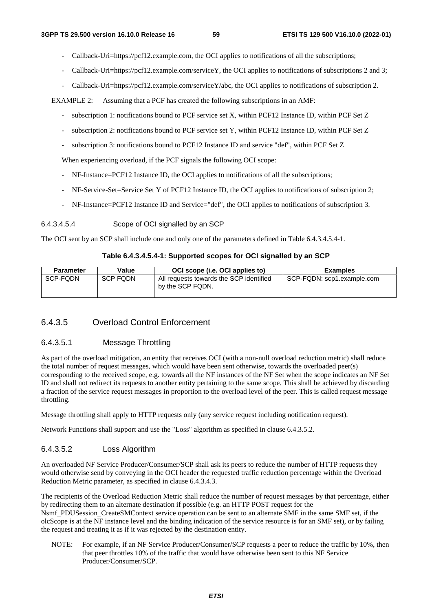- Callback-Uri=https://pcf12.example.com, the OCI applies to notifications of all the subscriptions;
- Callback-Uri=https://pcf12.example.com/serviceY, the OCI applies to notifications of subscriptions 2 and 3;
- Callback-Uri=https://pcf12.example.com/serviceY/abc, the OCI applies to notifications of subscription 2.

EXAMPLE 2: Assuming that a PCF has created the following subscriptions in an AMF:

- subscription 1: notifications bound to PCF service set X, within PCF12 Instance ID, within PCF Set Z
- subscription 2: notifications bound to PCF service set Y, within PCF12 Instance ID, within PCF Set Z
- subscription 3: notifications bound to PCF12 Instance ID and service "def", within PCF Set Z

When experiencing overload, if the PCF signals the following OCI scope:

- NF-Instance=PCF12 Instance ID, the OCI applies to notifications of all the subscriptions;
- NF-Service-Set=Service Set Y of PCF12 Instance ID, the OCI applies to notifications of subscription 2;
- NF-Instance=PCF12 Instance ID and Service="def", the OCI applies to notifications of subscription 3.

#### 6.4.3.4.5.4 Scope of OCI signalled by an SCP

The OCI sent by an SCP shall include one and only one of the parameters defined in Table 6.4.3.4.5.4-1.

#### **Table 6.4.3.4.5.4-1: Supported scopes for OCI signalled by an SCP**

| <b>Parameter</b> | Value           | OCI scope (i.e. OCI applies to)                             | <b>Examples</b>            |
|------------------|-----------------|-------------------------------------------------------------|----------------------------|
| SCP-FODN         | <b>SCP FODN</b> | All requests towards the SCP identified<br>by the SCP FQDN. | SCP-FQDN: scp1.example.com |

#### 6.4.3.5 Overload Control Enforcement

#### 6.4.3.5.1 Message Throttling

As part of the overload mitigation, an entity that receives OCI (with a non-null overload reduction metric) shall reduce the total number of request messages, which would have been sent otherwise, towards the overloaded peer(s) corresponding to the received scope, e.g. towards all the NF instances of the NF Set when the scope indicates an NF Set ID and shall not redirect its requests to another entity pertaining to the same scope. This shall be achieved by discarding a fraction of the service request messages in proportion to the overload level of the peer. This is called request message throttling.

Message throttling shall apply to HTTP requests only (any service request including notification request).

Network Functions shall support and use the "Loss" algorithm as specified in clause 6.4.3.5.2.

#### 6.4.3.5.2 Loss Algorithm

An overloaded NF Service Producer/Consumer/SCP shall ask its peers to reduce the number of HTTP requests they would otherwise send by conveying in the OCI header the requested traffic reduction percentage within the Overload Reduction Metric parameter, as specified in clause 6.4.3.4.3.

The recipients of the Overload Reduction Metric shall reduce the number of request messages by that percentage, either by redirecting them to an alternate destination if possible (e.g. an HTTP POST request for the Nsmf\_PDUSession\_CreateSMContext service operation can be sent to an alternate SMF in the same SMF set, if the olcScope is at the NF instance level and the binding indication of the service resource is for an SMF set), or by failing the request and treating it as if it was rejected by the destination entity.

NOTE: For example, if an NF Service Producer/Consumer/SCP requests a peer to reduce the traffic by 10%, then that peer throttles 10% of the traffic that would have otherwise been sent to this NF Service Producer/Consumer/SCP.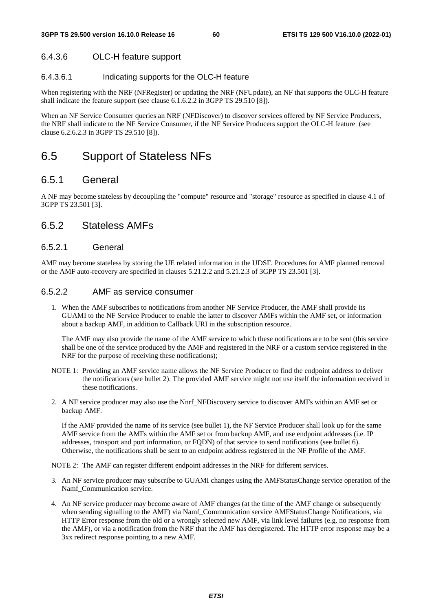## 6.4.3.6 OLC-H feature support

### 6.4.3.6.1 Indicating supports for the OLC-H feature

When registering with the NRF (NFRegister) or updating the NRF (NFUpdate), an NF that supports the OLC-H feature shall indicate the feature support (see clause 6.1.6.2.2 in 3GPP TS 29.510 [8]).

When an NF Service Consumer queries an NRF (NFDiscover) to discover services offered by NF Service Producers, the NRF shall indicate to the NF Service Consumer, if the NF Service Producers support the OLC-H feature (see clause 6.2.6.2.3 in 3GPP TS 29.510 [8]).

# 6.5 Support of Stateless NFs

## 6.5.1 General

A NF may become stateless by decoupling the "compute" resource and "storage" resource as specified in clause 4.1 of 3GPP TS 23.501 [3].

## 6.5.2 Stateless AMFs

#### 6.5.2.1 General

AMF may become stateless by storing the UE related information in the UDSF. Procedures for AMF planned removal or the AMF auto-recovery are specified in clauses 5.21.2.2 and 5.21.2.3 of 3GPP TS 23.501 [3].

#### 6.5.2.2 AMF as service consumer

1. When the AMF subscribes to notifications from another NF Service Producer, the AMF shall provide its GUAMI to the NF Service Producer to enable the latter to discover AMFs within the AMF set, or information about a backup AMF, in addition to Callback URI in the subscription resource.

The AMF may also provide the name of the AMF service to which these notifications are to be sent (this service shall be one of the service produced by the AMF and registered in the NRF or a custom service registered in the NRF for the purpose of receiving these notifications);

- NOTE 1: Providing an AMF service name allows the NF Service Producer to find the endpoint address to deliver the notifications (see bullet 2). The provided AMF service might not use itself the information received in these notifications.
- 2. A NF service producer may also use the Nnrf\_NFDiscovery service to discover AMFs within an AMF set or backup AMF.

If the AMF provided the name of its service (see bullet 1), the NF Service Producer shall look up for the same AMF service from the AMFs within the AMF set or from backup AMF, and use endpoint addresses (i.e. IP addresses, transport and port information, or FQDN) of that service to send notifications (see bullet 6). Otherwise, the notifications shall be sent to an endpoint address registered in the NF Profile of the AMF.

NOTE 2: The AMF can register different endpoint addresses in the NRF for different services.

- 3. An NF service producer may subscribe to GUAMI changes using the AMFStatusChange service operation of the Namf\_Communication service.
- 4. An NF service producer may become aware of AMF changes (at the time of the AMF change or subsequently when sending signalling to the AMF) via Namf\_Communication service AMFStatusChange Notifications, via HTTP Error response from the old or a wrongly selected new AMF, via link level failures (e.g. no response from the AMF), or via a notification from the NRF that the AMF has deregistered. The HTTP error response may be a 3xx redirect response pointing to a new AMF.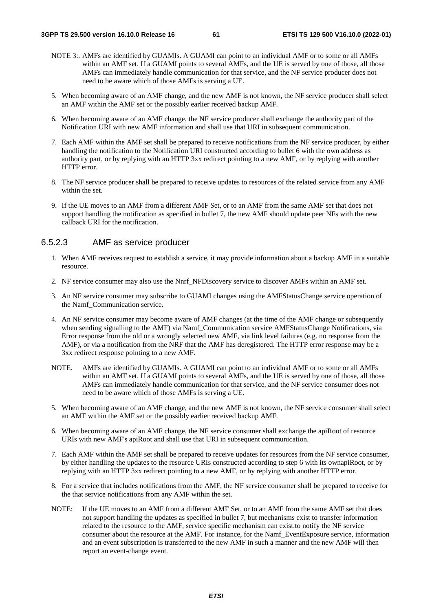- NOTE 3:. AMFs are identified by GUAMIs. A GUAMI can point to an individual AMF or to some or all AMFs within an AMF set. If a GUAMI points to several AMFs, and the UE is served by one of those, all those AMFs can immediately handle communication for that service, and the NF service producer does not need to be aware which of those AMFs is serving a UE.
- 5. When becoming aware of an AMF change, and the new AMF is not known, the NF service producer shall select an AMF within the AMF set or the possibly earlier received backup AMF.
- 6. When becoming aware of an AMF change, the NF service producer shall exchange the authority part of the Notification URI with new AMF information and shall use that URI in subsequent communication.
- 7. Each AMF within the AMF set shall be prepared to receive notifications from the NF service producer, by either handling the notification to the Notification URI constructed according to bullet 6 with the own address as authority part, or by replying with an HTTP 3xx redirect pointing to a new AMF, or by replying with another HTTP error.
- 8. The NF service producer shall be prepared to receive updates to resources of the related service from any AMF within the set.
- 9. If the UE moves to an AMF from a different AMF Set, or to an AMF from the same AMF set that does not support handling the notification as specified in bullet 7, the new AMF should update peer NFs with the new callback URI for the notification.

#### 6.5.2.3 AMF as service producer

- 1. When AMF receives request to establish a service, it may provide information about a backup AMF in a suitable resource.
- 2. NF service consumer may also use the Nnrf\_NFDiscovery service to discover AMFs within an AMF set.
- 3. An NF service consumer may subscribe to GUAMI changes using the AMFStatusChange service operation of the Namf\_Communication service.
- 4. An NF service consumer may become aware of AMF changes (at the time of the AMF change or subsequently when sending signalling to the AMF) via Namf\_Communication service AMFStatusChange Notifications, via Error response from the old or a wrongly selected new AMF, via link level failures (e.g. no response from the AMF), or via a notification from the NRF that the AMF has deregistered. The HTTP error response may be a 3xx redirect response pointing to a new AMF.
- NOTE. AMFs are identified by GUAMIs. A GUAMI can point to an individual AMF or to some or all AMFs within an AMF set. If a GUAMI points to several AMFs, and the UE is served by one of those, all those AMFs can immediately handle communication for that service, and the NF service consumer does not need to be aware which of those AMFs is serving a UE.
- 5. When becoming aware of an AMF change, and the new AMF is not known, the NF service consumer shall select an AMF within the AMF set or the possibly earlier received backup AMF.
- 6. When becoming aware of an AMF change, the NF service consumer shall exchange the apiRoot of resource URIs with new AMF's apiRoot and shall use that URI in subsequent communication.
- 7. Each AMF within the AMF set shall be prepared to receive updates for resources from the NF service consumer, by either handling the updates to the resource URIs constructed according to step 6 with its ownapiRoot, or by replying with an HTTP 3xx redirect pointing to a new AMF, or by replying with another HTTP error.
- 8. For a service that includes notifications from the AMF, the NF service consumer shall be prepared to receive for the that service notifications from any AMF within the set.
- NOTE: If the UE moves to an AMF from a different AMF Set, or to an AMF from the same AMF set that does not support handling the updates as specified in bullet 7, but mechanisms exist to transfer information related to the resource to the AMF, service specific mechanism can exist.to notify the NF service consumer about the resource at the AMF. For instance, for the Namf\_EventExposure service, information and an event subscription is transferred to the new AMF in such a manner and the new AMF will then report an event-change event.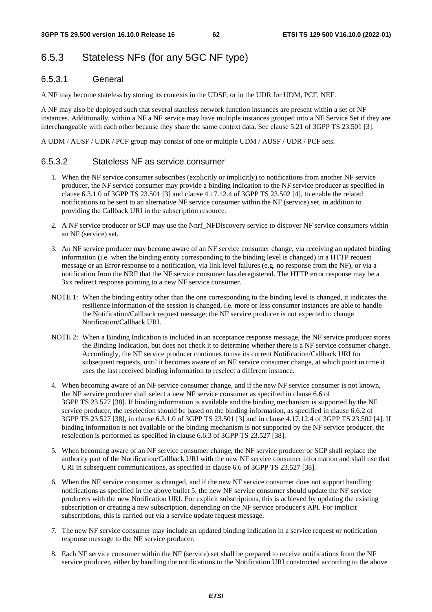# 6.5.3 Stateless NFs (for any 5GC NF type)

#### 6.5.3.1 General

A NF may become stateless by storing its contexts in the UDSF, or in the UDR for UDM, PCF, NEF.

A NF may also be deployed such that several stateless network function instances are present within a set of NF instances. Additionally, within a NF a NF service may have multiple instances grouped into a NF Service Set if they are interchangeable with each other because they share the same context data. See clause 5.21 of 3GPP TS 23.501 [3].

A UDM / AUSF / UDR / PCF group may consist of one or multiple UDM / AUSF / UDR / PCF sets.

#### 6.5.3.2 Stateless NF as service consumer

- 1. When the NF service consumer subscribes (explicitly or implicitly) to notifications from another NF service producer, the NF service consumer may provide a binding indication to the NF service producer as specified in clause 6.3.1.0 of 3GPP TS 23.501 [3] and clause 4.17.12.4 of 3GPP TS 23.502 [4], to enable the related notifications to be sent to an alternative NF service consumer within the NF (service) set, in addition to providing the Callback URI in the subscription resource.
- 2. A NF service producer or SCP may use the Nnrf\_NFDiscovery service to discover NF service consumers within an NF (service) set.
- 3. An NF service producer may become aware of an NF service consumer change, via receiving an updated binding information (i.e. when the binding entity corresponding to the binding level is changed) in a HTTP request message or an Error response to a notification, via link level failures (e.g. no response from the NF), or via a notification from the NRF that the NF service consumer has deregistered. The HTTP error response may be a 3xx redirect response pointing to a new NF service consumer.
- NOTE 1: When the binding entity other than the one corresponding to the binding level is changed, it indicates the resilience information of the session is changed, i.e. more or less consumer instances are able to handle the Notification/Callback request message; the NF service producer is not expected to change Notification/Callback URI.
- NOTE 2: When a Binding Indication is included in an acceptance response message, the NF service producer stores the Binding Indication, but does not check it to determine whether there is a NF service consumer change. Accordingly, the NF service producer continues to use its current Notification/Callback URI for subsequent requests, until it becomes aware of an NF service consumer change, at which point in time it uses the last received binding information to reselect a different instance.
- 4. When becoming aware of an NF service consumer change, and if the new NF service consumer is not known, the NF service producer shall select a new NF service consumer as specified in clause 6.6 of 3GPP TS 23.527 [38]. If binding information is available and the binding mechanism is supported by the NF service producer, the reselection should be based on the binding information, as specified in clause 6.6.2 of 3GPP TS 23.527 [38], in clause 6.3.1.0 of 3GPP TS 23.501 [3] and in clause 4.17.12.4 of 3GPP TS 23.502 [4]. If binding information is not available or the binding mechanism is not supported by the NF service producer, the reselection is performed as specified in clause 6.6.3 of 3GPP TS 23.527 [38].
- 5. When becoming aware of an NF service consumer change, the NF service producer or SCP shall replace the authority part of the Notification/Callback URI with the new NF service consumer information and shall use that URI in subsequent communications, as specified in clause 6.6 of 3GPP TS 23.527 [38].
- 6. When the NF service consumer is changed, and if the new NF service consumer does not support handling notifications as specified in the above bullet 5, the new NF service consumer should update the NF service producers with the new Notification URI. For explicit subscriptions, this is achieved by updating the existing subscription or creating a new subscription, depending on the NF service producer's API. For implicit subscriptions, this is carried out via a service update request message.
- 7. The new NF service consumer may include an updated binding indication in a service request or notification response message to the NF service producer.
- 8. Each NF service consumer within the NF (service) set shall be prepared to receive notifications from the NF service producer, either by handling the notifications to the Notification URI constructed according to the above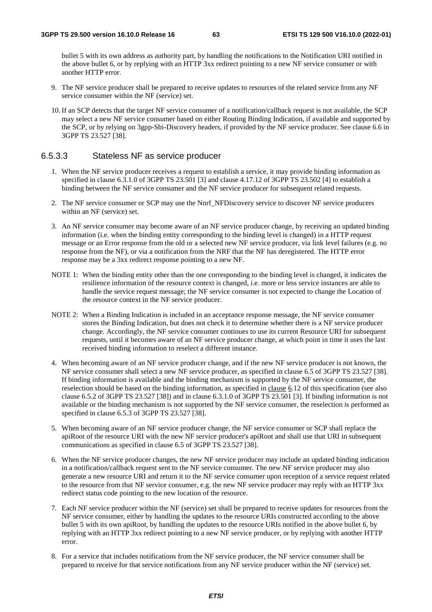bullet 5 with its own address as authority part, by handling the notifications to the Notification URI notified in the above bullet 6, or by replying with an HTTP 3xx redirect pointing to a new NF service consumer or with another HTTP error.

- 9. The NF service producer shall be prepared to receive updates to resources of the related service from any NF service consumer within the NF (service) set.
- 10. If an SCP detects that the target NF service consumer of a notification/callback request is not available, the SCP may select a new NF service consumer based on either Routing Binding Indication, if available and supported by the SCP, or by relying on 3gpp-Sbi-Discovery headers, if provided by the NF service producer. See clause 6.6 in 3GPP TS 23.527 [38].

### 6.5.3.3 Stateless NF as service producer

- 1. When the NF service producer receives a request to establish a service, it may provide binding information as specified in clause 6.3.1.0 of 3GPP TS 23.501 [3] and clause 4.17.12 of 3GPP TS 23.502 [4] to establish a binding between the NF service consumer and the NF service producer for subsequent related requests.
- 2. The NF service consumer or SCP may use the Nnrf\_NFDiscovery service to discover NF service producers within an NF (service) set.
- 3. An NF service consumer may become aware of an NF service producer change, by receiving an updated binding information (i.e. when the binding entity corresponding to the binding level is changed) in a HTTP request message or an Error response from the old or a selected new NF service producer, via link level failures (e.g. no response from the NF), or via a notification from the NRF that the NF has deregistered. The HTTP error response may be a 3xx redirect response pointing to a new NF.
- NOTE 1: When the binding entity other than the one corresponding to the binding level is changed, it indicates the resilience information of the resource context is changed, i.e. more or less service instances are able to handle the service request message; the NF service consumer is not expected to change the Location of the resource context in the NF service producer.
- NOTE 2: When a Binding Indication is included in an acceptance response message, the NF service consumer stores the Binding Indication, but does not check it to determine whether there is a NF service producer change. Accordingly, the NF service consumer continues to use its current Resource URI for subsequent requests, until it becomes aware of an NF service producer change, at which point in time it uses the last received binding information to reselect a different instance.
- 4. When becoming aware of an NF service producer change, and if the new NF service producer is not known, the NF service consumer shall select a new NF service producer, as specified in clause 6.5 of 3GPP TS 23.527 [38]. If binding information is available and the binding mechanism is supported by the NF service consumer, the reselection should be based on the binding information, as specified in clause 6.12 of this specification (see also clause 6.5.2 of 3GPP TS 23.527 [38]) and in clause 6.3.1.0 of 3GPP TS 23.501 [3]. If binding information is not available or the binding mechanism is not supported by the NF service consumer, the reselection is performed as specified in clause 6.5.3 of 3GPP TS 23.527 [38].
- 5. When becoming aware of an NF service producer change, the NF service consumer or SCP shall replace the apiRoot of the resource URI with the new NF service producer's apiRoot and shall use that URI in subsequent communications as specified in clause 6.5 of 3GPP TS 23.527 [38].
- 6. When the NF service producer changes, the new NF service producer may include an updated binding indication in a notification/callback request sent to the NF service consumer. The new NF service producer may also generate a new resource URI and return it to the NF service consumer upon reception of a service request related to the resource from that NF service consumer, e.g. the new NF service producer may reply with an HTTP 3xx redirect status code pointing to the new location of the resource.
- 7. Each NF service producer within the NF (service) set shall be prepared to receive updates for resources from the NF service consumer, either by handling the updates to the resource URIs constructed according to the above bullet 5 with its own apiRoot, by handling the updates to the resource URIs notified in the above bullet 6, by replying with an HTTP 3xx redirect pointing to a new NF service producer, or by replying with another HTTP error.
- 8. For a service that includes notifications from the NF service producer, the NF service consumer shall be prepared to receive for that service notifications from any NF service producer within the NF (service) set.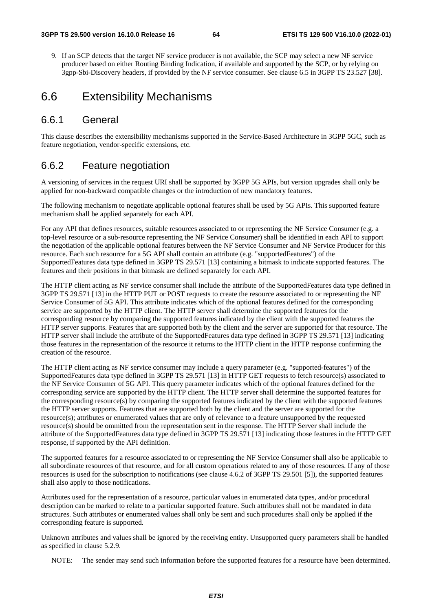9. If an SCP detects that the target NF service producer is not available, the SCP may select a new NF service producer based on either Routing Binding Indication, if available and supported by the SCP, or by relying on 3gpp-Sbi-Discovery headers, if provided by the NF service consumer. See clause 6.5 in 3GPP TS 23.527 [38].

# 6.6 Extensibility Mechanisms

### 6.6.1 General

This clause describes the extensibility mechanisms supported in the Service-Based Architecture in 3GPP 5GC, such as feature negotiation, vendor-specific extensions, etc.

## 6.6.2 Feature negotiation

A versioning of services in the request URI shall be supported by 3GPP 5G APIs, but version upgrades shall only be applied for non-backward compatible changes or the introduction of new mandatory features.

The following mechanism to negotiate applicable optional features shall be used by 5G APIs. This supported feature mechanism shall be applied separately for each API.

For any API that defines resources, suitable resources associated to or representing the NF Service Consumer (e.g. a top-level resource or a sub-resource representing the NF Service Consumer) shall be identified in each API to support the negotiation of the applicable optional features between the NF Service Consumer and NF Service Producer for this resource. Each such resource for a 5G API shall contain an attribute (e.g. "supportedFeatures") of the SupportedFeatures data type defined in 3GPP TS 29.571 [13] containing a bitmask to indicate supported features. The features and their positions in that bitmask are defined separately for each API.

The HTTP client acting as NF service consumer shall include the attribute of the SupportedFeatures data type defined in 3GPP TS 29.571 [13] in the HTTP PUT or POST requests to create the resource associated to or representing the NF Service Consumer of 5G API. This attribute indicates which of the optional features defined for the corresponding service are supported by the HTTP client. The HTTP server shall determine the supported features for the corresponding resource by comparing the supported features indicated by the client with the supported features the HTTP server supports. Features that are supported both by the client and the server are supported for that resource. The HTTP server shall include the attribute of the SupportedFeatures data type defined in 3GPP TS 29.571 [13] indicating those features in the representation of the resource it returns to the HTTP client in the HTTP response confirming the creation of the resource.

The HTTP client acting as NF service consumer may include a query parameter (e.g. "supported-features") of the SupportedFeatures data type defined in 3GPP TS 29.571 [13] in HTTP GET requests to fetch resource(s) associated to the NF Service Consumer of 5G API. This query parameter indicates which of the optional features defined for the corresponding service are supported by the HTTP client. The HTTP server shall determine the supported features for the corresponding resource(s) by comparing the supported features indicated by the client with the supported features the HTTP server supports. Features that are supported both by the client and the server are supported for the resource(s); attributes or enumerated values that are only of relevance to a feature unsupported by the requested resource(s) should be ommitted from the representation sent in the response. The HTTP Server shall include the attribute of the SupportedFeatures data type defined in 3GPP TS 29.571 [13] indicating those features in the HTTP GET response, if supported by the API definition.

The supported features for a resource associated to or representing the NF Service Consumer shall also be applicable to all subordinate resources of that resource, and for all custom operations related to any of those resources. If any of those resources is used for the subscription to notifications (see clause 4.6.2 of 3GPP TS 29.501 [5]), the supported features shall also apply to those notifications.

Attributes used for the representation of a resource, particular values in enumerated data types, and/or procedural description can be marked to relate to a particular supported feature. Such attributes shall not be mandated in data structures. Such attributes or enumerated values shall only be sent and such procedures shall only be applied if the corresponding feature is supported.

Unknown attributes and values shall be ignored by the receiving entity. Unsupported query parameters shall be handled as specified in clause 5.2.9.

NOTE: The sender may send such information before the supported features for a resource have been determined.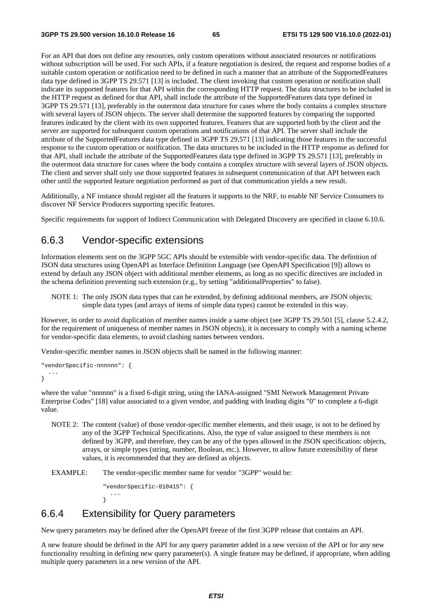For an API that does not define any resources, only custom operations without associated resources or notifications without subscription will be used. For such APIs, if a feature negotiation is desired, the request and response bodies of a suitable custom operation or notification need to be defined in such a manner that an attribute of the SupportedFeatures data type defined in 3GPP TS 29.571 [13] is included. The client invoking that custom operation or notification shall indicate its supported features for that API within the corresponding HTTP request. The data structures to be included in the HTTP request as defined for that API, shall include the attribute of the SupportedFeatures data type defined in 3GPP TS 29.571 [13], preferably in the outermost data structure for cases where the body contains a complex structure with several layers of JSON objects. The server shall determine the supported features by comparing the supported features indicated by the client with its own supported features. Features that are supported both by the client and the server are supported for subsequent custom operations and notifications of that API. The server shall include the attribute of the SupportedFeatures data type defined in 3GPP TS 29.571 [13] indicating those features in the successful response to the custom operation or notification. The data structures to be included in the HTTP response as defined for that API, shall include the attribute of the SupportedFeatures data type defined in 3GPP TS 29.571 [13], preferably in the outermost data structure for cases where the body contains a complex structure with several layers of JSON objects. The client and server shall only use those supported features in subsequent communication of that API between each other until the supported feature negotiation performed as part of that communication yields a new result.

Additionally, a NF instance should register all the features it supports to the NRF, to enable NF Service Consumers to discover NF Service Producers supporting specific features.

Specific requirements for support of Indirect Communication with Delegated Discovery are specified in clause 6.10.6.

## 6.6.3 Vendor-specific extensions

Information elements sent on the 3GPP 5GC APIs should be extensible with vendor-specific data. The definition of JSON data structures using OpenAPI as Interface Definition Language (see OpenAPI Specification [9]) allows to extend by default any JSON object with additional member elements, as long as no specific directives are included in the schema definition preventing such extension (e.g., by setting "additionalProperties" to false).

NOTE 1: The only JSON data types that can be extended, by defining additional members, are JSON objects; simple data types (and arrays of items of simple data types) cannot be extended in this way.

However, in order to avoid duplication of member names inside a same object (see 3GPP TS 29.501 [5], clause 5.2.4.2, for the requirement of uniqueness of member names in JSON objects), it is necessary to comply with a naming scheme for vendor-specific data elements, to avoid clashing names between vendors.

Vendor-specific member names in JSON objects shall be named in the following manner:

```
"vendorSpecific-nnnnnn": { 
 ... 
}
```
where the value "nnnnnn" is a fixed 6-digit string, using the IANA-assigned "SMI Network Management Private Enterprise Codes" [18] value associated to a given vendor, and padding with leading digits "0" to complete a 6-digit value.

NOTE 2: The content (value) of those vendor-specific member elements, and their usage, is not to be defined by any of the 3GPP Technical Specifications. Also, the type of value assigned to these members is not defined by 3GPP, and therefore, they can be any of the types allowed in the JSON specification: objects, arrays, or simple types (string, number, Boolean, etc.). However, to allow future extensibility of these values, it is recommended that they are defined as objects.

EXAMPLE: The vendor-specific member name for vendor "3GPP" would be:

```
"vendorSpecific-010415": { 
 ... 
}
```
# 6.6.4 Extensibility for Query parameters

New query parameters may be defined after the OpenAPI freeze of the first 3GPP release that contains an API.

A new feature should be defined in the API for any query parameter added in a new version of the API or for any new functionality resulting in defining new query parameter(s). A single feature may be defined, if appropriate, when adding multiple query parameters in a new version of the API.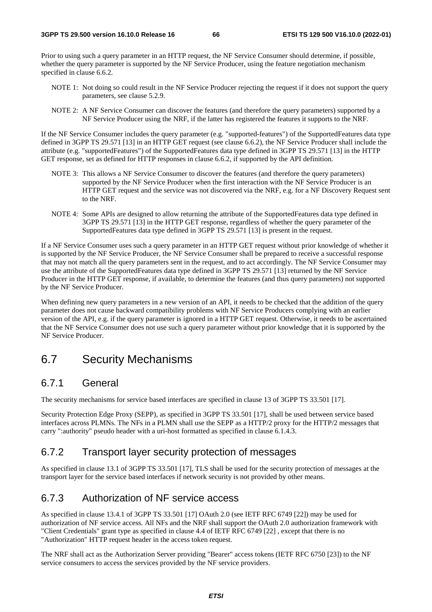Prior to using such a query parameter in an HTTP request, the NF Service Consumer should determine, if possible, whether the query parameter is supported by the NF Service Producer, using the feature negotiation mechanism specified in clause 6.6.2.

- NOTE 1: Not doing so could result in the NF Service Producer rejecting the request if it does not support the query parameters, see clause 5.2.9.
- NOTE 2: A NF Service Consumer can discover the features (and therefore the query parameters) supported by a NF Service Producer using the NRF, if the latter has registered the features it supports to the NRF.

If the NF Service Consumer includes the query parameter (e.g. "supported-features") of the SupportedFeatures data type defined in 3GPP TS 29.571 [13] in an HTTP GET request (see clause 6.6.2), the NF Service Producer shall include the attribute (e.g. "supportedFeatures") of the SupportedFeatures data type defined in 3GPP TS 29.571 [13] in the HTTP GET response, set as defined for HTTP responses in clause 6.6.2, if supported by the API definition.

- NOTE 3: This allows a NF Service Consumer to discover the features (and therefore the query parameters) supported by the NF Service Producer when the first interaction with the NF Service Producer is an HTTP GET request and the service was not discovered via the NRF, e.g. for a NF Discovery Request sent to the NRF.
- NOTE 4: Some APIs are designed to allow returning the attribute of the SupportedFeatures data type defined in 3GPP TS 29.571 [13] in the HTTP GET response, regardless of whether the query parameter of the SupportedFeatures data type defined in 3GPP TS 29.571 [13] is present in the request.

If a NF Service Consumer uses such a query parameter in an HTTP GET request without prior knowledge of whether it is supported by the NF Service Producer, the NF Service Consumer shall be prepared to receive a successful response that may not match all the query parameters sent in the request, and to act accordingly. The NF Service Consumer may use the attribute of the SupportedFeatures data type defined in 3GPP TS 29.571 [13] returned by the NF Service Producer in the HTTP GET response, if available, to determine the features (and thus query parameters) not supported by the NF Service Producer.

When defining new query parameters in a new version of an API, it needs to be checked that the addition of the query parameter does not cause backward compatibility problems with NF Service Producers complying with an earlier version of the API, e.g. if the query parameter is ignored in a HTTP GET request. Otherwise, it needs to be ascertained that the NF Service Consumer does not use such a query parameter without prior knowledge that it is supported by the NF Service Producer.

# 6.7 Security Mechanisms

## 6.7.1 General

The security mechanisms for service based interfaces are specified in clause 13 of 3GPP TS 33.501 [17].

Security Protection Edge Proxy (SEPP), as specified in 3GPP TS 33.501 [17], shall be used between service based interfaces across PLMNs. The NFs in a PLMN shall use the SEPP as a HTTP/2 proxy for the HTTP/2 messages that carry ":authority" pseudo header with a uri-host formatted as specified in clause 6.1.4.3.

## 6.7.2 Transport layer security protection of messages

As specified in clause 13.1 of 3GPP TS 33.501 [17], TLS shall be used for the security protection of messages at the transport layer for the service based interfaces if network security is not provided by other means.

# 6.7.3 Authorization of NF service access

As specified in clause 13.4.1 of 3GPP TS 33.501 [17] OAuth 2.0 (see IETF RFC 6749 [22]) may be used for authorization of NF service access. All NFs and the NRF shall support the OAuth 2.0 authorization framework with "Client Credentials" grant type as specified in clause 4.4 of IETF RFC 6749 [22] , except that there is no "Authorization" HTTP request header in the access token request.

The NRF shall act as the Authorization Server providing "Bearer" access tokens (IETF RFC 6750 [23]) to the NF service consumers to access the services provided by the NF service providers.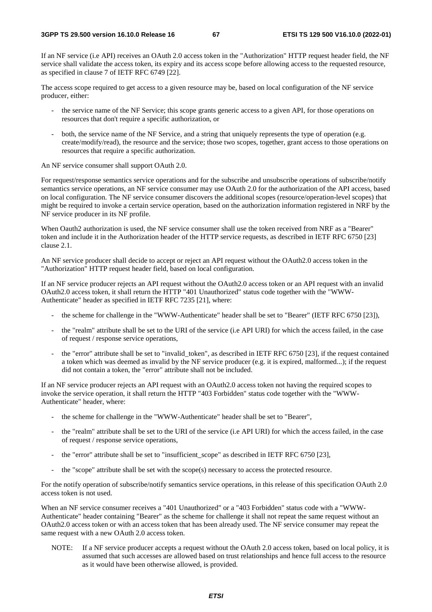If an NF service (i.e API) receives an OAuth 2.0 access token in the "Authorization" HTTP request header field, the NF service shall validate the access token, its expiry and its access scope before allowing access to the requested resource, as specified in clause 7 of IETF RFC 6749 [22].

The access scope required to get access to a given resource may be, based on local configuration of the NF service producer, either:

- the service name of the NF Service; this scope grants generic access to a given API, for those operations on resources that don't require a specific authorization, or
- both, the service name of the NF Service, and a string that uniquely represents the type of operation (e.g. create/modify/read), the resource and the service; those two scopes, together, grant access to those operations on resources that require a specific authorization.

An NF service consumer shall support OAuth 2.0.

For request/response semantics service operations and for the subscribe and unsubscribe operations of subscribe/notify semantics service operations, an NF service consumer may use OAuth 2.0 for the authorization of the API access, based on local configuration. The NF service consumer discovers the additional scopes (resource/operation-level scopes) that might be required to invoke a certain service operation, based on the authorization information registered in NRF by the NF service producer in its NF profile.

When Oauth<sub>2</sub> authorization is used, the NF service consumer shall use the token received from NRF as a "Bearer" token and include it in the Authorization header of the HTTP service requests, as described in IETF RFC 6750 [23] clause 2.1.

An NF service producer shall decide to accept or reject an API request without the OAuth2.0 access token in the "Authorization" HTTP request header field, based on local configuration.

If an NF service producer rejects an API request without the OAuth2.0 access token or an API request with an invalid OAuth2.0 access token, it shall return the HTTP "401 Unauthorized" status code together with the "WWW-Authenticate" header as specified in IETF RFC 7235 [21], where:

- the scheme for challenge in the "WWW-Authenticate" header shall be set to "Bearer" (IETF RFC 6750 [23]),
- the "realm" attribute shall be set to the URI of the service (i.e API URI) for which the access failed, in the case of request / response service operations,
- the "error" attribute shall be set to "invalid\_token", as described in IETF RFC 6750 [23], if the request contained a token which was deemed as invalid by the NF service producer (e.g. it is expired, malformed...); if the request did not contain a token, the "error" attribute shall not be included.

If an NF service producer rejects an API request with an OAuth2.0 access token not having the required scopes to invoke the service operation, it shall return the HTTP "403 Forbidden" status code together with the "WWW-Authenticate" header, where:

- the scheme for challenge in the "WWW-Authenticate" header shall be set to "Bearer",
- the "realm" attribute shall be set to the URI of the service (i.e API URI) for which the access failed, in the case of request / response service operations,
- the "error" attribute shall be set to "insufficient\_scope" as described in IETF RFC 6750 [23],
- the "scope" attribute shall be set with the  $\text{scope}(s)$  necessary to access the protected resource.

For the notify operation of subscribe/notify semantics service operations, in this release of this specification OAuth 2.0 access token is not used.

When an NF service consumer receives a "401 Unauthorized" or a "403 Forbidden" status code with a "WWW-Authenticate" header containing "Bearer" as the scheme for challenge it shall not repeat the same request without an OAuth2.0 access token or with an access token that has been already used. The NF service consumer may repeat the same request with a new OAuth 2.0 access token.

NOTE: If a NF service producer accepts a request without the OAuth 2.0 access token, based on local policy, it is assumed that such accesses are allowed based on trust relationships and hence full access to the resource as it would have been otherwise allowed, is provided.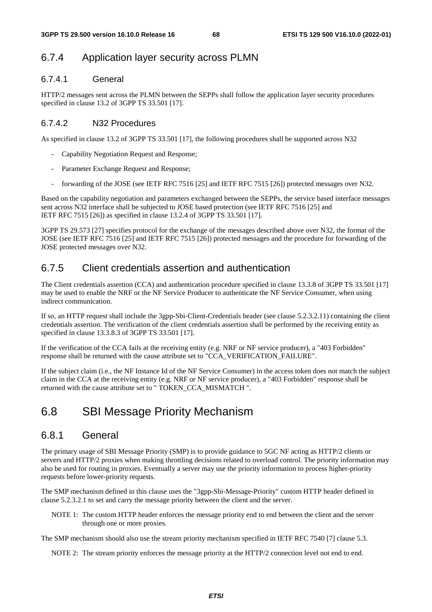# 6.7.4 Application layer security across PLMN

## 6.7.4.1 General

HTTP/2 messages sent across the PLMN between the SEPPs shall follow the application layer security procedures specified in clause 13.2 of 3GPP TS 33.501 [17].

### 6.7.4.2 N32 Procedures

As specified in clause 13.2 of 3GPP TS 33.501 [17], the following procedures shall be supported across N32

- Capability Negotiation Request and Response;
- Parameter Exchange Request and Response;
- forwarding of the JOSE (see IETF RFC 7516 [25] and IETF RFC 7515 [26]) protected messages over N32.

Based on the capability negotiation and parameters exchanged between the SEPPs, the service based interface messages sent across N32 interface shall be subjected to JOSE based protection (see IETF RFC 7516 [25] and IETF RFC 7515 [26]) as specified in clause 13.2.4 of 3GPP TS 33.501 [17].

3GPP TS 29.573 [27] specifies protocol for the exchange of the messages described above over N32, the format of the JOSE (see IETF RFC 7516 [25] and IETF RFC 7515 [26]) protected messages and the procedure for forwarding of the JOSE protected messages over N32.

# 6.7.5 Client credentials assertion and authentication

The Client credentials assertion (CCA) and authentication procedure specified in clause 13.3.8 of 3GPP TS 33.501 [17] may be used to enable the NRF or the NF Service Producer to authenticate the NF Service Consumer, when using indirect communication.

If so, an HTTP request shall include the 3gpp-Sbi-Client-Credentials header (see clause 5.2.3.2.11) containing the client credentials assertion. The verification of the client credentials assertion shall be performed by the receiving entity as specified in clause 13.3.8.3 of 3GPP TS 33.501 [17].

If the verification of the CCA fails at the receiving entity (e.g. NRF or NF service producer), a "403 Forbidden" response shall be returned with the cause attribute set to "CCA\_VERIFICATION\_FAILURE".

If the subject claim (i.e., the NF Instance Id of the NF Service Consumer) in the access token does not match the subject claim in the CCA at the receiving entity (e.g. NRF or NF service producer), a "403 Forbidden" response shall be returned with the cause attribute set to " TOKEN\_CCA\_MISMATCH ".

# 6.8 SBI Message Priority Mechanism

## 6.8.1 General

The primary usage of SBI Message Priority (SMP) is to provide guidance to 5GC NF acting as HTTP/2 clients or servers and HTTP/2 proxies when making throttling decisions related to overload control. The priority information may also be used for routing in proxies. Eventually a server may use the priority information to process higher-priority requests before lower-priority requests.

The SMP mechanism defined in this clause uses the "3gpp-Sbi-Message-Priority" custom HTTP header defined in clause 5.2.3.2.1 to set and carry the message priority between the client and the server.

NOTE 1: The custom HTTP header enforces the message priority end to end between the client and the server through one or more proxies.

The SMP mechanism should also use the stream priority mechanism specified in IETF RFC 7540 [7] clause 5.3.

NOTE 2: The stream priority enforces the message priority at the HTTP/2 connection level not end to end.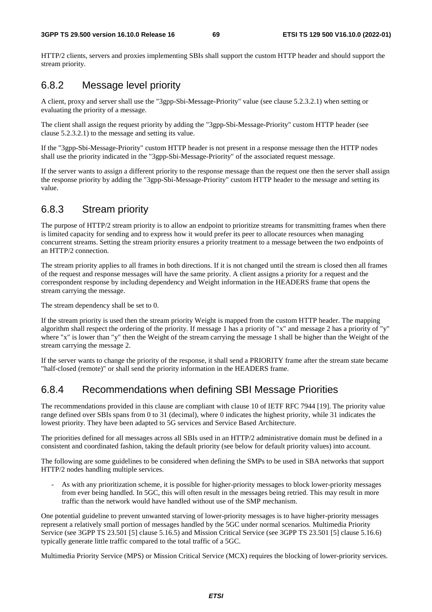HTTP/2 clients, servers and proxies implementing SBIs shall support the custom HTTP header and should support the stream priority.

# 6.8.2 Message level priority

A client, proxy and server shall use the "3gpp-Sbi-Message-Priority" value (see clause 5.2.3.2.1) when setting or evaluating the priority of a message.

The client shall assign the request priority by adding the "3gpp-Sbi-Message-Priority" custom HTTP header (see clause 5.2.3.2.1) to the message and setting its value.

If the "3gpp-Sbi-Message-Priority" custom HTTP header is not present in a response message then the HTTP nodes shall use the priority indicated in the "3gpp-Sbi-Message-Priority" of the associated request message.

If the server wants to assign a different priority to the response message than the request one then the server shall assign the response priority by adding the "3gpp-Sbi-Message-Priority" custom HTTP header to the message and setting its value.

# 6.8.3 Stream priority

The purpose of HTTP/2 stream priority is to allow an endpoint to prioritize streams for transmitting frames when there is limited capacity for sending and to express how it would prefer its peer to allocate resources when managing concurrent streams. Setting the stream priority ensures a priority treatment to a message between the two endpoints of an HTTP/2 connection.

The stream priority applies to all frames in both directions. If it is not changed until the stream is closed then all frames of the request and response messages will have the same priority. A client assigns a priority for a request and the correspondent response by including dependency and Weight information in the HEADERS frame that opens the stream carrying the message.

The stream dependency shall be set to 0.

If the stream priority is used then the stream priority Weight is mapped from the custom HTTP header. The mapping algorithm shall respect the ordering of the priority. If message 1 has a priority of "x" and message 2 has a priority of "y" where "x" is lower than "y" then the Weight of the stream carrying the message 1 shall be higher than the Weight of the stream carrying the message 2.

If the server wants to change the priority of the response, it shall send a PRIORITY frame after the stream state became "half-closed (remote)" or shall send the priority information in the HEADERS frame.

# 6.8.4 Recommendations when defining SBI Message Priorities

The recommendations provided in this clause are compliant with clause 10 of IETF RFC 7944 [19]. The priority value range defined over SBIs spans from 0 to 31 (decimal), where 0 indicates the highest priority, while 31 indicates the lowest priority. They have been adapted to 5G services and Service Based Architecture.

The priorities defined for all messages across all SBIs used in an HTTP/2 administrative domain must be defined in a consistent and coordinated fashion, taking the default priority (see below for default priority values) into account.

The following are some guidelines to be considered when defining the SMPs to be used in SBA networks that support HTTP/2 nodes handling multiple services.

- As with any prioritization scheme, it is possible for higher-priority messages to block lower-priority messages from ever being handled. In 5GC, this will often result in the messages being retried. This may result in more traffic than the network would have handled without use of the SMP mechanism.

One potential guideline to prevent unwanted starving of lower-priority messages is to have higher-priority messages represent a relatively small portion of messages handled by the 5GC under normal scenarios. Multimedia Priority Service (see 3GPP TS 23.501 [5] clause 5.16.5) and Mission Critical Service (see 3GPP TS 23.501 [5] clause 5.16.6) typically generate little traffic compared to the total traffic of a 5GC.

Multimedia Priority Service (MPS) or Mission Critical Service (MCX) requires the blocking of lower-priority services.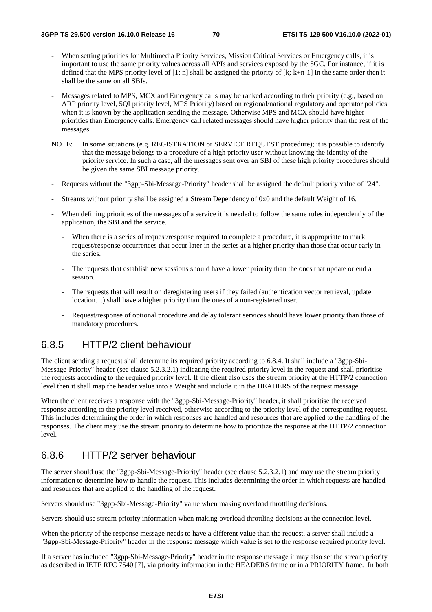- When setting priorities for Multimedia Priority Services, Mission Critical Services or Emergency calls, it is important to use the same priority values across all APIs and services exposed by the 5GC. For instance, if it is defined that the MPS priority level of [1; n] shall be assigned the priority of  $[k; k+n-1]$  in the same order then it shall be the same on all SBIs.
- Messages related to MPS, MCX and Emergency calls may be ranked according to their priority (e.g., based on ARP priority level, 5QI priority level, MPS Priority) based on regional/national regulatory and operator policies when it is known by the application sending the message. Otherwise MPS and MCX should have higher priorities than Emergency calls. Emergency call related messages should have higher priority than the rest of the messages.
- NOTE: In some situations (e.g. REGISTRATION or SERVICE REQUEST procedure); it is possible to identify that the message belongs to a procedure of a high priority user without knowing the identity of the priority service. In such a case, all the messages sent over an SBI of these high priority procedures should be given the same SBI message priority.
- Requests without the "3gpp-Sbi-Message-Priority" header shall be assigned the default priority value of "24".
- Streams without priority shall be assigned a Stream Dependency of 0x0 and the default Weight of 16.
- When defining priorities of the messages of a service it is needed to follow the same rules independently of the application, the SBI and the service.
	- When there is a series of request/response required to complete a procedure, it is appropriate to mark request/response occurrences that occur later in the series at a higher priority than those that occur early in the series.
	- The requests that establish new sessions should have a lower priority than the ones that update or end a session.
	- The requests that will result on deregistering users if they failed (authentication vector retrieval, update location…) shall have a higher priority than the ones of a non-registered user.
	- Request/response of optional procedure and delay tolerant services should have lower priority than those of mandatory procedures.

## 6.8.5 HTTP/2 client behaviour

The client sending a request shall determine its required priority according to 6.8.4. It shall include a "3gpp-Sbi-Message-Priority" header (see clause 5.2.3.2.1) indicating the required priority level in the request and shall prioritise the requests according to the required priority level. If the client also uses the stream priority at the HTTP/2 connection level then it shall map the header value into a Weight and include it in the HEADERS of the request message.

When the client receives a response with the "3gpp-Sbi-Message-Priority" header, it shall prioritise the received response according to the priority level received, otherwise according to the priority level of the corresponding request. This includes determining the order in which responses are handled and resources that are applied to the handling of the responses. The client may use the stream priority to determine how to prioritize the response at the HTTP/2 connection level.

# 6.8.6 HTTP/2 server behaviour

The server should use the "3gpp-Sbi-Message-Priority" header (see clause 5.2.3.2.1) and may use the stream priority information to determine how to handle the request. This includes determining the order in which requests are handled and resources that are applied to the handling of the request.

Servers should use "3gpp-Sbi-Message-Priority" value when making overload throttling decisions.

Servers should use stream priority information when making overload throttling decisions at the connection level.

When the priority of the response message needs to have a different value than the request, a server shall include a "3gpp-Sbi-Message-Priority" header in the response message which value is set to the response required priority level.

If a server has included "3gpp-Sbi-Message-Priority" header in the response message it may also set the stream priority as described in IETF RFC 7540 [7], via priority information in the HEADERS frame or in a PRIORITY frame. In both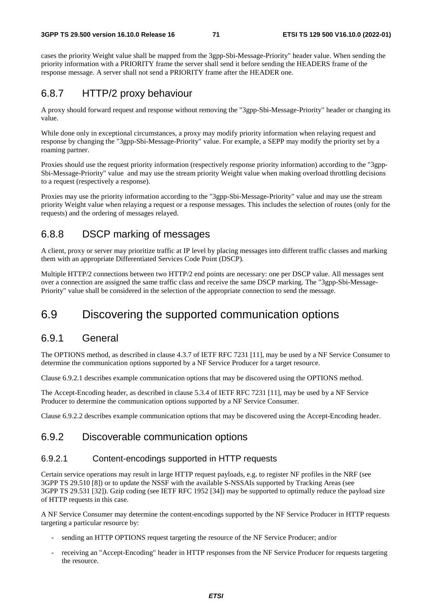cases the priority Weight value shall be mapped from the 3gpp-Sbi-Message-Priority" header value. When sending the priority information with a PRIORITY frame the server shall send it before sending the HEADERS frame of the response message. A server shall not send a PRIORITY frame after the HEADER one.

# 6.8.7 HTTP/2 proxy behaviour

A proxy should forward request and response without removing the "3gpp-Sbi-Message-Priority" header or changing its value.

While done only in exceptional circumstances, a proxy may modify priority information when relaying request and response by changing the "3gpp-Sbi-Message-Priority" value. For example, a SEPP may modify the priority set by a roaming partner.

Proxies should use the request priority information (respectively response priority information) according to the "3gpp-Sbi-Message-Priority" value and may use the stream priority Weight value when making overload throttling decisions to a request (respectively a response).

Proxies may use the priority information according to the "3gpp-Sbi-Message-Priority" value and may use the stream priority Weight value when relaying a request or a response messages. This includes the selection of routes (only for the requests) and the ordering of messages relayed.

# 6.8.8 DSCP marking of messages

A client, proxy or server may prioritize traffic at IP level by placing messages into different traffic classes and marking them with an appropriate Differentiated Services Code Point (DSCP).

Multiple HTTP/2 connections between two HTTP/2 end points are necessary: one per DSCP value. All messages sent over a connection are assigned the same traffic class and receive the same DSCP marking. The "3gpp-Sbi-Message-Priority" value shall be considered in the selection of the appropriate connection to send the message.

# 6.9 Discovering the supported communication options

## 6.9.1 General

The OPTIONS method, as described in clause 4.3.7 of IETF RFC 7231 [11], may be used by a NF Service Consumer to determine the communication options supported by a NF Service Producer for a target resource.

Clause 6.9.2.1 describes example communication options that may be discovered using the OPTIONS method.

The Accept-Encoding header, as described in clause 5.3.4 of IETF RFC 7231 [11], may be used by a NF Service Producer to determine the communication options supported by a NF Service Consumer.

Clause 6.9.2.2 describes example communication options that may be discovered using the Accept-Encoding header.

## 6.9.2 Discoverable communication options

### 6.9.2.1 Content-encodings supported in HTTP requests

Certain service operations may result in large HTTP request payloads, e.g. to register NF profiles in the NRF (see 3GPP TS 29.510 [8]) or to update the NSSF with the available S-NSSAIs supported by Tracking Areas (see 3GPP TS 29.531 [32]). Gzip coding (see IETF RFC 1952 [34]) may be supported to optimally reduce the payload size of HTTP requests in this case.

A NF Service Consumer may determine the content-encodings supported by the NF Service Producer in HTTP requests targeting a particular resource by:

- sending an HTTP OPTIONS request targeting the resource of the NF Service Producer; and/or
- receiving an "Accept-Encoding" header in HTTP responses from the NF Service Producer for requests targeting the resource.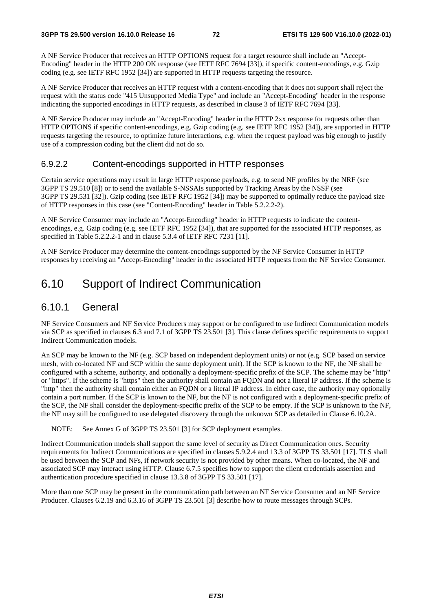A NF Service Producer that receives an HTTP OPTIONS request for a target resource shall include an "Accept-Encoding" header in the HTTP 200 OK response (see IETF RFC 7694 [33]), if specific content-encodings, e.g. Gzip coding (e.g. see IETF RFC 1952 [34]) are supported in HTTP requests targeting the resource.

A NF Service Producer that receives an HTTP request with a content-encoding that it does not support shall reject the request with the status code "415 Unsupported Media Type" and include an "Accept-Encoding" header in the response indicating the supported encodings in HTTP requests, as described in clause 3 of IETF RFC 7694 [33].

A NF Service Producer may include an "Accept-Encoding" header in the HTTP 2xx response for requests other than HTTP OPTIONS if specific content-encodings, e.g. Gzip coding (e.g. see IETF RFC 1952 [34]), are supported in HTTP requests targeting the resource, to optimize future interactions, e.g. when the request payload was big enough to justify use of a compression coding but the client did not do so.

#### 6.9.2.2 Content-encodings supported in HTTP responses

Certain service operations may result in large HTTP response payloads, e.g. to send NF profiles by the NRF (see 3GPP TS 29.510 [8]) or to send the available S-NSSAIs supported by Tracking Areas by the NSSF (see 3GPP TS 29.531 [32]). Gzip coding (see IETF RFC 1952 [34]) may be supported to optimally reduce the payload size of HTTP responses in this case (see "Content-Encoding" header in Table 5.2.2.2-2).

A NF Service Consumer may include an "Accept-Encoding" header in HTTP requests to indicate the contentencodings, e.g. Gzip coding (e.g. see IETF RFC 1952 [34]), that are supported for the associated HTTP responses, as specified in Table 5.2.2.2-1 and in clause 5.3.4 of IETF RFC 7231 [11].

A NF Service Producer may determine the content-encodings supported by the NF Service Consumer in HTTP responses by receiving an "Accept-Encoding" header in the associated HTTP requests from the NF Service Consumer.

# 6.10 Support of Indirect Communication

## 6.10.1 General

NF Service Consumers and NF Service Producers may support or be configured to use Indirect Communication models via SCP as specified in clauses 6.3 and 7.1 of 3GPP TS 23.501 [3]. This clause defines specific requirements to support Indirect Communication models.

An SCP may be known to the NF (e.g. SCP based on independent deployment units) or not (e.g. SCP based on service mesh, with co-located NF and SCP within the same deployment unit). If the SCP is known to the NF, the NF shall be configured with a scheme, authority, and optionally a deployment-specific prefix of the SCP. The scheme may be "http" or "https". If the scheme is "https" then the authority shall contain an FQDN and not a literal IP address. If the scheme is "http" then the authority shall contain either an FQDN or a literal IP address. In either case, the authority may optionally contain a port number. If the SCP is known to the NF, but the NF is not configured with a deployment-specific prefix of the SCP, the NF shall consider the deployment-specific prefix of the SCP to be empty. If the SCP is unknown to the NF, the NF may still be configured to use delegated discovery through the unknown SCP as detailed in Clause 6.10.2A.

NOTE: See Annex G of 3GPP TS 23.501 [3] for SCP deployment examples.

Indirect Communication models shall support the same level of security as Direct Communication ones. Security requirements for Indirect Communications are specified in clauses 5.9.2.4 and 13.3 of 3GPP TS 33.501 [17]. TLS shall be used between the SCP and NFs, if network security is not provided by other means. When co-located, the NF and associated SCP may interact using HTTP. Clause 6.7.5 specifies how to support the client credentials assertion and authentication procedure specified in clause 13.3.8 of 3GPP TS 33.501 [17].

More than one SCP may be present in the communication path between an NF Service Consumer and an NF Service Producer. Clauses 6.2.19 and 6.3.16 of 3GPP TS 23.501 [3] describe how to route messages through SCPs.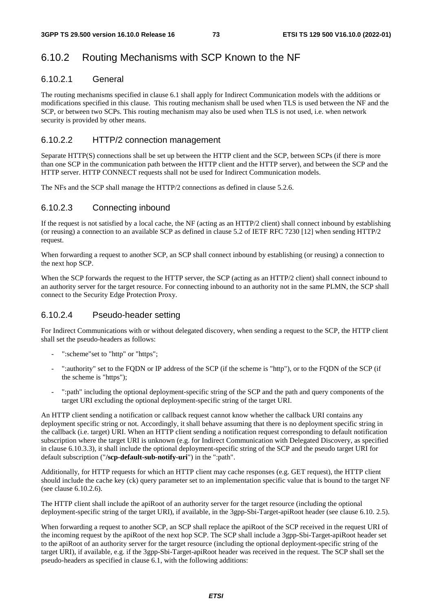# 6.10.2 Routing Mechanisms with SCP Known to the NF

# 6.10.2.1 General

The routing mechanisms specified in clause 6.1 shall apply for Indirect Communication models with the additions or modifications specified in this clause. This routing mechanism shall be used when TLS is used between the NF and the SCP, or between two SCPs. This routing mechanism may also be used when TLS is not used, i.e. when network security is provided by other means.

## 6.10.2.2 HTTP/2 connection management

Separate HTTP(S) connections shall be set up between the HTTP client and the SCP, between SCPs (if there is more than one SCP in the communication path between the HTTP client and the HTTP server), and between the SCP and the HTTP server. HTTP CONNECT requests shall not be used for Indirect Communication models.

The NFs and the SCP shall manage the HTTP/2 connections as defined in clause 5.2.6.

### 6.10.2.3 Connecting inbound

If the request is not satisfied by a local cache, the NF (acting as an HTTP/2 client) shall connect inbound by establishing (or reusing) a connection to an available SCP as defined in clause 5.2 of IETF RFC 7230 [12] when sending HTTP/2 request.

When forwarding a request to another SCP, an SCP shall connect inbound by establishing (or reusing) a connection to the next hop SCP.

When the SCP forwards the request to the HTTP server, the SCP (acting as an HTTP/2 client) shall connect inbound to an authority server for the target resource. For connecting inbound to an authority not in the same PLMN, the SCP shall connect to the Security Edge Protection Proxy.

## 6.10.2.4 Pseudo-header setting

For Indirect Communications with or without delegated discovery, when sending a request to the SCP, the HTTP client shall set the pseudo-headers as follows:

- ": scheme" set to "http" or "https";
- ":authority" set to the FQDN or IP address of the SCP (if the scheme is "http"), or to the FQDN of the SCP (if the scheme is "https");
- ":path" including the optional deployment-specific string of the SCP and the path and query components of the target URI excluding the optional deployment-specific string of the target URI.

An HTTP client sending a notification or callback request cannot know whether the callback URI contains any deployment specific string or not. Accordingly, it shall behave assuming that there is no deployment specific string in the callback (i.e. target) URI. When an HTTP client sending a notification request corresponding to default notification subscription where the target URI is unknown (e.g. for Indirect Communication with Delegated Discovery, as specified in clause 6.10.3.3), it shall include the optional deployment-specific string of the SCP and the pseudo target URI for default subscription ("**/scp-default-sub-notify-uri**") in the ":path".

Additionally, for HTTP requests for which an HTTP client may cache responses (e.g. GET request), the HTTP client should include the cache key (ck) query parameter set to an implementation specific value that is bound to the target NF (see clause 6.10.2.6).

The HTTP client shall include the apiRoot of an authority server for the target resource (including the optional deployment-specific string of the target URI), if available, in the 3gpp-Sbi-Target-apiRoot header (see clause 6.10. 2.5).

When forwarding a request to another SCP, an SCP shall replace the apiRoot of the SCP received in the request URI of the incoming request by the apiRoot of the next hop SCP. The SCP shall include a 3gpp-Sbi-Target-apiRoot header set to the apiRoot of an authority server for the target resource (including the optional deployment-specific string of the target URI), if available, e.g. if the 3gpp-Sbi-Target-apiRoot header was received in the request. The SCP shall set the pseudo-headers as specified in clause 6.1, with the following additions: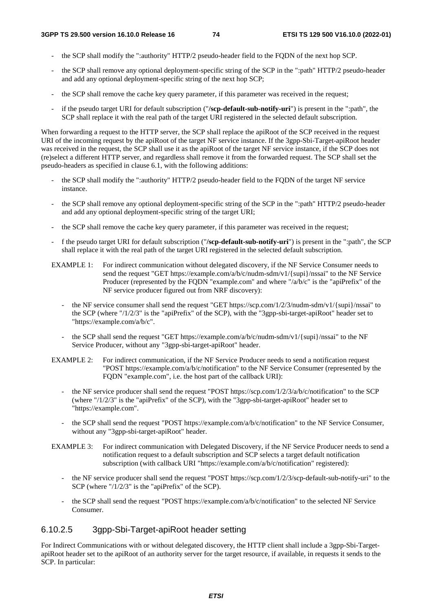- the SCP shall modify the ":authority" HTTP/2 pseudo-header field to the FQDN of the next hop SCP.
- the SCP shall remove any optional deployment-specific string of the SCP in the ":path" HTTP/2 pseudo-header and add any optional deployment-specific string of the next hop SCP;
- the SCP shall remove the cache key query parameter, if this parameter was received in the request;
- if the pseudo target URI for default subscription ("**/scp-default-sub-notify-uri**") is present in the ":path", the SCP shall replace it with the real path of the target URI registered in the selected default subscription.

When forwarding a request to the HTTP server, the SCP shall replace the apiRoot of the SCP received in the request URI of the incoming request by the apiRoot of the target NF service instance. If the 3gpp-Sbi-Target-apiRoot header was received in the request, the SCP shall use it as the apiRoot of the target NF service instance, if the SCP does not (re)select a different HTTP server, and regardless shall remove it from the forwarded request. The SCP shall set the pseudo-headers as specified in clause 6.1, with the following additions:

- the SCP shall modify the ":authority" HTTP/2 pseudo-header field to the FQDN of the target NF service instance.
- the SCP shall remove any optional deployment-specific string of the SCP in the ":path" HTTP/2 pseudo-header and add any optional deployment-specific string of the target URI;
- the SCP shall remove the cache key query parameter, if this parameter was received in the request;
- f the pseudo target URI for default subscription ("**/scp-default-sub-notify-uri**") is present in the ":path", the SCP shall replace it with the real path of the target URI registered in the selected default subscription.
- EXAMPLE 1: For indirect communication without delegated discovery, if the NF Service Consumer needs to send the request "GET https://example.com/a/b/c/nudm-sdm/v1/{supi}/nssai" to the NF Service Producer (represented by the FQDN "example.com" and where "/a/b/c" is the "apiPrefix" of the NF service producer figured out from NRF discovery):
	- the NF service consumer shall send the request "GET https://scp.com/1/2/3/nudm-sdm/v1/{supi}/nssai" to the SCP (where "/1/2/3" is the "apiPrefix" of the SCP), with the "3gpp-sbi-target-apiRoot" header set to "https://example.com/a/b/c".
	- the SCP shall send the request "GET https://example.com/a/b/c/nudm-sdm/v1/{supi}/nssai" to the NF Service Producer, without any "3gpp-sbi-target-apiRoot" header.

EXAMPLE 2: For indirect communication, if the NF Service Producer needs to send a notification request "POST https://example.com/a/b/c/notification" to the NF Service Consumer (represented by the FQDN "example.com", i.e. the host part of the callback URI):

- the NF service producer shall send the request "POST https://scp.com/1/2/3/a/b/c/notification" to the SCP (where "/1/2/3" is the "apiPrefix" of the SCP), with the "3gpp-sbi-target-apiRoot" header set to "https://example.com".
- the SCP shall send the request "POST https://example.com/a/b/c/notification" to the NF Service Consumer, without any "3gpp-sbi-target-apiRoot" header.
- EXAMPLE 3: For indirect communication with Delegated Discovery, if the NF Service Producer needs to send a notification request to a default subscription and SCP selects a target default notification subscription (with callback URI "https://example.com/a/b/c/notification" registered):
	- the NF service producer shall send the request "POST https://scp.com/1/2/3/scp-default-sub-notify-uri" to the SCP (where "/1/2/3" is the "apiPrefix" of the SCP).
	- the SCP shall send the request "POST https://example.com/a/b/c/notification" to the selected NF Service Consumer.

## 6.10.2.5 3gpp-Sbi-Target-apiRoot header setting

For Indirect Communications with or without delegated discovery, the HTTP client shall include a 3gpp-Sbi-TargetapiRoot header set to the apiRoot of an authority server for the target resource, if available, in requests it sends to the SCP. In particular: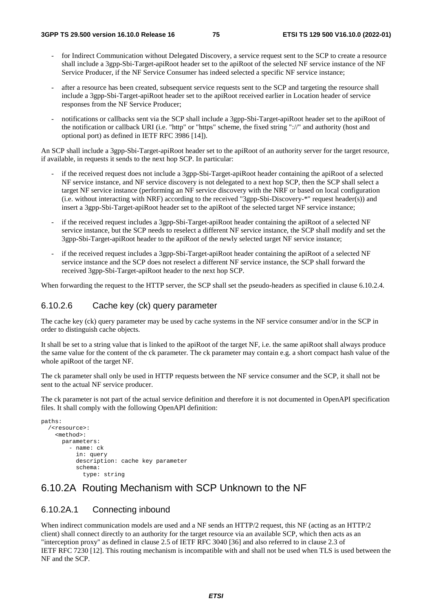- for Indirect Communication without Delegated Discovery, a service request sent to the SCP to create a resource shall include a 3gpp-Sbi-Target-apiRoot header set to the apiRoot of the selected NF service instance of the NF Service Producer, if the NF Service Consumer has indeed selected a specific NF service instance;
- after a resource has been created, subsequent service requests sent to the SCP and targeting the resource shall include a 3gpp-Sbi-Target-apiRoot header set to the apiRoot received earlier in Location header of service responses from the NF Service Producer;
- notifications or callbacks sent via the SCP shall include a 3gpp-Sbi-Target-apiRoot header set to the apiRoot of the notification or callback URI (i.e. "http" or "https" scheme, the fixed string "://" and authority (host and optional port) as defined in IETF RFC 3986 [14]).

An SCP shall include a 3gpp-Sbi-Target-apiRoot header set to the apiRoot of an authority server for the target resource, if available, in requests it sends to the next hop SCP. In particular:

- if the received request does not include a 3gpp-Sbi-Target-apiRoot header containing the apiRoot of a selected NF service instance, and NF service discovery is not delegated to a next hop SCP, then the SCP shall select a target NF service instance (performing an NF service discovery with the NRF or based on local configuration (i.e. without interacting with NRF) according to the received "3gpp-Sbi-Discovery-\*" request header(s)) and insert a 3gpp-Sbi-Target-apiRoot header set to the apiRoot of the selected target NF service instance;
- if the received request includes a 3gpp-Sbi-Target-apiRoot header containing the apiRoot of a selected NF service instance, but the SCP needs to reselect a different NF service instance, the SCP shall modify and set the 3gpp-Sbi-Target-apiRoot header to the apiRoot of the newly selected target NF service instance;
- if the received request includes a 3gpp-Sbi-Target-apiRoot header containing the apiRoot of a selected NF service instance and the SCP does not reselect a different NF service instance, the SCP shall forward the received 3gpp-Sbi-Target-apiRoot header to the next hop SCP.

When forwarding the request to the HTTP server, the SCP shall set the pseudo-headers as specified in clause 6.10.2.4.

#### 6.10.2.6 Cache key (ck) query parameter

The cache key (ck) query parameter may be used by cache systems in the NF service consumer and/or in the SCP in order to distinguish cache objects.

It shall be set to a string value that is linked to the apiRoot of the target NF, i.e. the same apiRoot shall always produce the same value for the content of the ck parameter. The ck parameter may contain e.g. a short compact hash value of the whole apiRoot of the target NF.

The ck parameter shall only be used in HTTP requests between the NF service consumer and the SCP, it shall not be sent to the actual NF service producer.

The ck parameter is not part of the actual service definition and therefore it is not documented in OpenAPI specification files. It shall comply with the following OpenAPI definition:

```
paths: 
/<resource>: 
  <method>: 
     parameters: 
        - name: ck 
          in: query 
          description: cache key parameter 
          schema: 
            type: string
```
## 6.10.2A Routing Mechanism with SCP Unknown to the NF

## 6.10.2A.1 Connecting inbound

When indirect communication models are used and a NF sends an HTTP/2 request, this NF (acting as an HTTP/2 client) shall connect directly to an authority for the target resource via an available SCP, which then acts as an "interception proxy" as defined in clause 2.5 of IETF RFC 3040 [36] and also referred to in clause 2.3 of IETF RFC 7230 [12]. This routing mechanism is incompatible with and shall not be used when TLS is used between the NF and the SCP.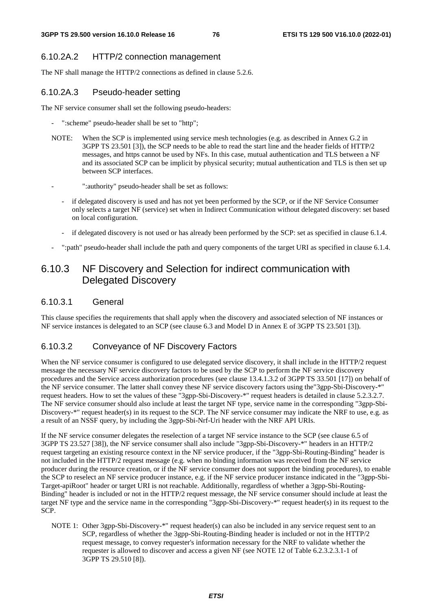## 6.10.2A.2 HTTP/2 connection management

The NF shall manage the HTTP/2 connections as defined in clause 5.2.6.

### 6.10.2A.3 Pseudo-header setting

The NF service consumer shall set the following pseudo-headers:

- ": scheme" pseudo-header shall be set to "http";
- NOTE: When the SCP is implemented using service mesh technologies (e.g. as described in Annex G.2 in 3GPP TS 23.501 [3]), the SCP needs to be able to read the start line and the header fields of HTTP/2 messages, and https cannot be used by NFs. In this case, mutual authentication and TLS between a NF and its associated SCP can be implicit by physical security; mutual authentication and TLS is then set up between SCP interfaces.
	- ":authority" pseudo-header shall be set as follows:
	- if delegated discovery is used and has not yet been performed by the SCP, or if the NF Service Consumer only selects a target NF (service) set when in Indirect Communication without delegated discovery: set based on local configuration.
	- if delegated discovery is not used or has already been performed by the SCP: set as specified in clause 6.1.4.
- ":path" pseudo-header shall include the path and query components of the target URI as specified in clause 6.1.4.

# 6.10.3 NF Discovery and Selection for indirect communication with Delegated Discovery

#### 6.10.3.1 General

This clause specifies the requirements that shall apply when the discovery and associated selection of NF instances or NF service instances is delegated to an SCP (see clause 6.3 and Model D in Annex E of 3GPP TS 23.501 [3]).

## 6.10.3.2 Conveyance of NF Discovery Factors

When the NF service consumer is configured to use delegated service discovery, it shall include in the HTTP/2 request message the necessary NF service discovery factors to be used by the SCP to perform the NF service discovery procedures and the Service access authorization procedures (see clause 13.4.1.3.2 of 3GPP TS 33.501 [17]) on behalf of the NF service consumer. The latter shall convey these NF service discovery factors using the"3gpp-Sbi-Discovery-\*" request headers. How to set the values of these "3gpp-Sbi-Discovery-\*" request headers is detailed in clause 5.2.3.2.7. The NF service consumer should also include at least the target NF type, service name in the corresponding "3gpp-Sbi-Discovery-\*" request header(s) in its request to the SCP. The NF service consumer may indicate the NRF to use, e.g. as a result of an NSSF query, by including the 3gpp-Sbi-Nrf-Uri header with the NRF API URIs.

If the NF service consumer delegates the reselection of a target NF service instance to the SCP (see clause 6.5 of 3GPP TS 23.527 [38]), the NF service consumer shall also include "3gpp-Sbi-Discovery-\*" headers in an HTTP/2 request targeting an existing resource context in the NF service producer, if the "3gpp-Sbi-Routing-Binding" header is not included in the HTTP/2 request message (e.g. when no binding information was received from the NF service producer during the resource creation, or if the NF service consumer does not support the binding procedures), to enable the SCP to reselect an NF service producer instance, e.g. if the NF service producer instance indicated in the "3gpp-Sbi-Target-apiRoot" header or target URI is not reachable. Additionally, regardless of whether a 3gpp-Sbi-Routing-Binding" header is included or not in the HTTP/2 request message, the NF service consumer should include at least the target NF type and the service name in the corresponding "3gpp-Sbi-Discovery-\*" request header(s) in its request to the SCP.

NOTE 1: Other 3gpp-Sbi-Discovery-\*" request header(s) can also be included in any service request sent to an SCP, regardless of whether the 3gpp-Sbi-Routing-Binding header is included or not in the HTTP/2 request message, to convey requester's information necessary for the NRF to validate whether the requester is allowed to discover and access a given NF (see NOTE 12 of Table 6.2.3.2.3.1-1 of 3GPP TS 29.510 [8]).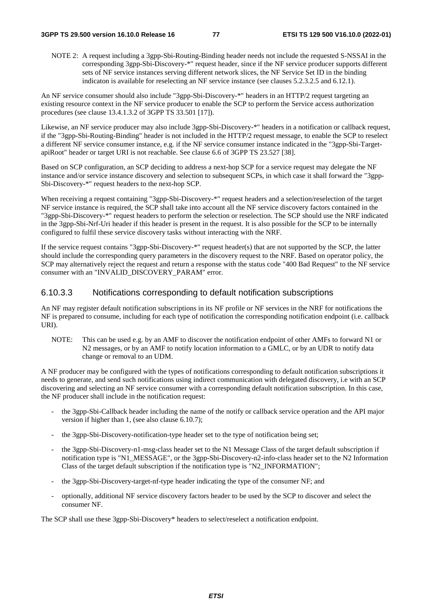NOTE 2: A request including a 3gpp-Sbi-Routing-Binding header needs not include the requested S-NSSAI in the corresponding 3gpp-Sbi-Discovery-\*" request header, since if the NF service producer supports different sets of NF service instances serving different network slices, the NF Service Set ID in the binding indicaton is available for reselecting an NF service instance (see clauses 5.2.3.2.5 and 6.12.1).

An NF service consumer should also include "3gpp-Sbi-Discovery-\*" headers in an HTTP/2 request targeting an existing resource context in the NF service producer to enable the SCP to perform the Service access authorization procedures (see clause 13.4.1.3.2 of 3GPP TS 33.501 [17]).

Likewise, an NF service producer may also include 3gpp-Sbi-Discovery-\*" headers in a notification or callback request, if the "3gpp-Sbi-Routing-Binding" header is not included in the HTTP/2 request message, to enable the SCP to reselect a different NF service consumer instance, e.g. if the NF service consumer instance indicated in the "3gpp-Sbi-TargetapiRoot" header or target URI is not reachable. See clause 6.6 of 3GPP TS 23.527 [38].

Based on SCP configuration, an SCP deciding to address a next-hop SCP for a service request may delegate the NF instance and/or service instance discovery and selection to subsequent SCPs, in which case it shall forward the "3gpp-Sbi-Discovery-\*" request headers to the next-hop SCP.

When receiving a request containing "3gpp-Sbi-Discovery-\*" request headers and a selection/reselection of the target NF service instance is required, the SCP shall take into account all the NF service discovery factors contained in the "3gpp-Sbi-Discovery-\*" request headers to perform the selection or reselection. The SCP should use the NRF indicated in the 3gpp-Sbi-Nrf-Uri header if this header is present in the request. It is also possible for the SCP to be internally configured to fulfil these service discovery tasks without interacting with the NRF.

If the service request contains "3gpp-Sbi-Discovery-\*" request header(s) that are not supported by the SCP, the latter should include the corresponding query parameters in the discovery request to the NRF. Based on operator policy, the SCP may alternatively reject the request and return a response with the status code "400 Bad Request" to the NF service consumer with an "INVALID\_DISCOVERY\_PARAM" error.

## 6.10.3.3 Notifications corresponding to default notification subscriptions

An NF may register default notification subscriptions in its NF profile or NF services in the NRF for notifications the NF is prepared to consume, including for each type of notification the corresponding notification endpoint (i.e. callback URI).

NOTE: This can be used e.g. by an AMF to discover the notification endpoint of other AMFs to forward N1 or N2 messages, or by an AMF to notify location information to a GMLC, or by an UDR to notify data change or removal to an UDM.

A NF producer may be configured with the types of notifications corresponding to default notification subscriptions it needs to generate, and send such notifications using indirect communication with delegated discovery, i.e with an SCP discovering and selecting an NF service consumer with a corresponding default notification subscription. In this case, the NF producer shall include in the notification request:

- the 3gpp-Sbi-Callback header including the name of the notify or callback service operation and the API major version if higher than 1, (see also clause 6.10.7);
- the 3gpp-Sbi-Discovery-notification-type header set to the type of notification being set;
- the 3gpp-Sbi-Discovery-n1-msg-class header set to the N1 Message Class of the target default subscription if notification type is "N1\_MESSAGE", or the 3gpp-Sbi-Discovery-n2-info-class header set to the N2 Information Class of the target default subscription if the notification type is "N2\_INFORMATION";
- the 3gpp-Sbi-Discovery-target-nf-type header indicating the type of the consumer NF; and
- optionally, additional NF service discovery factors header to be used by the SCP to discover and select the consumer NF.

The SCP shall use these 3gpp-Sbi-Discovery\* headers to select/reselect a notification endpoint.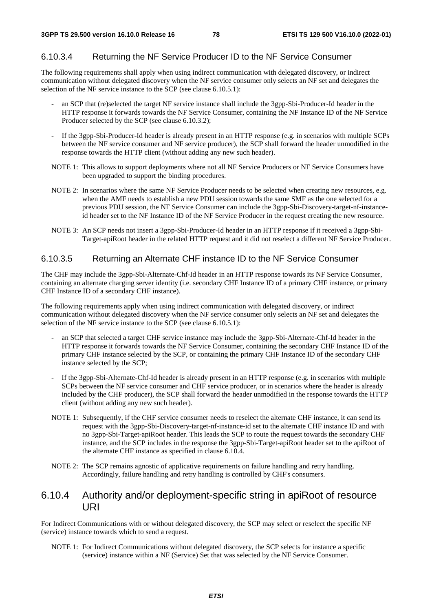# 6.10.3.4 Returning the NF Service Producer ID to the NF Service Consumer

The following requirements shall apply when using indirect communication with delegated discovery, or indirect communication without delegated discovery when the NF service consumer only selects an NF set and delegates the selection of the NF service instance to the SCP (see clause 6.10.5.1):

- an SCP that (re)selected the target NF service instance shall include the 3gpp-Sbi-Producer-Id header in the HTTP response it forwards towards the NF Service Consumer, containing the NF Instance ID of the NF Service Producer selected by the SCP (see clause 6.10.3.2);
- If the 3gpp-Sbi-Producer-Id header is already present in an HTTP response (e.g. in scenarios with multiple SCPs between the NF service consumer and NF service producer), the SCP shall forward the header unmodified in the response towards the HTTP client (without adding any new such header).
- NOTE 1: This allows to support deployments where not all NF Service Producers or NF Service Consumers have been upgraded to support the binding procedures.
- NOTE 2: In scenarios where the same NF Service Producer needs to be selected when creating new resources, e.g. when the AMF needs to establish a new PDU session towards the same SMF as the one selected for a previous PDU session, the NF Service Consumer can include the 3gpp-Sbi-Discovery-target-nf-instanceid header set to the NF Instance ID of the NF Service Producer in the request creating the new resource.
- NOTE 3: An SCP needs not insert a 3gpp-Sbi-Producer-Id header in an HTTP response if it received a 3gpp-Sbi-Target-apiRoot header in the related HTTP request and it did not reselect a different NF Service Producer.

# 6.10.3.5 Returning an Alternate CHF instance ID to the NF Service Consumer

The CHF may include the 3gpp-Sbi-Alternate-Chf-Id header in an HTTP response towards its NF Service Consumer, containing an alternate charging server identity (i.e. secondary CHF Instance ID of a primary CHF instance, or primary CHF Instance ID of a secondary CHF instance).

The following requirements apply when using indirect communication with delegated discovery, or indirect communication without delegated discovery when the NF service consumer only selects an NF set and delegates the selection of the NF service instance to the SCP (see clause 6.10.5.1):

- an SCP that selected a target CHF service instance may include the 3gpp-Sbi-Alternate-Chf-Id header in the HTTP response it forwards towards the NF Service Consumer, containing the secondary CHF Instance ID of the primary CHF instance selected by the SCP, or containing the primary CHF Instance ID of the secondary CHF instance selected by the SCP;
- If the 3gpp-Sbi-Alternate-Chf-Id header is already present in an HTTP response (e.g. in scenarios with multiple SCPs between the NF service consumer and CHF service producer, or in scenarios where the header is already included by the CHF producer), the SCP shall forward the header unmodified in the response towards the HTTP client (without adding any new such header).
- NOTE 1: Subsequently, if the CHF service consumer needs to reselect the alternate CHF instance, it can send its request with the 3gpp-Sbi-Discovery-target-nf-instance-id set to the alternate CHF instance ID and with no 3gpp-Sbi-Target-apiRoot header. This leads the SCP to route the request towards the secondary CHF instance, and the SCP includes in the response the 3gpp-Sbi-Target-apiRoot header set to the apiRoot of the alternate CHF instance as specified in clause 6.10.4.
- NOTE 2: The SCP remains agnostic of applicative requirements on failure handling and retry handling. Accordingly, failure handling and retry handling is controlled by CHF's consumers.

# 6.10.4 Authority and/or deployment-specific string in apiRoot of resource URI

For Indirect Communications with or without delegated discovery, the SCP may select or reselect the specific NF (service) instance towards which to send a request.

NOTE 1: For Indirect Communications without delegated discovery, the SCP selects for instance a specific (service) instance within a NF (Service) Set that was selected by the NF Service Consumer.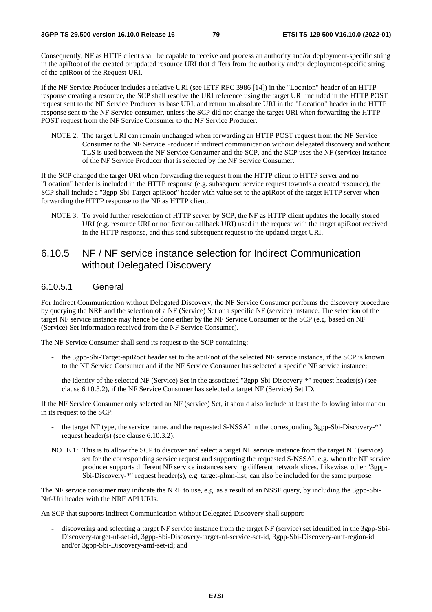Consequently, NF as HTTP client shall be capable to receive and process an authority and/or deployment-specific string in the apiRoot of the created or updated resource URI that differs from the authority and/or deployment-specific string of the apiRoot of the Request URI.

If the NF Service Producer includes a relative URI (see IETF RFC 3986 [14]) in the "Location" header of an HTTP response creating a resource, the SCP shall resolve the URI reference using the target URI included in the HTTP POST request sent to the NF Service Producer as base URI, and return an absolute URI in the "Location" header in the HTTP response sent to the NF Service consumer, unless the SCP did not change the target URI when forwarding the HTTP POST request from the NF Service Consumer to the NF Service Producer.

NOTE 2: The target URI can remain unchanged when forwarding an HTTP POST request from the NF Service Consumer to the NF Service Producer if indirect communication without delegated discovery and without TLS is used between the NF Service Consumer and the SCP, and the SCP uses the NF (service) instance of the NF Service Producer that is selected by the NF Service Consumer.

If the SCP changed the target URI when forwarding the request from the HTTP client to HTTP server and no "Location" header is included in the HTTP response (e.g. subsequent service request towards a created resource), the SCP shall include a "3gpp-Sbi-Target-apiRoot" header with value set to the apiRoot of the target HTTP server when forwarding the HTTP response to the NF as HTTP client.

NOTE 3: To avoid further reselection of HTTP server by SCP, the NF as HTTP client updates the locally stored URI (e.g. resource URI or notification callback URI) used in the request with the target apiRoot received in the HTTP response, and thus send subsequent request to the updated target URI.

# 6.10.5 NF / NF service instance selection for Indirect Communication without Delegated Discovery

#### 6.10.5.1 General

For Indirect Communication without Delegated Discovery, the NF Service Consumer performs the discovery procedure by querying the NRF and the selection of a NF (Service) Set or a specific NF (service) instance. The selection of the target NF service instance may hence be done either by the NF Service Consumer or the SCP (e.g. based on NF (Service) Set information received from the NF Service Consumer).

The NF Service Consumer shall send its request to the SCP containing:

- the 3gpp-Sbi-Target-apiRoot header set to the apiRoot of the selected NF service instance, if the SCP is known to the NF Service Consumer and if the NF Service Consumer has selected a specific NF service instance;
- the identity of the selected NF (Service) Set in the associated "3gpp-Sbi-Discovery-\*" request header(s) (see clause 6.10.3.2), if the NF Service Consumer has selected a target NF (Service) Set ID.

If the NF Service Consumer only selected an NF (service) Set, it should also include at least the following information in its request to the SCP:

- the target NF type, the service name, and the requested S-NSSAI in the corresponding 3gpp-Sbi-Discovery-\*" request header(s) (see clause 6.10.3.2).
- NOTE 1: This is to allow the SCP to discover and select a target NF service instance from the target NF (service) set for the corresponding service request and supporting the requested S-NSSAI, e.g. when the NF service producer supports different NF service instances serving different network slices. Likewise, other "3gpp-Sbi-Discovery-\*" request header(s), e.g. target-plmn-list, can also be included for the same purpose.

The NF service consumer may indicate the NRF to use, e.g. as a result of an NSSF query, by including the 3gpp-Sbi-Nrf-Uri header with the NRF API URIs.

An SCP that supports Indirect Communication without Delegated Discovery shall support:

- discovering and selecting a target NF service instance from the target NF (service) set identified in the 3gpp-Sbi-Discovery-target-nf-set-id, 3gpp-Sbi-Discovery-target-nf-service-set-id, 3gpp-Sbi-Discovery-amf-region-id and/or 3gpp-Sbi-Discovery-amf-set-id; and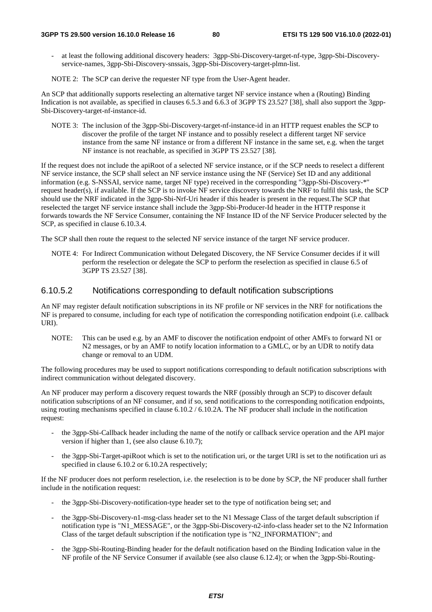at least the following additional discovery headers: 3gpp-Sbi-Discovery-target-nf-type, 3gpp-Sbi-Discoveryservice-names, 3gpp-Sbi-Discovery-snssais, 3gpp-Sbi-Discovery-target-plmn-list.

NOTE 2: The SCP can derive the requester NF type from the User-Agent header.

An SCP that additionally supports reselecting an alternative target NF service instance when a (Routing) Binding Indication is not available, as specified in clauses 6.5.3 and 6.6.3 of 3GPP TS 23.527 [38], shall also support the 3gpp-Sbi-Discovery-target-nf-instance-id.

NOTE 3: The inclusion of the 3gpp-Sbi-Discovery-target-nf-instance-id in an HTTP request enables the SCP to discover the profile of the target NF instance and to possibly reselect a different target NF service instance from the same NF instance or from a different NF instance in the same set, e.g. when the target NF instance is not reachable, as specified in 3GPP TS 23.527 [38].

If the request does not include the apiRoot of a selected NF service instance, or if the SCP needs to reselect a different NF service instance, the SCP shall select an NF service instance using the NF (Service) Set ID and any additional information (e.g. S-NSSAI, service name, target NF type) received in the corresponding "3gpp-Sbi-Discovery-\*" request header(s), if available. If the SCP is to invoke NF service discovery towards the NRF to fulfil this task, the SCP should use the NRF indicated in the 3gpp-Sbi-Nrf-Uri header if this header is present in the request.The SCP that reselected the target NF service instance shall include the 3gpp-Sbi-Producer-Id header in the HTTP response it forwards towards the NF Service Consumer, containing the NF Instance ID of the NF Service Producer selected by the SCP, as specified in clause 6.10.3.4.

The SCP shall then route the request to the selected NF service instance of the target NF service producer.

NOTE 4: For Indirect Communication without Delegated Discovery, the NF Service Consumer decides if it will perform the reselection or delegate the SCP to perform the reselection as specified in clause 6.5 of 3GPP TS 23.527 [38].

#### 6.10.5.2 Notifications corresponding to default notification subscriptions

An NF may register default notification subscriptions in its NF profile or NF services in the NRF for notifications the NF is prepared to consume, including for each type of notification the corresponding notification endpoint (i.e. callback URI).

NOTE: This can be used e.g. by an AMF to discover the notification endpoint of other AMFs to forward N1 or N2 messages, or by an AMF to notify location information to a GMLC, or by an UDR to notify data change or removal to an UDM.

The following procedures may be used to support notifications corresponding to default notification subscriptions with indirect communication without delegated discovery.

An NF producer may perform a discovery request towards the NRF (possibly through an SCP) to discover default notification subscriptions of an NF consumer, and if so, send notifications to the corresponding notification endpoints, using routing mechanisms specified in clause 6.10.2 / 6.10.2A. The NF producer shall include in the notification request:

- the 3gpp-Sbi-Callback header including the name of the notify or callback service operation and the API major version if higher than 1, (see also clause 6.10.7);
- the 3gpp-Sbi-Target-apiRoot which is set to the notification uri, or the target URI is set to the notification uri as specified in clause 6.10.2 or 6.10.2A respectively;

If the NF producer does not perform reselection, i.e. the reselection is to be done by SCP, the NF producer shall further include in the notification request:

- the 3gpp-Sbi-Discovery-notification-type header set to the type of notification being set; and
- the 3gpp-Sbi-Discovery-n1-msg-class header set to the N1 Message Class of the target default subscription if notification type is "N1\_MESSAGE", or the 3gpp-Sbi-Discovery-n2-info-class header set to the N2 Information Class of the target default subscription if the notification type is "N2\_INFORMATION"; and
- the 3gpp-Sbi-Routing-Binding header for the default notification based on the Binding Indication value in the NF profile of the NF Service Consumer if available (see also clause 6.12.4); or when the 3gpp-Sbi-Routing-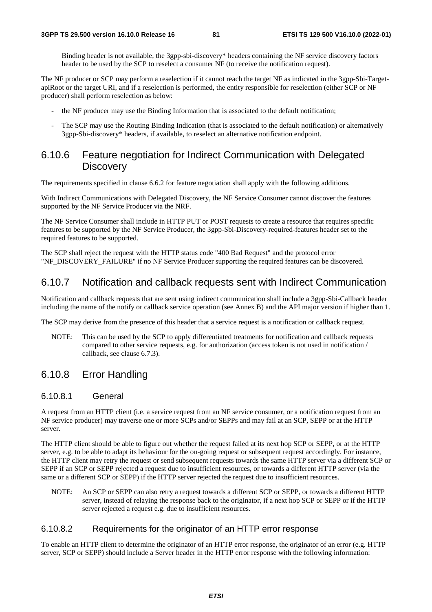Binding header is not available, the 3gpp-sbi-discovery\* headers containing the NF service discovery factors header to be used by the SCP to reselect a consumer NF (to receive the notification request).

The NF producer or SCP may perform a reselection if it cannot reach the target NF as indicated in the 3gpp-Sbi-TargetapiRoot or the target URI, and if a reselection is performed, the entity responsible for reselection (either SCP or NF producer) shall perform reselection as below:

- the NF producer may use the Binding Information that is associated to the default notification;
- The SCP may use the Routing Binding Indication (that is associated to the default notification) or alternatively 3gpp-Sbi-discovery\* headers, if available, to reselect an alternative notification endpoint.

# 6.10.6 Feature negotiation for Indirect Communication with Delegated **Discovery**

The requirements specified in clause 6.6.2 for feature negotiation shall apply with the following additions.

With Indirect Communications with Delegated Discovery, the NF Service Consumer cannot discover the features supported by the NF Service Producer via the NRF.

The NF Service Consumer shall include in HTTP PUT or POST requests to create a resource that requires specific features to be supported by the NF Service Producer, the 3gpp-Sbi-Discovery-required-features header set to the required features to be supported.

The SCP shall reject the request with the HTTP status code "400 Bad Request" and the protocol error "NF\_DISCOVERY\_FAILURE" if no NF Service Producer supporting the required features can be discovered.

# 6.10.7 Notification and callback requests sent with Indirect Communication

Notification and callback requests that are sent using indirect communication shall include a 3gpp-Sbi-Callback header including the name of the notify or callback service operation (see Annex B) and the API major version if higher than 1.

The SCP may derive from the presence of this header that a service request is a notification or callback request.

NOTE: This can be used by the SCP to apply differentiated treatments for notification and callback requests compared to other service requests, e.g. for authorization (access token is not used in notification / callback, see clause 6.7.3).

# 6.10.8 Error Handling

#### 6.10.8.1 General

A request from an HTTP client (i.e. a service request from an NF service consumer, or a notification request from an NF service producer) may traverse one or more SCPs and/or SEPPs and may fail at an SCP, SEPP or at the HTTP server.

The HTTP client should be able to figure out whether the request failed at its next hop SCP or SEPP, or at the HTTP server, e.g. to be able to adapt its behaviour for the on-going request or subsequent request accordingly. For instance, the HTTP client may retry the request or send subsequent requests towards the same HTTP server via a different SCP or SEPP if an SCP or SEPP rejected a request due to insufficient resources, or towards a different HTTP server (via the same or a different SCP or SEPP) if the HTTP server rejected the request due to insufficient resources.

NOTE: An SCP or SEPP can also retry a request towards a different SCP or SEPP, or towards a different HTTP server, instead of relaying the response back to the originator, if a next hop SCP or SEPP or if the HTTP server rejected a request e.g. due to insufficient resources.

## 6.10.8.2 Requirements for the originator of an HTTP error response

To enable an HTTP client to determine the originator of an HTTP error response, the originator of an error (e.g. HTTP server, SCP or SEPP) should include a Server header in the HTTP error response with the following information: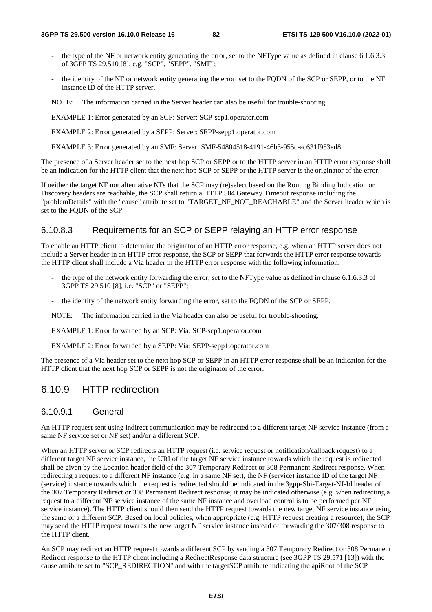- the type of the NF or network entity generating the error, set to the NFType value as defined in clause 6.1.6.3.3 of 3GPP TS 29.510 [8], e.g. "SCP", "SEPP", "SMF";
- the identity of the NF or network entity generating the error, set to the FQDN of the SCP or SEPP, or to the NF Instance ID of the HTTP server.

NOTE: The information carried in the Server header can also be useful for trouble-shooting.

EXAMPLE 1: Error generated by an SCP: Server: SCP-scp1.operator.com

EXAMPLE 2: Error generated by a SEPP: Server: SEPP-sepp1.operator.com

EXAMPLE 3: Error generated by an SMF: Server: SMF-54804518-4191-46b3-955c-ac631f953ed8

The presence of a Server header set to the next hop SCP or SEPP or to the HTTP server in an HTTP error response shall be an indication for the HTTP client that the next hop SCP or SEPP or the HTTP server is the originator of the error.

If neither the target NF nor alternative NFs that the SCP may (re)select based on the Routing Binding Indication or Discovery headers are reachable, the SCP shall return a HTTP 504 Gateway Timeout response including the "problemDetails" with the "cause" attribute set to "TARGET\_NF\_NOT\_REACHABLE" and the Server header which is set to the FQDN of the SCP.

#### 6.10.8.3 Requirements for an SCP or SEPP relaying an HTTP error response

To enable an HTTP client to determine the originator of an HTTP error response, e.g. when an HTTP server does not include a Server header in an HTTP error response, the SCP or SEPP that forwards the HTTP error response towards the HTTP client shall include a Via header in the HTTP error response with the following information:

- the type of the network entity forwarding the error, set to the NFType value as defined in clause 6.1.6.3.3 of 3GPP TS 29.510 [8], i.e. "SCP" or "SEPP";
- the identity of the network entity forwarding the error, set to the FQDN of the SCP or SEPP.

NOTE: The information carried in the Via header can also be useful for trouble-shooting.

EXAMPLE 1: Error forwarded by an SCP: Via: SCP-scp1.operator.com

EXAMPLE 2: Error forwarded by a SEPP: Via: SEPP-sepp1.operator.com

The presence of a Via header set to the next hop SCP or SEPP in an HTTP error response shall be an indication for the HTTP client that the next hop SCP or SEPP is not the originator of the error.

# 6.10.9 HTTP redirection

## 6.10.9.1 General

An HTTP request sent using indirect communication may be redirected to a different target NF service instance (from a same NF service set or NF set) and/or a different SCP.

When an HTTP server or SCP redirects an HTTP request (i.e. service request or notification/callback request) to a different target NF service instance, the URI of the target NF service instance towards which the request is redirected shall be given by the Location header field of the 307 Temporary Redirect or 308 Permanent Redirect response. When redirecting a request to a different NF instance (e.g. in a same NF set), the NF (service) instance ID of the target NF (service) instance towards which the request is redirected should be indicated in the 3gpp-Sbi-Target-Nf-Id header of the 307 Temporary Redirect or 308 Permanent Redirect response; it may be indicated otherwise (e.g. when redirecting a request to a different NF service instance of the same NF instance and overload control is to be performed per NF service instance). The HTTP client should then send the HTTP request towards the new target NF service instance using the same or a different SCP. Based on local policies, when appropriate (e.g. HTTP request creating a resource), the SCP may send the HTTP request towards the new target NF service instance instead of forwarding the 307/308 response to the HTTP client.

An SCP may redirect an HTTP request towards a different SCP by sending a 307 Temporary Redirect or 308 Permanent Redirect response to the HTTP client including a RedirectResponse data structure (see 3GPP TS 29.571 [13]) with the cause attribute set to "SCP\_REDIRECTION" and with the targetSCP attribute indicating the apiRoot of the SCP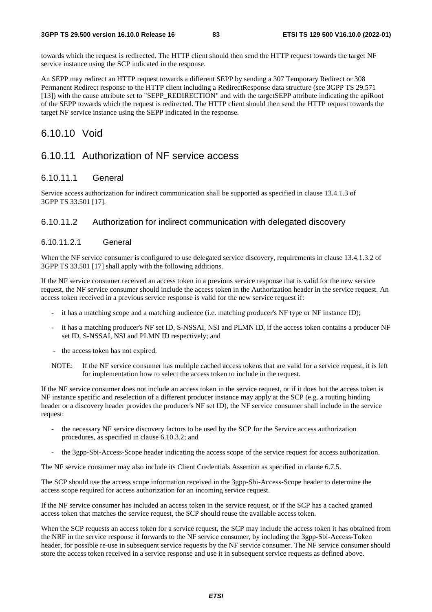towards which the request is redirected. The HTTP client should then send the HTTP request towards the target NF service instance using the SCP indicated in the response.

An SEPP may redirect an HTTP request towards a different SEPP by sending a 307 Temporary Redirect or 308 Permanent Redirect response to the HTTP client including a RedirectResponse data structure (see 3GPP TS 29.571 [13]) with the cause attribute set to "SEPP\_REDIRECTION" and with the targetSEPP attribute indicating the apiRoot of the SEPP towards which the request is redirected. The HTTP client should then send the HTTP request towards the target NF service instance using the SEPP indicated in the response.

# 6.10.10 Void

# 6.10.11 Authorization of NF service access

### 6.10.11.1 General

Service access authorization for indirect communication shall be supported as specified in clause 13.4.1.3 of 3GPP TS 33.501 [17].

## 6.10.11.2 Authorization for indirect communication with delegated discovery

#### 6.10.11.2.1 General

When the NF service consumer is configured to use delegated service discovery, requirements in clause 13.4.1.3.2 of 3GPP TS 33.501 [17] shall apply with the following additions.

If the NF service consumer received an access token in a previous service response that is valid for the new service request, the NF service consumer should include the access token in the Authorization header in the service request. An access token received in a previous service response is valid for the new service request if:

- it has a matching scope and a matching audience (i.e. matching producer's NF type or NF instance ID);
- it has a matching producer's NF set ID, S-NSSAI, NSI and PLMN ID, if the access token contains a producer NF set ID, S-NSSAI, NSI and PLMN ID respectively; and
- the access token has not expired.
- NOTE: If the NF service consumer has multiple cached access tokens that are valid for a service request, it is left for implementation how to select the access token to include in the request.

If the NF service consumer does not include an access token in the service request, or if it does but the access token is NF instance specific and reselection of a different producer instance may apply at the SCP (e.g. a routing binding header or a discovery header provides the producer's NF set ID), the NF service consumer shall include in the service request:

- the necessary NF service discovery factors to be used by the SCP for the Service access authorization procedures, as specified in clause 6.10.3.2; and
- the 3gpp-Sbi-Access-Scope header indicating the access scope of the service request for access authorization.

The NF service consumer may also include its Client Credentials Assertion as specified in clause 6.7.5.

The SCP should use the access scope information received in the 3gpp-Sbi-Access-Scope header to determine the access scope required for access authorization for an incoming service request.

If the NF service consumer has included an access token in the service request, or if the SCP has a cached granted access token that matches the service request, the SCP should reuse the available access token.

When the SCP requests an access token for a service request, the SCP may include the access token it has obtained from the NRF in the service response it forwards to the NF service consumer, by including the 3gpp-Sbi-Access-Token header, for possible re-use in subsequent service requests by the NF service consumer. The NF service consumer should store the access token received in a service response and use it in subsequent service requests as defined above.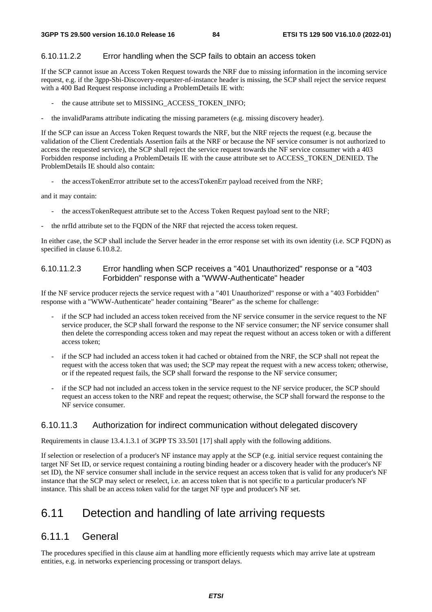#### 6.10.11.2.2 Error handling when the SCP fails to obtain an access token

If the SCP cannot issue an Access Token Request towards the NRF due to missing information in the incoming service request, e.g. if the 3gpp-Sbi-Discovery-requester-nf-instance header is missing, the SCP shall reject the service request with a 400 Bad Request response including a ProblemDetails IE with:

- the cause attribute set to MISSING\_ACCESS\_TOKEN\_INFO;
- the invalidParams attribute indicating the missing parameters (e.g. missing discovery header).

If the SCP can issue an Access Token Request towards the NRF, but the NRF rejects the request (e.g. because the validation of the Client Credentials Assertion fails at the NRF or because the NF service consumer is not authorized to access the requested service), the SCP shall reject the service request towards the NF service consumer with a 403 Forbidden response including a ProblemDetails IE with the cause attribute set to ACCESS\_TOKEN\_DENIED. The ProblemDetails IE should also contain:

- the accessTokenError attribute set to the accessTokenErr payload received from the NRF;

and it may contain:

- the accessTokenRequest attribute set to the Access Token Request payload sent to the NRF;
- the nrfId attribute set to the FQDN of the NRF that rejected the access token request.

In either case, the SCP shall include the Server header in the error response set with its own identity (i.e. SCP FQDN) as specified in clause 6.10.8.2.

#### 6.10.11.2.3 Error handling when SCP receives a "401 Unauthorized" response or a "403 Forbidden" response with a "WWW-Authenticate" header

If the NF service producer rejects the service request with a "401 Unauthorized" response or with a "403 Forbidden" response with a "WWW-Authenticate" header containing "Bearer" as the scheme for challenge:

- if the SCP had included an access token received from the NF service consumer in the service request to the NF service producer, the SCP shall forward the response to the NF service consumer; the NF service consumer shall then delete the corresponding access token and may repeat the request without an access token or with a different access token;
- if the SCP had included an access token it had cached or obtained from the NRF, the SCP shall not repeat the request with the access token that was used; the SCP may repeat the request with a new access token; otherwise, or if the repeated request fails, the SCP shall forward the response to the NF service consumer;
- if the SCP had not included an access token in the service request to the NF service producer, the SCP should request an access token to the NRF and repeat the request; otherwise, the SCP shall forward the response to the NF service consumer.

## 6.10.11.3 Authorization for indirect communication without delegated discovery

Requirements in clause 13.4.1.3.1 of 3GPP TS 33.501 [17] shall apply with the following additions.

If selection or reselection of a producer's NF instance may apply at the SCP (e.g. initial service request containing the target NF Set ID, or service request containing a routing binding header or a discovery header with the producer's NF set ID), the NF service consumer shall include in the service request an access token that is valid for any producer's NF instance that the SCP may select or reselect, i.e. an access token that is not specific to a particular producer's NF instance. This shall be an access token valid for the target NF type and producer's NF set.

# 6.11 Detection and handling of late arriving requests

## 6.11.1 General

The procedures specified in this clause aim at handling more efficiently requests which may arrive late at upstream entities, e.g. in networks experiencing processing or transport delays.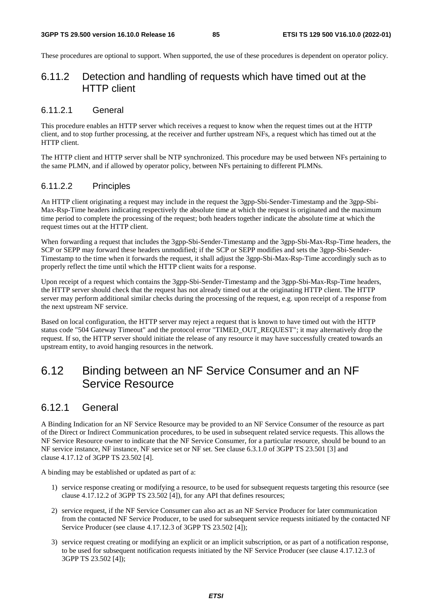These procedures are optional to support. When supported, the use of these procedures is dependent on operator policy.

# 6.11.2 Detection and handling of requests which have timed out at the HTTP client

#### 6.11.2.1 General

This procedure enables an HTTP server which receives a request to know when the request times out at the HTTP client, and to stop further processing, at the receiver and further upstream NFs, a request which has timed out at the HTTP client.

The HTTP client and HTTP server shall be NTP synchronized. This procedure may be used between NFs pertaining to the same PLMN, and if allowed by operator policy, between NFs pertaining to different PLMNs.

### 6.11.2.2 Principles

An HTTP client originating a request may include in the request the 3gpp-Sbi-Sender-Timestamp and the 3gpp-Sbi-Max-Rsp-Time headers indicating respectively the absolute time at which the request is originated and the maximum time period to complete the processing of the request; both headers together indicate the absolute time at which the request times out at the HTTP client.

When forwarding a request that includes the 3gpp-Sbi-Sender-Timestamp and the 3gpp-Sbi-Max-Rsp-Time headers, the SCP or SEPP may forward these headers unmodified; if the SCP or SEPP modifies and sets the 3gpp-Sbi-Sender-Timestamp to the time when it forwards the request, it shall adjust the 3gpp-Sbi-Max-Rsp-Time accordingly such as to properly reflect the time until which the HTTP client waits for a response.

Upon receipt of a request which contains the 3gpp-Sbi-Sender-Timestamp and the 3gpp-Sbi-Max-Rsp-Time headers, the HTTP server should check that the request has not already timed out at the originating HTTP client. The HTTP server may perform additional similar checks during the processing of the request, e.g. upon receipt of a response from the next upstream NF service.

Based on local configuration, the HTTP server may reject a request that is known to have timed out with the HTTP status code "504 Gateway Timeout" and the protocol error "TIMED\_OUT\_REQUEST"; it may alternatively drop the request. If so, the HTTP server should initiate the release of any resource it may have successfully created towards an upstream entity, to avoid hanging resources in the network.

# 6.12 Binding between an NF Service Consumer and an NF Service Resource

## 6.12.1 General

A Binding Indication for an NF Service Resource may be provided to an NF Service Consumer of the resource as part of the Direct or Indirect Communication procedures, to be used in subsequent related service requests. This allows the NF Service Resource owner to indicate that the NF Service Consumer, for a particular resource, should be bound to an NF service instance, NF instance, NF service set or NF set. See clause 6.3.1.0 of 3GPP TS 23.501 [3] and clause 4.17.12 of 3GPP TS 23.502 [4].

A binding may be established or updated as part of a:

- 1) service response creating or modifying a resource, to be used for subsequent requests targeting this resource (see clause 4.17.12.2 of 3GPP TS 23.502 [4]), for any API that defines resources;
- 2) service request, if the NF Service Consumer can also act as an NF Service Producer for later communication from the contacted NF Service Producer, to be used for subsequent service requests initiated by the contacted NF Service Producer (see clause 4.17.12.3 of 3GPP TS 23.502 [4]);
- 3) service request creating or modifying an explicit or an implicit subscription, or as part of a notification response, to be used for subsequent notification requests initiated by the NF Service Producer (see clause 4.17.12.3 of 3GPP TS 23.502 [4]);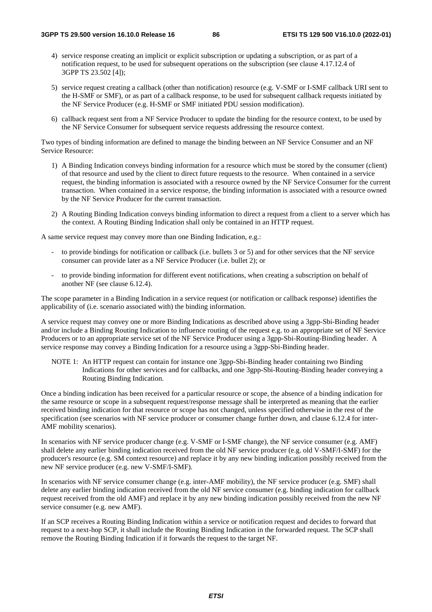- 4) service response creating an implicit or explicit subscription or updating a subscription, or as part of a notification request, to be used for subsequent operations on the subscription (see clause 4.17.12.4 of 3GPP TS 23.502 [4]);
- 5) service request creating a callback (other than notification) resource (e.g. V-SMF or I-SMF callback URI sent to the H-SMF or SMF), or as part of a callback response, to be used for subsequent callback requests initiated by the NF Service Producer (e.g. H-SMF or SMF initiated PDU session modification).
- 6) callback request sent from a NF Service Producer to update the binding for the resource context, to be used by the NF Service Consumer for subsequent service requests addressing the resource context.

Two types of binding information are defined to manage the binding between an NF Service Consumer and an NF Service Resource:

- 1) A Binding Indication conveys binding information for a resource which must be stored by the consumer (client) of that resource and used by the client to direct future requests to the resource. When contained in a service request, the binding information is associated with a resource owned by the NF Service Consumer for the current transaction. When contained in a service response, the binding information is associated with a resource owned by the NF Service Producer for the current transaction.
- 2) A Routing Binding Indication conveys binding information to direct a request from a client to a server which has the context. A Routing Binding Indication shall only be contained in an HTTP request.

A same service request may convey more than one Binding Indication, e.g.:

- to provide bindings for notification or callback (i.e. bullets 3 or 5) and for other services that the NF service consumer can provide later as a NF Service Producer (i.e. bullet 2); or
- to provide binding information for different event notifications, when creating a subscription on behalf of another NF (see clause 6.12.4).

The scope parameter in a Binding Indication in a service request (or notification or callback response) identifies the applicability of (i.e. scenario associated with) the binding information.

A service request may convey one or more Binding Indications as described above using a 3gpp-Sbi-Binding header and/or include a Binding Routing Indication to influence routing of the request e.g. to an appropriate set of NF Service Producers or to an appropriate service set of the NF Service Producer using a 3gpp-Sbi-Routing-Binding header. A service response may convey a Binding Indication for a resource using a 3gpp-Sbi-Binding header.

NOTE 1: An HTTP request can contain for instance one 3gpp-Sbi-Binding header containing two Binding Indications for other services and for callbacks, and one 3gpp-Sbi-Routing-Binding header conveying a Routing Binding Indication.

Once a binding indication has been received for a particular resource or scope, the absence of a binding indication for the same resource or scope in a subsequent request/response message shall be interpreted as meaning that the earlier received binding indication for that resource or scope has not changed, unless specified otherwise in the rest of the specification (see scenarios with NF service producer or consumer change further down, and clause 6.12.4 for inter-AMF mobility scenarios).

In scenarios with NF service producer change (e.g. V-SMF or I-SMF change), the NF service consumer (e.g. AMF) shall delete any earlier binding indication received from the old NF service producer (e.g. old V-SMF/I-SMF) for the producer's resource (e.g. SM context resource) and replace it by any new binding indication possibly received from the new NF service producer (e.g. new V-SMF/I-SMF).

In scenarios with NF service consumer change (e.g. inter-AMF mobility), the NF service producer (e.g. SMF) shall delete any earlier binding indication received from the old NF service consumer (e.g. binding indication for callback request received from the old AMF) and replace it by any new binding indication possibly received from the new NF service consumer (e.g. new AMF).

If an SCP receives a Routing Binding Indication within a service or notification request and decides to forward that request to a next-hop SCP, it shall include the Routing Binding Indication in the forwarded request. The SCP shall remove the Routing Binding Indication if it forwards the request to the target NF.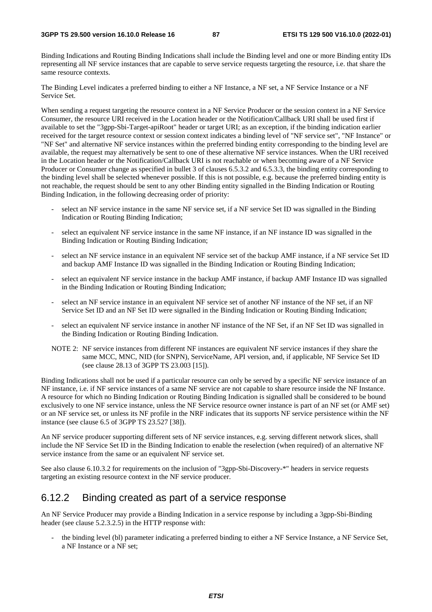Binding Indications and Routing Binding Indications shall include the Binding level and one or more Binding entity IDs representing all NF service instances that are capable to serve service requests targeting the resource, i.e. that share the same resource contexts.

The Binding Level indicates a preferred binding to either a NF Instance, a NF set, a NF Service Instance or a NF Service Set.

When sending a request targeting the resource context in a NF Service Producer or the session context in a NF Service Consumer, the resource URI received in the Location header or the Notification/Callback URI shall be used first if available to set the "3gpp-Sbi-Target-apiRoot" header or target URI; as an exception, if the binding indication earlier received for the target resource context or session context indicates a binding level of "NF service set", "NF Instance" or "NF Set" and alternative NF service instances within the preferred binding entity corresponding to the binding level are available, the request may alternatively be sent to one of these alternative NF service instances. When the URI received in the Location header or the Notification/Callback URI is not reachable or when becoming aware of a NF Service Producer or Consumer change as specified in bullet 3 of clauses 6.5.3.2 and 6.5.3.3, the binding entity corresponding to the binding level shall be selected whenever possible. If this is not possible, e.g. because the preferred binding entity is not reachable, the request should be sent to any other Binding entity signalled in the Binding Indication or Routing Binding Indication, in the following decreasing order of priority:

- select an NF service instance in the same NF service set, if a NF service Set ID was signalled in the Binding Indication or Routing Binding Indication;
- select an equivalent NF service instance in the same NF instance, if an NF instance ID was signalled in the Binding Indication or Routing Binding Indication;
- select an NF service instance in an equivalent NF service set of the backup AMF instance, if a NF service Set ID and backup AMF Instance ID was signalled in the Binding Indication or Routing Binding Indication;
- select an equivalent NF service instance in the backup AMF instance, if backup AMF Instance ID was signalled in the Binding Indication or Routing Binding Indication;
- select an NF service instance in an equivalent NF service set of another NF instance of the NF set, if an NF Service Set ID and an NF Set ID were signalled in the Binding Indication or Routing Binding Indication;
- select an equivalent NF service instance in another NF instance of the NF Set, if an NF Set ID was signalled in the Binding Indication or Routing Binding Indication.
- NOTE 2: NF service instances from different NF instances are equivalent NF service instances if they share the same MCC, MNC, NID (for SNPN), ServiceName, API version, and, if applicable, NF Service Set ID (see clause 28.13 of 3GPP TS 23.003 [15]).

Binding Indications shall not be used if a particular resource can only be served by a specific NF service instance of an NF instance, i.e. if NF service instances of a same NF service are not capable to share resource inside the NF Instance. A resource for which no Binding Indication or Routing Binding Indication is signalled shall be considered to be bound exclusively to one NF service instance, unless the NF Service resource owner instance is part of an NF set (or AMF set) or an NF service set, or unless its NF profile in the NRF indicates that its supports NF service persistence within the NF instance (see clause 6.5 of 3GPP TS 23.527 [38]).

An NF service producer supporting different sets of NF service instances, e.g. serving different network slices, shall include the NF Service Set ID in the Binding Indication to enable the reselection (when required) of an alternative NF service instance from the same or an equivalent NF service set.

See also clause 6.10.3.2 for requirements on the inclusion of "3gpp-Sbi-Discovery-\*" headers in service requests targeting an existing resource context in the NF service producer.

## 6.12.2 Binding created as part of a service response

An NF Service Producer may provide a Binding Indication in a service response by including a 3gpp-Sbi-Binding header (see clause 5.2.3.2.5) in the HTTP response with:

- the binding level (bl) parameter indicating a preferred binding to either a NF Service Instance, a NF Service Set, a NF Instance or a NF set;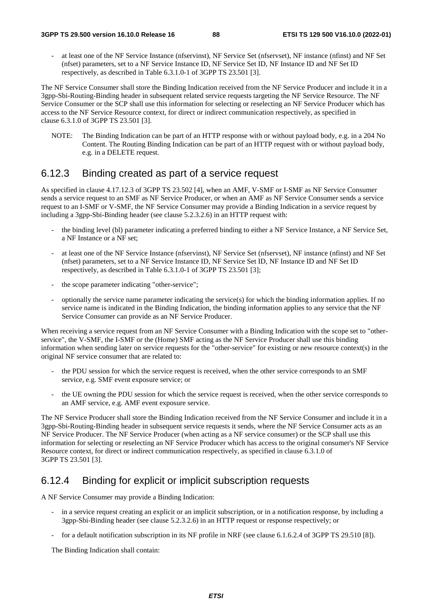at least one of the NF Service Instance (nfservinst), NF Service Set (nfservset), NF instance (nfinst) and NF Set (nfset) parameters, set to a NF Service Instance ID, NF Service Set ID, NF Instance ID and NF Set ID respectively, as described in Table 6.3.1.0-1 of 3GPP TS 23.501 [3].

The NF Service Consumer shall store the Binding Indication received from the NF Service Producer and include it in a 3gpp-Sbi-Routing-Binding header in subsequent related service requests targeting the NF Service Resource. The NF Service Consumer or the SCP shall use this information for selecting or reselecting an NF Service Producer which has access to the NF Service Resource context, for direct or indirect communication respectively, as specified in clause 6.3.1.0 of 3GPP TS 23.501 [3].

NOTE: The Binding Indication can be part of an HTTP response with or without payload body, e.g. in a 204 No Content. The Routing Binding Indication can be part of an HTTP request with or without payload body, e.g. in a DELETE request.

# 6.12.3 Binding created as part of a service request

As specified in clause 4.17.12.3 of 3GPP TS 23.502 [4], when an AMF, V-SMF or I-SMF as NF Service Consumer sends a service request to an SMF as NF Service Producer, or when an AMF as NF Service Consumer sends a service request to an I-SMF or V-SMF, the NF Service Consumer may provide a Binding Indication in a service request by including a 3gpp-Sbi-Binding header (see clause 5.2.3.2.6) in an HTTP request with:

- the binding level (bl) parameter indicating a preferred binding to either a NF Service Instance, a NF Service Set, a NF Instance or a NF set;
- at least one of the NF Service Instance (nfservinst), NF Service Set (nfservset), NF instance (nfinst) and NF Set (nfset) parameters, set to a NF Service Instance ID, NF Service Set ID, NF Instance ID and NF Set ID respectively, as described in Table 6.3.1.0-1 of 3GPP TS 23.501 [3];
- the scope parameter indicating "other-service";
- optionally the service name parameter indicating the service(s) for which the binding information applies. If no service name is indicated in the Binding Indication, the binding information applies to any service that the NF Service Consumer can provide as an NF Service Producer.

When receiving a service request from an NF Service Consumer with a Binding Indication with the scope set to "otherservice", the V-SMF, the I-SMF or the (Home) SMF acting as the NF Service Producer shall use this binding information when sending later on service requests for the "other-service" for existing or new resource context(s) in the original NF service consumer that are related to:

- the PDU session for which the service request is received, when the other service corresponds to an SMF service, e.g. SMF event exposure service; or
- the UE owning the PDU session for which the service request is received, when the other service corresponds to an AMF service, e.g. AMF event exposure service.

The NF Service Producer shall store the Binding Indication received from the NF Service Consumer and include it in a 3gpp-Sbi-Routing-Binding header in subsequent service requests it sends, where the NF Service Consumer acts as an NF Service Producer. The NF Service Producer (when acting as a NF service consumer) or the SCP shall use this information for selecting or reselecting an NF Service Producer which has access to the original consumer's NF Service Resource context, for direct or indirect communication respectively, as specified in clause 6.3.1.0 of 3GPP TS 23.501 [3].

# 6.12.4 Binding for explicit or implicit subscription requests

A NF Service Consumer may provide a Binding Indication:

- in a service request creating an explicit or an implicit subscription, or in a notification response, by including a 3gpp-Sbi-Binding header (see clause 5.2.3.2.6) in an HTTP request or response respectively; or
- for a default notification subscription in its NF profile in NRF (see clause 6.1.6.2.4 of 3GPP TS 29.510 [8]).

The Binding Indication shall contain: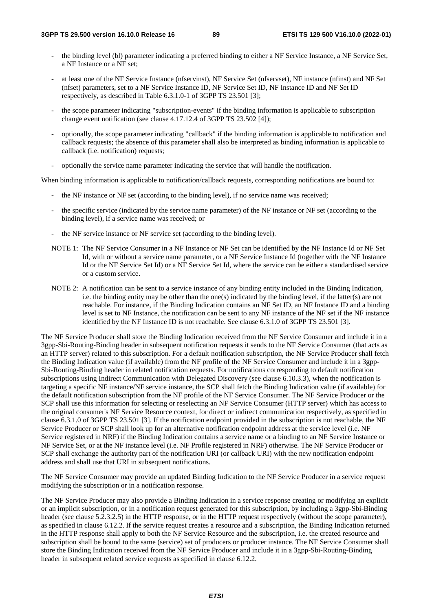- the binding level (bl) parameter indicating a preferred binding to either a NF Service Instance, a NF Service Set, a NF Instance or a NF set;
- at least one of the NF Service Instance (nfservinst), NF Service Set (nfservset), NF instance (nfinst) and NF Set (nfset) parameters, set to a NF Service Instance ID, NF Service Set ID, NF Instance ID and NF Set ID respectively, as described in Table 6.3.1.0-1 of 3GPP TS 23.501 [3];
- the scope parameter indicating "subscription-events" if the binding information is applicable to subscription change event notification (see clause 4.17.12.4 of 3GPP TS 23.502 [4]);
- optionally, the scope parameter indicating "callback" if the binding information is applicable to notification and callback requests; the absence of this parameter shall also be interpreted as binding information is applicable to callback (i.e. notification) requests;
- optionally the service name parameter indicating the service that will handle the notification.

When binding information is applicable to notification/callback requests, corresponding notifications are bound to:

- the NF instance or NF set (according to the binding level), if no service name was received;
- the specific service (indicated by the service name parameter) of the NF instance or NF set (according to the binding level), if a service name was received; or
- the NF service instance or NF service set (according to the binding level).
- NOTE 1: The NF Service Consumer in a NF Instance or NF Set can be identified by the NF Instance Id or NF Set Id, with or without a service name parameter, or a NF Service Instance Id (together with the NF Instance Id or the NF Service Set Id) or a NF Service Set Id, where the service can be either a standardised service or a custom service.
- NOTE 2: A notification can be sent to a service instance of any binding entity included in the Binding Indication, i.e. the binding entity may be other than the one(s) indicated by the binding level, if the latter(s) are not reachable. For instance, if the Binding Indication contains an NF Set ID, an NF Instance ID and a binding level is set to NF Instance, the notification can be sent to any NF instance of the NF set if the NF instance identified by the NF Instance ID is not reachable. See clause 6.3.1.0 of 3GPP TS 23.501 [3].

The NF Service Producer shall store the Binding Indication received from the NF Service Consumer and include it in a 3gpp-Sbi-Routing-Binding header in subsequent notification requests it sends to the NF Service Consumer (that acts as an HTTP server) related to this subscription. For a default notification subscription, the NF Service Producer shall fetch the Binding Indication value (if available) from the NF profile of the NF Service Consumer and include it in a 3gpp-Sbi-Routing-Binding header in related notification requests. For notifications corresponding to default notification subscriptions using Indirect Communication with Delegated Discovery (see clause 6.10.3.3), when the notification is targeting a specific NF instance/NF service instance, the SCP shall fetch the Binding Indication value (if available) for the default notification subscription from the NF profile of the NF Service Consumer. The NF Service Producer or the SCP shall use this information for selecting or reselecting an NF Service Consumer (HTTP server) which has access to the original consumer's NF Service Resource context, for direct or indirect communication respectively, as specified in clause 6.3.1.0 of 3GPP TS 23.501 [3]. If the notification endpoint provided in the subscription is not reachable, the NF Service Producer or SCP shall look up for an alternative notification endpoint address at the service level (i.e. NF Service registered in NRF) if the Binding Indication contains a service name or a binding to an NF Service Instance or NF Service Set, or at the NF instance level (i.e. NF Profile registered in NRF) otherwise. The NF Service Producer or SCP shall exchange the authority part of the notification URI (or callback URI) with the new notification endpoint address and shall use that URI in subsequent notifications.

The NF Service Consumer may provide an updated Binding Indication to the NF Service Producer in a service request modifying the subscription or in a notification response.

The NF Service Producer may also provide a Binding Indication in a service response creating or modifying an explicit or an implicit subscription, or in a notification request generated for this subscription, by including a 3gpp-Sbi-Binding header (see clause 5.2.3.2.5) in the HTTP response, or in the HTTP request respectively (without the scope parameter), as specified in clause 6.12.2. If the service request creates a resource and a subscription, the Binding Indication returned in the HTTP response shall apply to both the NF Service Resource and the subscription, i.e. the created resource and subscription shall be bound to the same (service) set of producers or producer instance. The NF Service Consumer shall store the Binding Indication received from the NF Service Producer and include it in a 3gpp-Sbi-Routing-Binding header in subsequent related service requests as specified in clause 6.12.2.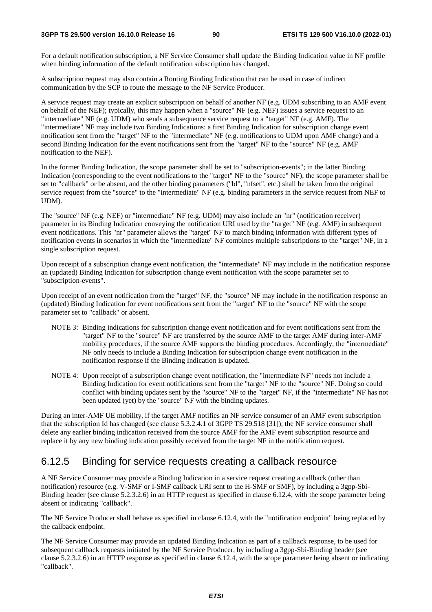For a default notification subscription, a NF Service Consumer shall update the Binding Indication value in NF profile when binding information of the default notification subscription has changed.

A subscription request may also contain a Routing Binding Indication that can be used in case of indirect communication by the SCP to route the message to the NF Service Producer.

A service request may create an explicit subscription on behalf of another NF (e.g. UDM subscribing to an AMF event on behalf of the NEF); typically, this may happen when a "source" NF (e.g. NEF) issues a service request to an "intermediate" NF (e.g. UDM) who sends a subsequence service request to a "target" NF (e.g. AMF). The "intermediate" NF may include two Binding Indications: a first Binding Indication for subscription change event notification sent from the "target" NF to the "intermediate" NF (e.g. notifications to UDM upon AMF change) and a second Binding Indication for the event notifications sent from the "target" NF to the "source" NF (e.g. AMF notification to the NEF).

In the former Binding Indication, the scope parameter shall be set to "subscription-events"; in the latter Binding Indication (corresponding to the event notifications to the "target" NF to the "source" NF), the scope parameter shall be set to "callback" or be absent, and the other binding parameters ("bl", "nfset", etc.) shall be taken from the original service request from the "source" to the "intermediate" NF (e.g. binding parameters in the service request from NEF to UDM).

The "source" NF (e.g. NEF) or "intermediate" NF (e.g. UDM) may also include an "nr" (notification receiver) parameter in its Binding Indication conveying the notification URI used by the "target" NF (e.g. AMF) in subsequent event notifications. This "nr" parameter allows the "target" NF to match binding information with different types of notification events in scenarios in which the "intermediate" NF combines multiple subscriptions to the "target" NF, in a single subscription request.

Upon receipt of a subscription change event notification, the "intermediate" NF may include in the notification response an (updated) Binding Indication for subscription change event notification with the scope parameter set to "subscription-events".

Upon receipt of an event notification from the "target" NF, the "source" NF may include in the notification response an (updated) Binding Indication for event notifications sent from the "target" NF to the "source" NF with the scope parameter set to "callback" or absent.

- NOTE 3: Binding indications for subscription change event notification and for event notifications sent from the "target" NF to the "source" NF are transferred by the source AMF to the target AMF during inter-AMF mobility procedures, if the source AMF supports the binding procedures. Accordingly, the "intermediate" NF only needs to include a Binding Indication for subscription change event notification in the notification response if the Binding Indication is updated.
- NOTE 4: Upon receipt of a subscription change event notification, the "intermediate NF" needs not include a Binding Indication for event notifications sent from the "target" NF to the "source" NF. Doing so could conflict with binding updates sent by the "source" NF to the "target" NF, if the "intermediate" NF has not been updated (yet) by the "source" NF with the binding updates.

During an inter-AMF UE mobility, if the target AMF notifies an NF service consumer of an AMF event subscription that the subscription Id has changed (see clause 5.3.2.4.1 of 3GPP TS 29.518 [31]), the NF service consumer shall delete any earlier binding indication received from the source AMF for the AMF event subscription resource and replace it by any new binding indication possibly received from the target NF in the notification request.

# 6.12.5 Binding for service requests creating a callback resource

A NF Service Consumer may provide a Binding Indication in a service request creating a callback (other than notification) resource (e.g. V-SMF or I-SMF callback URI sent to the H-SMF or SMF), by including a 3gpp-Sbi-Binding header (see clause 5.2.3.2.6) in an HTTP request as specified in clause 6.12.4, with the scope parameter being absent or indicating "callback".

The NF Service Producer shall behave as specified in clause 6.12.4, with the "notification endpoint" being replaced by the callback endpoint.

The NF Service Consumer may provide an updated Binding Indication as part of a callback response, to be used for subsequent callback requests initiated by the NF Service Producer, by including a 3gpp-Sbi-Binding header (see clause 5.2.3.2.6) in an HTTP response as specified in clause 6.12.4, with the scope parameter being absent or indicating "callback".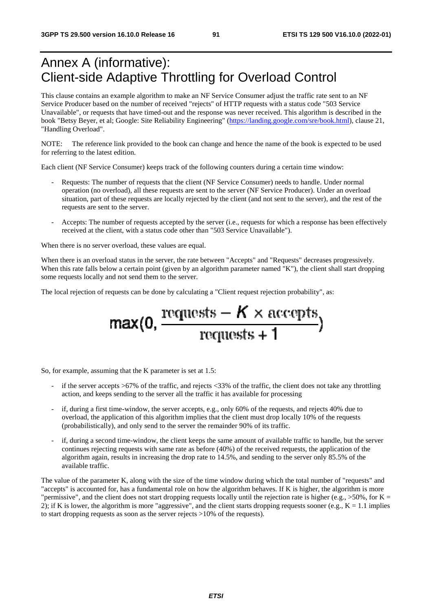# Annex A (informative): Client-side Adaptive Throttling for Overload Control

This clause contains an example algorithm to make an NF Service Consumer adjust the traffic rate sent to an NF Service Producer based on the number of received "rejects" of HTTP requests with a status code "503 Service Unavailable", or requests that have timed-out and the response was never received. This algorithm is described in the book "Betsy Beyer, et al; Google: Site Reliability Engineering" [\(https://landing.google.com/sre/book.html](https://landing.google.com/sre/book.html)), clause 21, "Handling Overload".

NOTE: The reference link provided to the book can change and hence the name of the book is expected to be used for referring to the latest edition.

Each client (NF Service Consumer) keeps track of the following counters during a certain time window:

- Requests: The number of requests that the client (NF Service Consumer) needs to handle. Under normal operation (no overload), all these requests are sent to the server (NF Service Producer). Under an overload situation, part of these requests are locally rejected by the client (and not sent to the server), and the rest of the requests are sent to the server.
- Accepts: The number of requests accepted by the server (i.e., requests for which a response has been effectively received at the client, with a status code other than "503 Service Unavailable").

When there is no server overload, these values are equal.

When there is an overload status in the server, the rate between "Accepts" and "Requests" decreases progressively. When this rate falls below a certain point (given by an algorithm parameter named "K"), the client shall start dropping some requests locally and not send them to the server.

The local rejection of requests can be done by calculating a "Client request rejection probability", as:

$$
\max(0, \frac{\text{requests} - K \times \text{accepts}}{\text{requests} + 1})
$$

So, for example, assuming that the K parameter is set at 1.5:

- if the server accepts  $>67\%$  of the traffic, and rejects  $<33\%$  of the traffic, the client does not take any throttling action, and keeps sending to the server all the traffic it has available for processing
- if, during a first time-window, the server accepts, e.g., only 60% of the requests, and rejects 40% due to overload, the application of this algorithm implies that the client must drop locally 10% of the requests (probabilistically), and only send to the server the remainder 90% of its traffic.
- if, during a second time-window, the client keeps the same amount of available traffic to handle, but the server continues rejecting requests with same rate as before (40%) of the received requests, the application of the algorithm again, results in increasing the drop rate to 14.5%, and sending to the server only 85.5% of the available traffic.

The value of the parameter K, along with the size of the time window during which the total number of "requests" and "accepts" is accounted for, has a fundamental role on how the algorithm behaves. If K is higher, the algorithm is more "permissive", and the client does not start dropping requests locally until the rejection rate is higher (e.g.,  $>50\%$ , for K = 2); if K is lower, the algorithm is more "aggressive", and the client starts dropping requests sooner (e.g.,  $K = 1.1$  implies to start dropping requests as soon as the server rejects >10% of the requests).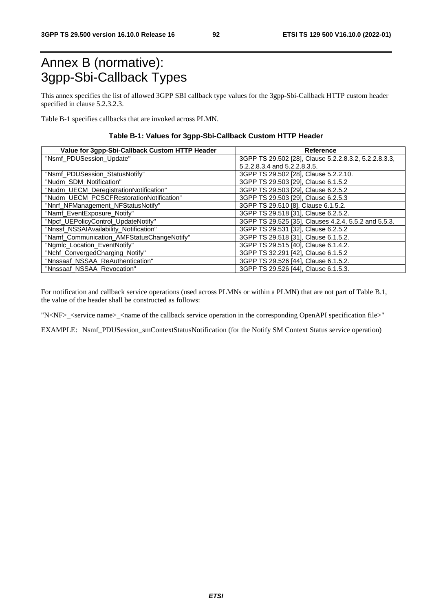# Annex B (normative): 3gpp-Sbi-Callback Types

This annex specifies the list of allowed 3GPP SBI callback type values for the 3gpp-Sbi-Callback HTTP custom header specified in clause 5.2.3.2.3.

Table B-1 specifies callbacks that are invoked across PLMN.

#### **Table B-1: Values for 3gpp-Sbi-Callback Custom HTTP Header**

| Value for 3gpp-Sbi-Callback Custom HTTP Header | Reference                                             |
|------------------------------------------------|-------------------------------------------------------|
| "Nsmf_PDUSession_Update"                       | 3GPP TS 29.502 [28], Clause 5.2.2.8.3.2, 5.2.2.8.3.3, |
|                                                | 5.2.2.8.3.4 and 5.2.2.8.3.5.                          |
| "Nsmf PDUSession StatusNotify"                 | 3GPP TS 29.502 [28], Clause 5.2.2.10.                 |
| "Nudm_SDM_Notification"                        | 3GPP TS 29.503 [29], Clause 6.1.5.2                   |
| "Nudm_UECM_DeregistrationNotification"         | 3GPP TS 29.503 [29], Clause 6.2.5.2                   |
| "Nudm_UECM_PCSCFRestorationNotification"       | 3GPP TS 29.503 [29], Clause 6.2.5.3                   |
| "Nnrf_NFManagement_NFStatusNotify"             | 3GPP TS 29.510 [8], Clause 6.1.5.2.                   |
| "Namf_EventExposure_Notify"                    | 3GPP TS 29.518 [31], Clause 6.2.5.2.                  |
| "Npcf_UEPolicyControl_UpdateNotify"            | 3GPP TS 29.525 [35], Clauses 4.2.4, 5.5.2 and 5.5.3.  |
| "Nnssf_NSSAIAvailability_Notification"         | 3GPP TS 29.531 [32], Clause 6.2.5.2                   |
| "Namf_Communication_AMFStatusChangeNotify"     | 3GPP TS 29.518 [31], Clause 6.1.5.2.                  |
| "Ngmlc_Location_EventNotify"                   | 3GPP TS 29.515 [40], Clause 6.1.4.2.                  |
| "Nchf_ConvergedCharging_Notify"                | 3GPP TS 32.291 [42], Clause 6.1.5.2                   |
| "Nnssaaf_NSSAA_ReAuthentication"               | 3GPP TS 29.526 [44], Clause 6.1.5.2.                  |
| "Nnssaaf NSSAA Revocation"                     | 3GPP TS 29.526 [44], Clause 6.1.5.3.                  |

For notification and callback service operations (used across PLMNs or within a PLMN) that are not part of Table B.1, the value of the header shall be constructed as follows:

"N<NF>\_<service name>\_<name of the callback service operation in the corresponding OpenAPI specification file>"

EXAMPLE: Nsmf\_PDUSession\_smContextStatusNotification (for the Notify SM Context Status service operation)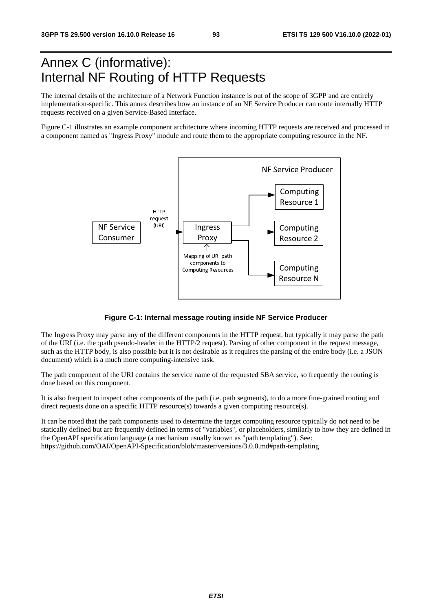# Annex C (informative): Internal NF Routing of HTTP Requests

The internal details of the architecture of a Network Function instance is out of the scope of 3GPP and are entirely implementation-specific. This annex describes how an instance of an NF Service Producer can route internally HTTP requests received on a given Service-Based Interface.

Figure C-1 illustrates an example component architecture where incoming HTTP requests are received and processed in a component named as "Ingress Proxy" module and route them to the appropriate computing resource in the NF.



#### **Figure C-1: Internal message routing inside NF Service Producer**

The Ingress Proxy may parse any of the different components in the HTTP request, but typically it may parse the path of the URI (i.e. the :path pseudo-header in the HTTP/2 request). Parsing of other component in the request message, such as the HTTP body, is also possible but it is not desirable as it requires the parsing of the entire body (i.e. a JSON document) which is a much more computing-intensive task.

The path component of the URI contains the service name of the requested SBA service, so frequently the routing is done based on this component.

It is also frequent to inspect other components of the path (i.e. path segments), to do a more fine-grained routing and direct requests done on a specific HTTP resource(s) towards a given computing resource(s).

It can be noted that the path components used to determine the target computing resource typically do not need to be statically defined but are frequently defined in terms of "variables", or placeholders, similarly to how they are defined in the OpenAPI specification language (a mechanism usually known as "path templating"). See: https://github.com/OAI/OpenAPI-Specification/blob/master/versions/3.0.0.md#path-templating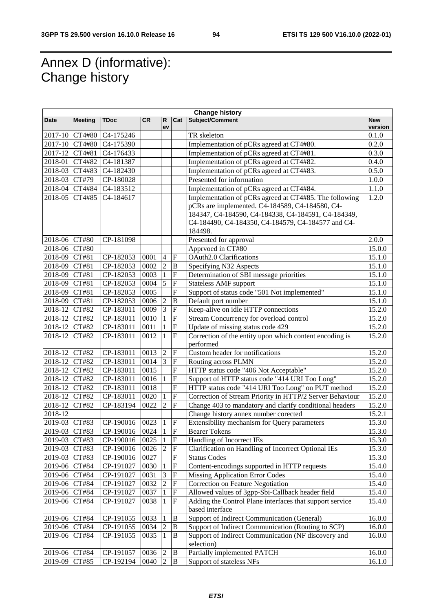# Annex D (informative): Change history

| <b>Change history</b> |                |             |           |                |                           |                                                          |                       |
|-----------------------|----------------|-------------|-----------|----------------|---------------------------|----------------------------------------------------------|-----------------------|
| Date                  | <b>Meeting</b> | <b>TDoc</b> | <b>CR</b> | R<br>ev        |                           | Cat Subject/Comment                                      | <b>New</b><br>version |
| 2017-10 CT4#80        |                | C4-175246   |           |                |                           | TR skeleton                                              | 0.1.0                 |
| 2017-10 CT4#80        |                | C4-175390   |           |                |                           | Implementation of pCRs agreed at CT4#80.                 | 0.2.0                 |
| 2017-12 CT4#81        |                | C4-176433   |           |                |                           | Implementation of pCRs agreed at CT4#81.                 | 0.3.0                 |
| 2018-01 CT4#82        |                | C4-181387   |           |                |                           | Implementation of pCRs agreed at CT4#82.                 | 0.4.0                 |
| 2018-03 CT4#83        |                | C4-182430   |           |                |                           | Implementation of pCRs agreed at CT4#83.                 | 0.5.0                 |
| 2018-03 CT#79         |                | CP-180028   |           |                |                           | Presented for information                                | 1.0.0                 |
| 2018-04 CT4#84        |                | C4-183512   |           |                |                           | Implementation of pCRs agreed at CT4#84.                 | 1.1.0                 |
| 2018-05               | CT4#85         | C4-184617   |           |                |                           | Implementation of pCRs agreed at CT4#85. The following   | 1.2.0                 |
|                       |                |             |           |                |                           | pCRs are implemented. C4-184589, C4-184580, C4-          |                       |
|                       |                |             |           |                |                           | 184347, C4-184590, C4-184338, C4-184591, C4-184349,      |                       |
|                       |                |             |           |                |                           | C4-184490, C4-184350, C4-184579, C4-184577 and C4-       |                       |
|                       |                |             |           |                |                           | 184498.                                                  |                       |
| 2018-06 CT#80         |                | CP-181098   |           |                |                           | Presented for approval                                   | 2.0.0                 |
| 2018-06 CT#80         |                |             |           |                |                           | Apprvoed in CT#80                                        | 15.0.0                |
| 2018-09 CT#81         |                | CP-182053   | 0001      | $\overline{4}$ | $\overline{\mathrm{F}}$   | OAuth2.0 Clarifications                                  | 15.1.0                |
| 2018-09 CT#81         |                | CP-182053   | 0002      | $\overline{2}$ | $\, {\bf B}$              | Specifying N32 Aspects                                   | 15.1.0                |
| 2018-09 CT#81         |                | CP-182053   | 0003      | $\mathbf{1}$   | $\boldsymbol{\mathrm{F}}$ | Determination of SBI message priorities                  | 15.1.0                |
| 2018-09 CT#81         |                | CP-182053   | 0004      | $\overline{5}$ | $\overline{\mathrm{F}}$   | <b>Stateless AMF support</b>                             | 15.1.0                |
| 2018-09 CT#81         |                | CP-182053   | 0005      |                | $\overline{F}$            | Support of status code "501 Not implemented"             | 15.1.0                |
| 2018-09 CT#81         |                | CP-182053   | 0006      | $\overline{2}$ | $\bf{B}$                  | Default port number                                      | 15.1.0                |
| 2018-12 CT#82         |                | CP-183011   | 0009      | $\overline{3}$ | $\overline{\mathrm{F}}$   | Keep-alive on idle HTTP connections                      | 15.2.0                |
| 2018-12 CT#82         |                | CP-183011   | 0010      | $\mathbf{1}$   | $\overline{\mathrm{F}}$   | Stream Concurrency for overload control                  | 15.2.0                |
| 2018-12 CT#82         |                | CP-183011   | 0011      | $\mathbf{1}$   | $\boldsymbol{\mathrm{F}}$ | Update of missing status code 429                        | 15.2.0                |
| 2018-12               | CT#82          | CP-183011   | 0012      | $\mathbf{1}$   | $\overline{\mathrm{F}}$   | Correction of the entity upon which content encoding is  | 15.2.0                |
| 2018-12 CT#82         |                | CP-183011   | 0013      | $\overline{2}$ | $\boldsymbol{\mathrm{F}}$ | performed<br>Custom header for notifications             | 15.2.0                |
| 2018-12 CT#82         |                | CP-183011   | 0014      | $\overline{3}$ | $\boldsymbol{\mathrm{F}}$ | Routing across PLMN                                      | 15.2.0                |
| 2018-12 CT#82         |                | CP-183011   | 0015      |                | ${\bf F}$                 | HTTP status code "406 Not Acceptable"                    | 15.2.0                |
| 2018-12               | CT#82          | CP-183011   | 0016      | 1              | $\overline{F}$            | Support of HTTP status code "414 URI Too Long"           | 15.2.0                |
| 2018-12               | CT#82          | CP-183011   | 0018      |                | ${\bf F}$                 | HTTP status code "414 URI Too Long" on PUT method        | 15.2.0                |
| 2018-12               | CT#82          | CP-183011   | 0020      | $\mathbf{1}$   | $\overline{\mathrm{F}}$   | Correction of Stream Priority in HTTP/2 Server Behaviour | 15.2.0                |
| 2018-12               | CT#82          | CP-183194   | 0022      | $\overline{2}$ | $\overline{\mathrm{F}}$   | Change 403 to mandatory and clarify conditional headers  | 15.2.0                |
| 2018-12               |                |             |           |                |                           | Change history annex number corected                     | 15.2.1                |
| 2019-03               | CT#83          | CP-190016   | 0023      | 1              | $\boldsymbol{\mathrm{F}}$ | Extensibility mechanism for Query parameters             | 15.3.0                |
| 2019-03               | CT#83          | CP-190016   | 0024      | 1              | $\overline{\mathrm{F}}$   | <b>Bearer Tokens</b>                                     | 15.3.0                |
| 2019-03 CT#83         |                | CP-190016   | 0025      | $\mathbf{1}$   | F                         | Handling of Incorrect IEs                                | 15.3.0                |
| 2019-03               | CT#83          | CP-190016   | 0026      | $\overline{2}$ | $\boldsymbol{\mathrm{F}}$ | Clarification on Handling of Incorrect Optional IEs      | 15.3.0                |
| 2019-03 CT#83         |                | CP-190016   | 0027      |                | $\boldsymbol{\mathrm{F}}$ | <b>Status Codes</b>                                      | 15.3.0                |
| 2019-06 CT#84         |                | CP-191027   | 0030      | 1              | ${\bf F}$                 | Content-encodings supported in HTTP requests             | 15.4.0                |
| 2019-06 CT#84         |                | CP-191027   | 0031      | $\overline{3}$ | $\boldsymbol{\mathrm{F}}$ | <b>Missing Application Error Codes</b>                   | 15.4.0                |
| 2019-06 CT#84         |                | CP-191027   | 0032      | $\overline{2}$ | $\boldsymbol{\mathrm{F}}$ | Correction on Feature Negotiation                        | 15.4.0                |
| 2019-06 CT#84         |                | CP-191027   | 0037      | 1              | ${\bf F}$                 | Allowed values of 3gpp-Sbi-Callback header field         | 15.4.0                |
| 2019-06               | CT#84          | CP-191027   | 0038      | $\mathbf{1}$   | ${\bf F}$                 | Adding the Control Plane interfaces that support service | 15.4.0                |
|                       |                |             |           |                |                           | based interface                                          |                       |
| 2019-06 CT#84         |                | CP-191055   | 0033      | $\mathbf{1}$   | $\, {\bf B}$              | Support of Indirect Communication (General)              | 16.0.0                |
| 2019-06 CT#84         |                | CP-191055   | 0034      | $\overline{2}$ | $\, {\bf B}$              | Support of Indirect Communication (Routing to SCP)       | 16.0.0                |
| 2019-06 CT#84         |                | CP-191055   | 0035      | $\overline{1}$ | $\, {\bf B}$              | Support of Indirect Communication (NF discovery and      | 16.0.0                |
|                       |                |             |           |                |                           | selection)                                               |                       |
| 2019-06 CT#84         |                | CP-191057   | 0036      | $\overline{2}$ | $\, {\bf B}$              | Partially implemented PATCH                              | 16.0.0                |
| 2019-09 CT#85         |                | CP-192194   | 0040      | $\overline{2}$ | $\, {\bf B}$              | Support of stateless NFs                                 | 16.1.0                |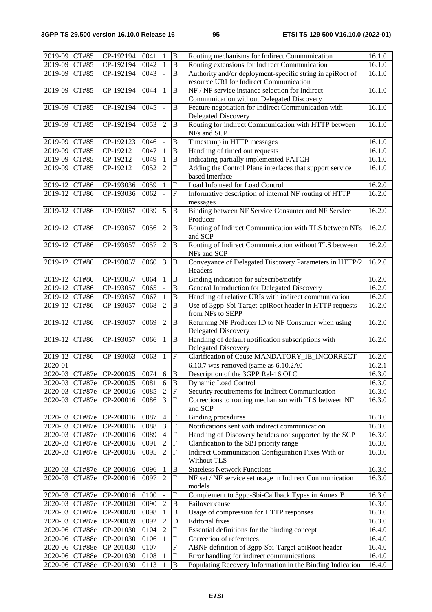| 2019-09 CT#85  |                | CP-192194                     | 0041 | 1                        | B                         | Routing mechanisms for Indirect Communication             | 16.1.0 |
|----------------|----------------|-------------------------------|------|--------------------------|---------------------------|-----------------------------------------------------------|--------|
| 2019-09 CT#85  |                | CP-192194                     | 0042 | $\mathbf{1}$             | B                         | Routing extensions for Indirect Communication             | 16.1.0 |
| 2019-09 CT#85  |                | CP-192194                     | 0043 | $\overline{a}$           | B                         | Authority and/or deployment-specific string in apiRoot of | 16.1.0 |
|                |                |                               |      |                          |                           | resource URI for Indirect Communication                   |        |
| 2019-09        | CT#85          | CP-192194                     | 0044 | $\mathbf{1}$             | B                         | NF / NF service instance selection for Indirect           | 16.1.0 |
|                |                |                               |      |                          |                           |                                                           |        |
|                |                |                               |      |                          |                           | Communication without Delegated Discovery                 |        |
| 2019-09        | CT#85          | CP-192194                     | 0045 | ÷,                       | B                         | Feature negotiation for Indirect Communication with       | 16.1.0 |
|                |                |                               |      |                          |                           | Delegated Discovery                                       |        |
| 2019-09        | CT#85          | CP-192194                     | 0053 | $\mathfrak{2}$           | B                         | Routing for indirect Communication with HTTP between      | 16.1.0 |
|                |                |                               |      |                          |                           | NFs and SCP                                               |        |
| 2019-09 CT#85  |                | CP-192123                     | 0046 |                          | B                         | Timestamp in HTTP messages                                | 16.1.0 |
| 2019-09 CT#85  |                | CP-19212                      | 0047 | $\mathbf{1}$             | B                         | Handling of timed out requests                            | 16.1.0 |
| 2019-09 CT#85  |                | CP-19212                      | 0049 | 1                        | B                         | Indicating partially implemented PATCH                    | 16.1.0 |
| 2019-09        | CT#85          | CP-19212                      | 0052 | $\overline{2}$           | $\mathbf{F}$              | Adding the Control Plane interfaces that support service  | 16.1.0 |
|                |                |                               |      |                          |                           | based interface                                           |        |
| 2019-12 CT#86  |                | CP-193036                     | 0059 | $\mathbf{1}$             | $\boldsymbol{\mathrm{F}}$ | Load Info used for Load Control                           | 16.2.0 |
| 2019-12        | CT#86          | CP-193036                     | 0062 | $\overline{\phantom{a}}$ | $\mathbf F$               | Informative description of internal NF routing of HTTP    | 16.2.0 |
|                |                |                               |      |                          |                           | messages                                                  |        |
| 2019-12        | CT#86          | CP-193057                     | 0039 | 5                        | B                         | Binding between NF Service Consumer and NF Service        | 16.2.0 |
|                |                |                               |      |                          |                           | Producer                                                  |        |
| 2019-12        | CT#86          | CP-193057                     | 0056 | $\overline{2}$           | $\, {\bf B}$              | Routing of Indirect Communication with TLS between NFs    | 16.2.0 |
|                |                |                               |      |                          |                           | and SCP                                                   |        |
|                |                |                               |      |                          |                           |                                                           |        |
| 2019-12        | CT#86          | CP-193057                     | 0057 | $\overline{2}$           | $\, {\bf B}$              | Routing of Indirect Communication without TLS between     | 16.2.0 |
|                |                |                               |      |                          |                           | NFs and SCP                                               |        |
| 2019-12        | CT#86          | CP-193057                     | 0060 | 3                        | B                         | Conveyance of Delegated Discovery Parameters in HTTP/2    | 16.2.0 |
|                |                |                               |      |                          |                           | Headers                                                   |        |
| 2019-12        | CT#86          | CP-193057                     | 0064 | $\mathbf{1}$             | B                         | Binding indication for subscribe/notify                   | 16.2.0 |
| 2019-12 CT#86  |                | CP-193057                     | 0065 | $\overline{a}$           | B                         | General Introduction for Delegated Discovery              | 16.2.0 |
| 2019-12        | CT#86          | CP-193057                     | 0067 | $\mathbf{1}$             | $\bf{B}$                  | Handling of relative URIs with indirect communication     | 16.2.0 |
| 2019-12        | CT#86          | CP-193057                     | 0068 | $\overline{2}$           | B                         | Use of 3gpp-Sbi-Target-apiRoot header in HTTP requests    | 16.2.0 |
|                |                |                               |      |                          |                           | from NFs to SEPP                                          |        |
| 2019-12        | CT#86          | CP-193057                     | 0069 | $\overline{2}$           | $\, {\bf B}$              | Returning NF Producer ID to NF Consumer when using        | 16.2.0 |
|                |                |                               |      |                          |                           | Delegated Discovery                                       |        |
| 2019-12        | CT#86          | CP-193057                     | 0066 | $\mathbf{1}$             | $\, {\bf B}$              | Handling of default notification subscriptions with       | 16.2.0 |
|                |                |                               |      |                          |                           | Delegated Discovery                                       |        |
| 2019-12 CT#86  |                | CP-193063                     | 0063 | 1                        | $\mathbf{F}$              | Clarification of Cause MANDATORY_IE_INCORRECT             | 16.2.0 |
| 2020-01        |                |                               |      |                          |                           | 6.10.7 was removed (same as 6.10.2A0                      | 16.2.1 |
|                |                | 2020-03 CT#87e CP-200025 0074 |      | $6 \quad B$              |                           |                                                           |        |
|                |                |                               |      | 6                        | B                         | Description of the 3GPP Rel-16 OLC                        | 16.3.0 |
|                | 2020-03 CT#87e | CP-200025                     | 0081 |                          |                           | Dynamic Load Control                                      | 16.3.0 |
| 2020-03 CT#87e |                | CP-200016                     | 0085 | $\overline{2}$           | $\boldsymbol{\mathrm{F}}$ | Security requirements for Indirect Communication          | 16.3.0 |
| 2020-03 CT#87e |                | CP-200016                     | 0086 | $\overline{3}$           | $\mathbf F$               | Corrections to routing mechanism with TLS between NF      | 16.3.0 |
|                |                |                               |      |                          |                           | and SCP                                                   |        |
| 2020-03 CT#87e |                | CP-200016                     | 0087 | $\overline{4}$           | $\mathbf F$               | <b>Binding procedures</b>                                 | 16.3.0 |
| 2020-03 CT#87e |                | CP-200016                     | 0088 | $\mathfrak{Z}$           | F                         | Notifications sent with indirect communication            | 16.3.0 |
| 2020-03 CT#87e |                | CP-200016                     | 0089 | $\overline{4}$           | $\boldsymbol{\mathrm{F}}$ | Handling of Discovery headers not supported by the SCP    | 16.3.0 |
| 2020-03 CT#87e |                | CP-200016                     | 0091 | $\sqrt{2}$               | $\boldsymbol{\mathrm{F}}$ | Clarification to the SBI priority range                   | 16.3.0 |
| 2020-03        | CT#87e         | CP-200016                     | 0095 | $\overline{2}$           | $\mathbf F$               | Indirect Communication Configuration Fixes With or        | 16.3.0 |
|                |                |                               |      |                          |                           | Without TLS                                               |        |
| 2020-03 CT#87e |                | CP-200016                     | 0096 | 1                        | $\, {\bf B}$              | <b>Stateless Network Functions</b>                        | 16.3.0 |
| 2020-03        | CT#87e         | CP-200016                     | 0097 | $\sqrt{2}$               | F                         | NF set / NF service set usage in Indirect Communication   | 16.3.0 |
|                |                |                               |      |                          |                           | models                                                    |        |
| 2020-03 CT#87e |                | CP-200016                     | 0100 | $\qquad \qquad -$        | $\boldsymbol{\mathrm{F}}$ | Complement to 3gpp-Sbi-Callback Types in Annex B          | 16.3.0 |
| 2020-03 CT#87e |                | CP-200020                     | 0090 | $\sqrt{2}$               | B                         | Failover cause                                            | 16.3.0 |
|                |                |                               |      | $\mathbf{1}$             |                           |                                                           |        |
| 2020-03 CT#87e |                | CP-200020                     | 0098 |                          | B                         | Usage of compression for HTTP responses                   | 16.3.0 |
| 2020-03 CT#87e |                | CP-200039                     | 0092 | $\sqrt{2}$               | D                         | <b>Editorial</b> fixes                                    | 16.3.0 |
| 2020-06 CT#88e |                | CP-201030                     | 0104 | $\sqrt{2}$               | ${\bf F}$                 | Essential definitions for the binding concept             | 16.4.0 |
| 2020-06 CT#88e |                | CP-201030                     | 0106 | $\mathbf{1}$             | $\mathbf F$               | Correction of references                                  | 16.4.0 |
| 2020-06 CT#88e |                | CP-201030                     | 0107 | $\blacksquare$           | $\boldsymbol{\mathrm{F}}$ | ABNF definition of 3gpp-Sbi-Target-apiRoot header         | 16.4.0 |
| 2020-06 CT#88e |                | CP-201030                     | 0108 | $\mathbf{1}$             | $\boldsymbol{\mathrm{F}}$ | Error handling for indirect communications                | 16.4.0 |
| 2020-06 CT#88e |                | CP-201030                     | 0113 | 1                        | B                         | Populating Recovery Information in the Binding Indication | 16.4.0 |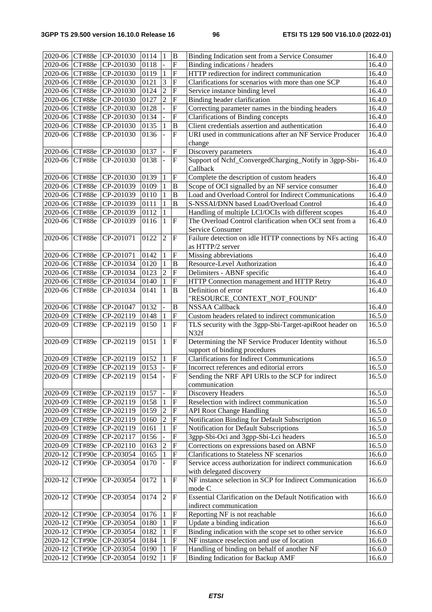|                |                | 2020-06 CT#88e CP-201030      | 0114 | $\vert$ 1                | $\mathbf B$               | Binding Indication sent from a Service Consumer          | 16.4.0 |
|----------------|----------------|-------------------------------|------|--------------------------|---------------------------|----------------------------------------------------------|--------|
| 2020-06 CT#88e |                | CP-201030                     | 0118 |                          | $\overline{F}$            | Binding indications / headers                            | 16.4.0 |
| 2020-06 CT#88e |                | CP-201030                     | 0119 | $\,1\,$                  | $\overline{F}$            | HTTP redirection for indirect communication              | 16.4.0 |
| 2020-06 CT#88e |                | CP-201030                     | 0121 | 3                        | $\overline{F}$            | Clarifications for scenarios with more than one SCP      | 16.4.0 |
| 2020-06 CT#88e |                | CP-201030                     | 0124 | $\overline{2}$           | ${\bf F}$                 | Service instance binding level                           | 16.4.0 |
| 2020-06 CT#88e |                | CP-201030                     | 0127 | $\overline{2}$           | ${\bf F}$                 | Binding header clarification                             | 16.4.0 |
|                |                |                               |      |                          |                           |                                                          |        |
| 2020-06 CT#88e |                | CP-201030                     | 0128 |                          | $\overline{F}$            | Correcting parameter names in the binding headers        | 16.4.0 |
| 2020-06 CT#88e |                | CP-201030                     | 0134 |                          | $\overline{F}$            | <b>Clarifications of Binding concepts</b>                | 16.4.0 |
| 2020-06 CT#88e |                | CP-201030                     | 0135 | $\mathbf{1}$             | $\, {\bf B}$              | Client credentials assertion and authentication          | 16.4.0 |
| 2020-06 CT#88e |                | CP-201030                     | 0136 | $\overline{a}$           | $\overline{F}$            | URI used in communications after an NF Service Producer  | 16.4.0 |
|                |                |                               |      |                          |                           | change                                                   |        |
| 2020-06 CT#88e |                | CP-201030                     | 0137 | $\overline{\phantom{0}}$ | $\boldsymbol{\mathrm{F}}$ | Discovery parameters                                     | 16.4.0 |
| 2020-06 CT#88e |                | CP-201030                     | 0138 | $\overline{a}$           | $\boldsymbol{\mathrm{F}}$ | Support of Nchf_ConvergedCharging_Notify in 3gpp-Sbi-    | 16.4.0 |
|                |                |                               |      |                          |                           | Callback                                                 |        |
| 2020-06 CT#88e |                | CP-201030                     | 0139 | 1                        | $\mathbf F$               | Complete the description of custom headers               | 16.4.0 |
| 2020-06 CT#88e |                | CP-201039                     | 0109 | $\mathbf{1}$             | B                         | Scope of OCI signalled by an NF service consumer         | 16.4.0 |
| 2020-06 CT#88e |                | CP-201039                     | 0110 | $\mathbf{1}$             | $\, {\bf B}$              | Load and Overload Control for Indirect Communications    | 16.4.0 |
| 2020-06 CT#88e |                | CP-201039                     | 0111 | $\mathbf{1}$             | B                         | S-NSSAI/DNN based Load/Overload Control                  | 16.4.0 |
| 2020-06 CT#88e |                | CP-201039                     | 0112 | $\mathbf{1}$             |                           | Handling of multiple LCI/OCIs with different scopes      | 16.4.0 |
| 2020-06        | CT#88e         | CP-201039                     | 0116 | 1                        | $\mathbf{F}$              | The Overload Control clarification when OCI sent from a  | 16.4.0 |
|                |                |                               |      |                          |                           | Service Consumer                                         |        |
|                |                |                               |      |                          |                           |                                                          |        |
| 2020-06        | CT#88e         | CP-201071                     | 0122 | $\sqrt{2}$               | $\mathbf F$               | Failure detection on idle HTTP connections by NFs acting | 16.4.0 |
|                |                |                               |      |                          |                           | as HTTP/2 server                                         |        |
|                | 2020-06 CT#88e | CP-201071                     | 0142 | 1                        | $\mathbf F$               | Missing abbreviations                                    | 16.4.0 |
| 2020-06 CT#88e |                | CP-201034                     | 0120 | $\mathbf{1}$             | $\overline{B}$            | Resource-Level Authorization                             | 16.4.0 |
| 2020-06 CT#88e |                | CP-201034                     | 0123 | $\overline{2}$           | $\overline{F}$            | Delimiters - ABNF specific                               | 16.4.0 |
| 2020-06 CT#88e |                | CP-201034                     | 0140 | $\mathbf{1}$             | $\mathbf F$               | HTTP Connection management and HTTP Retry                | 16.4.0 |
| 2020-06 CT#88e |                | CP-201034                     | 0141 | $\mathbf{1}$             | B                         | Definition of error                                      | 16.4.0 |
|                |                |                               |      |                          |                           | "RESOURCE_CONTEXT_NOT_FOUND"                             |        |
| 2020-06 CT#88e |                | CP-201047                     | 0132 |                          | B                         | <b>NSSAA Callback</b>                                    | 16.4.0 |
| 2020-09 CT#89e |                | CP-202119                     | 0148 | $\mathbf{1}$             | $\overline{F}$            | Custom headers related to indirect communication         | 16.5.0 |
| 2020-09        | CT#89e         | CP-202119                     | 0150 | $\mathbf{1}$             | $\mathbf F$               | TLS security with the 3gpp-Sbi-Target-apiRoot header on  | 16.5.0 |
|                |                |                               |      |                          |                           | N32f                                                     |        |
| 2020-09        | CT#89e         | CP-202119                     | 0151 | $\mathbf{1}$             | $\overline{F}$            | Determining the NF Service Producer Identity without     | 16.5.0 |
|                |                |                               |      |                          |                           | support of binding procedures                            |        |
| 2020-09 CT#89e |                | CP-202119                     | 0152 | $\mathbf{1}$             | $\overline{F}$            | <b>Clarifications for Indirect Communications</b>        | 16.5.0 |
| 2020-09 CT#89e |                | CP-202119                     | 0153 | $\overline{a}$           | $\overline{F}$            | Incorrect references and editorial errors                | 16.5.0 |
|                |                | 2020-09 CT#89e CP-202119 0154 |      |                          |                           | Sending the NRF API URIs to the SCP for indirect         | 16.5.0 |
|                |                |                               |      |                          | F                         |                                                          |        |
|                |                |                               |      |                          |                           | communication                                            |        |
| 2020-09        | CT#89e         | CP-202119                     | 0157 | $\overline{\phantom{a}}$ | $\mathbf F$               | Discovery Headers                                        | 16.5.0 |
| 2020-09        | CT#89e         | CP-202119                     | 0158 | $\mathbf{1}$             | ${\bf F}$                 | Reselection with indirect communication                  | 16.5.0 |
| 2020-09        | CT#89e         | CP-202119                     | 0159 | $\overline{2}$           | $\overline{F}$            | <b>API Root Change Handling</b>                          | 16.5.0 |
| 2020-09        | CT#89e         | CP-202119                     | 0160 | $\overline{2}$           | $\mathbf F$               | Notification Binding for Default Subscription            | 16.5.0 |
| 2020-09        | CT#89e         | CP-202119                     | 0161 | $\mathbf{1}$             | $\overline{F}$            | Notification for Default Subscriptions                   | 16.5.0 |
| 2020-09        | CT#89e         | CP-202117                     | 0156 | $\overline{a}$           | $\overline{F}$            | 3gpp-Sbi-Oci and 3gpp-Sbi-Lci headers                    | 16.5.0 |
| 2020-09        | CT#89e         | CP-202110                     | 0163 | $\overline{2}$           | $\overline{F}$            | Corrections on expressions based on ABNF                 | 16.5.0 |
| 2020-12        | CT#90e         | CP-203054                     | 0165 | $\,1\,$                  | ${\bf F}$                 | <b>Clarifications to Stateless NF scenarios</b>          | 16.6.0 |
| 2020-12        | CT#90e         | CP-203054                     | 0170 | $\overline{a}$           | $\boldsymbol{\mathrm{F}}$ | Service access authorization for indirect communication  | 16.6.0 |
|                |                |                               |      |                          |                           | with delegated discovery                                 |        |
| 2020-12        | CT#90e         | CP-203054                     | 0172 | $\mathbf{1}$             | $\boldsymbol{\mathrm{F}}$ | NF instance selection in SCP for Indirect Communication  | 16.6.0 |
|                |                |                               |      |                          |                           | mode C                                                   |        |
| 2020-12        | CT#90e         | CP-203054                     | 0174 | $\overline{2}$           | F                         | Essential Clarification on the Default Notification with | 16.6.0 |
|                |                |                               |      |                          |                           | indirect communication                                   |        |
|                |                | CP-203054                     | 0176 |                          | $\boldsymbol{\mathrm{F}}$ | Reporting NF is not reachable                            | 16.6.0 |
| 2020-12 CT#90e |                |                               |      | 1                        |                           |                                                          |        |
| 2020-12 CT#90e |                | CP-203054                     | 0180 | $\mathbf{1}$             | $\boldsymbol{\mathrm{F}}$ | Update a binding indication                              | 16.6.0 |
| 2020-12 CT#90e |                | CP-203054                     | 0182 | $\mathbf{1}$             | $\boldsymbol{\mathrm{F}}$ | Binding indication with the scope set to other service   | 16.6.0 |
| 2020-12 CT#90e |                | CP-203054                     | 0184 | 1                        | $\mathbf F$               | NF instance reselection and use of location              | 16.6.0 |
| 2020-12 CT#90e |                | CP-203054                     | 0190 | $\mathbf{1}$             | $\boldsymbol{\mathrm{F}}$ | Handling of binding on behalf of another NF              | 16.6.0 |
| 2020-12 CT#90e |                | CP-203054                     | 0192 | 1                        | ${\bf F}$                 | Binding Indication for Backup AMF                        | 16.6.0 |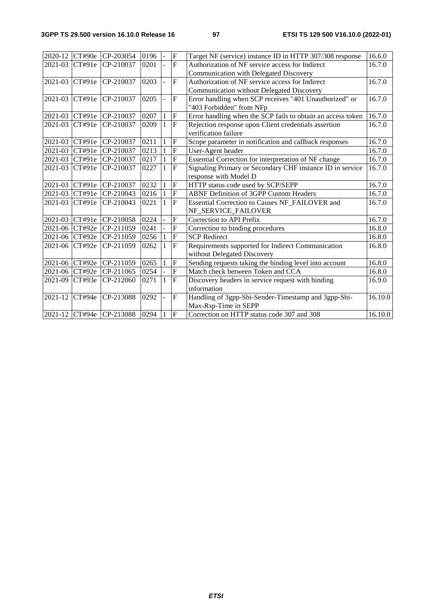|                | 2020-12 CT#90e | CP-203054                | 0196 | $\overline{\phantom{a}}$ | $\overline{F}$ | Target NF (service) instance ID in HTTP 307/308 response    | 16.6.0  |
|----------------|----------------|--------------------------|------|--------------------------|----------------|-------------------------------------------------------------|---------|
| 2021-03        | CT#91e         | CP-210037                | 0201 |                          | $\overline{F}$ | Authorization of NF service access for Indirect             | 16.7.0  |
|                |                |                          |      |                          |                | Communication with Delegated Discovery                      |         |
| 2021-03        | CT#91e         | CP-210037                | 0203 |                          | F              | Authorization of NF service access for Indirect             | 16.7.0  |
|                |                |                          |      |                          |                | Communication without Delegated Discovery                   |         |
| 2021-03 CT#91e |                | CP-210037                | 0205 | $\overline{a}$           | $\mathbf F$    | Error handling when SCP receives "401 Unauthorized" or      | 16.7.0  |
|                |                |                          |      |                          |                | "403 Forbidden" from NFp                                    |         |
| 2021-03 CT#91e |                | CP-210037                | 0207 | $\mathbf{1}$             | ${\bf F}$      | Error handling when the SCP fails to obtain an access token | 16.7.0  |
| 2021-03        | CT#91e         | CP-210037                | 0209 | $\mathbf{1}$             | $\overline{F}$ | Rejection response upon Client credentials assertion        | 16.7.0  |
|                |                |                          |      |                          |                | verification failure                                        |         |
| 2021-03 CT#91e |                | CP-210037                | 0211 | 1                        | $\overline{F}$ | Scope parameter in notification and callback responses      | 16.7.0  |
| 2021-03        | CT#91e         | CP-210037                | 0213 | 1                        | $\overline{F}$ | User-Agent header                                           | 16.7.0  |
| 2021-03 CT#91e |                | CP-210037                | 0217 | 1                        | ${\bf F}$      | Essential Correction for interpretation of NF change        | 16.7.0  |
| 2021-03        | CT#91e         | CP-210037                | 0227 | $\mathbf{1}$             | $\overline{F}$ | Signaling Primary or Secondary CHF instance ID in service   | 16.7.0  |
|                |                |                          |      |                          |                | response with Model D                                       |         |
| 2021-03 CT#91e |                | CP-210037                | 0232 | $\mathbf{1}$             | $\overline{F}$ | HTTP status code used by SCP/SEPP                           | 16.7.0  |
| 2021-03        | CT#91e         | CP-210043                | 0216 |                          | $\overline{F}$ | <b>ABNF Definition of 3GPP Custom Headers</b>               | 16.7.0  |
| 2021-03        | CT#91e         | CP-210043                | 0221 | 1                        | F              | Essential Correction to Causes NF_FAILOVER and              | 16.7.0  |
|                |                |                          |      |                          |                | NF_SERVICE_FAILOVER                                         |         |
| 2021-03 CT#91e |                | CP-210058                | 0224 |                          | $\overline{F}$ | Correction to API Prefix                                    | 16.7.0  |
| 2021-06 CT#92e |                | CP-211059                | 0241 |                          | $\overline{F}$ | Correction to binding procedures                            | 16.8.0  |
| 2021-06 CT#92e |                | CP-211059                | 0256 | 1                        | $\overline{F}$ | <b>SCP</b> Redirect                                         | 16.8.0  |
| $2021 - 06$    | CT#92e         | CP-211059                | 0262 | 1                        | $\mathbf{F}$   | Requirements supported for Indirect Communication           | 16.8.0  |
|                |                |                          |      |                          |                | without Delegated Discovery                                 |         |
| 2021-06 CT#92e |                | CP-211059                | 0265 | 1                        | $\overline{F}$ | Sending requests taking the binding level into account      | 16.8.0  |
| 2021-06 CT#92e |                | CP-211065                | 0254 |                          | $\overline{F}$ | Match check between Token and CCA                           | 16.8.0  |
| 2021-09        | CT#93e         | CP-212060                | 0271 | $\mathbf{1}$             | $\overline{F}$ | Discovery headers in service request with binding           | 16.9.0  |
|                |                |                          |      |                          |                | information                                                 |         |
| 2021-12        | CT#94e         | CP-213088                | 0292 |                          | $\mathbf F$    | Handling of 3gpp-Sbi-Sender-Timestamp and 3gpp-Sbi-         | 16.10.0 |
|                |                |                          |      |                          |                | Max-Rsp-Time in SEPP                                        |         |
|                |                | 2021-12 CT#94e CP-213088 | 0294 | 1                        | $\overline{F}$ | Correction on HTTP status code 307 and 308                  | 16.10.0 |